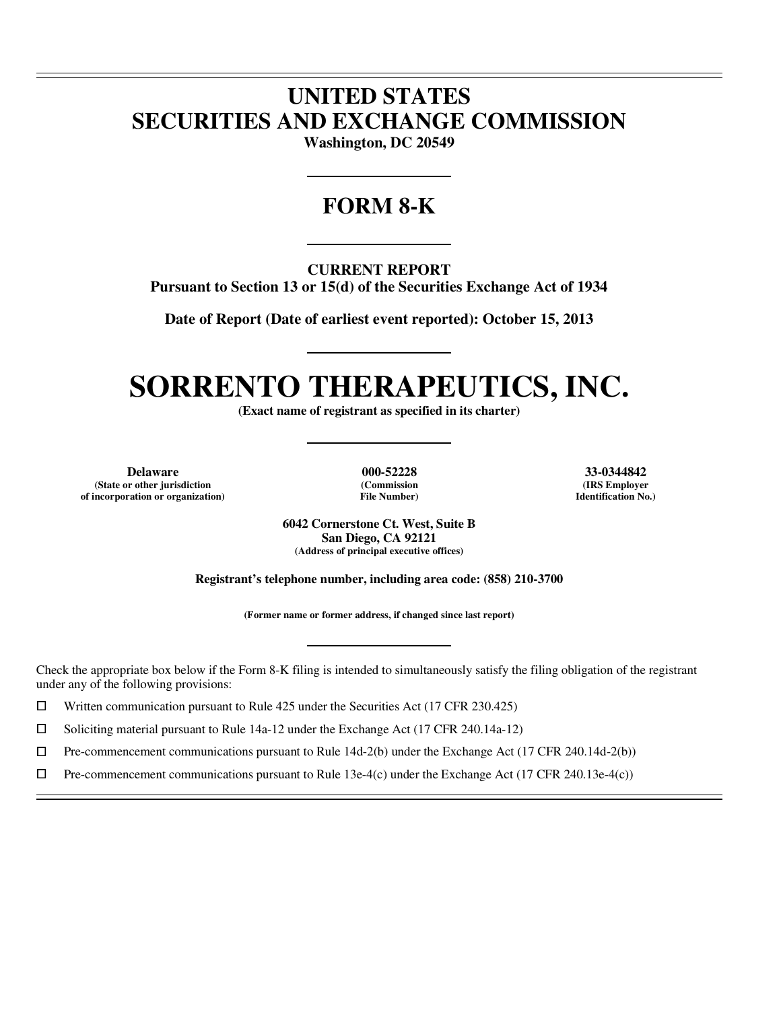# **UNITED STATES SECURITIES AND EXCHANGE COMMISSION**

**Washington, DC 20549** 

# **FORM 8-K**

**CURRENT REPORT** 

**Pursuant to Section 13 or 15(d) of the Securities Exchange Act of 1934** 

**Date of Report (Date of earliest event reported): October 15, 2013** 

# **SORRENTO THERAPEUTICS, INC.**

**(Exact name of registrant as specified in its charter)** 

**Delaware 000-52228 33-0344842 (State or other jurisdiction (Commission (IRS Employer of incorporation or organization) File Number) Identification No.)**

 $\overline{a}$  $\overline{a}$ 

 $\overline{a}$ 

**6042 Cornerstone Ct. West, Suite B San Diego, CA 92121 (Address of principal executive offices)** 

**Registrant's telephone number, including area code: (858) 210-3700** 

**(Former name or former address, if changed since last report)** 

Check the appropriate box below if the Form 8-K filing is intended to simultaneously satisfy the filing obligation of the registrant under any of the following provisions:

Written communication pursuant to Rule 425 under the Securities Act (17 CFR 230.425)

 $\Box$ 

<p>\n 7 Soliciting material pursuit to Rule 14a-12 under the Exchange Act (17 CFR 240.14a-12)\n 10 Pre-component communications pursuit to Rule 14d-2(b) under the Exchange Act (17 CFR 240.14a-12)\n</p>  $\Box$  Pre-commencement communications pursuant to Rule 14d-2(b) under the Exchange Act (17 CFR 240.14d-2(b))<br>  $\Box$  Pre-commencement communications pursuant to Rule 13e-4(c) under the Exchange Act (17 CFR 240.13e-4(c))

Pre-commencement communications pursuant to Rule 13e-4(c) under the Exchange Act (17 CFR 240.13e-4(c))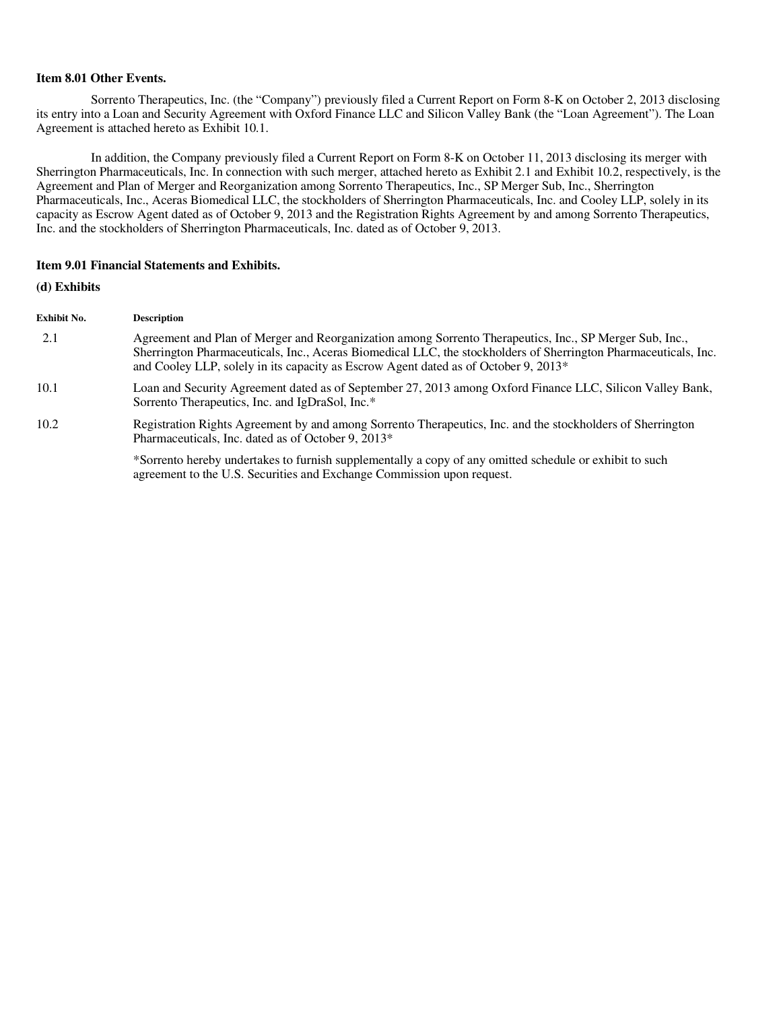#### **Item 8.01 Other Events.**

Sorrento Therapeutics, Inc. (the "Company") previously filed a Current Report on Form 8-K on October 2, 2013 disclosing its entry into a Loan and Security Agreement with Oxford Finance LLC and Silicon Valley Bank (the "Loan Agreement"). The Loan Agreement is attached hereto as Exhibit 10.1.

In addition, the Company previously filed a Current Report on Form 8-K on October 11, 2013 disclosing its merger with Sherrington Pharmaceuticals, Inc. In connection with such merger, attached hereto as Exhibit 2.1 and Exhibit 10.2, respectively, is the Agreement and Plan of Merger and Reorganization among Sorrento Therapeutics, Inc., SP Merger Sub, Inc., Sherrington Pharmaceuticals, Inc., Aceras Biomedical LLC, the stockholders of Sherrington Pharmaceuticals, Inc. and Cooley LLP, solely in its capacity as Escrow Agent dated as of October 9, 2013 and the Registration Rights Agreement by and among Sorrento Therapeutics, Inc. and the stockholders of Sherrington Pharmaceuticals, Inc. dated as of October 9, 2013.

#### **Item 9.01 Financial Statements and Exhibits.**

# **(d) Exhibits**

| Exhibit No. | <b>Description</b>                                                                                                                                                                                                                                                                                                |
|-------------|-------------------------------------------------------------------------------------------------------------------------------------------------------------------------------------------------------------------------------------------------------------------------------------------------------------------|
| 2.1         | Agreement and Plan of Merger and Reorganization among Sorrento Therapeutics, Inc., SP Merger Sub, Inc.,<br>Sherrington Pharmaceuticals, Inc., Aceras Biomedical LLC, the stockholders of Sherrington Pharmaceuticals, Inc.<br>and Cooley LLP, solely in its capacity as Escrow Agent dated as of October 9, 2013* |
| 10.1        | Loan and Security Agreement dated as of September 27, 2013 among Oxford Finance LLC, Silicon Valley Bank,<br>Sorrento Therapeutics, Inc. and IgDraSol, Inc.*                                                                                                                                                      |
| 10.2        | Registration Rights Agreement by and among Sorrento Therapeutics, Inc. and the stockholders of Sherrington<br>Pharmaceuticals, Inc. dated as of October 9, 2013*                                                                                                                                                  |
|             | *Sorrento hereby undertakes to furnish supplementally a copy of any omitted schedule or exhibit to such<br>agreement to the U.S. Securities and Exchange Commission upon request.                                                                                                                                 |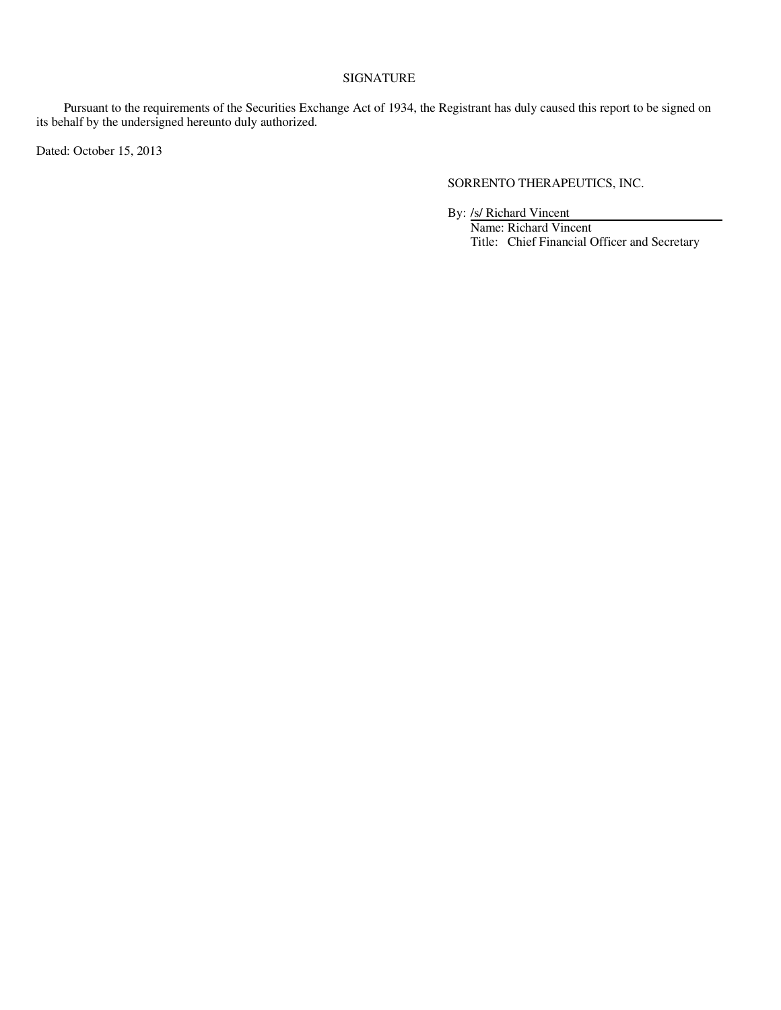# SIGNATURE

Pursuant to the requirements of the Securities Exchange Act of 1934, the Registrant has duly caused this report to be signed on its behalf by the undersigned hereunto duly authorized.

Dated: October 15, 2013

# SORRENTO THERAPEUTICS, INC.

By: /s/ Richard Vincent

Name: Richard Vincent Title: Chief Financial Officer and Secretary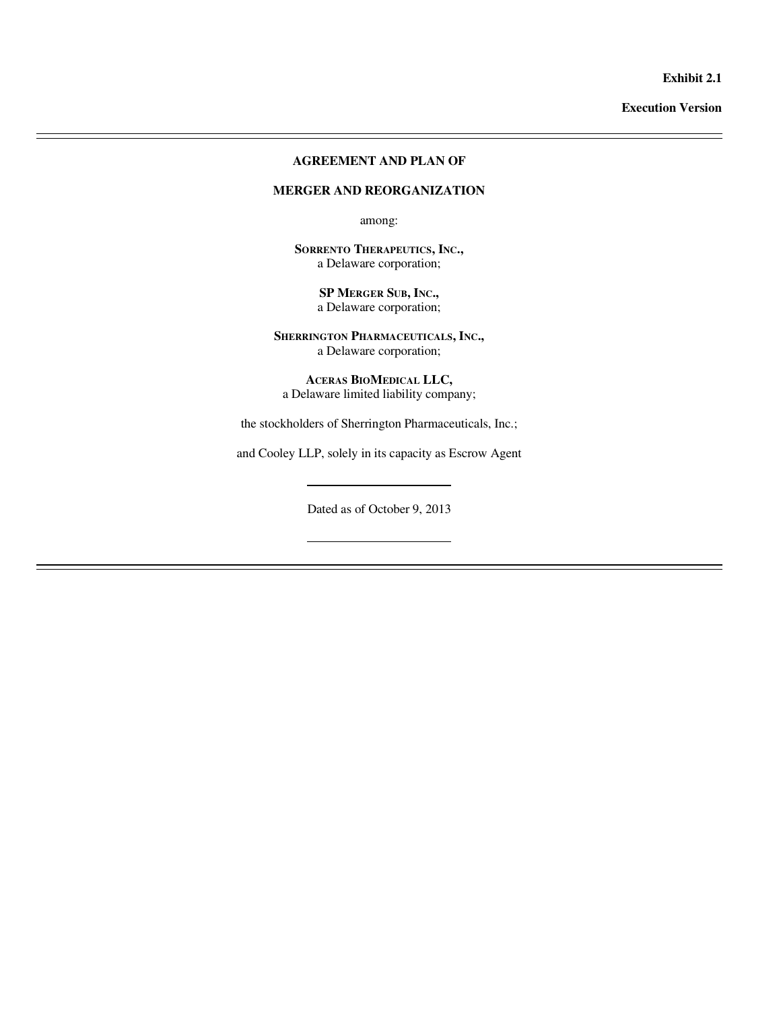**Exhibit 2.1** 

**Execution Version** 

# **AGREEMENT AND PLAN OF**

 $\overline{a}$  $\overline{a}$ 

 $\overline{a}$ 

### **MERGER AND REORGANIZATION**

among:

**SORRENTO THERAPEUTICS, INC.,**  a Delaware corporation;

> **SP MERGER SUB, INC.,**  a Delaware corporation;

**SHERRINGTON PHARMACEUTICALS, INC.,**  a Delaware corporation;

**ACERAS BIOMEDICAL LLC,**  a Delaware limited liability company;

the stockholders of Sherrington Pharmaceuticals, Inc.;

and Cooley LLP, solely in its capacity as Escrow Agent

Dated as of October 9, 2013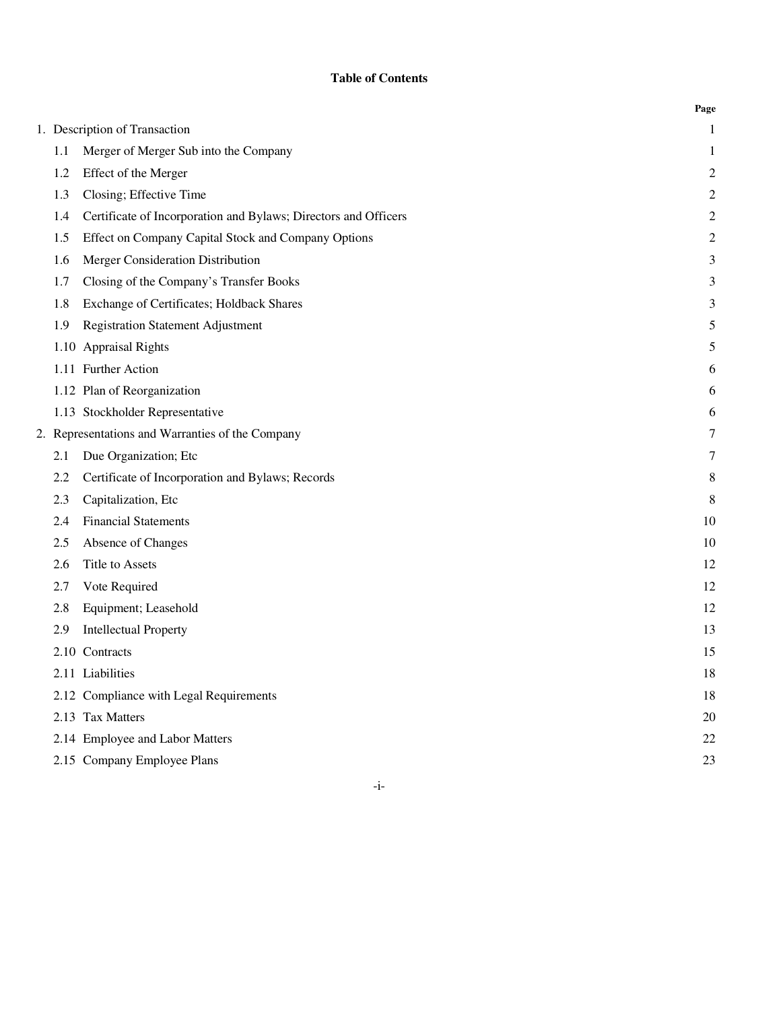# **Table of Contents**

|     |                                                                 | Page           |
|-----|-----------------------------------------------------------------|----------------|
|     | 1. Description of Transaction                                   | $\mathbf{1}$   |
| 1.1 | Merger of Merger Sub into the Company                           | 1              |
| 1.2 | Effect of the Merger                                            | $\overline{c}$ |
| 1.3 | Closing; Effective Time                                         | $\overline{2}$ |
| 1.4 | Certificate of Incorporation and Bylaws; Directors and Officers | $\sqrt{2}$     |
| 1.5 | Effect on Company Capital Stock and Company Options             | $\sqrt{2}$     |
| 1.6 | Merger Consideration Distribution                               | 3              |
| 1.7 | Closing of the Company's Transfer Books                         | $\mathfrak{Z}$ |
| 1.8 | Exchange of Certificates; Holdback Shares                       | $\mathfrak{Z}$ |
| 1.9 | <b>Registration Statement Adjustment</b>                        | 5              |
|     | 1.10 Appraisal Rights                                           | 5              |
|     | 1.11 Further Action                                             | 6              |
|     | 1.12 Plan of Reorganization                                     | 6              |
|     | 1.13 Stockholder Representative                                 | 6              |
|     | 2. Representations and Warranties of the Company                | 7              |
| 2.1 | Due Organization; Etc                                           | $\tau$         |
| 2.2 | Certificate of Incorporation and Bylaws; Records                | 8              |
| 2.3 | Capitalization, Etc                                             | $\,8\,$        |
| 2.4 | <b>Financial Statements</b>                                     | 10             |
| 2.5 | Absence of Changes                                              | 10             |
| 2.6 | Title to Assets                                                 | 12             |
| 2.7 | Vote Required                                                   | 12             |
| 2.8 | Equipment; Leasehold                                            | 12             |
| 2.9 | <b>Intellectual Property</b>                                    | 13             |
|     | 2.10 Contracts                                                  | 15             |
|     | 2.11 Liabilities                                                | 18             |
|     | 2.12 Compliance with Legal Requirements                         | 18             |
|     | 2.13 Tax Matters                                                | 20             |
|     | 2.14 Employee and Labor Matters                                 | 22             |
|     | 2.15 Company Employee Plans                                     | 23             |

-i-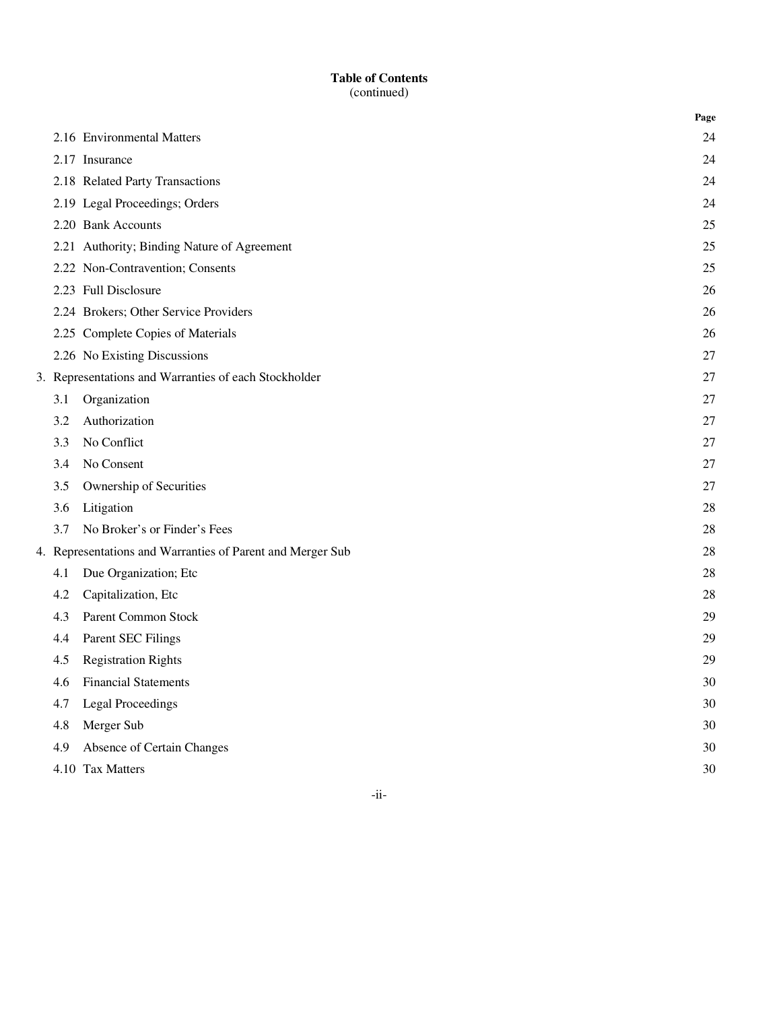|     |                                                            | Page |
|-----|------------------------------------------------------------|------|
|     | 2.16 Environmental Matters                                 | 24   |
|     | 2.17 Insurance                                             | 24   |
|     | 2.18 Related Party Transactions                            | 24   |
|     | 2.19 Legal Proceedings; Orders                             | 24   |
|     | 2.20 Bank Accounts                                         | 25   |
|     | 2.21 Authority; Binding Nature of Agreement                | 25   |
|     | 2.22 Non-Contravention; Consents                           | 25   |
|     | 2.23 Full Disclosure                                       | 26   |
|     | 2.24 Brokers; Other Service Providers                      | 26   |
|     | 2.25 Complete Copies of Materials                          | 26   |
|     | 2.26 No Existing Discussions                               | 27   |
|     | 3. Representations and Warranties of each Stockholder      | 27   |
| 3.1 | Organization                                               | 27   |
| 3.2 | Authorization                                              | 27   |
| 3.3 | No Conflict                                                | 27   |
| 3.4 | No Consent                                                 | 27   |
| 3.5 | Ownership of Securities                                    | 27   |
| 3.6 | Litigation                                                 | 28   |
| 3.7 | No Broker's or Finder's Fees                               | 28   |
|     | 4. Representations and Warranties of Parent and Merger Sub | 28   |
| 4.1 | Due Organization; Etc                                      | 28   |
| 4.2 | Capitalization, Etc                                        | 28   |
| 4.3 | Parent Common Stock                                        | 29   |
| 4.4 | Parent SEC Filings                                         | 29   |
| 4.5 | <b>Registration Rights</b>                                 | 29   |
| 4.6 | <b>Financial Statements</b>                                | 30   |
| 4.7 | <b>Legal Proceedings</b>                                   | 30   |
| 4.8 | Merger Sub                                                 | 30   |
| 4.9 | Absence of Certain Changes                                 | 30   |
|     | 4.10 Tax Matters                                           | 30   |

-ii-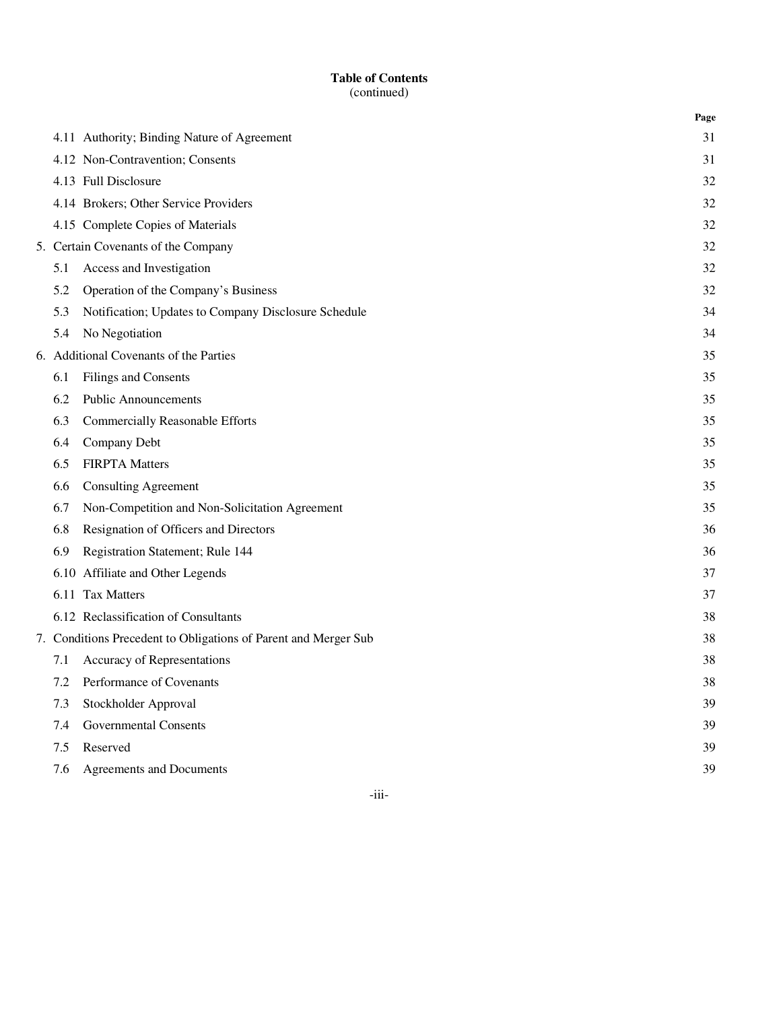|     |                                                                 | Page |
|-----|-----------------------------------------------------------------|------|
|     | 4.11 Authority; Binding Nature of Agreement                     | 31   |
|     | 4.12 Non-Contravention; Consents                                | 31   |
|     | 4.13 Full Disclosure                                            | 32   |
|     | 4.14 Brokers; Other Service Providers                           | 32   |
|     | 4.15 Complete Copies of Materials                               | 32   |
|     | 5. Certain Covenants of the Company                             | 32   |
| 5.1 | Access and Investigation                                        | 32   |
| 5.2 | Operation of the Company's Business                             | 32   |
| 5.3 | Notification; Updates to Company Disclosure Schedule            | 34   |
| 5.4 | No Negotiation                                                  | 34   |
|     | 6. Additional Covenants of the Parties                          | 35   |
| 6.1 | Filings and Consents                                            | 35   |
| 6.2 | <b>Public Announcements</b>                                     | 35   |
| 6.3 | Commercially Reasonable Efforts                                 | 35   |
| 6.4 | Company Debt                                                    | 35   |
| 6.5 | <b>FIRPTA Matters</b>                                           | 35   |
| 6.6 | <b>Consulting Agreement</b>                                     | 35   |
| 6.7 | Non-Competition and Non-Solicitation Agreement                  | 35   |
| 6.8 | Resignation of Officers and Directors                           | 36   |
| 6.9 | Registration Statement; Rule 144                                | 36   |
|     | 6.10 Affiliate and Other Legends                                | 37   |
|     | 6.11 Tax Matters                                                | 37   |
|     | 6.12 Reclassification of Consultants                            | 38   |
|     | 7. Conditions Precedent to Obligations of Parent and Merger Sub | 38   |
| 7.1 | Accuracy of Representations                                     | 38   |
| 7.2 | Performance of Covenants                                        | 38   |
| 7.3 | Stockholder Approval                                            | 39   |
| 7.4 | Governmental Consents                                           | 39   |
| 7.5 | Reserved                                                        | 39   |
| 7.6 | Agreements and Documents                                        | 39   |

-iii-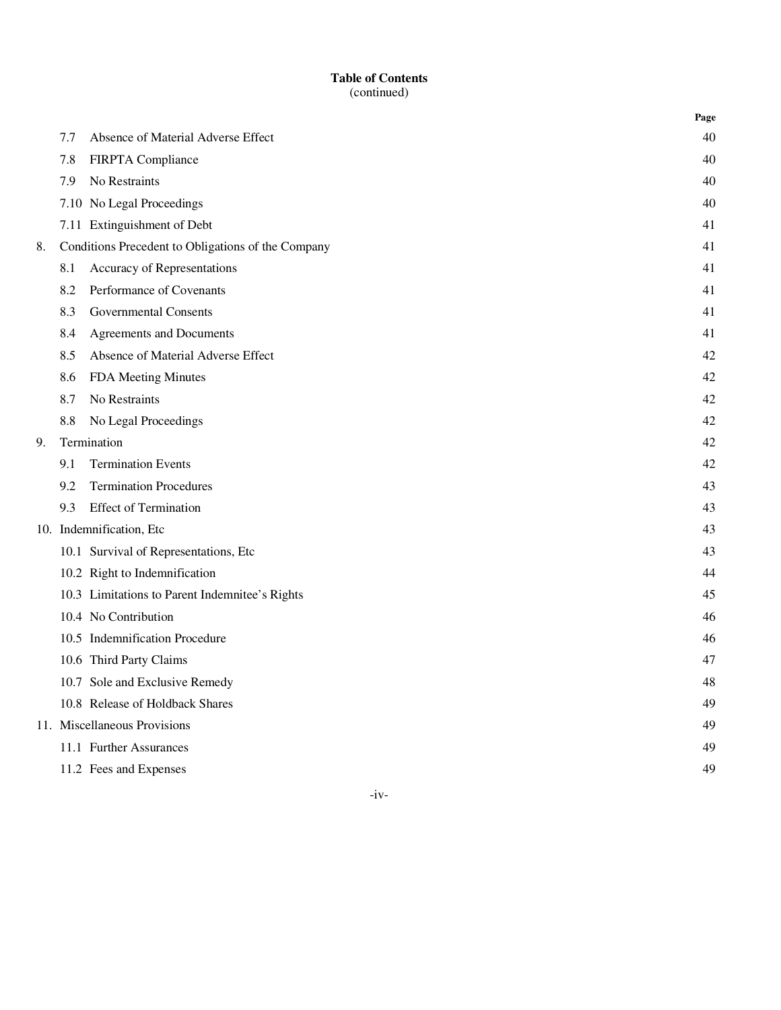|    |     |                                                    | Page |
|----|-----|----------------------------------------------------|------|
|    | 7.7 | Absence of Material Adverse Effect                 | 40   |
|    | 7.8 | FIRPTA Compliance                                  | 40   |
|    | 7.9 | No Restraints                                      | 40   |
|    |     | 7.10 No Legal Proceedings                          | 40   |
|    |     | 7.11 Extinguishment of Debt                        | 41   |
| 8. |     | Conditions Precedent to Obligations of the Company | 41   |
|    | 8.1 | Accuracy of Representations                        | 41   |
|    | 8.2 | Performance of Covenants                           | 41   |
|    | 8.3 | <b>Governmental Consents</b>                       | 41   |
|    | 8.4 | Agreements and Documents                           | 41   |
|    | 8.5 | Absence of Material Adverse Effect                 | 42   |
|    | 8.6 | FDA Meeting Minutes                                | 42   |
|    | 8.7 | No Restraints                                      | 42   |
|    | 8.8 | No Legal Proceedings                               | 42   |
| 9. |     | Termination                                        | 42   |
|    | 9.1 | <b>Termination Events</b>                          | 42   |
|    | 9.2 | <b>Termination Procedures</b>                      | 43   |
|    | 9.3 | <b>Effect of Termination</b>                       | 43   |
|    |     | 10. Indemnification, Etc                           | 43   |
|    |     | 10.1 Survival of Representations, Etc              | 43   |
|    |     | 10.2 Right to Indemnification                      | 44   |
|    |     | 10.3 Limitations to Parent Indemnitee's Rights     | 45   |
|    |     | 10.4 No Contribution                               | 46   |
|    |     | 10.5 Indemnification Procedure                     | 46   |
|    |     | 10.6 Third Party Claims                            | 47   |
|    |     | 10.7 Sole and Exclusive Remedy                     | 48   |
|    |     | 10.8 Release of Holdback Shares                    | 49   |
|    |     | 11. Miscellaneous Provisions                       | 49   |
|    |     | 11.1 Further Assurances                            | 49   |
|    |     | 11.2 Fees and Expenses                             | 49   |

-iv-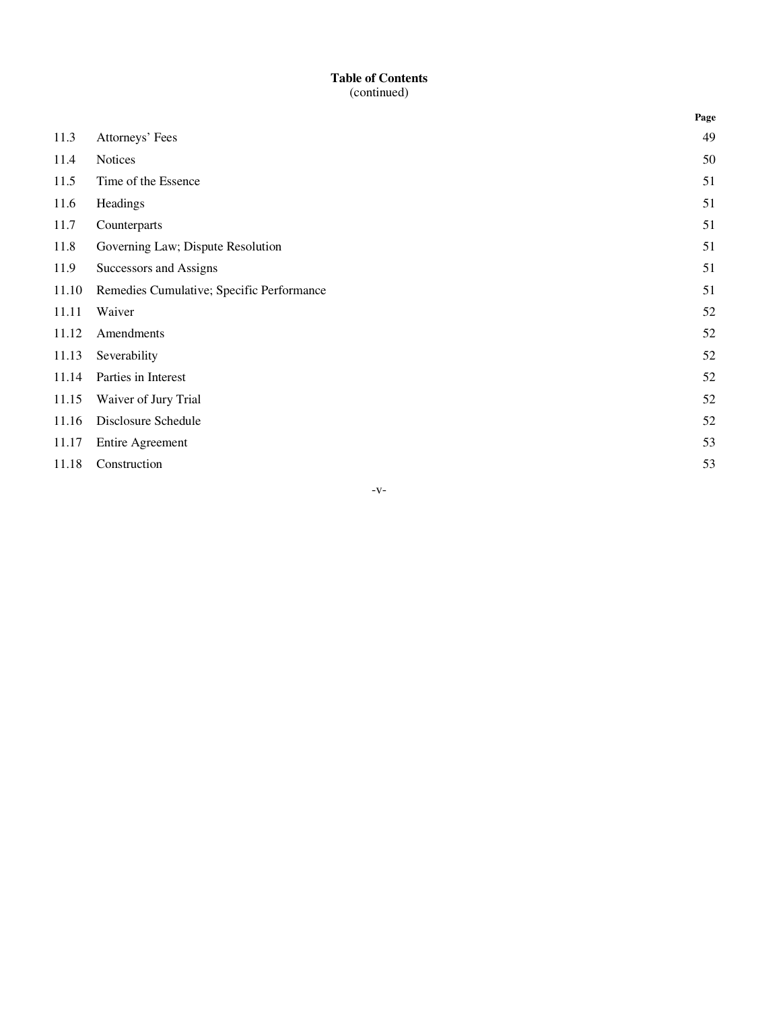|       |                                           | Page |
|-------|-------------------------------------------|------|
| 11.3  | Attorneys' Fees                           | 49   |
| 11.4  | <b>Notices</b>                            | 50   |
| 11.5  | Time of the Essence                       | 51   |
| 11.6  | Headings                                  | 51   |
| 11.7  | Counterparts                              | 51   |
| 11.8  | Governing Law; Dispute Resolution         | 51   |
| 11.9  | Successors and Assigns                    | 51   |
| 11.10 | Remedies Cumulative; Specific Performance | 51   |
| 11.11 | Waiver                                    | 52   |
| 11.12 | Amendments                                | 52   |
| 11.13 | Severability                              | 52   |
| 11.14 | Parties in Interest                       | 52   |
| 11.15 | Waiver of Jury Trial                      | 52   |
| 11.16 | Disclosure Schedule                       | 52   |
| 11.17 | <b>Entire Agreement</b>                   | 53   |
| 11.18 | Construction                              | 53   |

-v-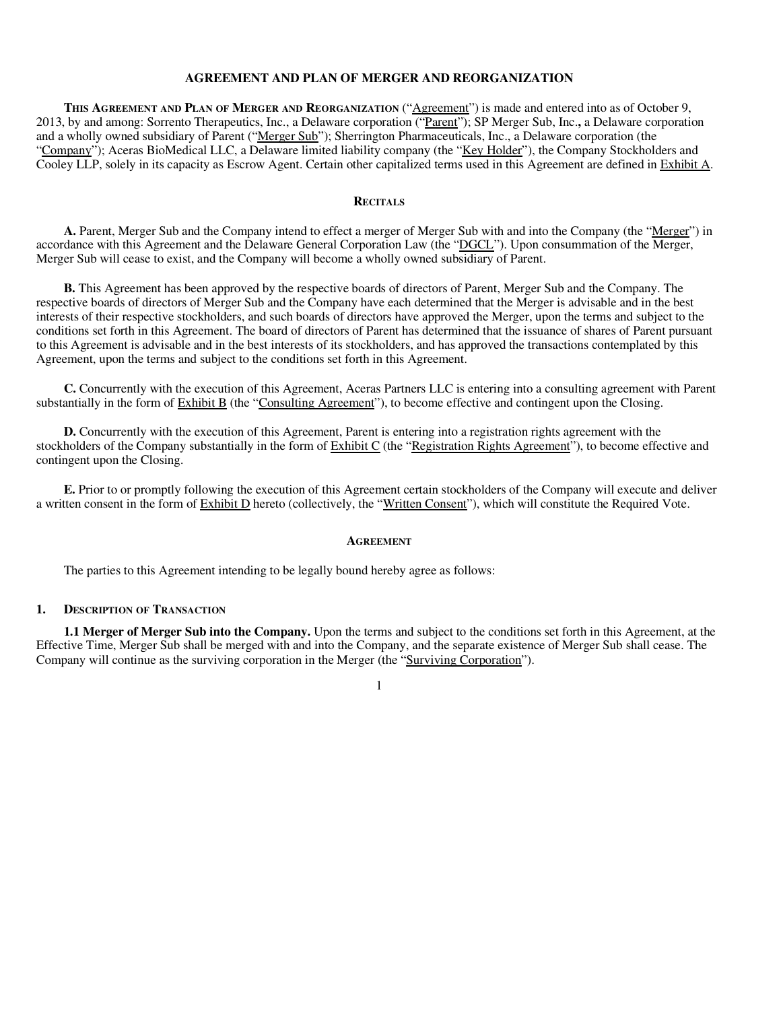### **AGREEMENT AND PLAN OF MERGER AND REORGANIZATION**

**THIS AGREEMENT AND PLAN OF MERGER AND REORGANIZATION** ("Agreement") is made and entered into as of October 9, 2013, by and among: Sorrento Therapeutics, Inc., a Delaware corporation ("Parent"); SP Merger Sub, Inc.**,** a Delaware corporation and a wholly owned subsidiary of Parent ("Merger Sub"); Sherrington Pharmaceuticals, Inc., a Delaware corporation (the "Company"); Aceras BioMedical LLC, a Delaware limited liability company (the "Key Holder"), the Company Stockholders and Cooley LLP, solely in its capacity as Escrow Agent. Certain other capitalized terms used in this Agreement are defined in Exhibit A.

#### **RECITALS**

**A.** Parent, Merger Sub and the Company intend to effect a merger of Merger Sub with and into the Company (the "Merger") in accordance with this Agreement and the Delaware General Corporation Law (the "DGCL"). Upon consummation of the Merger, Merger Sub will cease to exist, and the Company will become a wholly owned subsidiary of Parent.

**B.** This Agreement has been approved by the respective boards of directors of Parent, Merger Sub and the Company. The respective boards of directors of Merger Sub and the Company have each determined that the Merger is advisable and in the best interests of their respective stockholders, and such boards of directors have approved the Merger, upon the terms and subject to the conditions set forth in this Agreement. The board of directors of Parent has determined that the issuance of shares of Parent pursuant to this Agreement is advisable and in the best interests of its stockholders, and has approved the transactions contemplated by this Agreement, upon the terms and subject to the conditions set forth in this Agreement.

**C.** Concurrently with the execution of this Agreement, Aceras Partners LLC is entering into a consulting agreement with Parent substantially in the form of Exhibit B (the "Consulting Agreement"), to become effective and contingent upon the Closing.

**D.** Concurrently with the execution of this Agreement, Parent is entering into a registration rights agreement with the stockholders of the Company substantially in the form of Exhibit C (the "Registration Rights Agreement"), to become effective and contingent upon the Closing.

**E.** Prior to or promptly following the execution of this Agreement certain stockholders of the Company will execute and deliver a written consent in the form of Exhibit D hereto (collectively, the "Written Consent"), which will constitute the Required Vote.

#### **AGREEMENT**

The parties to this Agreement intending to be legally bound hereby agree as follows:

#### **1. DESCRIPTION OF TRANSACTION**

**1.1 Merger of Merger Sub into the Company.** Upon the terms and subject to the conditions set forth in this Agreement, at the Effective Time, Merger Sub shall be merged with and into the Company, and the separate existence of Merger Sub shall cease. The Company will continue as the surviving corporation in the Merger (the "Surviving Corporation").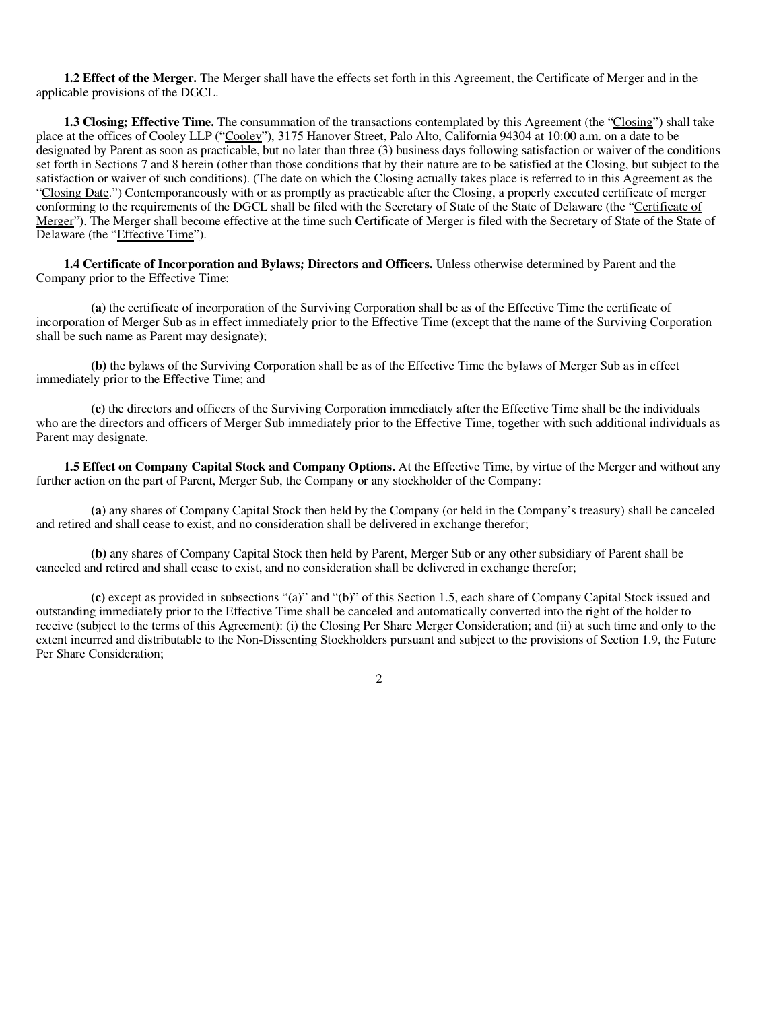**1.2 Effect of the Merger.** The Merger shall have the effects set forth in this Agreement, the Certificate of Merger and in the applicable provisions of the DGCL.

**1.3 Closing; Effective Time.** The consummation of the transactions contemplated by this Agreement (the "Closing") shall take place at the offices of Cooley LLP ("Cooley"), 3175 Hanover Street, Palo Alto, California 94304 at 10:00 a.m. on a date to be designated by Parent as soon as practicable, but no later than three (3) business days following satisfaction or waiver of the conditions set forth in Sections 7 and 8 herein (other than those conditions that by their nature are to be satisfied at the Closing, but subject to the satisfaction or waiver of such conditions). (The date on which the Closing actually takes place is referred to in this Agreement as the "Closing Date.") Contemporaneously with or as promptly as practicable after the Closing, a properly executed certificate of merger conforming to the requirements of the DGCL shall be filed with the Secretary of State of the State of Delaware (the "Certificate of Merger"). The Merger shall become effective at the time such Certificate of Merger is filed with the Secretary of State of the State of Delaware (the "Effective Time").

**1.4 Certificate of Incorporation and Bylaws; Directors and Officers.** Unless otherwise determined by Parent and the Company prior to the Effective Time:

**(a)** the certificate of incorporation of the Surviving Corporation shall be as of the Effective Time the certificate of incorporation of Merger Sub as in effect immediately prior to the Effective Time (except that the name of the Surviving Corporation shall be such name as Parent may designate);

**(b)** the bylaws of the Surviving Corporation shall be as of the Effective Time the bylaws of Merger Sub as in effect immediately prior to the Effective Time; and

**(c)** the directors and officers of the Surviving Corporation immediately after the Effective Time shall be the individuals who are the directors and officers of Merger Sub immediately prior to the Effective Time, together with such additional individuals as Parent may designate.

**1.5 Effect on Company Capital Stock and Company Options.** At the Effective Time, by virtue of the Merger and without any further action on the part of Parent, Merger Sub, the Company or any stockholder of the Company:

**(a)** any shares of Company Capital Stock then held by the Company (or held in the Company's treasury) shall be canceled and retired and shall cease to exist, and no consideration shall be delivered in exchange therefor;

**(b)** any shares of Company Capital Stock then held by Parent, Merger Sub or any other subsidiary of Parent shall be canceled and retired and shall cease to exist, and no consideration shall be delivered in exchange therefor;

**(c)** except as provided in subsections "(a)" and "(b)" of this Section 1.5, each share of Company Capital Stock issued and outstanding immediately prior to the Effective Time shall be canceled and automatically converted into the right of the holder to receive (subject to the terms of this Agreement): (i) the Closing Per Share Merger Consideration; and (ii) at such time and only to the extent incurred and distributable to the Non-Dissenting Stockholders pursuant and subject to the provisions of Section 1.9, the Future Per Share Consideration;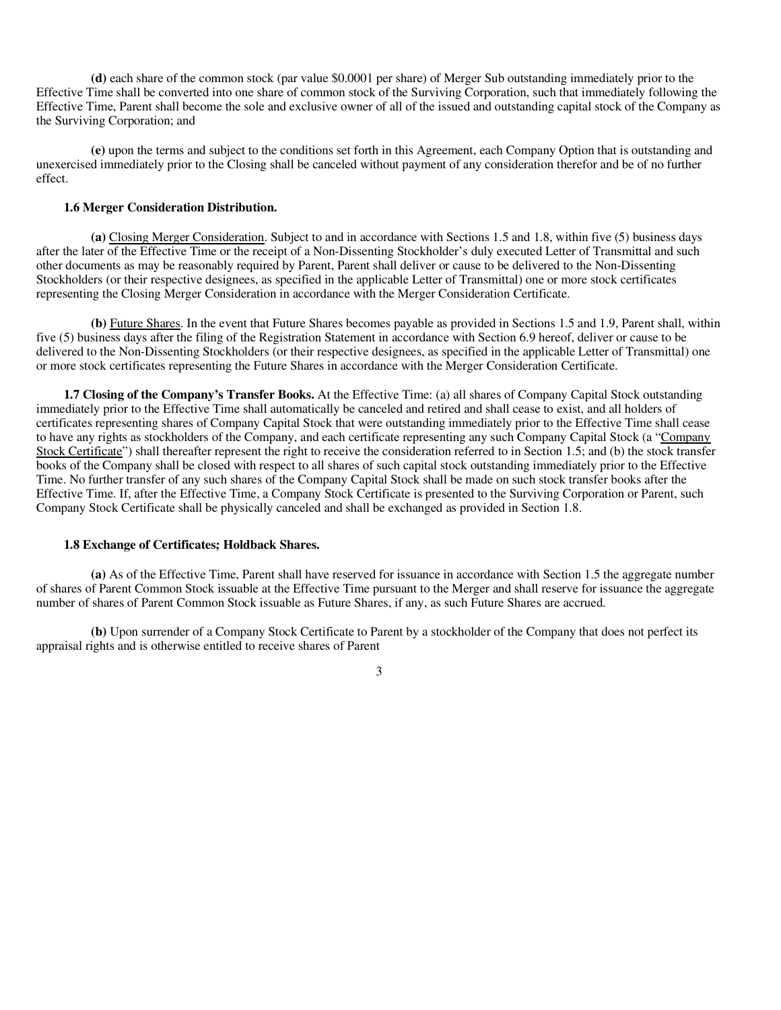**(d)** each share of the common stock (par value \$0.0001 per share) of Merger Sub outstanding immediately prior to the Effective Time shall be converted into one share of common stock of the Surviving Corporation, such that immediately following the Effective Time, Parent shall become the sole and exclusive owner of all of the issued and outstanding capital stock of the Company as the Surviving Corporation; and

**(e)** upon the terms and subject to the conditions set forth in this Agreement, each Company Option that is outstanding and unexercised immediately prior to the Closing shall be canceled without payment of any consideration therefor and be of no further effect.

#### **1.6 Merger Consideration Distribution.**

**(a)** Closing Merger Consideration. Subject to and in accordance with Sections 1.5 and 1.8, within five (5) business days after the later of the Effective Time or the receipt of a Non-Dissenting Stockholder's duly executed Letter of Transmittal and such other documents as may be reasonably required by Parent, Parent shall deliver or cause to be delivered to the Non-Dissenting Stockholders (or their respective designees, as specified in the applicable Letter of Transmittal) one or more stock certificates representing the Closing Merger Consideration in accordance with the Merger Consideration Certificate.

**(b)** Future Shares. In the event that Future Shares becomes payable as provided in Sections 1.5 and 1.9, Parent shall, within five (5) business days after the filing of the Registration Statement in accordance with Section 6.9 hereof, deliver or cause to be delivered to the Non-Dissenting Stockholders (or their respective designees, as specified in the applicable Letter of Transmittal) one or more stock certificates representing the Future Shares in accordance with the Merger Consideration Certificate.

**1.7 Closing of the Company's Transfer Books.** At the Effective Time: (a) all shares of Company Capital Stock outstanding immediately prior to the Effective Time shall automatically be canceled and retired and shall cease to exist, and all holders of certificates representing shares of Company Capital Stock that were outstanding immediately prior to the Effective Time shall cease to have any rights as stockholders of the Company, and each certificate representing any such Company Capital Stock (a "Company Stock Certificate") shall thereafter represent the right to receive the consideration referred to in Section 1.5; and (b) the stock transfer books of the Company shall be closed with respect to all shares of such capital stock outstanding immediately prior to the Effective Time. No further transfer of any such shares of the Company Capital Stock shall be made on such stock transfer books after the Effective Time. If, after the Effective Time, a Company Stock Certificate is presented to the Surviving Corporation or Parent, such Company Stock Certificate shall be physically canceled and shall be exchanged as provided in Section 1.8.

#### **1.8 Exchange of Certificates; Holdback Shares.**

**(a)** As of the Effective Time, Parent shall have reserved for issuance in accordance with Section 1.5 the aggregate number of shares of Parent Common Stock issuable at the Effective Time pursuant to the Merger and shall reserve for issuance the aggregate number of shares of Parent Common Stock issuable as Future Shares, if any, as such Future Shares are accrued.

**(b)** Upon surrender of a Company Stock Certificate to Parent by a stockholder of the Company that does not perfect its appraisal rights and is otherwise entitled to receive shares of Parent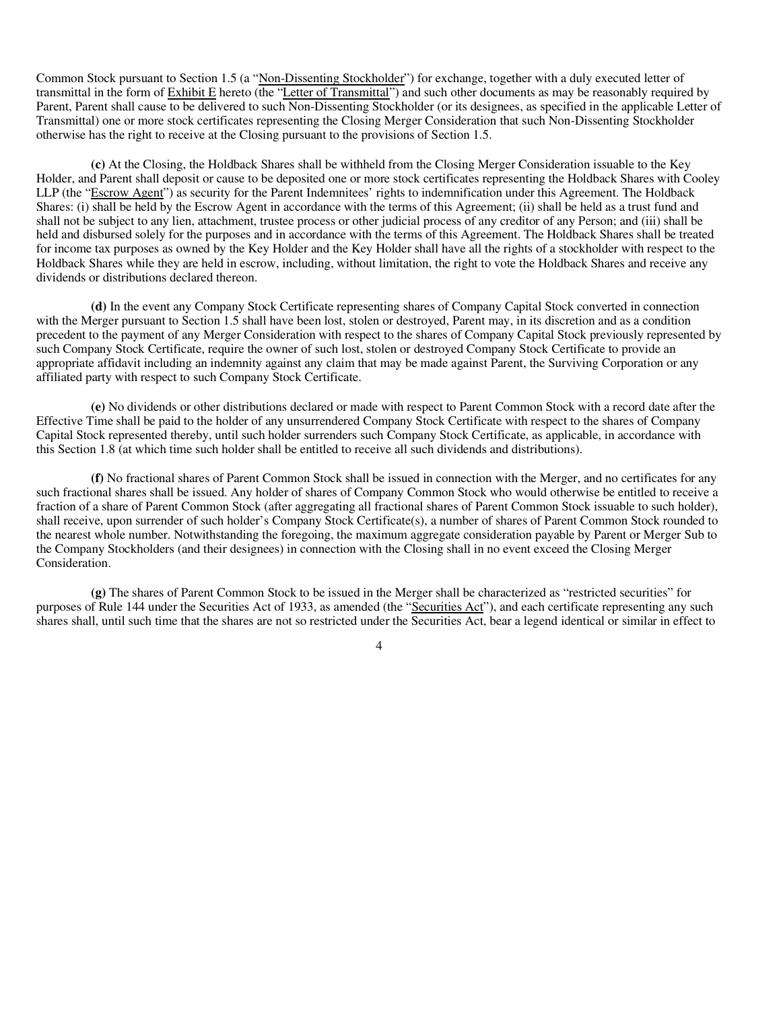Common Stock pursuant to Section 1.5 (a "Non-Dissenting Stockholder") for exchange, together with a duly executed letter of transmittal in the form of Exhibit E hereto (the "Letter of Transmittal") and such other documents as may be reasonably required by Parent, Parent shall cause to be delivered to such Non-Dissenting Stockholder (or its designees, as specified in the applicable Letter of Transmittal) one or more stock certificates representing the Closing Merger Consideration that such Non-Dissenting Stockholder otherwise has the right to receive at the Closing pursuant to the provisions of Section 1.5.

**(c)** At the Closing, the Holdback Shares shall be withheld from the Closing Merger Consideration issuable to the Key Holder, and Parent shall deposit or cause to be deposited one or more stock certificates representing the Holdback Shares with Cooley LLP (the "Escrow Agent") as security for the Parent Indemnitees' rights to indemnification under this Agreement. The Holdback Shares: (i) shall be held by the Escrow Agent in accordance with the terms of this Agreement; (ii) shall be held as a trust fund and shall not be subject to any lien, attachment, trustee process or other judicial process of any creditor of any Person; and (iii) shall be held and disbursed solely for the purposes and in accordance with the terms of this Agreement. The Holdback Shares shall be treated for income tax purposes as owned by the Key Holder and the Key Holder shall have all the rights of a stockholder with respect to the Holdback Shares while they are held in escrow, including, without limitation, the right to vote the Holdback Shares and receive any dividends or distributions declared thereon.

**(d)** In the event any Company Stock Certificate representing shares of Company Capital Stock converted in connection with the Merger pursuant to Section 1.5 shall have been lost, stolen or destroyed, Parent may, in its discretion and as a condition precedent to the payment of any Merger Consideration with respect to the shares of Company Capital Stock previously represented by such Company Stock Certificate, require the owner of such lost, stolen or destroyed Company Stock Certificate to provide an appropriate affidavit including an indemnity against any claim that may be made against Parent, the Surviving Corporation or any affiliated party with respect to such Company Stock Certificate.

**(e)** No dividends or other distributions declared or made with respect to Parent Common Stock with a record date after the Effective Time shall be paid to the holder of any unsurrendered Company Stock Certificate with respect to the shares of Company Capital Stock represented thereby, until such holder surrenders such Company Stock Certificate, as applicable, in accordance with this Section 1.8 (at which time such holder shall be entitled to receive all such dividends and distributions).

**(f)** No fractional shares of Parent Common Stock shall be issued in connection with the Merger, and no certificates for any such fractional shares shall be issued. Any holder of shares of Company Common Stock who would otherwise be entitled to receive a fraction of a share of Parent Common Stock (after aggregating all fractional shares of Parent Common Stock issuable to such holder), shall receive, upon surrender of such holder's Company Stock Certificate(s), a number of shares of Parent Common Stock rounded to the nearest whole number. Notwithstanding the foregoing, the maximum aggregate consideration payable by Parent or Merger Sub to the Company Stockholders (and their designees) in connection with the Closing shall in no event exceed the Closing Merger Consideration.

**(g)** The shares of Parent Common Stock to be issued in the Merger shall be characterized as "restricted securities" for purposes of Rule 144 under the Securities Act of 1933, as amended (the "Securities Act"), and each certificate representing any such shares shall, until such time that the shares are not so restricted under the Securities Act, bear a legend identical or similar in effect to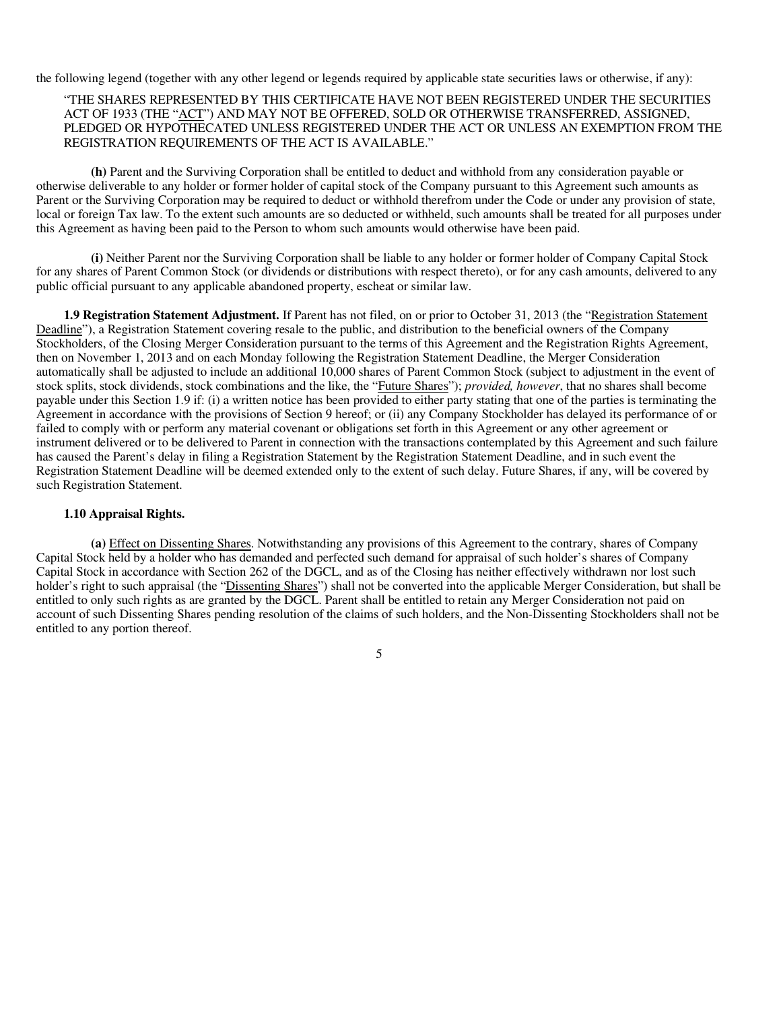the following legend (together with any other legend or legends required by applicable state securities laws or otherwise, if any):

#### "THE SHARES REPRESENTED BY THIS CERTIFICATE HAVE NOT BEEN REGISTERED UNDER THE SECURITIES ACT OF 1933 (THE "ACT") AND MAY NOT BE OFFERED, SOLD OR OTHERWISE TRANSFERRED, ASSIGNED, PLEDGED OR HYPOTHECATED UNLESS REGISTERED UNDER THE ACT OR UNLESS AN EXEMPTION FROM THE REGISTRATION REQUIREMENTS OF THE ACT IS AVAILABLE."

**(h)** Parent and the Surviving Corporation shall be entitled to deduct and withhold from any consideration payable or otherwise deliverable to any holder or former holder of capital stock of the Company pursuant to this Agreement such amounts as Parent or the Surviving Corporation may be required to deduct or withhold therefrom under the Code or under any provision of state, local or foreign Tax law. To the extent such amounts are so deducted or withheld, such amounts shall be treated for all purposes under this Agreement as having been paid to the Person to whom such amounts would otherwise have been paid.

**(i)** Neither Parent nor the Surviving Corporation shall be liable to any holder or former holder of Company Capital Stock for any shares of Parent Common Stock (or dividends or distributions with respect thereto), or for any cash amounts, delivered to any public official pursuant to any applicable abandoned property, escheat or similar law.

**1.9 Registration Statement Adjustment.** If Parent has not filed, on or prior to October 31, 2013 (the "Registration Statement Deadline"), a Registration Statement covering resale to the public, and distribution to the beneficial owners of the Company Stockholders, of the Closing Merger Consideration pursuant to the terms of this Agreement and the Registration Rights Agreement, then on November 1, 2013 and on each Monday following the Registration Statement Deadline, the Merger Consideration automatically shall be adjusted to include an additional 10,000 shares of Parent Common Stock (subject to adjustment in the event of stock splits, stock dividends, stock combinations and the like, the "Future Shares"); *provided, however*, that no shares shall become payable under this Section 1.9 if: (i) a written notice has been provided to either party stating that one of the parties is terminating the Agreement in accordance with the provisions of Section 9 hereof; or (ii) any Company Stockholder has delayed its performance of or failed to comply with or perform any material covenant or obligations set forth in this Agreement or any other agreement or instrument delivered or to be delivered to Parent in connection with the transactions contemplated by this Agreement and such failure has caused the Parent's delay in filing a Registration Statement by the Registration Statement Deadline, and in such event the Registration Statement Deadline will be deemed extended only to the extent of such delay. Future Shares, if any, will be covered by such Registration Statement.

#### **1.10 Appraisal Rights.**

**(a)** Effect on Dissenting Shares. Notwithstanding any provisions of this Agreement to the contrary, shares of Company Capital Stock held by a holder who has demanded and perfected such demand for appraisal of such holder's shares of Company Capital Stock in accordance with Section 262 of the DGCL, and as of the Closing has neither effectively withdrawn nor lost such holder's right to such appraisal (the "Dissenting Shares") shall not be converted into the applicable Merger Consideration, but shall be entitled to only such rights as are granted by the DGCL. Parent shall be entitled to retain any Merger Consideration not paid on account of such Dissenting Shares pending resolution of the claims of such holders, and the Non-Dissenting Stockholders shall not be entitled to any portion thereof.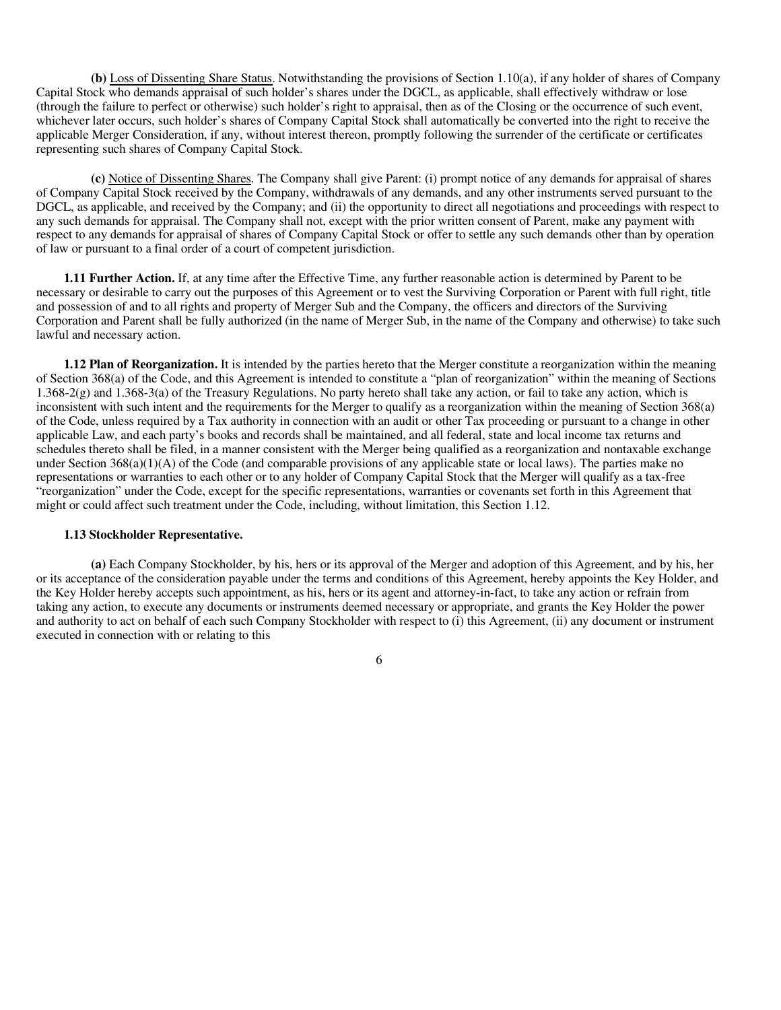**(b)** Loss of Dissenting Share Status. Notwithstanding the provisions of Section 1.10(a), if any holder of shares of Company Capital Stock who demands appraisal of such holder's shares under the DGCL, as applicable, shall effectively withdraw or lose (through the failure to perfect or otherwise) such holder's right to appraisal, then as of the Closing or the occurrence of such event, whichever later occurs, such holder's shares of Company Capital Stock shall automatically be converted into the right to receive the applicable Merger Consideration, if any, without interest thereon, promptly following the surrender of the certificate or certificates representing such shares of Company Capital Stock.

**(c)** Notice of Dissenting Shares. The Company shall give Parent: (i) prompt notice of any demands for appraisal of shares of Company Capital Stock received by the Company, withdrawals of any demands, and any other instruments served pursuant to the DGCL, as applicable, and received by the Company; and (ii) the opportunity to direct all negotiations and proceedings with respect to any such demands for appraisal. The Company shall not, except with the prior written consent of Parent, make any payment with respect to any demands for appraisal of shares of Company Capital Stock or offer to settle any such demands other than by operation of law or pursuant to a final order of a court of competent jurisdiction.

**1.11 Further Action.** If, at any time after the Effective Time, any further reasonable action is determined by Parent to be necessary or desirable to carry out the purposes of this Agreement or to vest the Surviving Corporation or Parent with full right, title and possession of and to all rights and property of Merger Sub and the Company, the officers and directors of the Surviving Corporation and Parent shall be fully authorized (in the name of Merger Sub, in the name of the Company and otherwise) to take such lawful and necessary action.

**1.12 Plan of Reorganization.** It is intended by the parties hereto that the Merger constitute a reorganization within the meaning of Section 368(a) of the Code, and this Agreement is intended to constitute a "plan of reorganization" within the meaning of Sections 1.368-2(g) and 1.368-3(a) of the Treasury Regulations. No party hereto shall take any action, or fail to take any action, which is inconsistent with such intent and the requirements for the Merger to qualify as a reorganization within the meaning of Section 368(a) of the Code, unless required by a Tax authority in connection with an audit or other Tax proceeding or pursuant to a change in other applicable Law, and each party's books and records shall be maintained, and all federal, state and local income tax returns and schedules thereto shall be filed, in a manner consistent with the Merger being qualified as a reorganization and nontaxable exchange under Section  $368(a)(1)(A)$  of the Code (and comparable provisions of any applicable state or local laws). The parties make no representations or warranties to each other or to any holder of Company Capital Stock that the Merger will qualify as a tax-free "reorganization" under the Code, except for the specific representations, warranties or covenants set forth in this Agreement that might or could affect such treatment under the Code, including, without limitation, this Section 1.12.

#### **1.13 Stockholder Representative.**

**(a)** Each Company Stockholder, by his, hers or its approval of the Merger and adoption of this Agreement, and by his, her or its acceptance of the consideration payable under the terms and conditions of this Agreement, hereby appoints the Key Holder, and the Key Holder hereby accepts such appointment, as his, hers or its agent and attorney-in-fact, to take any action or refrain from taking any action, to execute any documents or instruments deemed necessary or appropriate, and grants the Key Holder the power and authority to act on behalf of each such Company Stockholder with respect to (i) this Agreement, (ii) any document or instrument executed in connection with or relating to this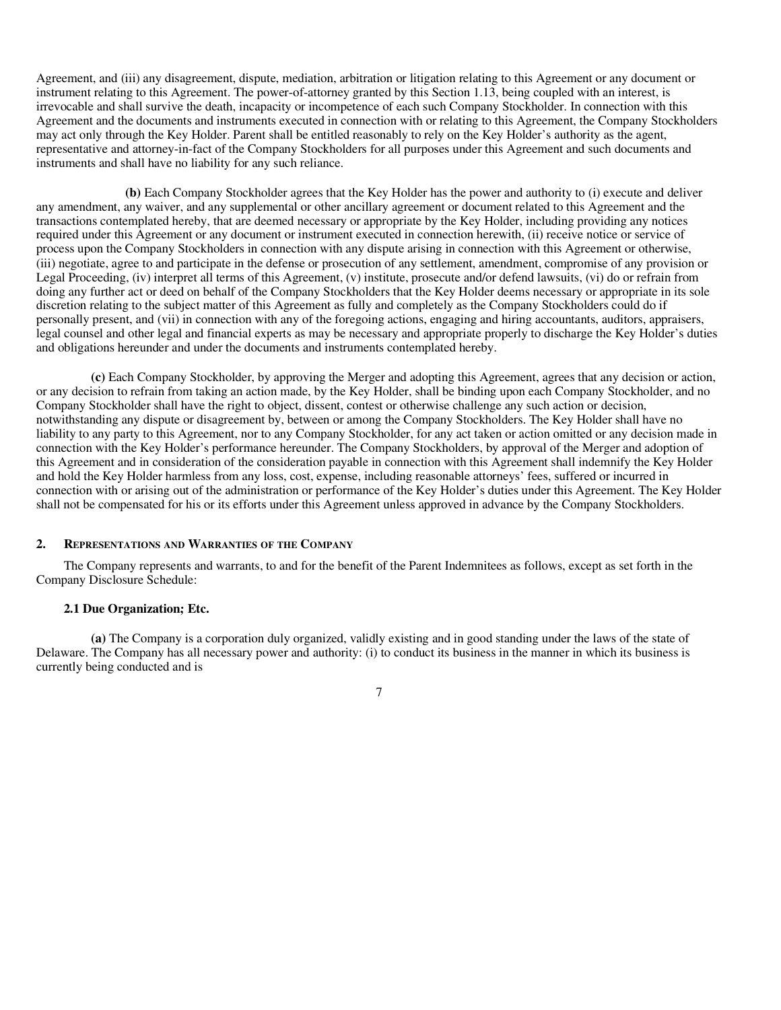Agreement, and (iii) any disagreement, dispute, mediation, arbitration or litigation relating to this Agreement or any document or instrument relating to this Agreement. The power-of-attorney granted by this Section 1.13, being coupled with an interest, is irrevocable and shall survive the death, incapacity or incompetence of each such Company Stockholder. In connection with this Agreement and the documents and instruments executed in connection with or relating to this Agreement, the Company Stockholders may act only through the Key Holder. Parent shall be entitled reasonably to rely on the Key Holder's authority as the agent, representative and attorney-in-fact of the Company Stockholders for all purposes under this Agreement and such documents and instruments and shall have no liability for any such reliance.

**(b)** Each Company Stockholder agrees that the Key Holder has the power and authority to (i) execute and deliver any amendment, any waiver, and any supplemental or other ancillary agreement or document related to this Agreement and the transactions contemplated hereby, that are deemed necessary or appropriate by the Key Holder, including providing any notices required under this Agreement or any document or instrument executed in connection herewith, (ii) receive notice or service of process upon the Company Stockholders in connection with any dispute arising in connection with this Agreement or otherwise, (iii) negotiate, agree to and participate in the defense or prosecution of any settlement, amendment, compromise of any provision or Legal Proceeding, (iv) interpret all terms of this Agreement, (v) institute, prosecute and/or defend lawsuits, (vi) do or refrain from doing any further act or deed on behalf of the Company Stockholders that the Key Holder deems necessary or appropriate in its sole discretion relating to the subject matter of this Agreement as fully and completely as the Company Stockholders could do if personally present, and (vii) in connection with any of the foregoing actions, engaging and hiring accountants, auditors, appraisers, legal counsel and other legal and financial experts as may be necessary and appropriate properly to discharge the Key Holder's duties and obligations hereunder and under the documents and instruments contemplated hereby.

**(c)** Each Company Stockholder, by approving the Merger and adopting this Agreement, agrees that any decision or action, or any decision to refrain from taking an action made, by the Key Holder, shall be binding upon each Company Stockholder, and no Company Stockholder shall have the right to object, dissent, contest or otherwise challenge any such action or decision, notwithstanding any dispute or disagreement by, between or among the Company Stockholders. The Key Holder shall have no liability to any party to this Agreement, nor to any Company Stockholder, for any act taken or action omitted or any decision made in connection with the Key Holder's performance hereunder. The Company Stockholders, by approval of the Merger and adoption of this Agreement and in consideration of the consideration payable in connection with this Agreement shall indemnify the Key Holder and hold the Key Holder harmless from any loss, cost, expense, including reasonable attorneys' fees, suffered or incurred in connection with or arising out of the administration or performance of the Key Holder's duties under this Agreement. The Key Holder shall not be compensated for his or its efforts under this Agreement unless approved in advance by the Company Stockholders.

#### **2. REPRESENTATIONS AND WARRANTIES OF THE COMPANY**

The Company represents and warrants, to and for the benefit of the Parent Indemnitees as follows, except as set forth in the Company Disclosure Schedule:

#### **2.1 Due Organization; Etc.**

**(a)** The Company is a corporation duly organized, validly existing and in good standing under the laws of the state of Delaware. The Company has all necessary power and authority: (i) to conduct its business in the manner in which its business is currently being conducted and is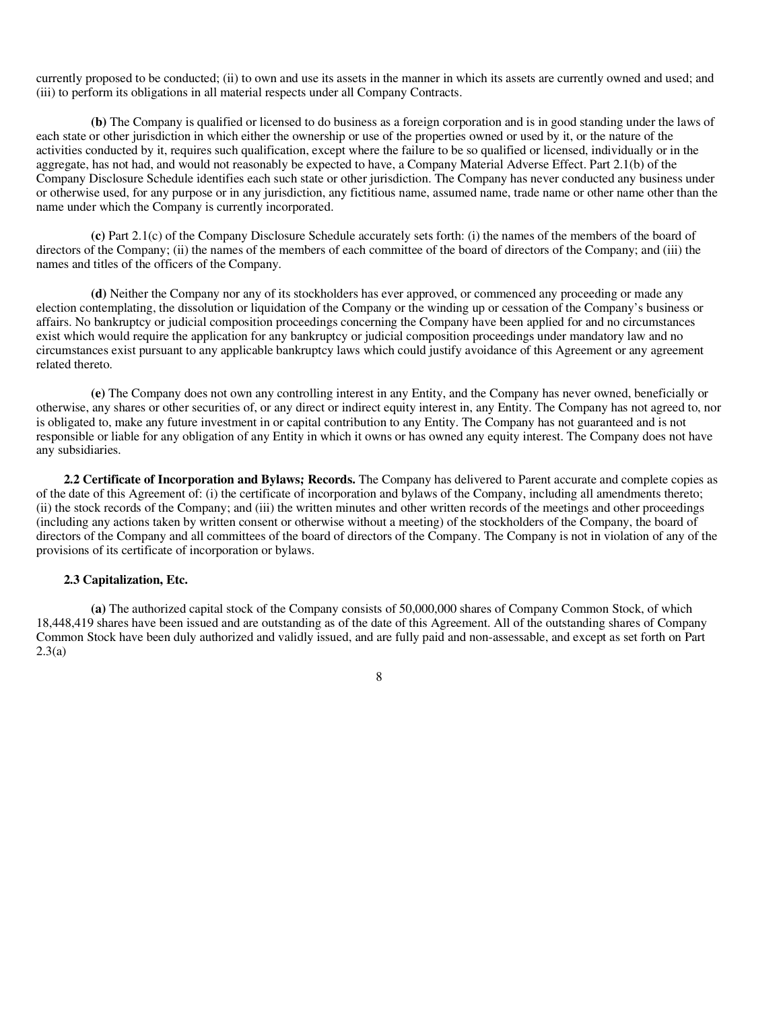currently proposed to be conducted; (ii) to own and use its assets in the manner in which its assets are currently owned and used; and (iii) to perform its obligations in all material respects under all Company Contracts.

**(b)** The Company is qualified or licensed to do business as a foreign corporation and is in good standing under the laws of each state or other jurisdiction in which either the ownership or use of the properties owned or used by it, or the nature of the activities conducted by it, requires such qualification, except where the failure to be so qualified or licensed, individually or in the aggregate, has not had, and would not reasonably be expected to have, a Company Material Adverse Effect. Part 2.1(b) of the Company Disclosure Schedule identifies each such state or other jurisdiction. The Company has never conducted any business under or otherwise used, for any purpose or in any jurisdiction, any fictitious name, assumed name, trade name or other name other than the name under which the Company is currently incorporated.

**(c)** Part 2.1(c) of the Company Disclosure Schedule accurately sets forth: (i) the names of the members of the board of directors of the Company; (ii) the names of the members of each committee of the board of directors of the Company; and (iii) the names and titles of the officers of the Company.

**(d)** Neither the Company nor any of its stockholders has ever approved, or commenced any proceeding or made any election contemplating, the dissolution or liquidation of the Company or the winding up or cessation of the Company's business or affairs. No bankruptcy or judicial composition proceedings concerning the Company have been applied for and no circumstances exist which would require the application for any bankruptcy or judicial composition proceedings under mandatory law and no circumstances exist pursuant to any applicable bankruptcy laws which could justify avoidance of this Agreement or any agreement related thereto.

**(e)** The Company does not own any controlling interest in any Entity, and the Company has never owned, beneficially or otherwise, any shares or other securities of, or any direct or indirect equity interest in, any Entity. The Company has not agreed to, nor is obligated to, make any future investment in or capital contribution to any Entity. The Company has not guaranteed and is not responsible or liable for any obligation of any Entity in which it owns or has owned any equity interest. The Company does not have any subsidiaries.

**2.2 Certificate of Incorporation and Bylaws; Records.** The Company has delivered to Parent accurate and complete copies as of the date of this Agreement of: (i) the certificate of incorporation and bylaws of the Company, including all amendments thereto; (ii) the stock records of the Company; and (iii) the written minutes and other written records of the meetings and other proceedings (including any actions taken by written consent or otherwise without a meeting) of the stockholders of the Company, the board of directors of the Company and all committees of the board of directors of the Company. The Company is not in violation of any of the provisions of its certificate of incorporation or bylaws.

#### **2.3 Capitalization, Etc.**

**(a)** The authorized capital stock of the Company consists of 50,000,000 shares of Company Common Stock, of which 18,448,419 shares have been issued and are outstanding as of the date of this Agreement. All of the outstanding shares of Company Common Stock have been duly authorized and validly issued, and are fully paid and non-assessable, and except as set forth on Part  $2.3(a)$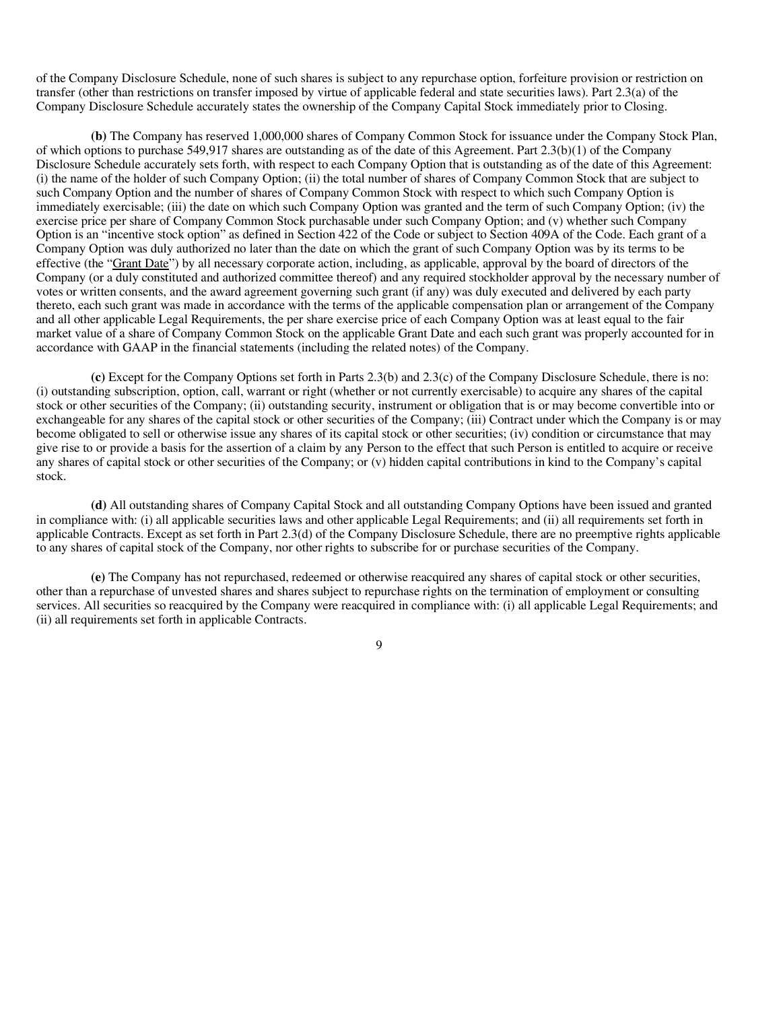of the Company Disclosure Schedule, none of such shares is subject to any repurchase option, forfeiture provision or restriction on transfer (other than restrictions on transfer imposed by virtue of applicable federal and state securities laws). Part 2.3(a) of the Company Disclosure Schedule accurately states the ownership of the Company Capital Stock immediately prior to Closing.

**(b)** The Company has reserved 1,000,000 shares of Company Common Stock for issuance under the Company Stock Plan, of which options to purchase 549,917 shares are outstanding as of the date of this Agreement. Part 2.3(b)(1) of the Company Disclosure Schedule accurately sets forth, with respect to each Company Option that is outstanding as of the date of this Agreement: (i) the name of the holder of such Company Option; (ii) the total number of shares of Company Common Stock that are subject to such Company Option and the number of shares of Company Common Stock with respect to which such Company Option is immediately exercisable; (iii) the date on which such Company Option was granted and the term of such Company Option; (iv) the exercise price per share of Company Common Stock purchasable under such Company Option; and (v) whether such Company Option is an "incentive stock option" as defined in Section 422 of the Code or subject to Section 409A of the Code. Each grant of a Company Option was duly authorized no later than the date on which the grant of such Company Option was by its terms to be effective (the "Grant Date") by all necessary corporate action, including, as applicable, approval by the board of directors of the Company (or a duly constituted and authorized committee thereof) and any required stockholder approval by the necessary number of votes or written consents, and the award agreement governing such grant (if any) was duly executed and delivered by each party thereto, each such grant was made in accordance with the terms of the applicable compensation plan or arrangement of the Company and all other applicable Legal Requirements, the per share exercise price of each Company Option was at least equal to the fair market value of a share of Company Common Stock on the applicable Grant Date and each such grant was properly accounted for in accordance with GAAP in the financial statements (including the related notes) of the Company.

**(c)** Except for the Company Options set forth in Parts 2.3(b) and 2.3(c) of the Company Disclosure Schedule, there is no: (i) outstanding subscription, option, call, warrant or right (whether or not currently exercisable) to acquire any shares of the capital stock or other securities of the Company; (ii) outstanding security, instrument or obligation that is or may become convertible into or exchangeable for any shares of the capital stock or other securities of the Company; (iii) Contract under which the Company is or may become obligated to sell or otherwise issue any shares of its capital stock or other securities; (iv) condition or circumstance that may give rise to or provide a basis for the assertion of a claim by any Person to the effect that such Person is entitled to acquire or receive any shares of capital stock or other securities of the Company; or (v) hidden capital contributions in kind to the Company's capital stock.

**(d)** All outstanding shares of Company Capital Stock and all outstanding Company Options have been issued and granted in compliance with: (i) all applicable securities laws and other applicable Legal Requirements; and (ii) all requirements set forth in applicable Contracts. Except as set forth in Part 2.3(d) of the Company Disclosure Schedule, there are no preemptive rights applicable to any shares of capital stock of the Company, nor other rights to subscribe for or purchase securities of the Company.

**(e)** The Company has not repurchased, redeemed or otherwise reacquired any shares of capital stock or other securities, other than a repurchase of unvested shares and shares subject to repurchase rights on the termination of employment or consulting services. All securities so reacquired by the Company were reacquired in compliance with: (i) all applicable Legal Requirements; and (ii) all requirements set forth in applicable Contracts.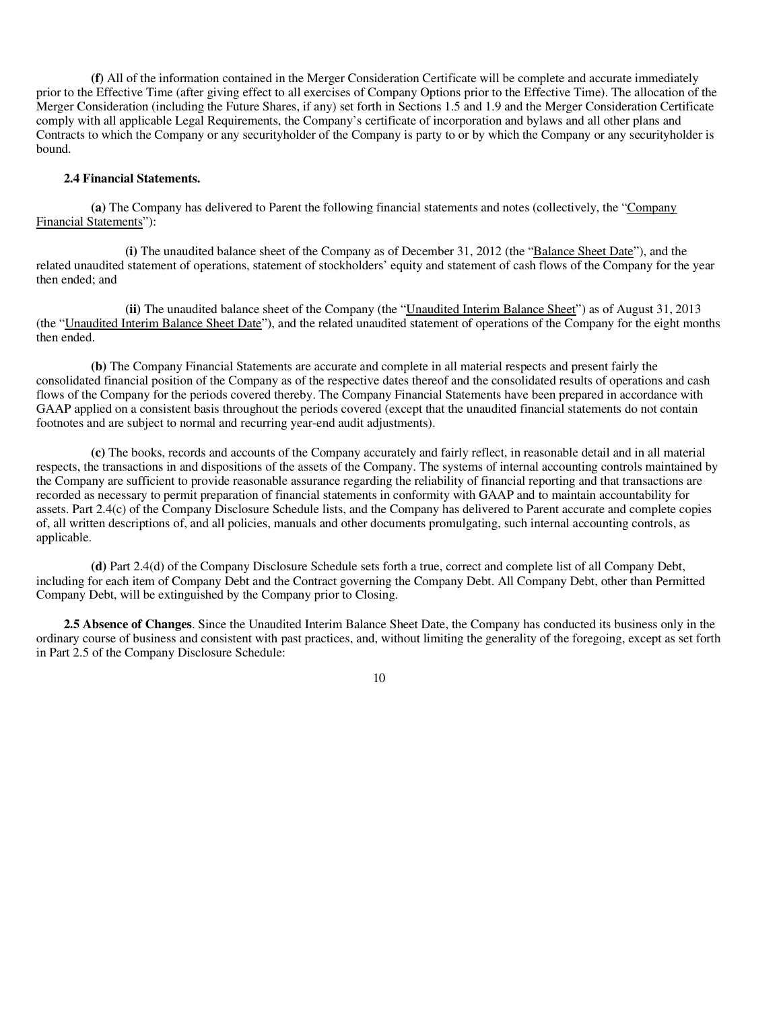**(f)** All of the information contained in the Merger Consideration Certificate will be complete and accurate immediately prior to the Effective Time (after giving effect to all exercises of Company Options prior to the Effective Time). The allocation of the Merger Consideration (including the Future Shares, if any) set forth in Sections 1.5 and 1.9 and the Merger Consideration Certificate comply with all applicable Legal Requirements, the Company's certificate of incorporation and bylaws and all other plans and Contracts to which the Company or any securityholder of the Company is party to or by which the Company or any securityholder is bound.

#### **2.4 Financial Statements.**

**(a)** The Company has delivered to Parent the following financial statements and notes (collectively, the "Company Financial Statements"):

**(i)** The unaudited balance sheet of the Company as of December 31, 2012 (the "Balance Sheet Date"), and the related unaudited statement of operations, statement of stockholders' equity and statement of cash flows of the Company for the year then ended; and

**(ii)** The unaudited balance sheet of the Company (the "Unaudited Interim Balance Sheet") as of August 31, 2013 (the "Unaudited Interim Balance Sheet Date"), and the related unaudited statement of operations of the Company for the eight months then ended.

**(b)** The Company Financial Statements are accurate and complete in all material respects and present fairly the consolidated financial position of the Company as of the respective dates thereof and the consolidated results of operations and cash flows of the Company for the periods covered thereby. The Company Financial Statements have been prepared in accordance with GAAP applied on a consistent basis throughout the periods covered (except that the unaudited financial statements do not contain footnotes and are subject to normal and recurring year-end audit adjustments).

**(c)** The books, records and accounts of the Company accurately and fairly reflect, in reasonable detail and in all material respects, the transactions in and dispositions of the assets of the Company. The systems of internal accounting controls maintained by the Company are sufficient to provide reasonable assurance regarding the reliability of financial reporting and that transactions are recorded as necessary to permit preparation of financial statements in conformity with GAAP and to maintain accountability for assets. Part 2.4(c) of the Company Disclosure Schedule lists, and the Company has delivered to Parent accurate and complete copies of, all written descriptions of, and all policies, manuals and other documents promulgating, such internal accounting controls, as applicable.

**(d)** Part 2.4(d) of the Company Disclosure Schedule sets forth a true, correct and complete list of all Company Debt, including for each item of Company Debt and the Contract governing the Company Debt. All Company Debt, other than Permitted Company Debt, will be extinguished by the Company prior to Closing.

**2.5 Absence of Changes**. Since the Unaudited Interim Balance Sheet Date, the Company has conducted its business only in the ordinary course of business and consistent with past practices, and, without limiting the generality of the foregoing, except as set forth in Part 2.5 of the Company Disclosure Schedule: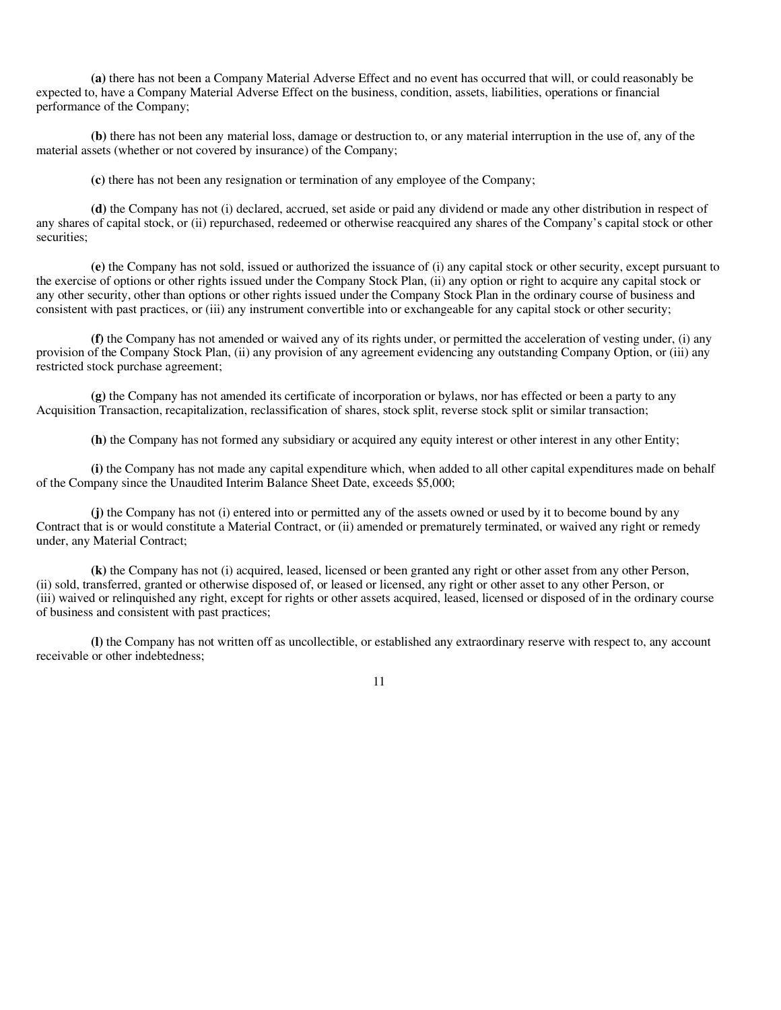**(a)** there has not been a Company Material Adverse Effect and no event has occurred that will, or could reasonably be expected to, have a Company Material Adverse Effect on the business, condition, assets, liabilities, operations or financial performance of the Company;

**(b)** there has not been any material loss, damage or destruction to, or any material interruption in the use of, any of the material assets (whether or not covered by insurance) of the Company;

**(c)** there has not been any resignation or termination of any employee of the Company;

**(d)** the Company has not (i) declared, accrued, set aside or paid any dividend or made any other distribution in respect of any shares of capital stock, or (ii) repurchased, redeemed or otherwise reacquired any shares of the Company's capital stock or other securities;

**(e)** the Company has not sold, issued or authorized the issuance of (i) any capital stock or other security, except pursuant to the exercise of options or other rights issued under the Company Stock Plan, (ii) any option or right to acquire any capital stock or any other security, other than options or other rights issued under the Company Stock Plan in the ordinary course of business and consistent with past practices, or (iii) any instrument convertible into or exchangeable for any capital stock or other security;

**(f)** the Company has not amended or waived any of its rights under, or permitted the acceleration of vesting under, (i) any provision of the Company Stock Plan, (ii) any provision of any agreement evidencing any outstanding Company Option, or (iii) any restricted stock purchase agreement;

**(g)** the Company has not amended its certificate of incorporation or bylaws, nor has effected or been a party to any Acquisition Transaction, recapitalization, reclassification of shares, stock split, reverse stock split or similar transaction;

**(h)** the Company has not formed any subsidiary or acquired any equity interest or other interest in any other Entity;

**(i)** the Company has not made any capital expenditure which, when added to all other capital expenditures made on behalf of the Company since the Unaudited Interim Balance Sheet Date, exceeds \$5,000;

**(j)** the Company has not (i) entered into or permitted any of the assets owned or used by it to become bound by any Contract that is or would constitute a Material Contract, or (ii) amended or prematurely terminated, or waived any right or remedy under, any Material Contract;

**(k)** the Company has not (i) acquired, leased, licensed or been granted any right or other asset from any other Person, (ii) sold, transferred, granted or otherwise disposed of, or leased or licensed, any right or other asset to any other Person, or (iii) waived or relinquished any right, except for rights or other assets acquired, leased, licensed or disposed of in the ordinary course of business and consistent with past practices;

**(l)** the Company has not written off as uncollectible, or established any extraordinary reserve with respect to, any account receivable or other indebtedness;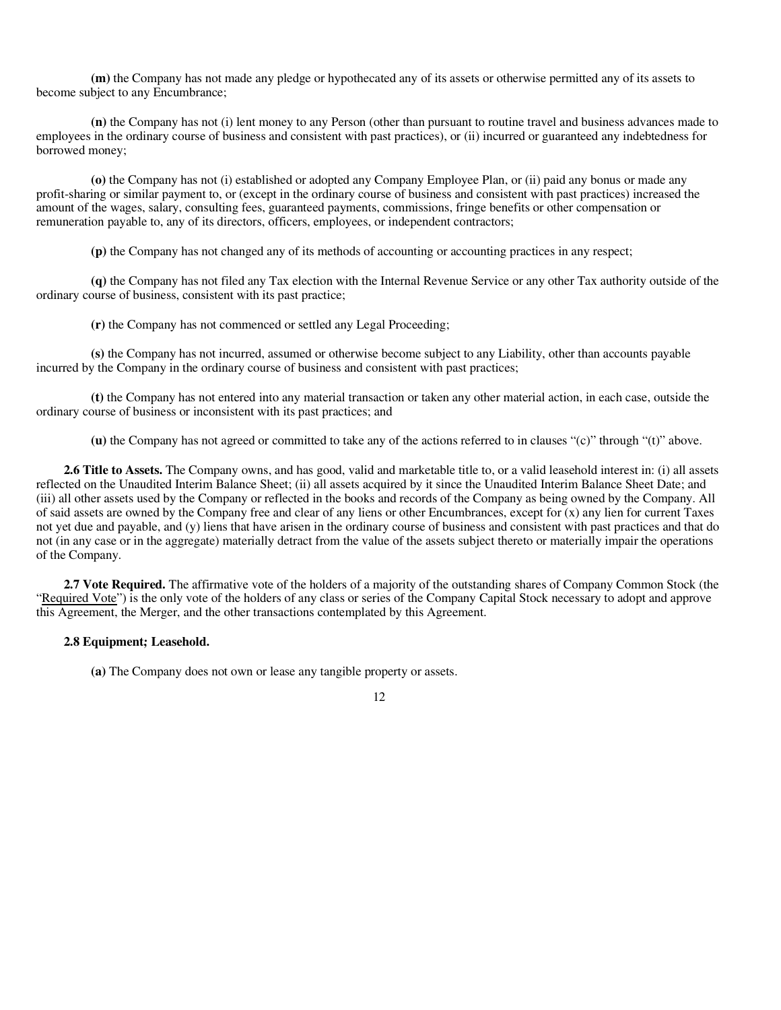**(m)** the Company has not made any pledge or hypothecated any of its assets or otherwise permitted any of its assets to become subject to any Encumbrance;

**(n)** the Company has not (i) lent money to any Person (other than pursuant to routine travel and business advances made to employees in the ordinary course of business and consistent with past practices), or (ii) incurred or guaranteed any indebtedness for borrowed money;

**(o)** the Company has not (i) established or adopted any Company Employee Plan, or (ii) paid any bonus or made any profit-sharing or similar payment to, or (except in the ordinary course of business and consistent with past practices) increased the amount of the wages, salary, consulting fees, guaranteed payments, commissions, fringe benefits or other compensation or remuneration payable to, any of its directors, officers, employees, or independent contractors;

**(p)** the Company has not changed any of its methods of accounting or accounting practices in any respect;

**(q)** the Company has not filed any Tax election with the Internal Revenue Service or any other Tax authority outside of the ordinary course of business, consistent with its past practice;

**(r)** the Company has not commenced or settled any Legal Proceeding;

**(s)** the Company has not incurred, assumed or otherwise become subject to any Liability, other than accounts payable incurred by the Company in the ordinary course of business and consistent with past practices;

**(t)** the Company has not entered into any material transaction or taken any other material action, in each case, outside the ordinary course of business or inconsistent with its past practices; and

**(u)** the Company has not agreed or committed to take any of the actions referred to in clauses "(c)" through "(t)" above.

**2.6 Title to Assets.** The Company owns, and has good, valid and marketable title to, or a valid leasehold interest in: (i) all assets reflected on the Unaudited Interim Balance Sheet; (ii) all assets acquired by it since the Unaudited Interim Balance Sheet Date; and (iii) all other assets used by the Company or reflected in the books and records of the Company as being owned by the Company. All of said assets are owned by the Company free and clear of any liens or other Encumbrances, except for  $(x)$  any lien for current Taxes not yet due and payable, and (y) liens that have arisen in the ordinary course of business and consistent with past practices and that do not (in any case or in the aggregate) materially detract from the value of the assets subject thereto or materially impair the operations of the Company.

**2.7 Vote Required.** The affirmative vote of the holders of a majority of the outstanding shares of Company Common Stock (the "Required Vote") is the only vote of the holders of any class or series of the Company Capital Stock necessary to adopt and approve this Agreement, the Merger, and the other transactions contemplated by this Agreement.

#### **2.8 Equipment; Leasehold.**

**(a)** The Company does not own or lease any tangible property or assets.

12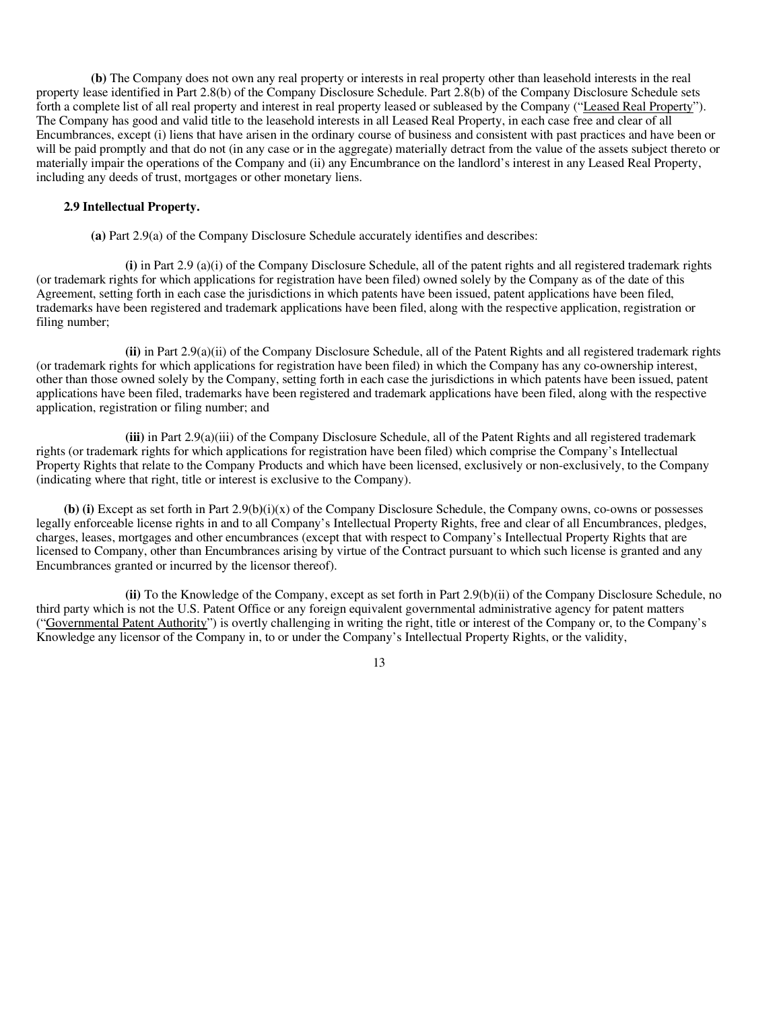**(b)** The Company does not own any real property or interests in real property other than leasehold interests in the real property lease identified in Part 2.8(b) of the Company Disclosure Schedule. Part 2.8(b) of the Company Disclosure Schedule sets forth a complete list of all real property and interest in real property leased or subleased by the Company ("Leased Real Property"). The Company has good and valid title to the leasehold interests in all Leased Real Property, in each case free and clear of all Encumbrances, except (i) liens that have arisen in the ordinary course of business and consistent with past practices and have been or will be paid promptly and that do not (in any case or in the aggregate) materially detract from the value of the assets subject thereto or materially impair the operations of the Company and (ii) any Encumbrance on the landlord's interest in any Leased Real Property, including any deeds of trust, mortgages or other monetary liens.

#### **2.9 Intellectual Property.**

**(a)** Part 2.9(a) of the Company Disclosure Schedule accurately identifies and describes:

**(i)** in Part 2.9 (a)(i) of the Company Disclosure Schedule, all of the patent rights and all registered trademark rights (or trademark rights for which applications for registration have been filed) owned solely by the Company as of the date of this Agreement, setting forth in each case the jurisdictions in which patents have been issued, patent applications have been filed, trademarks have been registered and trademark applications have been filed, along with the respective application, registration or filing number;

**(ii)** in Part 2.9(a)(ii) of the Company Disclosure Schedule, all of the Patent Rights and all registered trademark rights (or trademark rights for which applications for registration have been filed) in which the Company has any co-ownership interest, other than those owned solely by the Company, setting forth in each case the jurisdictions in which patents have been issued, patent applications have been filed, trademarks have been registered and trademark applications have been filed, along with the respective application, registration or filing number; and

**(iii)** in Part 2.9(a)(iii) of the Company Disclosure Schedule, all of the Patent Rights and all registered trademark rights (or trademark rights for which applications for registration have been filed) which comprise the Company's Intellectual Property Rights that relate to the Company Products and which have been licensed, exclusively or non-exclusively, to the Company (indicating where that right, title or interest is exclusive to the Company).

**(b) (i)** Except as set forth in Part 2.9(b**)**(i)(x) of the Company Disclosure Schedule, the Company owns, co-owns or possesses legally enforceable license rights in and to all Company's Intellectual Property Rights, free and clear of all Encumbrances, pledges, charges, leases, mortgages and other encumbrances (except that with respect to Company's Intellectual Property Rights that are licensed to Company, other than Encumbrances arising by virtue of the Contract pursuant to which such license is granted and any Encumbrances granted or incurred by the licensor thereof).

**(ii)** To the Knowledge of the Company, except as set forth in Part 2.9(b)(ii) of the Company Disclosure Schedule, no third party which is not the U.S. Patent Office or any foreign equivalent governmental administrative agency for patent matters ("Governmental Patent Authority") is overtly challenging in writing the right, title or interest of the Company or, to the Company's Knowledge any licensor of the Company in, to or under the Company's Intellectual Property Rights, or the validity,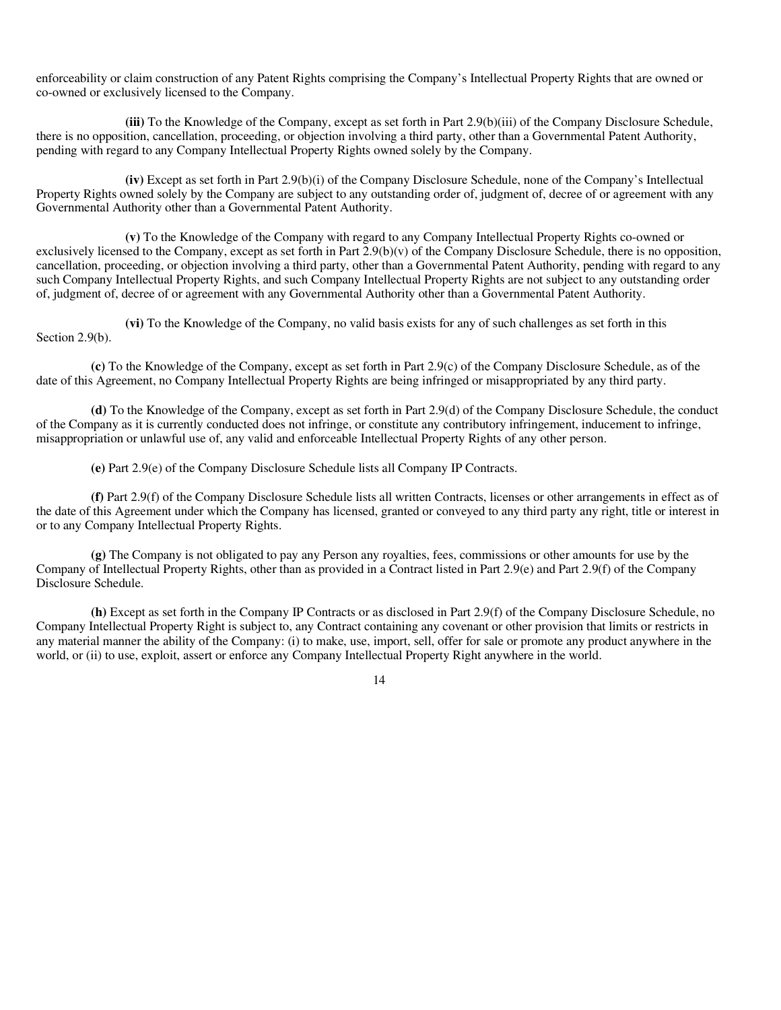enforceability or claim construction of any Patent Rights comprising the Company's Intellectual Property Rights that are owned or co-owned or exclusively licensed to the Company.

**(iii)** To the Knowledge of the Company, except as set forth in Part 2.9(b)(iii) of the Company Disclosure Schedule, there is no opposition, cancellation, proceeding, or objection involving a third party, other than a Governmental Patent Authority, pending with regard to any Company Intellectual Property Rights owned solely by the Company.

**(iv)** Except as set forth in Part 2.9(b)(i) of the Company Disclosure Schedule, none of the Company's Intellectual Property Rights owned solely by the Company are subject to any outstanding order of, judgment of, decree of or agreement with any Governmental Authority other than a Governmental Patent Authority.

**(v)** To the Knowledge of the Company with regard to any Company Intellectual Property Rights co-owned or exclusively licensed to the Company, except as set forth in Part  $2.9(b)(v)$  of the Company Disclosure Schedule, there is no opposition, cancellation, proceeding, or objection involving a third party, other than a Governmental Patent Authority, pending with regard to any such Company Intellectual Property Rights, and such Company Intellectual Property Rights are not subject to any outstanding order of, judgment of, decree of or agreement with any Governmental Authority other than a Governmental Patent Authority.

**(vi)** To the Knowledge of the Company, no valid basis exists for any of such challenges as set forth in this Section 2.9(b).

**(c)** To the Knowledge of the Company, except as set forth in Part 2.9(c) of the Company Disclosure Schedule, as of the date of this Agreement, no Company Intellectual Property Rights are being infringed or misappropriated by any third party.

**(d)** To the Knowledge of the Company, except as set forth in Part 2.9(d) of the Company Disclosure Schedule, the conduct of the Company as it is currently conducted does not infringe, or constitute any contributory infringement, inducement to infringe, misappropriation or unlawful use of, any valid and enforceable Intellectual Property Rights of any other person.

**(e)** Part 2.9(e) of the Company Disclosure Schedule lists all Company IP Contracts.

**(f)** Part 2.9(f) of the Company Disclosure Schedule lists all written Contracts, licenses or other arrangements in effect as of the date of this Agreement under which the Company has licensed, granted or conveyed to any third party any right, title or interest in or to any Company Intellectual Property Rights.

**(g)** The Company is not obligated to pay any Person any royalties, fees, commissions or other amounts for use by the Company of Intellectual Property Rights, other than as provided in a Contract listed in Part 2.9(e) and Part 2.9(f) of the Company Disclosure Schedule.

**(h)** Except as set forth in the Company IP Contracts or as disclosed in Part 2.9(f) of the Company Disclosure Schedule, no Company Intellectual Property Right is subject to, any Contract containing any covenant or other provision that limits or restricts in any material manner the ability of the Company: (i) to make, use, import, sell, offer for sale or promote any product anywhere in the world, or (ii) to use, exploit, assert or enforce any Company Intellectual Property Right anywhere in the world.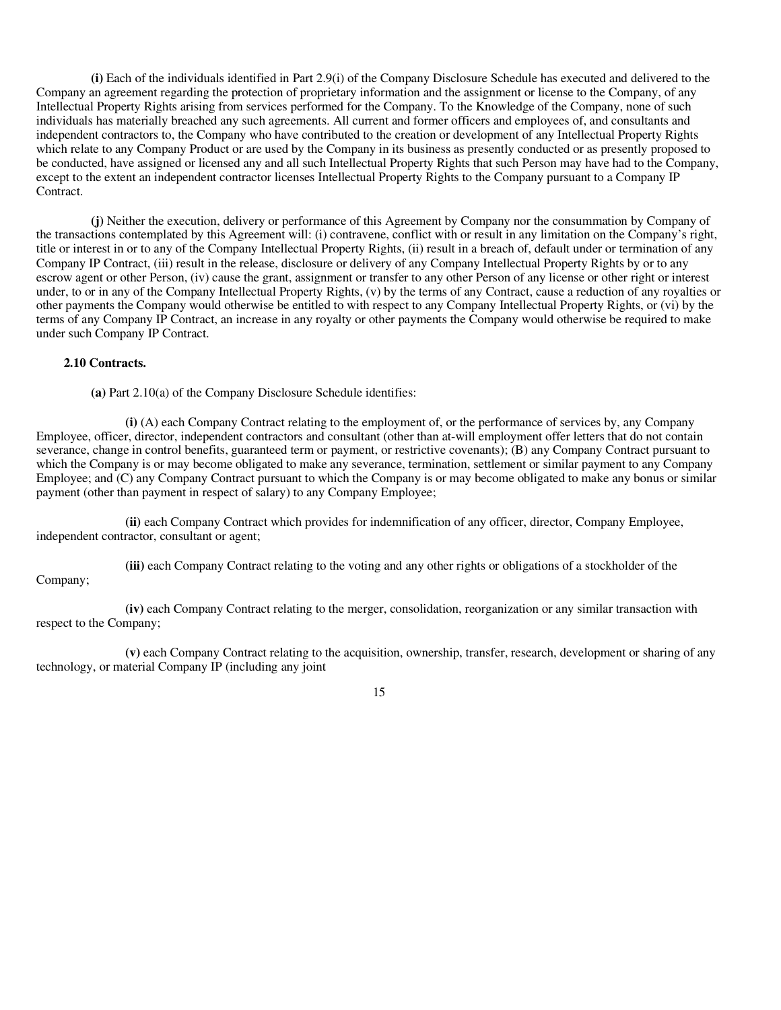**(i)** Each of the individuals identified in Part 2.9(i) of the Company Disclosure Schedule has executed and delivered to the Company an agreement regarding the protection of proprietary information and the assignment or license to the Company, of any Intellectual Property Rights arising from services performed for the Company. To the Knowledge of the Company, none of such individuals has materially breached any such agreements. All current and former officers and employees of, and consultants and independent contractors to, the Company who have contributed to the creation or development of any Intellectual Property Rights which relate to any Company Product or are used by the Company in its business as presently conducted or as presently proposed to be conducted, have assigned or licensed any and all such Intellectual Property Rights that such Person may have had to the Company, except to the extent an independent contractor licenses Intellectual Property Rights to the Company pursuant to a Company IP Contract.

**(j)** Neither the execution, delivery or performance of this Agreement by Company nor the consummation by Company of the transactions contemplated by this Agreement will: (i) contravene, conflict with or result in any limitation on the Company's right, title or interest in or to any of the Company Intellectual Property Rights, (ii) result in a breach of, default under or termination of any Company IP Contract, (iii) result in the release, disclosure or delivery of any Company Intellectual Property Rights by or to any escrow agent or other Person, (iv) cause the grant, assignment or transfer to any other Person of any license or other right or interest under, to or in any of the Company Intellectual Property Rights, (v) by the terms of any Contract, cause a reduction of any royalties or other payments the Company would otherwise be entitled to with respect to any Company Intellectual Property Rights, or (vi) by the terms of any Company IP Contract, an increase in any royalty or other payments the Company would otherwise be required to make under such Company IP Contract.

#### **2.10 Contracts.**

**(a)** Part 2.10(a) of the Company Disclosure Schedule identifies:

**(i)** (A) each Company Contract relating to the employment of, or the performance of services by, any Company Employee, officer, director, independent contractors and consultant (other than at-will employment offer letters that do not contain severance, change in control benefits, guaranteed term or payment, or restrictive covenants); (B) any Company Contract pursuant to which the Company is or may become obligated to make any severance, termination, settlement or similar payment to any Company Employee; and (C) any Company Contract pursuant to which the Company is or may become obligated to make any bonus or similar payment (other than payment in respect of salary) to any Company Employee;

**(ii)** each Company Contract which provides for indemnification of any officer, director, Company Employee, independent contractor, consultant or agent;

**(iii)** each Company Contract relating to the voting and any other rights or obligations of a stockholder of the

# Company;

**(iv)** each Company Contract relating to the merger, consolidation, reorganization or any similar transaction with respect to the Company;

**(v)** each Company Contract relating to the acquisition, ownership, transfer, research, development or sharing of any technology, or material Company IP (including any joint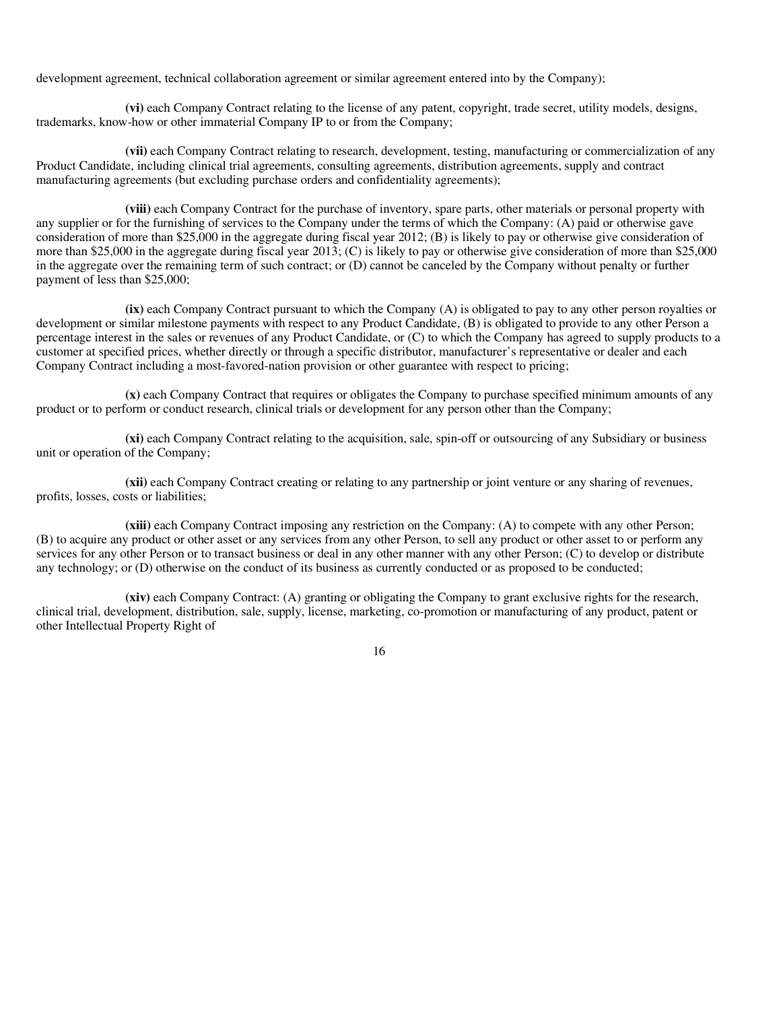development agreement, technical collaboration agreement or similar agreement entered into by the Company);

**(vi)** each Company Contract relating to the license of any patent, copyright, trade secret, utility models, designs, trademarks, know-how or other immaterial Company IP to or from the Company;

**(vii)** each Company Contract relating to research, development, testing, manufacturing or commercialization of any Product Candidate, including clinical trial agreements, consulting agreements, distribution agreements, supply and contract manufacturing agreements (but excluding purchase orders and confidentiality agreements);

**(viii)** each Company Contract for the purchase of inventory, spare parts, other materials or personal property with any supplier or for the furnishing of services to the Company under the terms of which the Company: (A) paid or otherwise gave consideration of more than \$25,000 in the aggregate during fiscal year 2012; (B) is likely to pay or otherwise give consideration of more than \$25,000 in the aggregate during fiscal year 2013; (C) is likely to pay or otherwise give consideration of more than \$25,000 in the aggregate over the remaining term of such contract; or (D) cannot be canceled by the Company without penalty or further payment of less than \$25,000;

**(ix)** each Company Contract pursuant to which the Company (A) is obligated to pay to any other person royalties or development or similar milestone payments with respect to any Product Candidate, (B) is obligated to provide to any other Person a percentage interest in the sales or revenues of any Product Candidate, or (C) to which the Company has agreed to supply products to a customer at specified prices, whether directly or through a specific distributor, manufacturer's representative or dealer and each Company Contract including a most-favored-nation provision or other guarantee with respect to pricing;

**(x)** each Company Contract that requires or obligates the Company to purchase specified minimum amounts of any product or to perform or conduct research, clinical trials or development for any person other than the Company;

**(xi)** each Company Contract relating to the acquisition, sale, spin-off or outsourcing of any Subsidiary or business unit or operation of the Company;

**(xii)** each Company Contract creating or relating to any partnership or joint venture or any sharing of revenues, profits, losses, costs or liabilities;

**(xiii)** each Company Contract imposing any restriction on the Company: (A) to compete with any other Person; (B) to acquire any product or other asset or any services from any other Person, to sell any product or other asset to or perform any services for any other Person or to transact business or deal in any other manner with any other Person; (C) to develop or distribute any technology; or (D) otherwise on the conduct of its business as currently conducted or as proposed to be conducted;

**(xiv)** each Company Contract: (A) granting or obligating the Company to grant exclusive rights for the research, clinical trial, development, distribution, sale, supply, license, marketing, co-promotion or manufacturing of any product, patent or other Intellectual Property Right of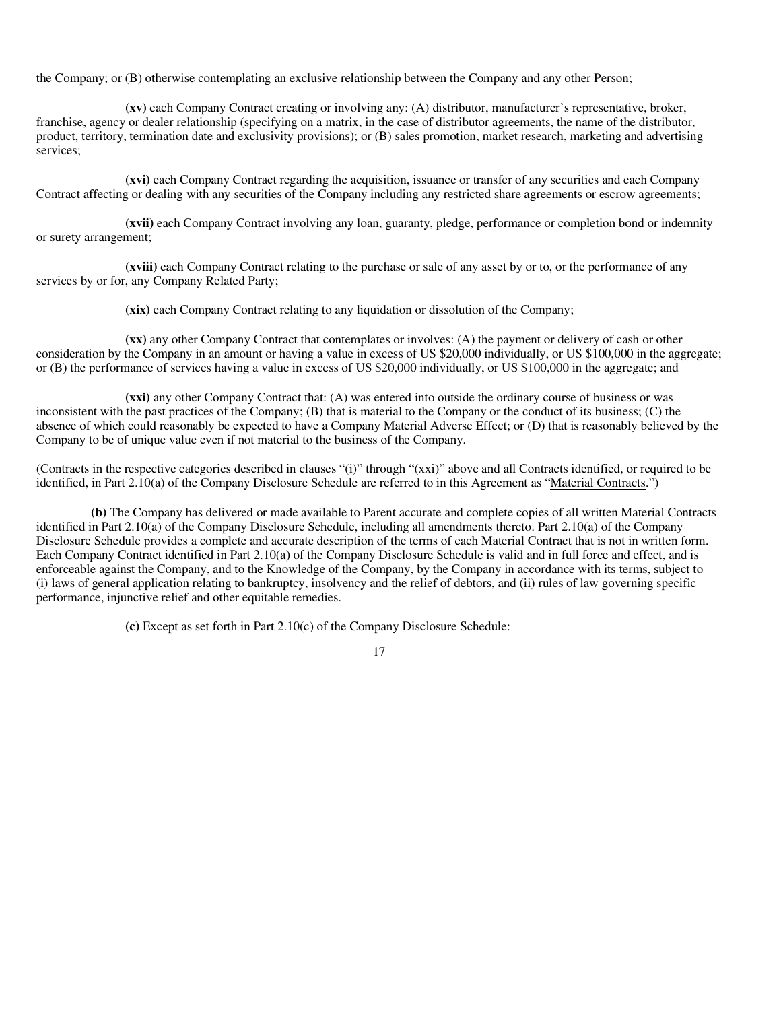the Company; or (B) otherwise contemplating an exclusive relationship between the Company and any other Person;

**(xv)** each Company Contract creating or involving any: (A) distributor, manufacturer's representative, broker, franchise, agency or dealer relationship (specifying on a matrix, in the case of distributor agreements, the name of the distributor, product, territory, termination date and exclusivity provisions); or (B) sales promotion, market research, marketing and advertising services;

**(xvi)** each Company Contract regarding the acquisition, issuance or transfer of any securities and each Company Contract affecting or dealing with any securities of the Company including any restricted share agreements or escrow agreements;

**(xvii)** each Company Contract involving any loan, guaranty, pledge, performance or completion bond or indemnity or surety arrangement;

**(xviii)** each Company Contract relating to the purchase or sale of any asset by or to, or the performance of any services by or for, any Company Related Party;

**(xix)** each Company Contract relating to any liquidation or dissolution of the Company;

**(xx)** any other Company Contract that contemplates or involves: (A) the payment or delivery of cash or other consideration by the Company in an amount or having a value in excess of US \$20,000 individually, or US \$100,000 in the aggregate; or (B) the performance of services having a value in excess of US \$20,000 individually, or US \$100,000 in the aggregate; and

**(xxi)** any other Company Contract that: (A) was entered into outside the ordinary course of business or was inconsistent with the past practices of the Company; (B) that is material to the Company or the conduct of its business; (C) the absence of which could reasonably be expected to have a Company Material Adverse Effect; or (D) that is reasonably believed by the Company to be of unique value even if not material to the business of the Company.

(Contracts in the respective categories described in clauses "(i)" through "(xxi)" above and all Contracts identified, or required to be identified, in Part 2.10(a) of the Company Disclosure Schedule are referred to in this Agreement as "Material Contracts.")

**(b)** The Company has delivered or made available to Parent accurate and complete copies of all written Material Contracts identified in Part 2.10(a) of the Company Disclosure Schedule, including all amendments thereto. Part 2.10(a) of the Company Disclosure Schedule provides a complete and accurate description of the terms of each Material Contract that is not in written form. Each Company Contract identified in Part 2.10(a) of the Company Disclosure Schedule is valid and in full force and effect, and is enforceable against the Company, and to the Knowledge of the Company, by the Company in accordance with its terms, subject to (i) laws of general application relating to bankruptcy, insolvency and the relief of debtors, and (ii) rules of law governing specific performance, injunctive relief and other equitable remedies.

17

**(c)** Except as set forth in Part 2.10(c) of the Company Disclosure Schedule: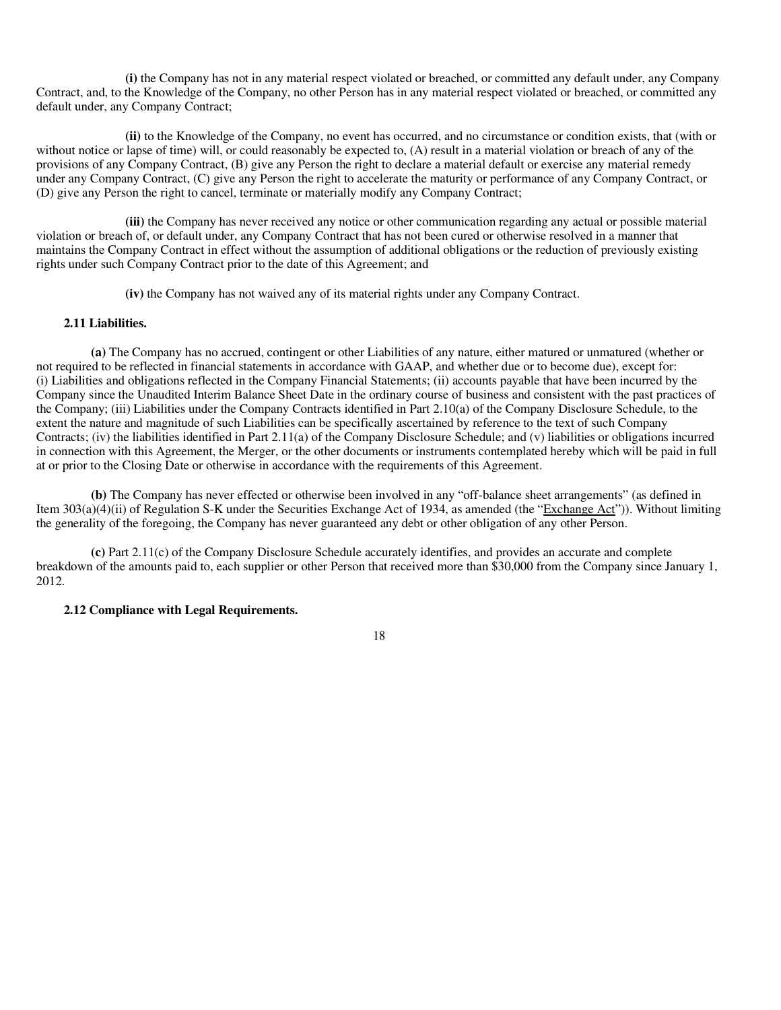**(i)** the Company has not in any material respect violated or breached, or committed any default under, any Company Contract, and, to the Knowledge of the Company, no other Person has in any material respect violated or breached, or committed any default under, any Company Contract;

**(ii)** to the Knowledge of the Company, no event has occurred, and no circumstance or condition exists, that (with or without notice or lapse of time) will, or could reasonably be expected to, (A) result in a material violation or breach of any of the provisions of any Company Contract, (B) give any Person the right to declare a material default or exercise any material remedy under any Company Contract, (C) give any Person the right to accelerate the maturity or performance of any Company Contract, or (D) give any Person the right to cancel, terminate or materially modify any Company Contract;

**(iii)** the Company has never received any notice or other communication regarding any actual or possible material violation or breach of, or default under, any Company Contract that has not been cured or otherwise resolved in a manner that maintains the Company Contract in effect without the assumption of additional obligations or the reduction of previously existing rights under such Company Contract prior to the date of this Agreement; and

**(iv)** the Company has not waived any of its material rights under any Company Contract.

### **2.11 Liabilities.**

**(a)** The Company has no accrued, contingent or other Liabilities of any nature, either matured or unmatured (whether or not required to be reflected in financial statements in accordance with GAAP, and whether due or to become due), except for: (i) Liabilities and obligations reflected in the Company Financial Statements; (ii) accounts payable that have been incurred by the Company since the Unaudited Interim Balance Sheet Date in the ordinary course of business and consistent with the past practices of the Company; (iii) Liabilities under the Company Contracts identified in Part 2.10(a) of the Company Disclosure Schedule, to the extent the nature and magnitude of such Liabilities can be specifically ascertained by reference to the text of such Company Contracts; (iv) the liabilities identified in Part 2.11(a) of the Company Disclosure Schedule; and (v) liabilities or obligations incurred in connection with this Agreement, the Merger, or the other documents or instruments contemplated hereby which will be paid in full at or prior to the Closing Date or otherwise in accordance with the requirements of this Agreement.

**(b)** The Company has never effected or otherwise been involved in any "off-balance sheet arrangements" (as defined in Item 303(a)(4)(ii) of Regulation S-K under the Securities Exchange Act of 1934, as amended (the "Exchange Act")). Without limiting the generality of the foregoing, the Company has never guaranteed any debt or other obligation of any other Person.

**(c)** Part 2.11(c) of the Company Disclosure Schedule accurately identifies, and provides an accurate and complete breakdown of the amounts paid to, each supplier or other Person that received more than \$30,000 from the Company since January 1, 2012.

#### **2.12 Compliance with Legal Requirements.**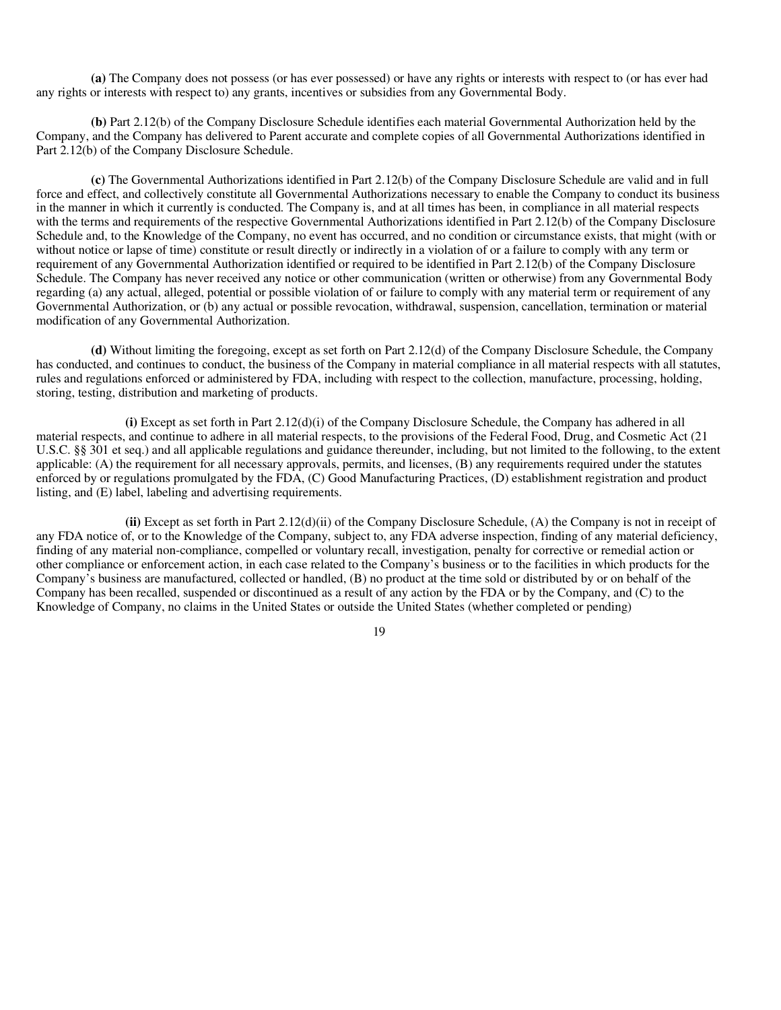**(a)** The Company does not possess (or has ever possessed) or have any rights or interests with respect to (or has ever had any rights or interests with respect to) any grants, incentives or subsidies from any Governmental Body.

**(b)** Part 2.12(b) of the Company Disclosure Schedule identifies each material Governmental Authorization held by the Company, and the Company has delivered to Parent accurate and complete copies of all Governmental Authorizations identified in Part 2.12(b) of the Company Disclosure Schedule.

**(c)** The Governmental Authorizations identified in Part 2.12(b) of the Company Disclosure Schedule are valid and in full force and effect, and collectively constitute all Governmental Authorizations necessary to enable the Company to conduct its business in the manner in which it currently is conducted. The Company is, and at all times has been, in compliance in all material respects with the terms and requirements of the respective Governmental Authorizations identified in Part 2.12(b) of the Company Disclosure Schedule and, to the Knowledge of the Company, no event has occurred, and no condition or circumstance exists, that might (with or without notice or lapse of time) constitute or result directly or indirectly in a violation of or a failure to comply with any term or requirement of any Governmental Authorization identified or required to be identified in Part 2.12(b) of the Company Disclosure Schedule. The Company has never received any notice or other communication (written or otherwise) from any Governmental Body regarding (a) any actual, alleged, potential or possible violation of or failure to comply with any material term or requirement of any Governmental Authorization, or (b) any actual or possible revocation, withdrawal, suspension, cancellation, termination or material modification of any Governmental Authorization.

**(d)** Without limiting the foregoing, except as set forth on Part 2.12(d) of the Company Disclosure Schedule, the Company has conducted, and continues to conduct, the business of the Company in material compliance in all material respects with all statutes, rules and regulations enforced or administered by FDA, including with respect to the collection, manufacture, processing, holding, storing, testing, distribution and marketing of products.

**(i)** Except as set forth in Part 2.12(d)(i) of the Company Disclosure Schedule, the Company has adhered in all material respects, and continue to adhere in all material respects, to the provisions of the Federal Food, Drug, and Cosmetic Act (21 U.S.C. §§ 301 et seq.) and all applicable regulations and guidance thereunder, including, but not limited to the following, to the extent applicable: (A) the requirement for all necessary approvals, permits, and licenses, (B) any requirements required under the statutes enforced by or regulations promulgated by the FDA, (C) Good Manufacturing Practices, (D) establishment registration and product listing, and (E) label, labeling and advertising requirements.

**(ii)** Except as set forth in Part 2.12(d)(ii) of the Company Disclosure Schedule, (A) the Company is not in receipt of any FDA notice of, or to the Knowledge of the Company, subject to, any FDA adverse inspection, finding of any material deficiency, finding of any material non-compliance, compelled or voluntary recall, investigation, penalty for corrective or remedial action or other compliance or enforcement action, in each case related to the Company's business or to the facilities in which products for the Company's business are manufactured, collected or handled, (B) no product at the time sold or distributed by or on behalf of the Company has been recalled, suspended or discontinued as a result of any action by the FDA or by the Company, and (C) to the Knowledge of Company, no claims in the United States or outside the United States (whether completed or pending)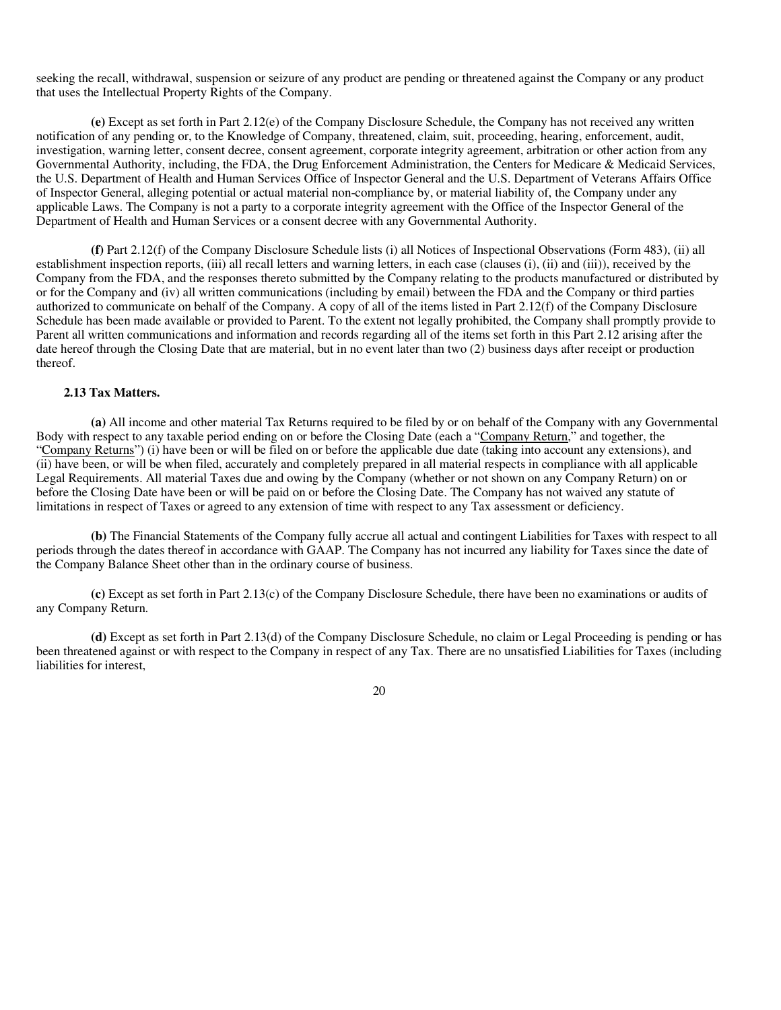seeking the recall, withdrawal, suspension or seizure of any product are pending or threatened against the Company or any product that uses the Intellectual Property Rights of the Company.

**(e)** Except as set forth in Part 2.12(e) of the Company Disclosure Schedule, the Company has not received any written notification of any pending or, to the Knowledge of Company, threatened, claim, suit, proceeding, hearing, enforcement, audit, investigation, warning letter, consent decree, consent agreement, corporate integrity agreement, arbitration or other action from any Governmental Authority, including, the FDA, the Drug Enforcement Administration, the Centers for Medicare & Medicaid Services, the U.S. Department of Health and Human Services Office of Inspector General and the U.S. Department of Veterans Affairs Office of Inspector General, alleging potential or actual material non-compliance by, or material liability of, the Company under any applicable Laws. The Company is not a party to a corporate integrity agreement with the Office of the Inspector General of the Department of Health and Human Services or a consent decree with any Governmental Authority.

**(f)** Part 2.12(f) of the Company Disclosure Schedule lists (i) all Notices of Inspectional Observations (Form 483), (ii) all establishment inspection reports, (iii) all recall letters and warning letters, in each case (clauses (i), (ii) and (iii)), received by the Company from the FDA, and the responses thereto submitted by the Company relating to the products manufactured or distributed by or for the Company and (iv) all written communications (including by email) between the FDA and the Company or third parties authorized to communicate on behalf of the Company. A copy of all of the items listed in Part 2.12(f) of the Company Disclosure Schedule has been made available or provided to Parent. To the extent not legally prohibited, the Company shall promptly provide to Parent all written communications and information and records regarding all of the items set forth in this Part 2.12 arising after the date hereof through the Closing Date that are material, but in no event later than two (2) business days after receipt or production thereof.

#### **2.13 Tax Matters.**

**(a)** All income and other material Tax Returns required to be filed by or on behalf of the Company with any Governmental Body with respect to any taxable period ending on or before the Closing Date (each a "Company Return," and together, the "Company Returns") (i) have been or will be filed on or before the applicable due date (taking into account any extensions), and (ii) have been, or will be when filed, accurately and completely prepared in all material respects in compliance with all applicable Legal Requirements. All material Taxes due and owing by the Company (whether or not shown on any Company Return) on or before the Closing Date have been or will be paid on or before the Closing Date. The Company has not waived any statute of limitations in respect of Taxes or agreed to any extension of time with respect to any Tax assessment or deficiency.

**(b)** The Financial Statements of the Company fully accrue all actual and contingent Liabilities for Taxes with respect to all periods through the dates thereof in accordance with GAAP. The Company has not incurred any liability for Taxes since the date of the Company Balance Sheet other than in the ordinary course of business.

**(c)** Except as set forth in Part 2.13(c) of the Company Disclosure Schedule, there have been no examinations or audits of any Company Return.

**(d)** Except as set forth in Part 2.13(d) of the Company Disclosure Schedule, no claim or Legal Proceeding is pending or has been threatened against or with respect to the Company in respect of any Tax. There are no unsatisfied Liabilities for Taxes (including liabilities for interest,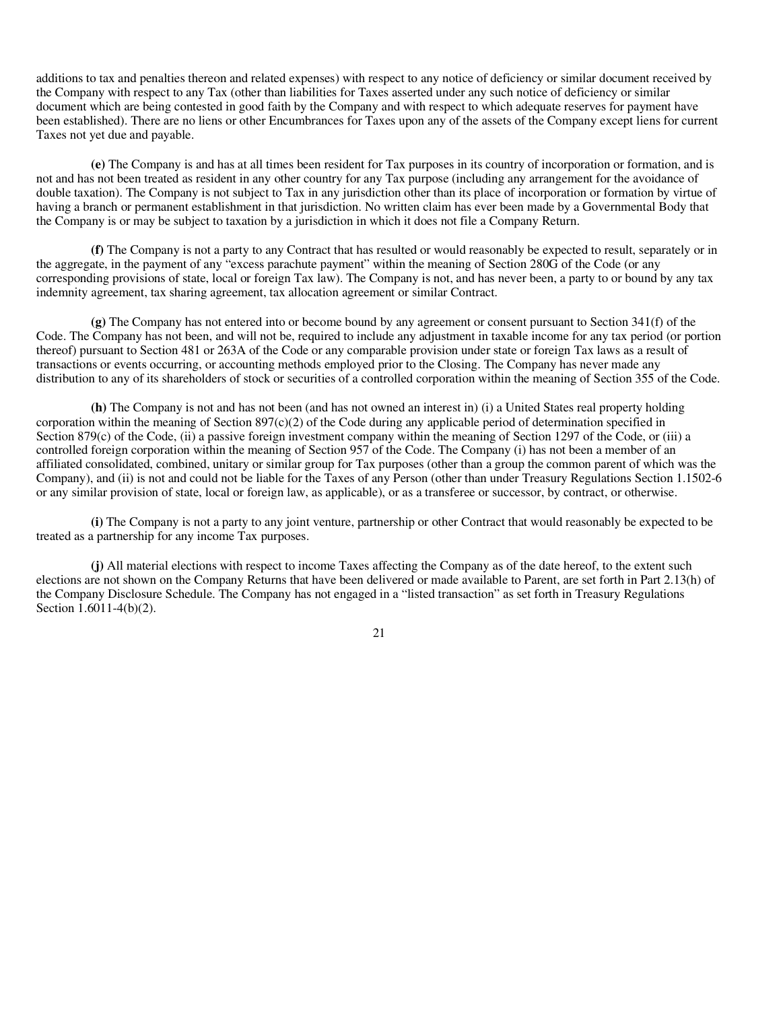additions to tax and penalties thereon and related expenses) with respect to any notice of deficiency or similar document received by the Company with respect to any Tax (other than liabilities for Taxes asserted under any such notice of deficiency or similar document which are being contested in good faith by the Company and with respect to which adequate reserves for payment have been established). There are no liens or other Encumbrances for Taxes upon any of the assets of the Company except liens for current Taxes not yet due and payable.

**(e)** The Company is and has at all times been resident for Tax purposes in its country of incorporation or formation, and is not and has not been treated as resident in any other country for any Tax purpose (including any arrangement for the avoidance of double taxation). The Company is not subject to Tax in any jurisdiction other than its place of incorporation or formation by virtue of having a branch or permanent establishment in that jurisdiction. No written claim has ever been made by a Governmental Body that the Company is or may be subject to taxation by a jurisdiction in which it does not file a Company Return.

**(f)** The Company is not a party to any Contract that has resulted or would reasonably be expected to result, separately or in the aggregate, in the payment of any "excess parachute payment" within the meaning of Section 280G of the Code (or any corresponding provisions of state, local or foreign Tax law). The Company is not, and has never been, a party to or bound by any tax indemnity agreement, tax sharing agreement, tax allocation agreement or similar Contract.

**(g)** The Company has not entered into or become bound by any agreement or consent pursuant to Section 341(f) of the Code. The Company has not been, and will not be, required to include any adjustment in taxable income for any tax period (or portion thereof) pursuant to Section 481 or 263A of the Code or any comparable provision under state or foreign Tax laws as a result of transactions or events occurring, or accounting methods employed prior to the Closing. The Company has never made any distribution to any of its shareholders of stock or securities of a controlled corporation within the meaning of Section 355 of the Code.

**(h)** The Company is not and has not been (and has not owned an interest in) (i) a United States real property holding corporation within the meaning of Section  $897(c)(2)$  of the Code during any applicable period of determination specified in Section 879(c) of the Code, (ii) a passive foreign investment company within the meaning of Section 1297 of the Code, or (iii) a controlled foreign corporation within the meaning of Section 957 of the Code. The Company (i) has not been a member of an affiliated consolidated, combined, unitary or similar group for Tax purposes (other than a group the common parent of which was the Company), and (ii) is not and could not be liable for the Taxes of any Person (other than under Treasury Regulations Section 1.1502-6 or any similar provision of state, local or foreign law, as applicable), or as a transferee or successor, by contract, or otherwise.

**(i)** The Company is not a party to any joint venture, partnership or other Contract that would reasonably be expected to be treated as a partnership for any income Tax purposes.

**(j)** All material elections with respect to income Taxes affecting the Company as of the date hereof, to the extent such elections are not shown on the Company Returns that have been delivered or made available to Parent, are set forth in Part 2.13(h) of the Company Disclosure Schedule. The Company has not engaged in a "listed transaction" as set forth in Treasury Regulations Section 1.6011-4(b)(2).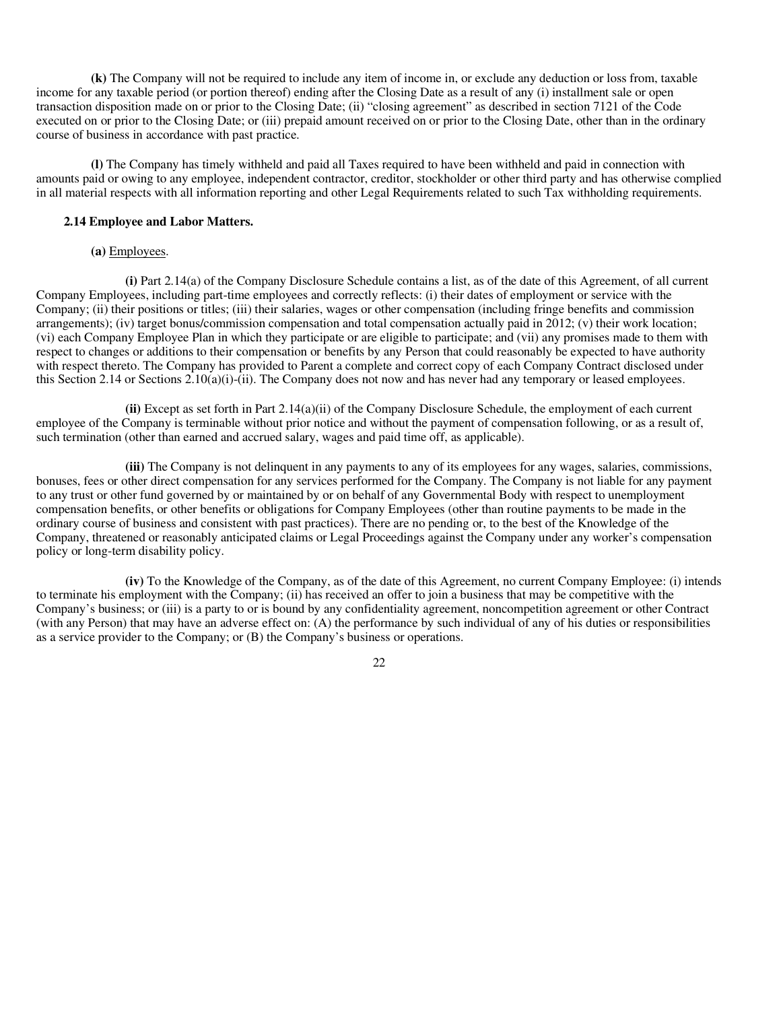**(k)** The Company will not be required to include any item of income in, or exclude any deduction or loss from, taxable income for any taxable period (or portion thereof) ending after the Closing Date as a result of any (i) installment sale or open transaction disposition made on or prior to the Closing Date; (ii) "closing agreement" as described in section 7121 of the Code executed on or prior to the Closing Date; or (iii) prepaid amount received on or prior to the Closing Date, other than in the ordinary course of business in accordance with past practice.

**(l)** The Company has timely withheld and paid all Taxes required to have been withheld and paid in connection with amounts paid or owing to any employee, independent contractor, creditor, stockholder or other third party and has otherwise complied in all material respects with all information reporting and other Legal Requirements related to such Tax withholding requirements.

#### **2.14 Employee and Labor Matters.**

#### **(a)** Employees.

**(i)** Part 2.14(a) of the Company Disclosure Schedule contains a list, as of the date of this Agreement, of all current Company Employees, including part-time employees and correctly reflects: (i) their dates of employment or service with the Company; (ii) their positions or titles; (iii) their salaries, wages or other compensation (including fringe benefits and commission arrangements); (iv) target bonus/commission compensation and total compensation actually paid in 2012; (v) their work location; (vi) each Company Employee Plan in which they participate or are eligible to participate; and (vii) any promises made to them with respect to changes or additions to their compensation or benefits by any Person that could reasonably be expected to have authority with respect thereto. The Company has provided to Parent a complete and correct copy of each Company Contract disclosed under this Section 2.14 or Sections 2.10(a)(i)-(ii). The Company does not now and has never had any temporary or leased employees.

**(ii)** Except as set forth in Part 2.14(a)(ii) of the Company Disclosure Schedule, the employment of each current employee of the Company is terminable without prior notice and without the payment of compensation following, or as a result of, such termination (other than earned and accrued salary, wages and paid time off, as applicable).

**(iii)** The Company is not delinquent in any payments to any of its employees for any wages, salaries, commissions, bonuses, fees or other direct compensation for any services performed for the Company. The Company is not liable for any payment to any trust or other fund governed by or maintained by or on behalf of any Governmental Body with respect to unemployment compensation benefits, or other benefits or obligations for Company Employees (other than routine payments to be made in the ordinary course of business and consistent with past practices). There are no pending or, to the best of the Knowledge of the Company, threatened or reasonably anticipated claims or Legal Proceedings against the Company under any worker's compensation policy or long-term disability policy.

**(iv)** To the Knowledge of the Company, as of the date of this Agreement, no current Company Employee: (i) intends to terminate his employment with the Company; (ii) has received an offer to join a business that may be competitive with the Company's business; or (iii) is a party to or is bound by any confidentiality agreement, noncompetition agreement or other Contract (with any Person) that may have an adverse effect on: (A) the performance by such individual of any of his duties or responsibilities as a service provider to the Company; or (B) the Company's business or operations.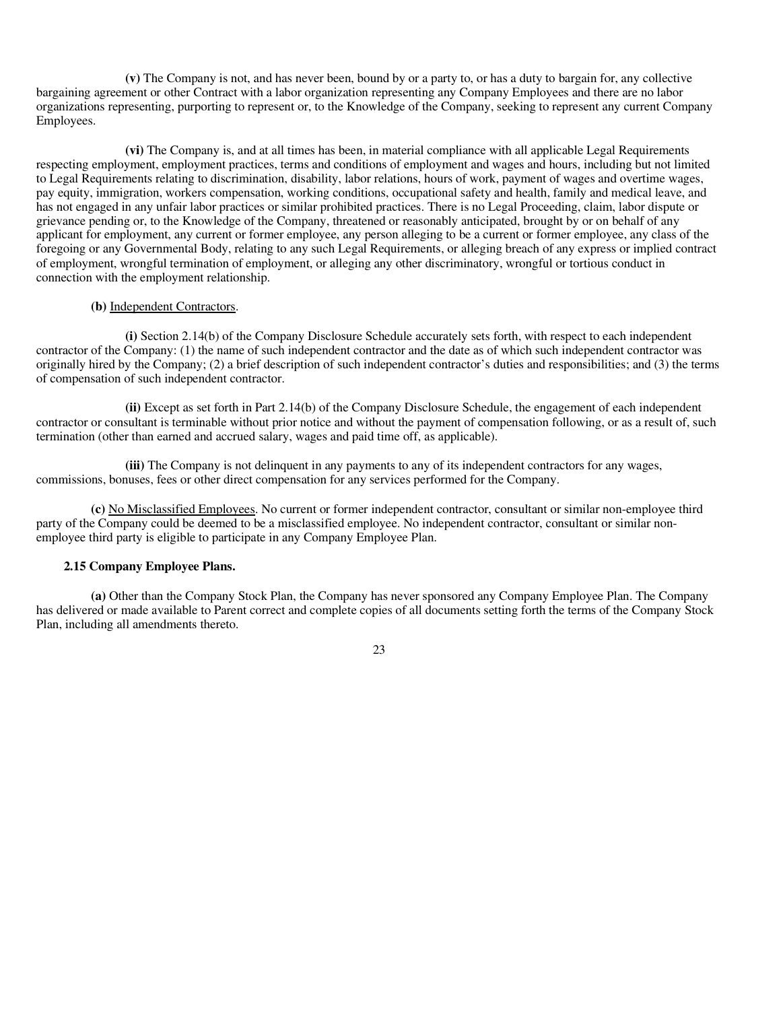**(v)** The Company is not, and has never been, bound by or a party to, or has a duty to bargain for, any collective bargaining agreement or other Contract with a labor organization representing any Company Employees and there are no labor organizations representing, purporting to represent or, to the Knowledge of the Company, seeking to represent any current Company Employees.

**(vi)** The Company is, and at all times has been, in material compliance with all applicable Legal Requirements respecting employment, employment practices, terms and conditions of employment and wages and hours, including but not limited to Legal Requirements relating to discrimination, disability, labor relations, hours of work, payment of wages and overtime wages, pay equity, immigration, workers compensation, working conditions, occupational safety and health, family and medical leave, and has not engaged in any unfair labor practices or similar prohibited practices. There is no Legal Proceeding, claim, labor dispute or grievance pending or, to the Knowledge of the Company, threatened or reasonably anticipated, brought by or on behalf of any applicant for employment, any current or former employee, any person alleging to be a current or former employee, any class of the foregoing or any Governmental Body, relating to any such Legal Requirements, or alleging breach of any express or implied contract of employment, wrongful termination of employment, or alleging any other discriminatory, wrongful or tortious conduct in connection with the employment relationship.

#### **(b)** Independent Contractors.

**(i)** Section 2.14(b) of the Company Disclosure Schedule accurately sets forth, with respect to each independent contractor of the Company: (1) the name of such independent contractor and the date as of which such independent contractor was originally hired by the Company; (2) a brief description of such independent contractor's duties and responsibilities; and (3) the terms of compensation of such independent contractor.

**(ii)** Except as set forth in Part 2.14(b) of the Company Disclosure Schedule, the engagement of each independent contractor or consultant is terminable without prior notice and without the payment of compensation following, or as a result of, such termination (other than earned and accrued salary, wages and paid time off, as applicable).

**(iii)** The Company is not delinquent in any payments to any of its independent contractors for any wages, commissions, bonuses, fees or other direct compensation for any services performed for the Company.

**(c)** No Misclassified Employees. No current or former independent contractor, consultant or similar non-employee third party of the Company could be deemed to be a misclassified employee. No independent contractor, consultant or similar nonemployee third party is eligible to participate in any Company Employee Plan.

#### **2.15 Company Employee Plans.**

**(a)** Other than the Company Stock Plan, the Company has never sponsored any Company Employee Plan. The Company has delivered or made available to Parent correct and complete copies of all documents setting forth the terms of the Company Stock Plan, including all amendments thereto.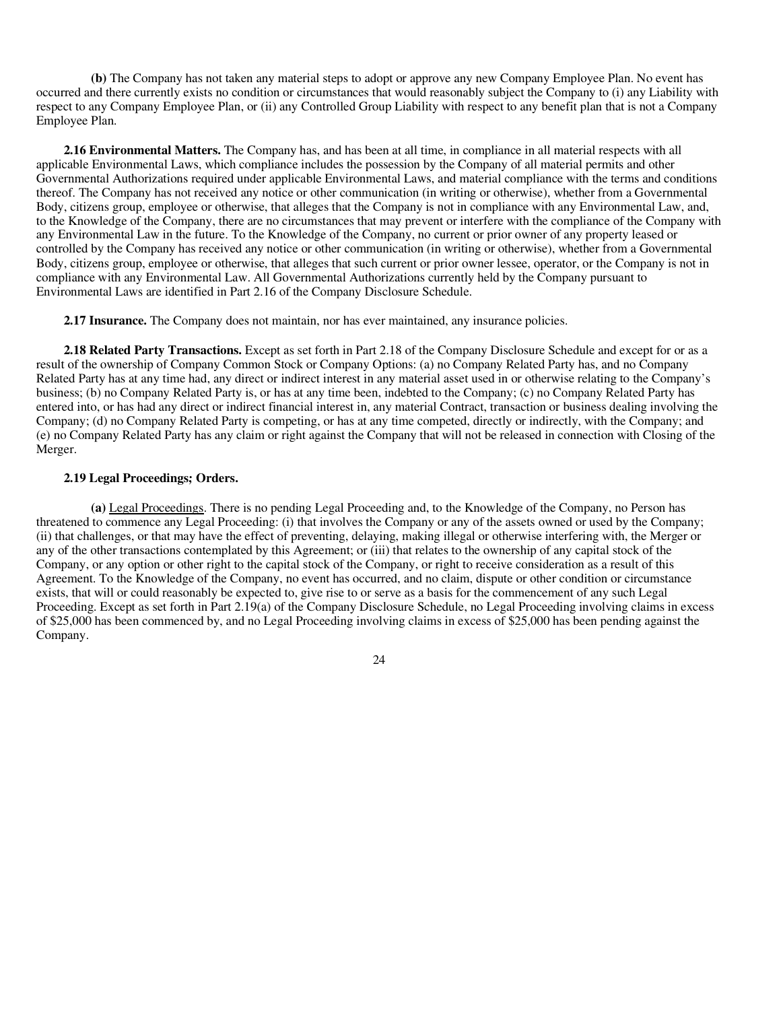**(b)** The Company has not taken any material steps to adopt or approve any new Company Employee Plan. No event has occurred and there currently exists no condition or circumstances that would reasonably subject the Company to (i) any Liability with respect to any Company Employee Plan, or (ii) any Controlled Group Liability with respect to any benefit plan that is not a Company Employee Plan.

**2.16 Environmental Matters.** The Company has, and has been at all time, in compliance in all material respects with all applicable Environmental Laws, which compliance includes the possession by the Company of all material permits and other Governmental Authorizations required under applicable Environmental Laws, and material compliance with the terms and conditions thereof. The Company has not received any notice or other communication (in writing or otherwise), whether from a Governmental Body, citizens group, employee or otherwise, that alleges that the Company is not in compliance with any Environmental Law, and, to the Knowledge of the Company, there are no circumstances that may prevent or interfere with the compliance of the Company with any Environmental Law in the future. To the Knowledge of the Company, no current or prior owner of any property leased or controlled by the Company has received any notice or other communication (in writing or otherwise), whether from a Governmental Body, citizens group, employee or otherwise, that alleges that such current or prior owner lessee, operator, or the Company is not in compliance with any Environmental Law. All Governmental Authorizations currently held by the Company pursuant to Environmental Laws are identified in Part 2.16 of the Company Disclosure Schedule.

**2.17 Insurance.** The Company does not maintain, nor has ever maintained, any insurance policies.

**2.18 Related Party Transactions.** Except as set forth in Part 2.18 of the Company Disclosure Schedule and except for or as a result of the ownership of Company Common Stock or Company Options: (a) no Company Related Party has, and no Company Related Party has at any time had, any direct or indirect interest in any material asset used in or otherwise relating to the Company's business; (b) no Company Related Party is, or has at any time been, indebted to the Company; (c) no Company Related Party has entered into, or has had any direct or indirect financial interest in, any material Contract, transaction or business dealing involving the Company; (d) no Company Related Party is competing, or has at any time competed, directly or indirectly, with the Company; and (e) no Company Related Party has any claim or right against the Company that will not be released in connection with Closing of the Merger.

#### **2.19 Legal Proceedings; Orders.**

**(a)** Legal Proceedings. There is no pending Legal Proceeding and, to the Knowledge of the Company, no Person has threatened to commence any Legal Proceeding: (i) that involves the Company or any of the assets owned or used by the Company; (ii) that challenges, or that may have the effect of preventing, delaying, making illegal or otherwise interfering with, the Merger or any of the other transactions contemplated by this Agreement; or (iii) that relates to the ownership of any capital stock of the Company, or any option or other right to the capital stock of the Company, or right to receive consideration as a result of this Agreement. To the Knowledge of the Company, no event has occurred, and no claim, dispute or other condition or circumstance exists, that will or could reasonably be expected to, give rise to or serve as a basis for the commencement of any such Legal Proceeding. Except as set forth in Part 2.19(a) of the Company Disclosure Schedule, no Legal Proceeding involving claims in excess of \$25,000 has been commenced by, and no Legal Proceeding involving claims in excess of \$25,000 has been pending against the Company.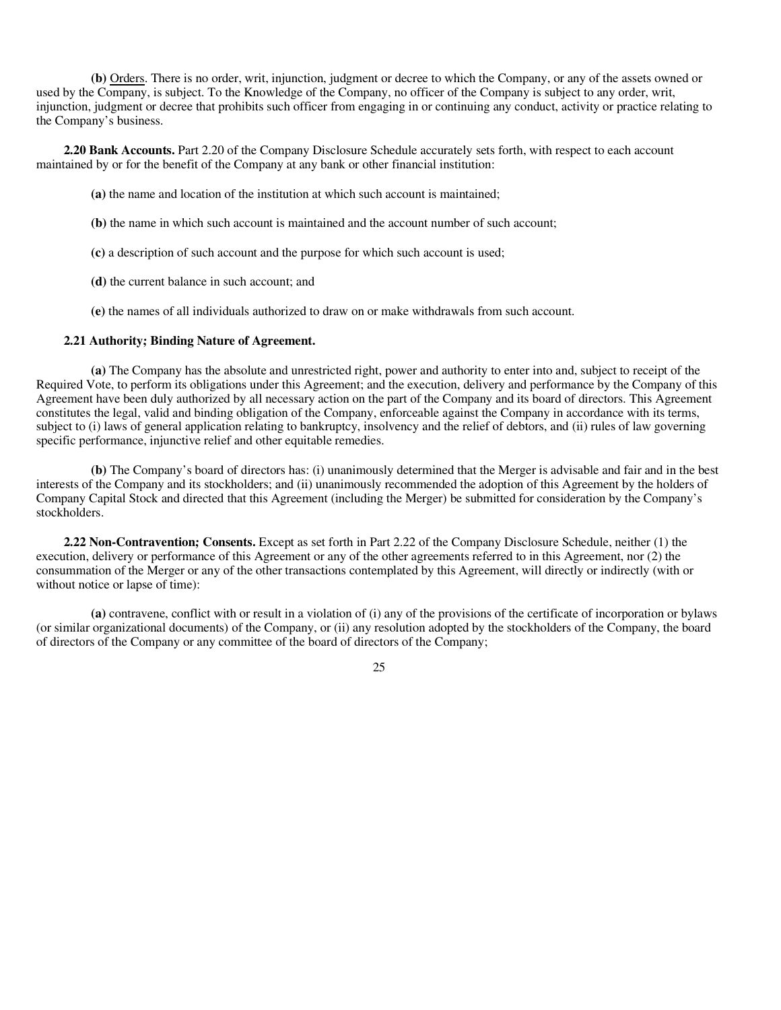**(b)** Orders. There is no order, writ, injunction, judgment or decree to which the Company, or any of the assets owned or used by the Company, is subject. To the Knowledge of the Company, no officer of the Company is subject to any order, writ, injunction, judgment or decree that prohibits such officer from engaging in or continuing any conduct, activity or practice relating to the Company's business.

**2.20 Bank Accounts.** Part 2.20 of the Company Disclosure Schedule accurately sets forth, with respect to each account maintained by or for the benefit of the Company at any bank or other financial institution:

**(a)** the name and location of the institution at which such account is maintained;

- **(b)** the name in which such account is maintained and the account number of such account;
- **(c)** a description of such account and the purpose for which such account is used;
- **(d)** the current balance in such account; and
- **(e)** the names of all individuals authorized to draw on or make withdrawals from such account.

#### **2.21 Authority; Binding Nature of Agreement.**

**(a)** The Company has the absolute and unrestricted right, power and authority to enter into and, subject to receipt of the Required Vote, to perform its obligations under this Agreement; and the execution, delivery and performance by the Company of this Agreement have been duly authorized by all necessary action on the part of the Company and its board of directors. This Agreement constitutes the legal, valid and binding obligation of the Company, enforceable against the Company in accordance with its terms, subject to (i) laws of general application relating to bankruptcy, insolvency and the relief of debtors, and (ii) rules of law governing specific performance, injunctive relief and other equitable remedies.

**(b)** The Company's board of directors has: (i) unanimously determined that the Merger is advisable and fair and in the best interests of the Company and its stockholders; and (ii) unanimously recommended the adoption of this Agreement by the holders of Company Capital Stock and directed that this Agreement (including the Merger) be submitted for consideration by the Company's stockholders.

**2.22 Non-Contravention; Consents.** Except as set forth in Part 2.22 of the Company Disclosure Schedule, neither (1) the execution, delivery or performance of this Agreement or any of the other agreements referred to in this Agreement, nor (2) the consummation of the Merger or any of the other transactions contemplated by this Agreement, will directly or indirectly (with or without notice or lapse of time):

**(a)** contravene, conflict with or result in a violation of (i) any of the provisions of the certificate of incorporation or bylaws (or similar organizational documents) of the Company, or (ii) any resolution adopted by the stockholders of the Company, the board of directors of the Company or any committee of the board of directors of the Company;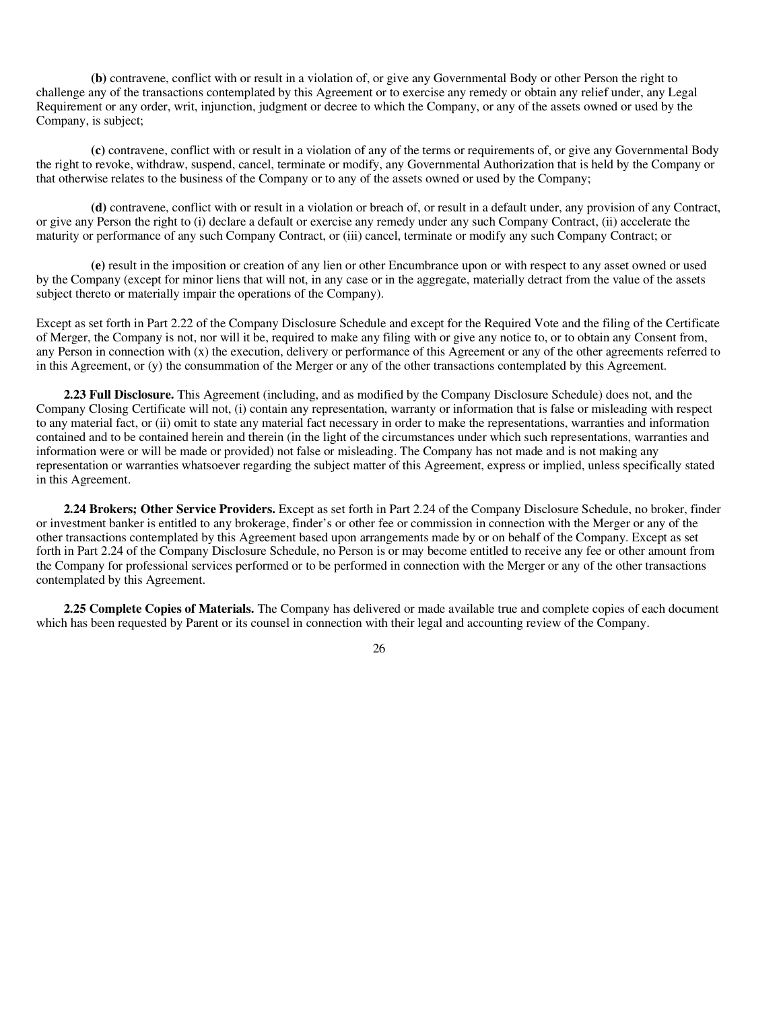**(b)** contravene, conflict with or result in a violation of, or give any Governmental Body or other Person the right to challenge any of the transactions contemplated by this Agreement or to exercise any remedy or obtain any relief under, any Legal Requirement or any order, writ, injunction, judgment or decree to which the Company, or any of the assets owned or used by the Company, is subject;

**(c)** contravene, conflict with or result in a violation of any of the terms or requirements of, or give any Governmental Body the right to revoke, withdraw, suspend, cancel, terminate or modify, any Governmental Authorization that is held by the Company or that otherwise relates to the business of the Company or to any of the assets owned or used by the Company;

**(d)** contravene, conflict with or result in a violation or breach of, or result in a default under, any provision of any Contract, or give any Person the right to (i) declare a default or exercise any remedy under any such Company Contract, (ii) accelerate the maturity or performance of any such Company Contract, or (iii) cancel, terminate or modify any such Company Contract; or

**(e)** result in the imposition or creation of any lien or other Encumbrance upon or with respect to any asset owned or used by the Company (except for minor liens that will not, in any case or in the aggregate, materially detract from the value of the assets subject thereto or materially impair the operations of the Company).

Except as set forth in Part 2.22 of the Company Disclosure Schedule and except for the Required Vote and the filing of the Certificate of Merger, the Company is not, nor will it be, required to make any filing with or give any notice to, or to obtain any Consent from, any Person in connection with (x) the execution, delivery or performance of this Agreement or any of the other agreements referred to in this Agreement, or (y) the consummation of the Merger or any of the other transactions contemplated by this Agreement.

**2.23 Full Disclosure.** This Agreement (including, and as modified by the Company Disclosure Schedule) does not, and the Company Closing Certificate will not, (i) contain any representation, warranty or information that is false or misleading with respect to any material fact, or (ii) omit to state any material fact necessary in order to make the representations, warranties and information contained and to be contained herein and therein (in the light of the circumstances under which such representations, warranties and information were or will be made or provided) not false or misleading. The Company has not made and is not making any representation or warranties whatsoever regarding the subject matter of this Agreement, express or implied, unless specifically stated in this Agreement.

**2.24 Brokers; Other Service Providers.** Except as set forth in Part 2.24 of the Company Disclosure Schedule, no broker, finder or investment banker is entitled to any brokerage, finder's or other fee or commission in connection with the Merger or any of the other transactions contemplated by this Agreement based upon arrangements made by or on behalf of the Company. Except as set forth in Part 2.24 of the Company Disclosure Schedule, no Person is or may become entitled to receive any fee or other amount from the Company for professional services performed or to be performed in connection with the Merger or any of the other transactions contemplated by this Agreement.

**2.25 Complete Copies of Materials.** The Company has delivered or made available true and complete copies of each document which has been requested by Parent or its counsel in connection with their legal and accounting review of the Company.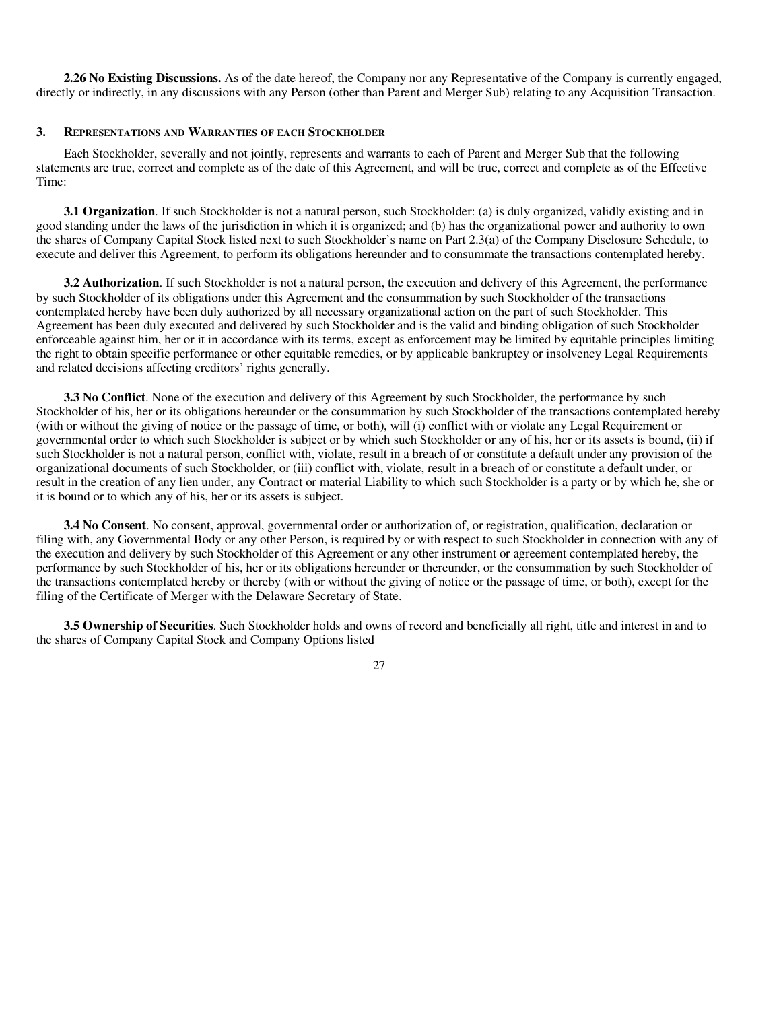**2.26 No Existing Discussions.** As of the date hereof, the Company nor any Representative of the Company is currently engaged, directly or indirectly, in any discussions with any Person (other than Parent and Merger Sub) relating to any Acquisition Transaction.

#### **3. REPRESENTATIONS AND WARRANTIES OF EACH STOCKHOLDER**

Each Stockholder, severally and not jointly, represents and warrants to each of Parent and Merger Sub that the following statements are true, correct and complete as of the date of this Agreement, and will be true, correct and complete as of the Effective Time:

**3.1 Organization**. If such Stockholder is not a natural person, such Stockholder: (a) is duly organized, validly existing and in good standing under the laws of the jurisdiction in which it is organized; and (b) has the organizational power and authority to own the shares of Company Capital Stock listed next to such Stockholder's name on Part 2.3(a) of the Company Disclosure Schedule, to execute and deliver this Agreement, to perform its obligations hereunder and to consummate the transactions contemplated hereby.

**3.2 Authorization**. If such Stockholder is not a natural person, the execution and delivery of this Agreement, the performance by such Stockholder of its obligations under this Agreement and the consummation by such Stockholder of the transactions contemplated hereby have been duly authorized by all necessary organizational action on the part of such Stockholder. This Agreement has been duly executed and delivered by such Stockholder and is the valid and binding obligation of such Stockholder enforceable against him, her or it in accordance with its terms, except as enforcement may be limited by equitable principles limiting the right to obtain specific performance or other equitable remedies, or by applicable bankruptcy or insolvency Legal Requirements and related decisions affecting creditors' rights generally.

**3.3 No Conflict**. None of the execution and delivery of this Agreement by such Stockholder, the performance by such Stockholder of his, her or its obligations hereunder or the consummation by such Stockholder of the transactions contemplated hereby (with or without the giving of notice or the passage of time, or both), will (i) conflict with or violate any Legal Requirement or governmental order to which such Stockholder is subject or by which such Stockholder or any of his, her or its assets is bound, (ii) if such Stockholder is not a natural person, conflict with, violate, result in a breach of or constitute a default under any provision of the organizational documents of such Stockholder, or (iii) conflict with, violate, result in a breach of or constitute a default under, or result in the creation of any lien under, any Contract or material Liability to which such Stockholder is a party or by which he, she or it is bound or to which any of his, her or its assets is subject.

**3.4 No Consent**. No consent, approval, governmental order or authorization of, or registration, qualification, declaration or filing with, any Governmental Body or any other Person, is required by or with respect to such Stockholder in connection with any of the execution and delivery by such Stockholder of this Agreement or any other instrument or agreement contemplated hereby, the performance by such Stockholder of his, her or its obligations hereunder or thereunder, or the consummation by such Stockholder of the transactions contemplated hereby or thereby (with or without the giving of notice or the passage of time, or both), except for the filing of the Certificate of Merger with the Delaware Secretary of State.

**3.5 Ownership of Securities**. Such Stockholder holds and owns of record and beneficially all right, title and interest in and to the shares of Company Capital Stock and Company Options listed

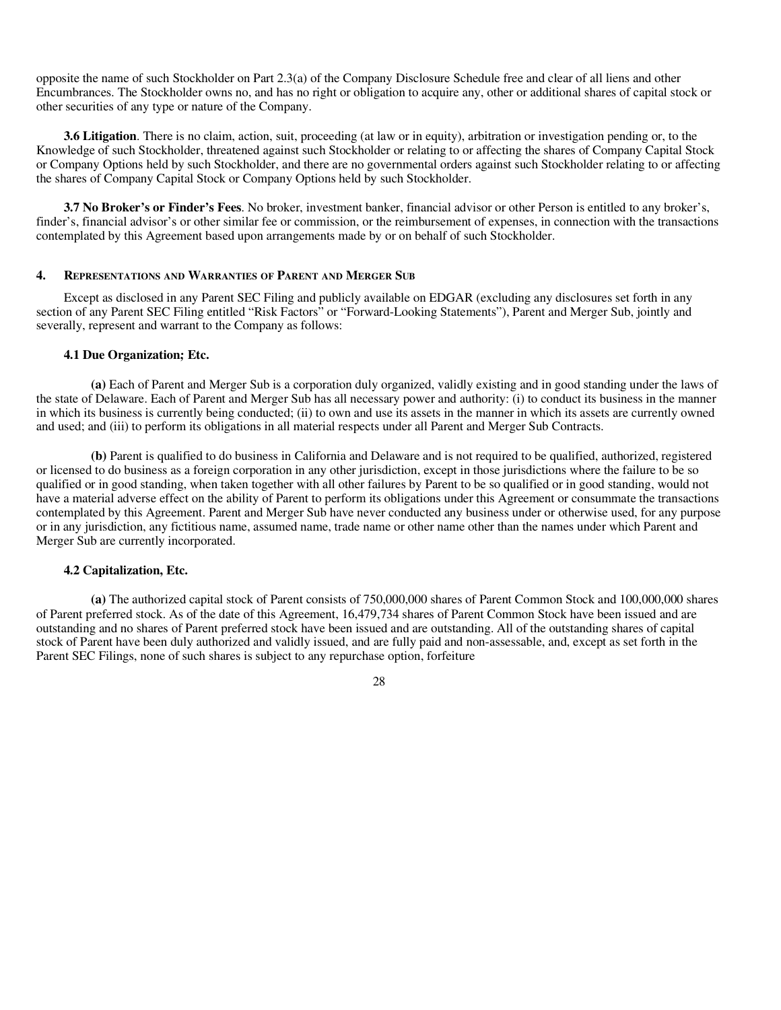opposite the name of such Stockholder on Part 2.3(a) of the Company Disclosure Schedule free and clear of all liens and other Encumbrances. The Stockholder owns no, and has no right or obligation to acquire any, other or additional shares of capital stock or other securities of any type or nature of the Company.

**3.6 Litigation**. There is no claim, action, suit, proceeding (at law or in equity), arbitration or investigation pending or, to the Knowledge of such Stockholder, threatened against such Stockholder or relating to or affecting the shares of Company Capital Stock or Company Options held by such Stockholder, and there are no governmental orders against such Stockholder relating to or affecting the shares of Company Capital Stock or Company Options held by such Stockholder.

**3.7 No Broker's or Finder's Fees**. No broker, investment banker, financial advisor or other Person is entitled to any broker's, finder's, financial advisor's or other similar fee or commission, or the reimbursement of expenses, in connection with the transactions contemplated by this Agreement based upon arrangements made by or on behalf of such Stockholder.

#### **4. REPRESENTATIONS AND WARRANTIES OF PARENT AND MERGER SUB**

Except as disclosed in any Parent SEC Filing and publicly available on EDGAR (excluding any disclosures set forth in any section of any Parent SEC Filing entitled "Risk Factors" or "Forward-Looking Statements"), Parent and Merger Sub, jointly and severally, represent and warrant to the Company as follows:

#### **4.1 Due Organization; Etc.**

**(a)** Each of Parent and Merger Sub is a corporation duly organized, validly existing and in good standing under the laws of the state of Delaware. Each of Parent and Merger Sub has all necessary power and authority: (i) to conduct its business in the manner in which its business is currently being conducted; (ii) to own and use its assets in the manner in which its assets are currently owned and used; and (iii) to perform its obligations in all material respects under all Parent and Merger Sub Contracts.

**(b)** Parent is qualified to do business in California and Delaware and is not required to be qualified, authorized, registered or licensed to do business as a foreign corporation in any other jurisdiction, except in those jurisdictions where the failure to be so qualified or in good standing, when taken together with all other failures by Parent to be so qualified or in good standing, would not have a material adverse effect on the ability of Parent to perform its obligations under this Agreement or consummate the transactions contemplated by this Agreement. Parent and Merger Sub have never conducted any business under or otherwise used, for any purpose or in any jurisdiction, any fictitious name, assumed name, trade name or other name other than the names under which Parent and Merger Sub are currently incorporated.

# **4.2 Capitalization, Etc.**

**(a)** The authorized capital stock of Parent consists of 750,000,000 shares of Parent Common Stock and 100,000,000 shares of Parent preferred stock. As of the date of this Agreement, 16,479,734 shares of Parent Common Stock have been issued and are outstanding and no shares of Parent preferred stock have been issued and are outstanding. All of the outstanding shares of capital stock of Parent have been duly authorized and validly issued, and are fully paid and non-assessable, and, except as set forth in the Parent SEC Filings, none of such shares is subject to any repurchase option, forfeiture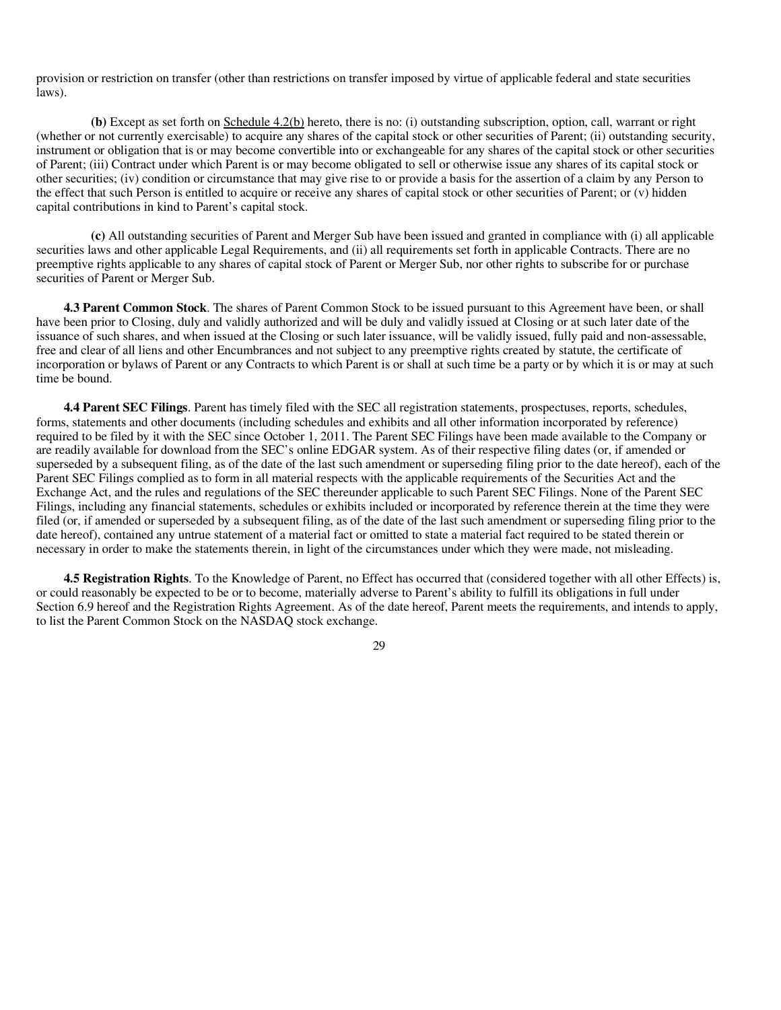provision or restriction on transfer (other than restrictions on transfer imposed by virtue of applicable federal and state securities laws).

**(b)** Except as set forth on Schedule 4.2(b) hereto, there is no: (i) outstanding subscription, option, call, warrant or right (whether or not currently exercisable) to acquire any shares of the capital stock or other securities of Parent; (ii) outstanding security, instrument or obligation that is or may become convertible into or exchangeable for any shares of the capital stock or other securities of Parent; (iii) Contract under which Parent is or may become obligated to sell or otherwise issue any shares of its capital stock or other securities; (iv) condition or circumstance that may give rise to or provide a basis for the assertion of a claim by any Person to the effect that such Person is entitled to acquire or receive any shares of capital stock or other securities of Parent; or (v) hidden capital contributions in kind to Parent's capital stock.

**(c)** All outstanding securities of Parent and Merger Sub have been issued and granted in compliance with (i) all applicable securities laws and other applicable Legal Requirements, and (ii) all requirements set forth in applicable Contracts. There are no preemptive rights applicable to any shares of capital stock of Parent or Merger Sub, nor other rights to subscribe for or purchase securities of Parent or Merger Sub.

**4.3 Parent Common Stock**. The shares of Parent Common Stock to be issued pursuant to this Agreement have been, or shall have been prior to Closing, duly and validly authorized and will be duly and validly issued at Closing or at such later date of the issuance of such shares, and when issued at the Closing or such later issuance, will be validly issued, fully paid and non-assessable, free and clear of all liens and other Encumbrances and not subject to any preemptive rights created by statute, the certificate of incorporation or bylaws of Parent or any Contracts to which Parent is or shall at such time be a party or by which it is or may at such time be bound.

**4.4 Parent SEC Filings**. Parent has timely filed with the SEC all registration statements, prospectuses, reports, schedules, forms, statements and other documents (including schedules and exhibits and all other information incorporated by reference) required to be filed by it with the SEC since October 1, 2011. The Parent SEC Filings have been made available to the Company or are readily available for download from the SEC's online EDGAR system. As of their respective filing dates (or, if amended or superseded by a subsequent filing, as of the date of the last such amendment or superseding filing prior to the date hereof), each of the Parent SEC Filings complied as to form in all material respects with the applicable requirements of the Securities Act and the Exchange Act, and the rules and regulations of the SEC thereunder applicable to such Parent SEC Filings. None of the Parent SEC Filings, including any financial statements, schedules or exhibits included or incorporated by reference therein at the time they were filed (or, if amended or superseded by a subsequent filing, as of the date of the last such amendment or superseding filing prior to the date hereof), contained any untrue statement of a material fact or omitted to state a material fact required to be stated therein or necessary in order to make the statements therein, in light of the circumstances under which they were made, not misleading.

**4.5 Registration Rights**. To the Knowledge of Parent, no Effect has occurred that (considered together with all other Effects) is, or could reasonably be expected to be or to become, materially adverse to Parent's ability to fulfill its obligations in full under Section 6.9 hereof and the Registration Rights Agreement. As of the date hereof, Parent meets the requirements, and intends to apply, to list the Parent Common Stock on the NASDAQ stock exchange.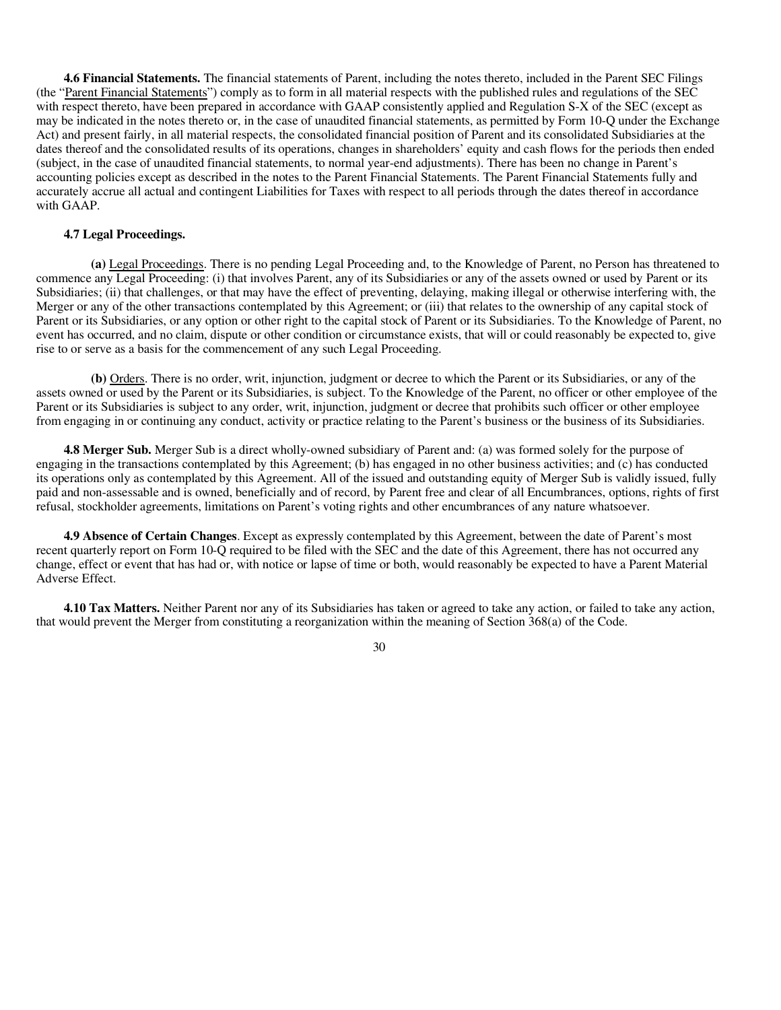**4.6 Financial Statements.** The financial statements of Parent, including the notes thereto, included in the Parent SEC Filings (the "Parent Financial Statements") comply as to form in all material respects with the published rules and regulations of the SEC with respect thereto, have been prepared in accordance with GAAP consistently applied and Regulation S-X of the SEC (except as may be indicated in the notes thereto or, in the case of unaudited financial statements, as permitted by Form 10-Q under the Exchange Act) and present fairly, in all material respects, the consolidated financial position of Parent and its consolidated Subsidiaries at the dates thereof and the consolidated results of its operations, changes in shareholders' equity and cash flows for the periods then ended (subject, in the case of unaudited financial statements, to normal year-end adjustments). There has been no change in Parent's accounting policies except as described in the notes to the Parent Financial Statements. The Parent Financial Statements fully and accurately accrue all actual and contingent Liabilities for Taxes with respect to all periods through the dates thereof in accordance with GAAP.

#### **4.7 Legal Proceedings.**

**(a)** Legal Proceedings. There is no pending Legal Proceeding and, to the Knowledge of Parent, no Person has threatened to commence any Legal Proceeding: (i) that involves Parent, any of its Subsidiaries or any of the assets owned or used by Parent or its Subsidiaries; (ii) that challenges, or that may have the effect of preventing, delaying, making illegal or otherwise interfering with, the Merger or any of the other transactions contemplated by this Agreement; or (iii) that relates to the ownership of any capital stock of Parent or its Subsidiaries, or any option or other right to the capital stock of Parent or its Subsidiaries. To the Knowledge of Parent, no event has occurred, and no claim, dispute or other condition or circumstance exists, that will or could reasonably be expected to, give rise to or serve as a basis for the commencement of any such Legal Proceeding.

**(b)** Orders. There is no order, writ, injunction, judgment or decree to which the Parent or its Subsidiaries, or any of the assets owned or used by the Parent or its Subsidiaries, is subject. To the Knowledge of the Parent, no officer or other employee of the Parent or its Subsidiaries is subject to any order, writ, injunction, judgment or decree that prohibits such officer or other employee from engaging in or continuing any conduct, activity or practice relating to the Parent's business or the business of its Subsidiaries.

**4.8 Merger Sub.** Merger Sub is a direct wholly-owned subsidiary of Parent and: (a) was formed solely for the purpose of engaging in the transactions contemplated by this Agreement; (b) has engaged in no other business activities; and (c) has conducted its operations only as contemplated by this Agreement. All of the issued and outstanding equity of Merger Sub is validly issued, fully paid and non-assessable and is owned, beneficially and of record, by Parent free and clear of all Encumbrances, options, rights of first refusal, stockholder agreements, limitations on Parent's voting rights and other encumbrances of any nature whatsoever.

**4.9 Absence of Certain Changes**. Except as expressly contemplated by this Agreement, between the date of Parent's most recent quarterly report on Form 10-Q required to be filed with the SEC and the date of this Agreement, there has not occurred any change, effect or event that has had or, with notice or lapse of time or both, would reasonably be expected to have a Parent Material Adverse Effect.

**4.10 Tax Matters.** Neither Parent nor any of its Subsidiaries has taken or agreed to take any action, or failed to take any action, that would prevent the Merger from constituting a reorganization within the meaning of Section 368(a) of the Code.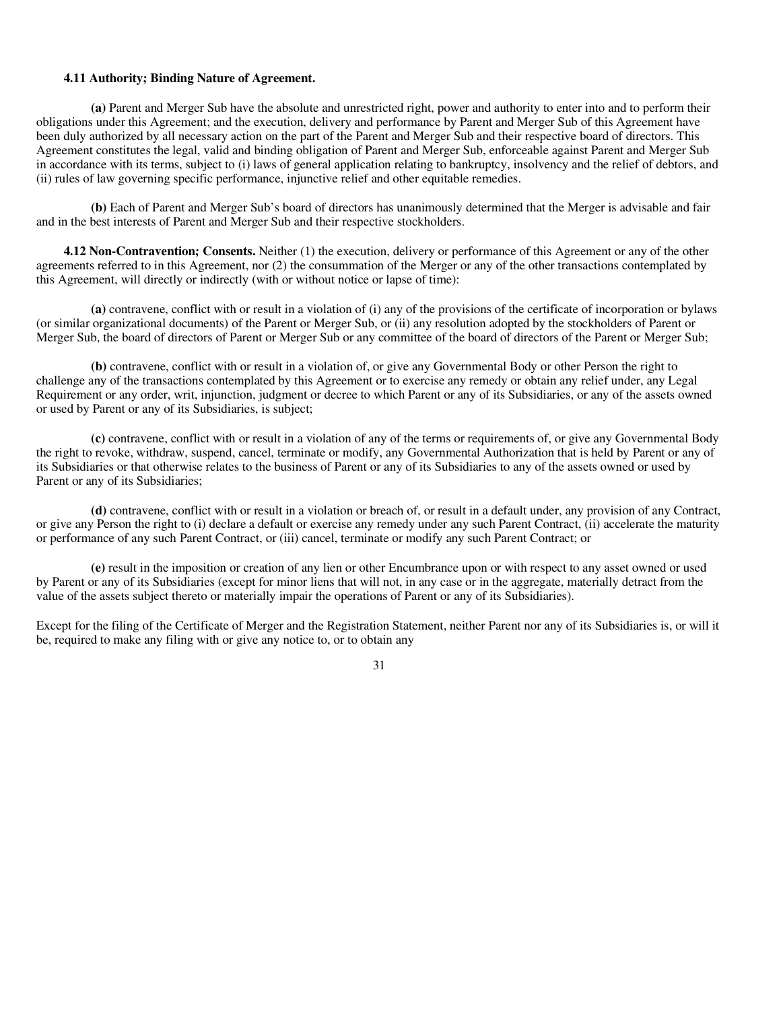### **4.11 Authority; Binding Nature of Agreement.**

**(a)** Parent and Merger Sub have the absolute and unrestricted right, power and authority to enter into and to perform their obligations under this Agreement; and the execution, delivery and performance by Parent and Merger Sub of this Agreement have been duly authorized by all necessary action on the part of the Parent and Merger Sub and their respective board of directors. This Agreement constitutes the legal, valid and binding obligation of Parent and Merger Sub, enforceable against Parent and Merger Sub in accordance with its terms, subject to (i) laws of general application relating to bankruptcy, insolvency and the relief of debtors, and (ii) rules of law governing specific performance, injunctive relief and other equitable remedies.

**(b)** Each of Parent and Merger Sub's board of directors has unanimously determined that the Merger is advisable and fair and in the best interests of Parent and Merger Sub and their respective stockholders.

**4.12 Non-Contravention; Consents.** Neither (1) the execution, delivery or performance of this Agreement or any of the other agreements referred to in this Agreement, nor (2) the consummation of the Merger or any of the other transactions contemplated by this Agreement, will directly or indirectly (with or without notice or lapse of time):

**(a)** contravene, conflict with or result in a violation of (i) any of the provisions of the certificate of incorporation or bylaws (or similar organizational documents) of the Parent or Merger Sub, or (ii) any resolution adopted by the stockholders of Parent or Merger Sub, the board of directors of Parent or Merger Sub or any committee of the board of directors of the Parent or Merger Sub;

**(b)** contravene, conflict with or result in a violation of, or give any Governmental Body or other Person the right to challenge any of the transactions contemplated by this Agreement or to exercise any remedy or obtain any relief under, any Legal Requirement or any order, writ, injunction, judgment or decree to which Parent or any of its Subsidiaries, or any of the assets owned or used by Parent or any of its Subsidiaries, is subject;

**(c)** contravene, conflict with or result in a violation of any of the terms or requirements of, or give any Governmental Body the right to revoke, withdraw, suspend, cancel, terminate or modify, any Governmental Authorization that is held by Parent or any of its Subsidiaries or that otherwise relates to the business of Parent or any of its Subsidiaries to any of the assets owned or used by Parent or any of its Subsidiaries;

**(d)** contravene, conflict with or result in a violation or breach of, or result in a default under, any provision of any Contract, or give any Person the right to (i) declare a default or exercise any remedy under any such Parent Contract, (ii) accelerate the maturity or performance of any such Parent Contract, or (iii) cancel, terminate or modify any such Parent Contract; or

**(e)** result in the imposition or creation of any lien or other Encumbrance upon or with respect to any asset owned or used by Parent or any of its Subsidiaries (except for minor liens that will not, in any case or in the aggregate, materially detract from the value of the assets subject thereto or materially impair the operations of Parent or any of its Subsidiaries).

Except for the filing of the Certificate of Merger and the Registration Statement, neither Parent nor any of its Subsidiaries is, or will it be, required to make any filing with or give any notice to, or to obtain any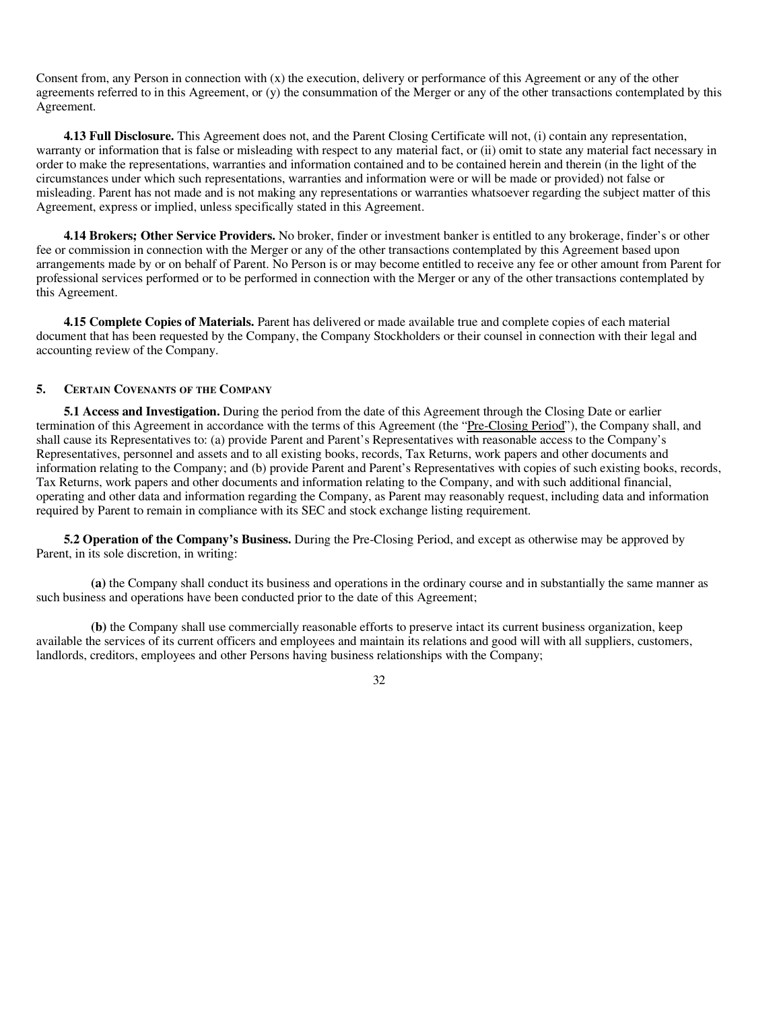Consent from, any Person in connection with  $(x)$  the execution, delivery or performance of this Agreement or any of the other agreements referred to in this Agreement, or (y) the consummation of the Merger or any of the other transactions contemplated by this Agreement.

**4.13 Full Disclosure.** This Agreement does not, and the Parent Closing Certificate will not, (i) contain any representation, warranty or information that is false or misleading with respect to any material fact, or (ii) omit to state any material fact necessary in order to make the representations, warranties and information contained and to be contained herein and therein (in the light of the circumstances under which such representations, warranties and information were or will be made or provided) not false or misleading. Parent has not made and is not making any representations or warranties whatsoever regarding the subject matter of this Agreement, express or implied, unless specifically stated in this Agreement.

**4.14 Brokers; Other Service Providers.** No broker, finder or investment banker is entitled to any brokerage, finder's or other fee or commission in connection with the Merger or any of the other transactions contemplated by this Agreement based upon arrangements made by or on behalf of Parent. No Person is or may become entitled to receive any fee or other amount from Parent for professional services performed or to be performed in connection with the Merger or any of the other transactions contemplated by this Agreement.

**4.15 Complete Copies of Materials.** Parent has delivered or made available true and complete copies of each material document that has been requested by the Company, the Company Stockholders or their counsel in connection with their legal and accounting review of the Company.

# **5. CERTAIN COVENANTS OF THE COMPANY**

**5.1 Access and Investigation.** During the period from the date of this Agreement through the Closing Date or earlier termination of this Agreement in accordance with the terms of this Agreement (the "Pre-Closing Period"), the Company shall, and shall cause its Representatives to: (a) provide Parent and Parent's Representatives with reasonable access to the Company's Representatives, personnel and assets and to all existing books, records, Tax Returns, work papers and other documents and information relating to the Company; and (b) provide Parent and Parent's Representatives with copies of such existing books, records, Tax Returns, work papers and other documents and information relating to the Company, and with such additional financial, operating and other data and information regarding the Company, as Parent may reasonably request, including data and information required by Parent to remain in compliance with its SEC and stock exchange listing requirement.

**5.2 Operation of the Company's Business.** During the Pre-Closing Period, and except as otherwise may be approved by Parent, in its sole discretion, in writing:

**(a)** the Company shall conduct its business and operations in the ordinary course and in substantially the same manner as such business and operations have been conducted prior to the date of this Agreement;

**(b)** the Company shall use commercially reasonable efforts to preserve intact its current business organization, keep available the services of its current officers and employees and maintain its relations and good will with all suppliers, customers, landlords, creditors, employees and other Persons having business relationships with the Company;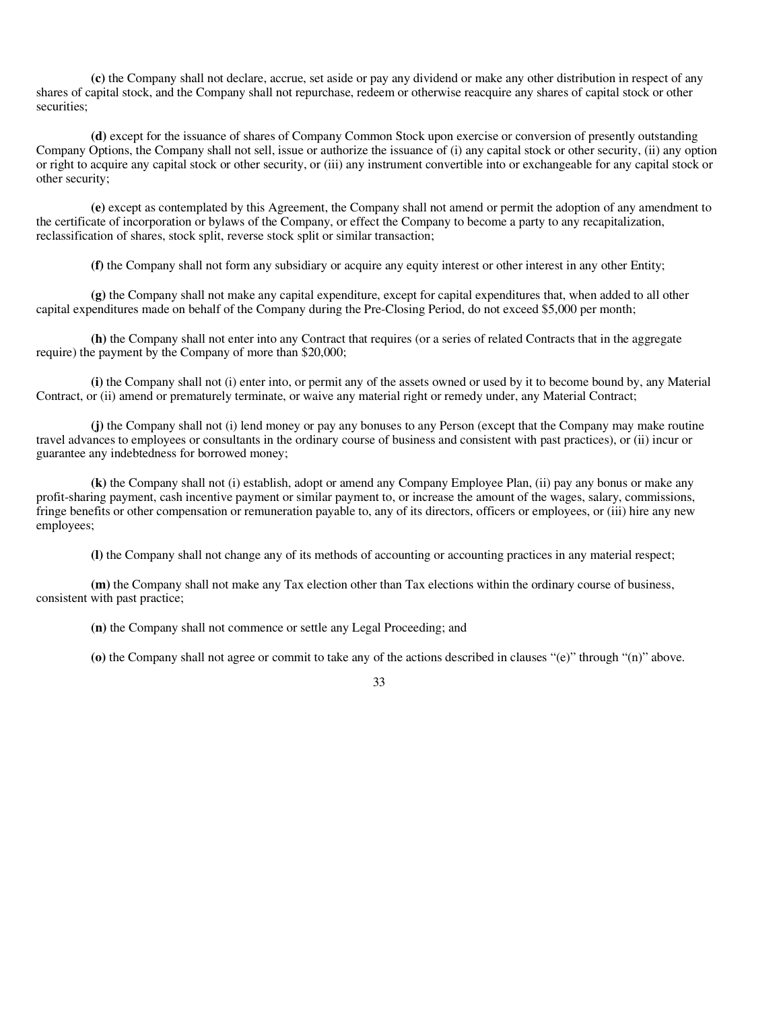**(c)** the Company shall not declare, accrue, set aside or pay any dividend or make any other distribution in respect of any shares of capital stock, and the Company shall not repurchase, redeem or otherwise reacquire any shares of capital stock or other securities;

**(d)** except for the issuance of shares of Company Common Stock upon exercise or conversion of presently outstanding Company Options, the Company shall not sell, issue or authorize the issuance of (i) any capital stock or other security, (ii) any option or right to acquire any capital stock or other security, or (iii) any instrument convertible into or exchangeable for any capital stock or other security;

**(e)** except as contemplated by this Agreement, the Company shall not amend or permit the adoption of any amendment to the certificate of incorporation or bylaws of the Company, or effect the Company to become a party to any recapitalization, reclassification of shares, stock split, reverse stock split or similar transaction;

**(f)** the Company shall not form any subsidiary or acquire any equity interest or other interest in any other Entity;

**(g)** the Company shall not make any capital expenditure, except for capital expenditures that, when added to all other capital expenditures made on behalf of the Company during the Pre-Closing Period, do not exceed \$5,000 per month;

**(h)** the Company shall not enter into any Contract that requires (or a series of related Contracts that in the aggregate require) the payment by the Company of more than \$20,000;

**(i)** the Company shall not (i) enter into, or permit any of the assets owned or used by it to become bound by, any Material Contract, or (ii) amend or prematurely terminate, or waive any material right or remedy under, any Material Contract;

**(j)** the Company shall not (i) lend money or pay any bonuses to any Person (except that the Company may make routine travel advances to employees or consultants in the ordinary course of business and consistent with past practices), or (ii) incur or guarantee any indebtedness for borrowed money;

**(k)** the Company shall not (i) establish, adopt or amend any Company Employee Plan, (ii) pay any bonus or make any profit-sharing payment, cash incentive payment or similar payment to, or increase the amount of the wages, salary, commissions, fringe benefits or other compensation or remuneration payable to, any of its directors, officers or employees, or (iii) hire any new employees;

**(l)** the Company shall not change any of its methods of accounting or accounting practices in any material respect;

**(m)** the Company shall not make any Tax election other than Tax elections within the ordinary course of business, consistent with past practice;

**(n)** the Company shall not commence or settle any Legal Proceeding; and

**(o)** the Company shall not agree or commit to take any of the actions described in clauses "(e)" through "(n)" above.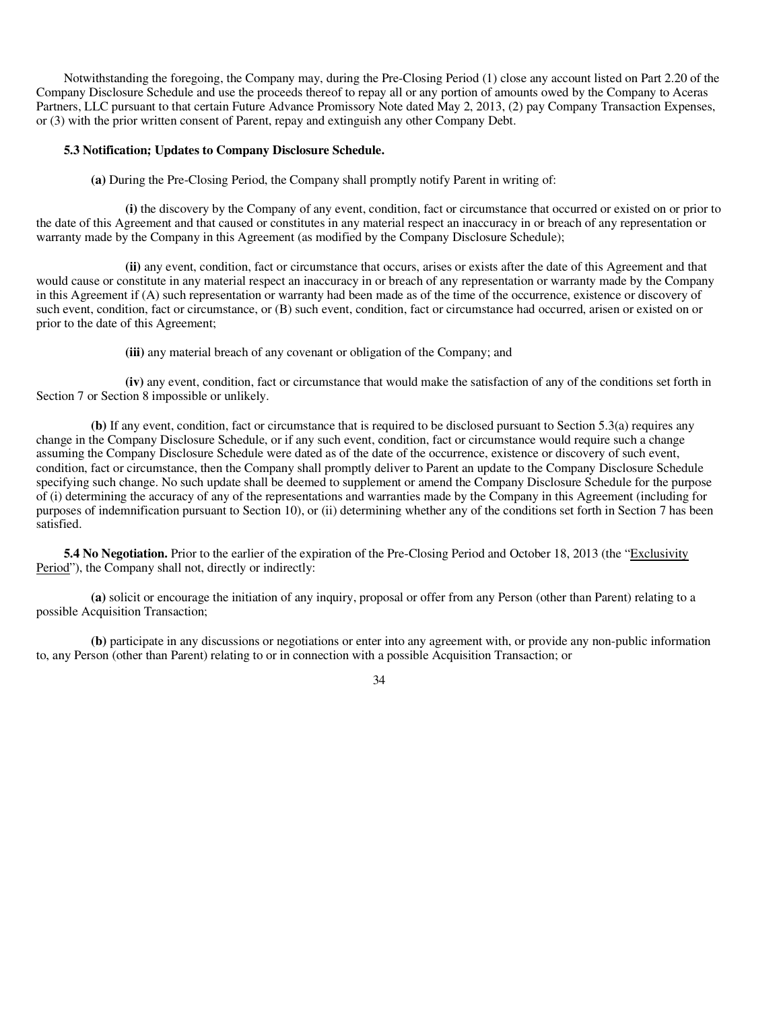Notwithstanding the foregoing, the Company may, during the Pre-Closing Period (1) close any account listed on Part 2.20 of the Company Disclosure Schedule and use the proceeds thereof to repay all or any portion of amounts owed by the Company to Aceras Partners, LLC pursuant to that certain Future Advance Promissory Note dated May 2, 2013, (2) pay Company Transaction Expenses, or (3) with the prior written consent of Parent, repay and extinguish any other Company Debt.

#### **5.3 Notification; Updates to Company Disclosure Schedule.**

**(a)** During the Pre-Closing Period, the Company shall promptly notify Parent in writing of:

**(i)** the discovery by the Company of any event, condition, fact or circumstance that occurred or existed on or prior to the date of this Agreement and that caused or constitutes in any material respect an inaccuracy in or breach of any representation or warranty made by the Company in this Agreement (as modified by the Company Disclosure Schedule);

**(ii)** any event, condition, fact or circumstance that occurs, arises or exists after the date of this Agreement and that would cause or constitute in any material respect an inaccuracy in or breach of any representation or warranty made by the Company in this Agreement if (A) such representation or warranty had been made as of the time of the occurrence, existence or discovery of such event, condition, fact or circumstance, or (B) such event, condition, fact or circumstance had occurred, arisen or existed on or prior to the date of this Agreement;

**(iii)** any material breach of any covenant or obligation of the Company; and

**(iv)** any event, condition, fact or circumstance that would make the satisfaction of any of the conditions set forth in Section 7 or Section 8 impossible or unlikely.

**(b)** If any event, condition, fact or circumstance that is required to be disclosed pursuant to Section 5.3(a) requires any change in the Company Disclosure Schedule, or if any such event, condition, fact or circumstance would require such a change assuming the Company Disclosure Schedule were dated as of the date of the occurrence, existence or discovery of such event, condition, fact or circumstance, then the Company shall promptly deliver to Parent an update to the Company Disclosure Schedule specifying such change. No such update shall be deemed to supplement or amend the Company Disclosure Schedule for the purpose of (i) determining the accuracy of any of the representations and warranties made by the Company in this Agreement (including for purposes of indemnification pursuant to Section 10), or (ii) determining whether any of the conditions set forth in Section 7 has been satisfied.

**5.4 No Negotiation.** Prior to the earlier of the expiration of the Pre-Closing Period and October 18, 2013 (the "Exclusivity") Period"), the Company shall not, directly or indirectly:

**(a)** solicit or encourage the initiation of any inquiry, proposal or offer from any Person (other than Parent) relating to a possible Acquisition Transaction;

**(b)** participate in any discussions or negotiations or enter into any agreement with, or provide any non-public information to, any Person (other than Parent) relating to or in connection with a possible Acquisition Transaction; or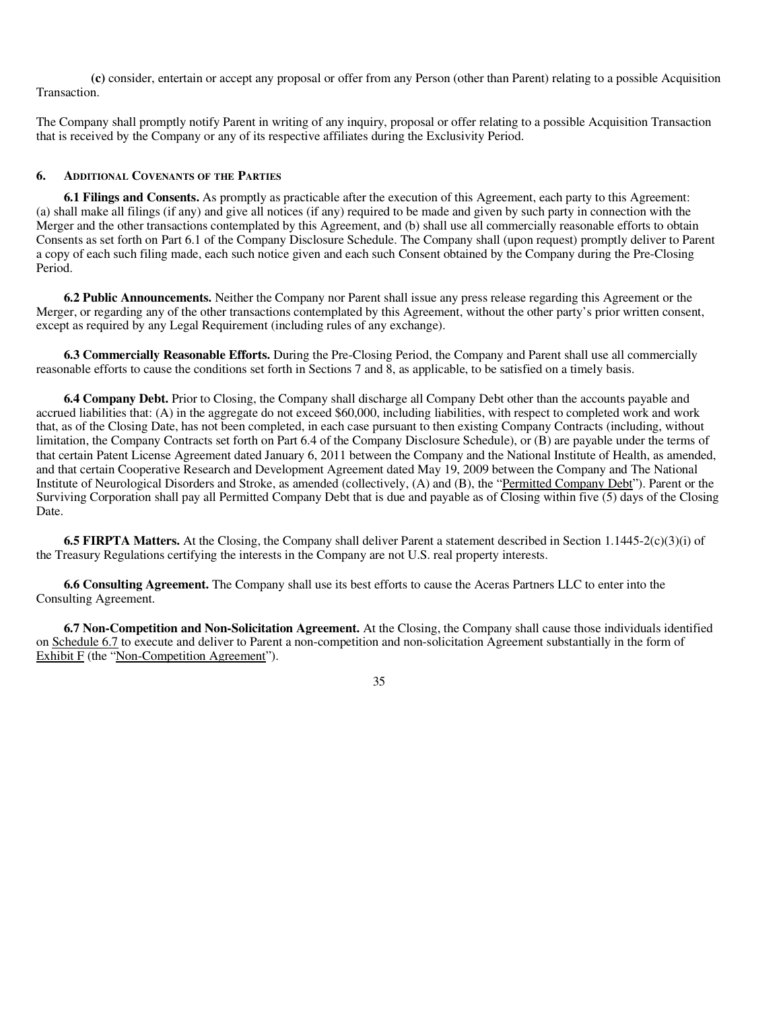**(c)** consider, entertain or accept any proposal or offer from any Person (other than Parent) relating to a possible Acquisition Transaction.

The Company shall promptly notify Parent in writing of any inquiry, proposal or offer relating to a possible Acquisition Transaction that is received by the Company or any of its respective affiliates during the Exclusivity Period.

# **6. ADDITIONAL COVENANTS OF THE PARTIES**

**6.1 Filings and Consents.** As promptly as practicable after the execution of this Agreement, each party to this Agreement: (a) shall make all filings (if any) and give all notices (if any) required to be made and given by such party in connection with the Merger and the other transactions contemplated by this Agreement, and (b) shall use all commercially reasonable efforts to obtain Consents as set forth on Part 6.1 of the Company Disclosure Schedule. The Company shall (upon request) promptly deliver to Parent a copy of each such filing made, each such notice given and each such Consent obtained by the Company during the Pre-Closing Period.

**6.2 Public Announcements.** Neither the Company nor Parent shall issue any press release regarding this Agreement or the Merger, or regarding any of the other transactions contemplated by this Agreement, without the other party's prior written consent, except as required by any Legal Requirement (including rules of any exchange).

**6.3 Commercially Reasonable Efforts.** During the Pre-Closing Period, the Company and Parent shall use all commercially reasonable efforts to cause the conditions set forth in Sections 7 and 8, as applicable, to be satisfied on a timely basis.

**6.4 Company Debt.** Prior to Closing, the Company shall discharge all Company Debt other than the accounts payable and accrued liabilities that: (A) in the aggregate do not exceed \$60,000, including liabilities, with respect to completed work and work that, as of the Closing Date, has not been completed, in each case pursuant to then existing Company Contracts (including, without limitation, the Company Contracts set forth on Part 6.4 of the Company Disclosure Schedule), or (B) are payable under the terms of that certain Patent License Agreement dated January 6, 2011 between the Company and the National Institute of Health, as amended, and that certain Cooperative Research and Development Agreement dated May 19, 2009 between the Company and The National Institute of Neurological Disorders and Stroke, as amended (collectively, (A) and (B), the "Permitted Company Debt"). Parent or the Surviving Corporation shall pay all Permitted Company Debt that is due and payable as of Closing within five (5) days of the Closing Date.

**6.5 FIRPTA Matters.** At the Closing, the Company shall deliver Parent a statement described in Section 1.1445-2(c)(3)(i) of the Treasury Regulations certifying the interests in the Company are not U.S. real property interests.

**6.6 Consulting Agreement.** The Company shall use its best efforts to cause the Aceras Partners LLC to enter into the Consulting Agreement.

**6.7 Non-Competition and Non-Solicitation Agreement.** At the Closing, the Company shall cause those individuals identified on Schedule 6.7 to execute and deliver to Parent a non-competition and non-solicitation Agreement substantially in the form of Exhibit F (the "Non-Competition Agreement").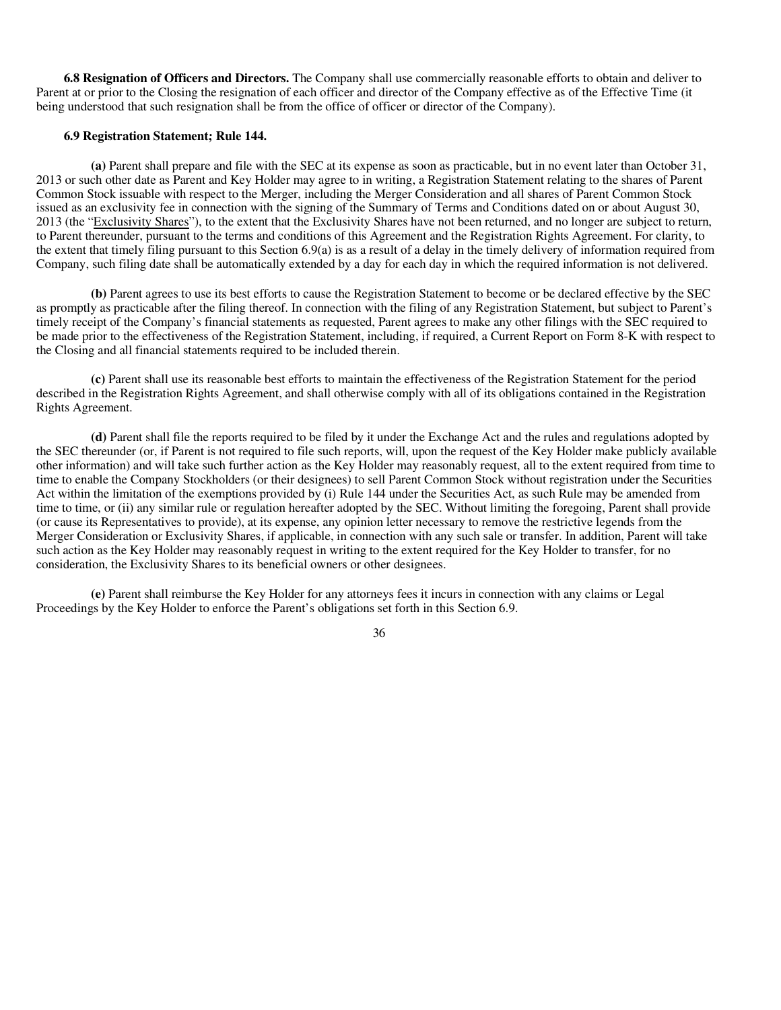**6.8 Resignation of Officers and Directors.** The Company shall use commercially reasonable efforts to obtain and deliver to Parent at or prior to the Closing the resignation of each officer and director of the Company effective as of the Effective Time (it being understood that such resignation shall be from the office of officer or director of the Company).

#### **6.9 Registration Statement; Rule 144.**

**(a)** Parent shall prepare and file with the SEC at its expense as soon as practicable, but in no event later than October 31, 2013 or such other date as Parent and Key Holder may agree to in writing, a Registration Statement relating to the shares of Parent Common Stock issuable with respect to the Merger, including the Merger Consideration and all shares of Parent Common Stock issued as an exclusivity fee in connection with the signing of the Summary of Terms and Conditions dated on or about August 30, 2013 (the "Exclusivity Shares"), to the extent that the Exclusivity Shares have not been returned, and no longer are subject to return, to Parent thereunder, pursuant to the terms and conditions of this Agreement and the Registration Rights Agreement. For clarity, to the extent that timely filing pursuant to this Section 6.9(a) is as a result of a delay in the timely delivery of information required from Company, such filing date shall be automatically extended by a day for each day in which the required information is not delivered.

**(b)** Parent agrees to use its best efforts to cause the Registration Statement to become or be declared effective by the SEC as promptly as practicable after the filing thereof. In connection with the filing of any Registration Statement, but subject to Parent's timely receipt of the Company's financial statements as requested, Parent agrees to make any other filings with the SEC required to be made prior to the effectiveness of the Registration Statement, including, if required, a Current Report on Form 8-K with respect to the Closing and all financial statements required to be included therein.

**(c)** Parent shall use its reasonable best efforts to maintain the effectiveness of the Registration Statement for the period described in the Registration Rights Agreement, and shall otherwise comply with all of its obligations contained in the Registration Rights Agreement.

**(d)** Parent shall file the reports required to be filed by it under the Exchange Act and the rules and regulations adopted by the SEC thereunder (or, if Parent is not required to file such reports, will, upon the request of the Key Holder make publicly available other information) and will take such further action as the Key Holder may reasonably request, all to the extent required from time to time to enable the Company Stockholders (or their designees) to sell Parent Common Stock without registration under the Securities Act within the limitation of the exemptions provided by (i) Rule 144 under the Securities Act, as such Rule may be amended from time to time, or (ii) any similar rule or regulation hereafter adopted by the SEC. Without limiting the foregoing, Parent shall provide (or cause its Representatives to provide), at its expense, any opinion letter necessary to remove the restrictive legends from the Merger Consideration or Exclusivity Shares, if applicable, in connection with any such sale or transfer. In addition, Parent will take such action as the Key Holder may reasonably request in writing to the extent required for the Key Holder to transfer, for no consideration, the Exclusivity Shares to its beneficial owners or other designees.

**(e)** Parent shall reimburse the Key Holder for any attorneys fees it incurs in connection with any claims or Legal Proceedings by the Key Holder to enforce the Parent's obligations set forth in this Section 6.9.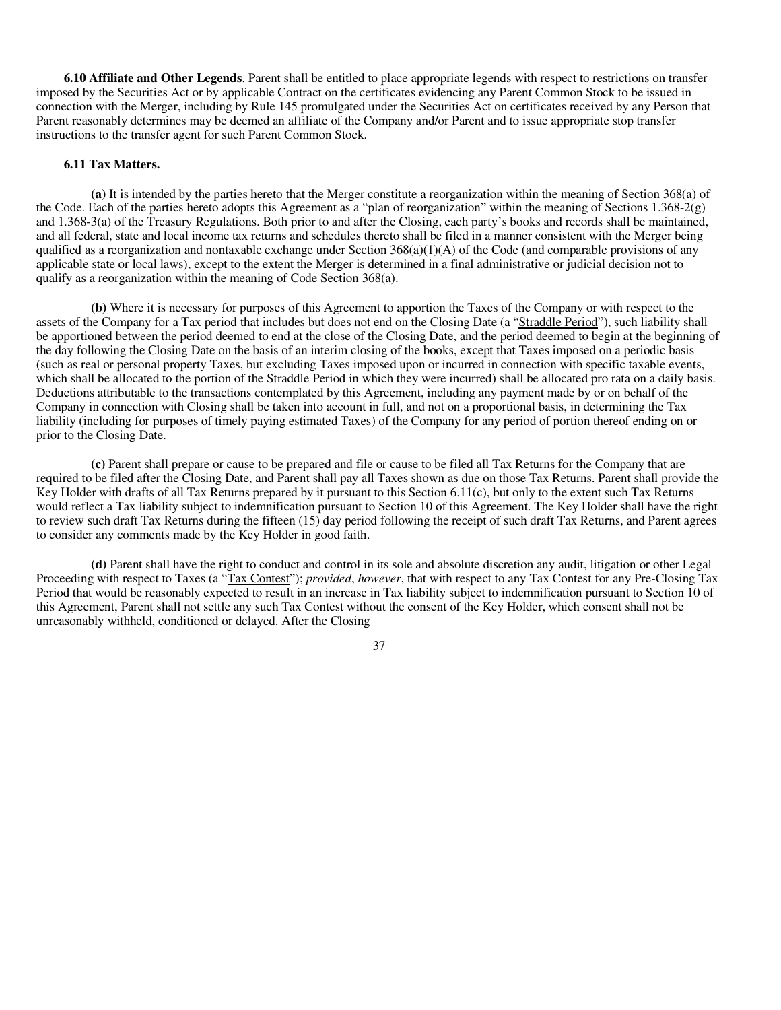**6.10 Affiliate and Other Legends**. Parent shall be entitled to place appropriate legends with respect to restrictions on transfer imposed by the Securities Act or by applicable Contract on the certificates evidencing any Parent Common Stock to be issued in connection with the Merger, including by Rule 145 promulgated under the Securities Act on certificates received by any Person that Parent reasonably determines may be deemed an affiliate of the Company and/or Parent and to issue appropriate stop transfer instructions to the transfer agent for such Parent Common Stock.

#### **6.11 Tax Matters.**

**(a)** It is intended by the parties hereto that the Merger constitute a reorganization within the meaning of Section 368(a) of the Code. Each of the parties hereto adopts this Agreement as a "plan of reorganization" within the meaning of Sections 1.368-2(g) and 1.368-3(a) of the Treasury Regulations. Both prior to and after the Closing, each party's books and records shall be maintained, and all federal, state and local income tax returns and schedules thereto shall be filed in a manner consistent with the Merger being qualified as a reorganization and nontaxable exchange under Section  $368(a)(1)(A)$  of the Code (and comparable provisions of any applicable state or local laws), except to the extent the Merger is determined in a final administrative or judicial decision not to qualify as a reorganization within the meaning of Code Section 368(a).

**(b)** Where it is necessary for purposes of this Agreement to apportion the Taxes of the Company or with respect to the assets of the Company for a Tax period that includes but does not end on the Closing Date (a "Straddle Period"), such liability shall be apportioned between the period deemed to end at the close of the Closing Date, and the period deemed to begin at the beginning of the day following the Closing Date on the basis of an interim closing of the books, except that Taxes imposed on a periodic basis (such as real or personal property Taxes, but excluding Taxes imposed upon or incurred in connection with specific taxable events, which shall be allocated to the portion of the Straddle Period in which they were incurred) shall be allocated pro rata on a daily basis. Deductions attributable to the transactions contemplated by this Agreement, including any payment made by or on behalf of the Company in connection with Closing shall be taken into account in full, and not on a proportional basis, in determining the Tax liability (including for purposes of timely paying estimated Taxes) of the Company for any period of portion thereof ending on or prior to the Closing Date.

**(c)** Parent shall prepare or cause to be prepared and file or cause to be filed all Tax Returns for the Company that are required to be filed after the Closing Date, and Parent shall pay all Taxes shown as due on those Tax Returns. Parent shall provide the Key Holder with drafts of all Tax Returns prepared by it pursuant to this Section 6.11(c), but only to the extent such Tax Returns would reflect a Tax liability subject to indemnification pursuant to Section 10 of this Agreement. The Key Holder shall have the right to review such draft Tax Returns during the fifteen (15) day period following the receipt of such draft Tax Returns, and Parent agrees to consider any comments made by the Key Holder in good faith.

**(d)** Parent shall have the right to conduct and control in its sole and absolute discretion any audit, litigation or other Legal Proceeding with respect to Taxes (a "Tax Contest"); *provided*, *however*, that with respect to any Tax Contest for any Pre-Closing Tax Period that would be reasonably expected to result in an increase in Tax liability subject to indemnification pursuant to Section 10 of this Agreement, Parent shall not settle any such Tax Contest without the consent of the Key Holder, which consent shall not be unreasonably withheld, conditioned or delayed. After the Closing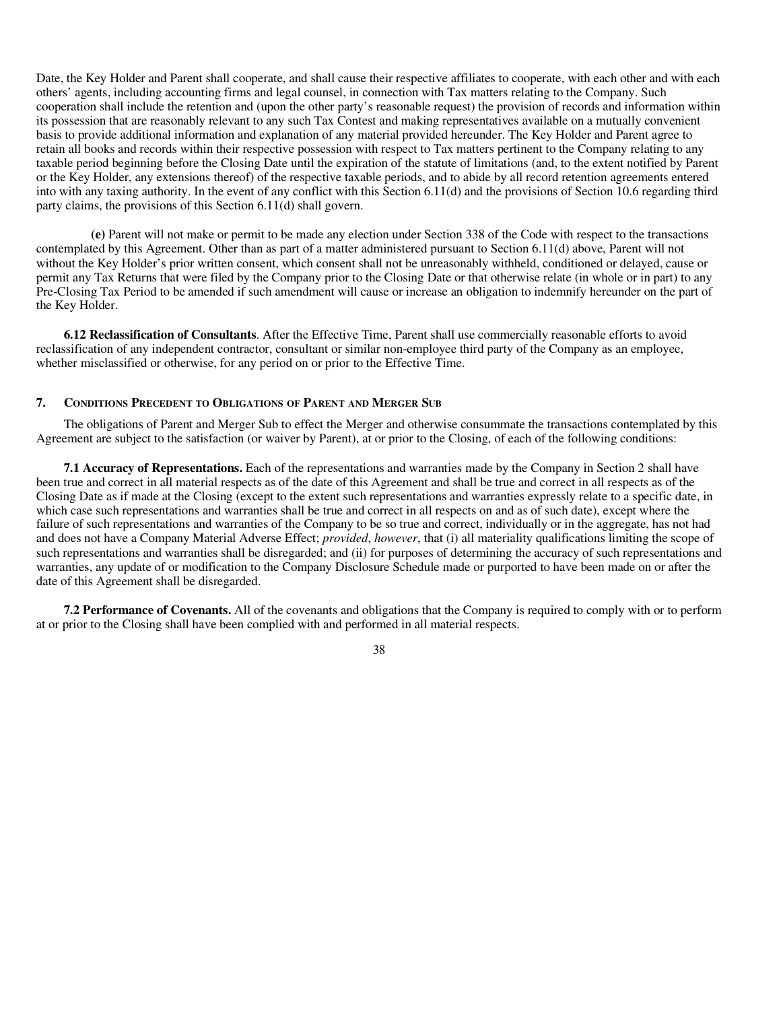Date, the Key Holder and Parent shall cooperate, and shall cause their respective affiliates to cooperate, with each other and with each others' agents, including accounting firms and legal counsel, in connection with Tax matters relating to the Company. Such cooperation shall include the retention and (upon the other party's reasonable request) the provision of records and information within its possession that are reasonably relevant to any such Tax Contest and making representatives available on a mutually convenient basis to provide additional information and explanation of any material provided hereunder. The Key Holder and Parent agree to retain all books and records within their respective possession with respect to Tax matters pertinent to the Company relating to any taxable period beginning before the Closing Date until the expiration of the statute of limitations (and, to the extent notified by Parent or the Key Holder, any extensions thereof) of the respective taxable periods, and to abide by all record retention agreements entered into with any taxing authority. In the event of any conflict with this Section 6.11(d) and the provisions of Section 10.6 regarding third party claims, the provisions of this Section 6.11(d) shall govern.

**(e)** Parent will not make or permit to be made any election under Section 338 of the Code with respect to the transactions contemplated by this Agreement. Other than as part of a matter administered pursuant to Section 6.11(d) above, Parent will not without the Key Holder's prior written consent, which consent shall not be unreasonably withheld, conditioned or delayed, cause or permit any Tax Returns that were filed by the Company prior to the Closing Date or that otherwise relate (in whole or in part) to any Pre-Closing Tax Period to be amended if such amendment will cause or increase an obligation to indemnify hereunder on the part of the Key Holder.

**6.12 Reclassification of Consultants**. After the Effective Time, Parent shall use commercially reasonable efforts to avoid reclassification of any independent contractor, consultant or similar non-employee third party of the Company as an employee, whether misclassified or otherwise, for any period on or prior to the Effective Time.

# **7. CONDITIONS PRECEDENT TO OBLIGATIONS OF PARENT AND MERGER SUB**

The obligations of Parent and Merger Sub to effect the Merger and otherwise consummate the transactions contemplated by this Agreement are subject to the satisfaction (or waiver by Parent), at or prior to the Closing, of each of the following conditions:

**7.1 Accuracy of Representations.** Each of the representations and warranties made by the Company in Section 2 shall have been true and correct in all material respects as of the date of this Agreement and shall be true and correct in all respects as of the Closing Date as if made at the Closing (except to the extent such representations and warranties expressly relate to a specific date, in which case such representations and warranties shall be true and correct in all respects on and as of such date), except where the failure of such representations and warranties of the Company to be so true and correct, individually or in the aggregate, has not had and does not have a Company Material Adverse Effect; *provided*, *however*, that (i) all materiality qualifications limiting the scope of such representations and warranties shall be disregarded; and (ii) for purposes of determining the accuracy of such representations and warranties, any update of or modification to the Company Disclosure Schedule made or purported to have been made on or after the date of this Agreement shall be disregarded.

**7.2 Performance of Covenants.** All of the covenants and obligations that the Company is required to comply with or to perform at or prior to the Closing shall have been complied with and performed in all material respects.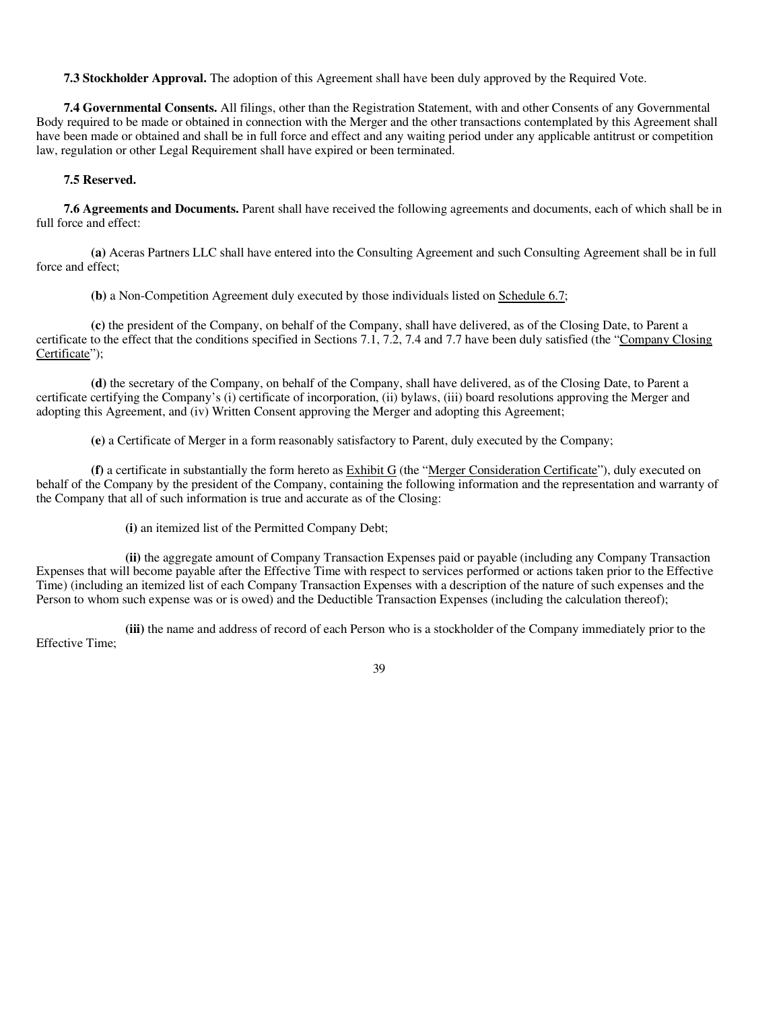**7.3 Stockholder Approval.** The adoption of this Agreement shall have been duly approved by the Required Vote.

**7.4 Governmental Consents.** All filings, other than the Registration Statement, with and other Consents of any Governmental Body required to be made or obtained in connection with the Merger and the other transactions contemplated by this Agreement shall have been made or obtained and shall be in full force and effect and any waiting period under any applicable antitrust or competition law, regulation or other Legal Requirement shall have expired or been terminated.

# **7.5 Reserved.**

**7.6 Agreements and Documents.** Parent shall have received the following agreements and documents, each of which shall be in full force and effect:

**(a)** Aceras Partners LLC shall have entered into the Consulting Agreement and such Consulting Agreement shall be in full force and effect;

**(b)** a Non-Competition Agreement duly executed by those individuals listed on Schedule 6.7;

**(c)** the president of the Company, on behalf of the Company, shall have delivered, as of the Closing Date, to Parent a certificate to the effect that the conditions specified in Sections 7.1, 7.2, 7.4 and 7.7 have been duly satisfied (the "Company Closing Certificate");

**(d)** the secretary of the Company, on behalf of the Company, shall have delivered, as of the Closing Date, to Parent a certificate certifying the Company's (i) certificate of incorporation, (ii) bylaws, (iii) board resolutions approving the Merger and adopting this Agreement, and (iv) Written Consent approving the Merger and adopting this Agreement;

**(e)** a Certificate of Merger in a form reasonably satisfactory to Parent, duly executed by the Company;

**(f)** a certificate in substantially the form hereto as Exhibit G (the "Merger Consideration Certificate"), duly executed on behalf of the Company by the president of the Company, containing the following information and the representation and warranty of the Company that all of such information is true and accurate as of the Closing:

**(i)** an itemized list of the Permitted Company Debt;

**(ii)** the aggregate amount of Company Transaction Expenses paid or payable (including any Company Transaction Expenses that will become payable after the Effective Time with respect to services performed or actions taken prior to the Effective Time) (including an itemized list of each Company Transaction Expenses with a description of the nature of such expenses and the Person to whom such expense was or is owed) and the Deductible Transaction Expenses (including the calculation thereof);

**(iii)** the name and address of record of each Person who is a stockholder of the Company immediately prior to the Effective Time;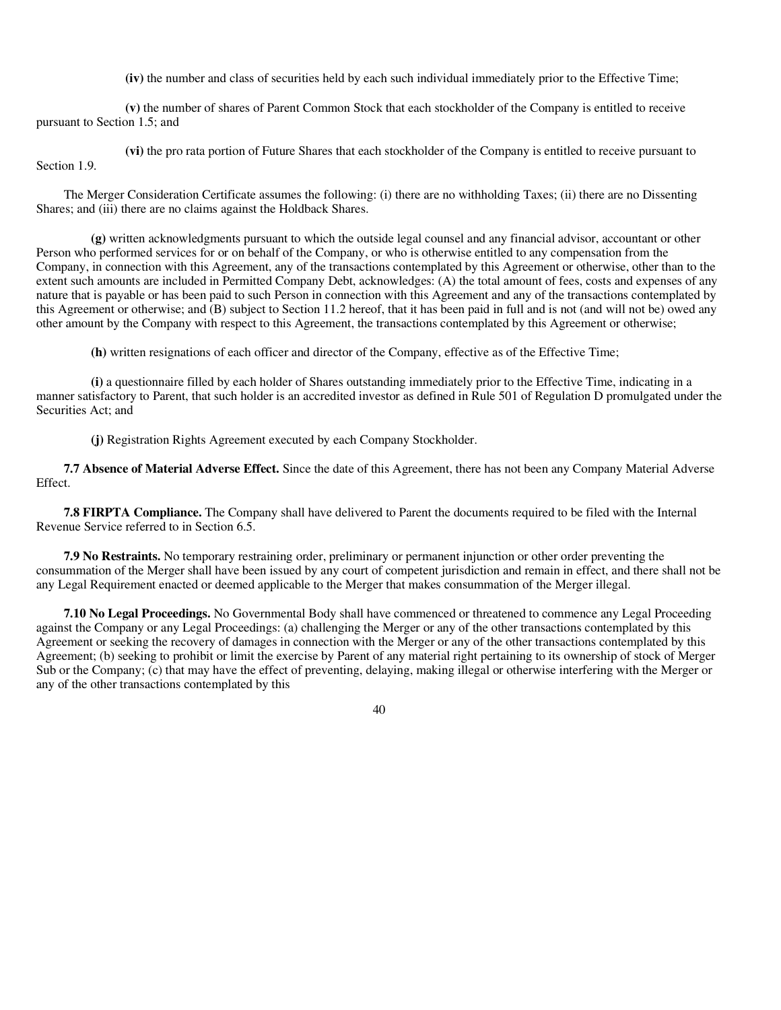**(iv)** the number and class of securities held by each such individual immediately prior to the Effective Time;

**(v)** the number of shares of Parent Common Stock that each stockholder of the Company is entitled to receive pursuant to Section 1.5; and

**(vi)** the pro rata portion of Future Shares that each stockholder of the Company is entitled to receive pursuant to Section 1.9.

The Merger Consideration Certificate assumes the following: (i) there are no withholding Taxes; (ii) there are no Dissenting Shares; and (iii) there are no claims against the Holdback Shares.

**(g)** written acknowledgments pursuant to which the outside legal counsel and any financial advisor, accountant or other Person who performed services for or on behalf of the Company, or who is otherwise entitled to any compensation from the Company, in connection with this Agreement, any of the transactions contemplated by this Agreement or otherwise, other than to the extent such amounts are included in Permitted Company Debt, acknowledges: (A) the total amount of fees, costs and expenses of any nature that is payable or has been paid to such Person in connection with this Agreement and any of the transactions contemplated by this Agreement or otherwise; and (B) subject to Section 11.2 hereof, that it has been paid in full and is not (and will not be) owed any other amount by the Company with respect to this Agreement, the transactions contemplated by this Agreement or otherwise;

**(h)** written resignations of each officer and director of the Company, effective as of the Effective Time;

**(i)** a questionnaire filled by each holder of Shares outstanding immediately prior to the Effective Time, indicating in a manner satisfactory to Parent, that such holder is an accredited investor as defined in Rule 501 of Regulation D promulgated under the Securities Act; and

**(j)** Registration Rights Agreement executed by each Company Stockholder.

**7.7 Absence of Material Adverse Effect.** Since the date of this Agreement, there has not been any Company Material Adverse Effect.

**7.8 FIRPTA Compliance.** The Company shall have delivered to Parent the documents required to be filed with the Internal Revenue Service referred to in Section 6.5.

**7.9 No Restraints.** No temporary restraining order, preliminary or permanent injunction or other order preventing the consummation of the Merger shall have been issued by any court of competent jurisdiction and remain in effect, and there shall not be any Legal Requirement enacted or deemed applicable to the Merger that makes consummation of the Merger illegal.

**7.10 No Legal Proceedings.** No Governmental Body shall have commenced or threatened to commence any Legal Proceeding against the Company or any Legal Proceedings: (a) challenging the Merger or any of the other transactions contemplated by this Agreement or seeking the recovery of damages in connection with the Merger or any of the other transactions contemplated by this Agreement; (b) seeking to prohibit or limit the exercise by Parent of any material right pertaining to its ownership of stock of Merger Sub or the Company; (c) that may have the effect of preventing, delaying, making illegal or otherwise interfering with the Merger or any of the other transactions contemplated by this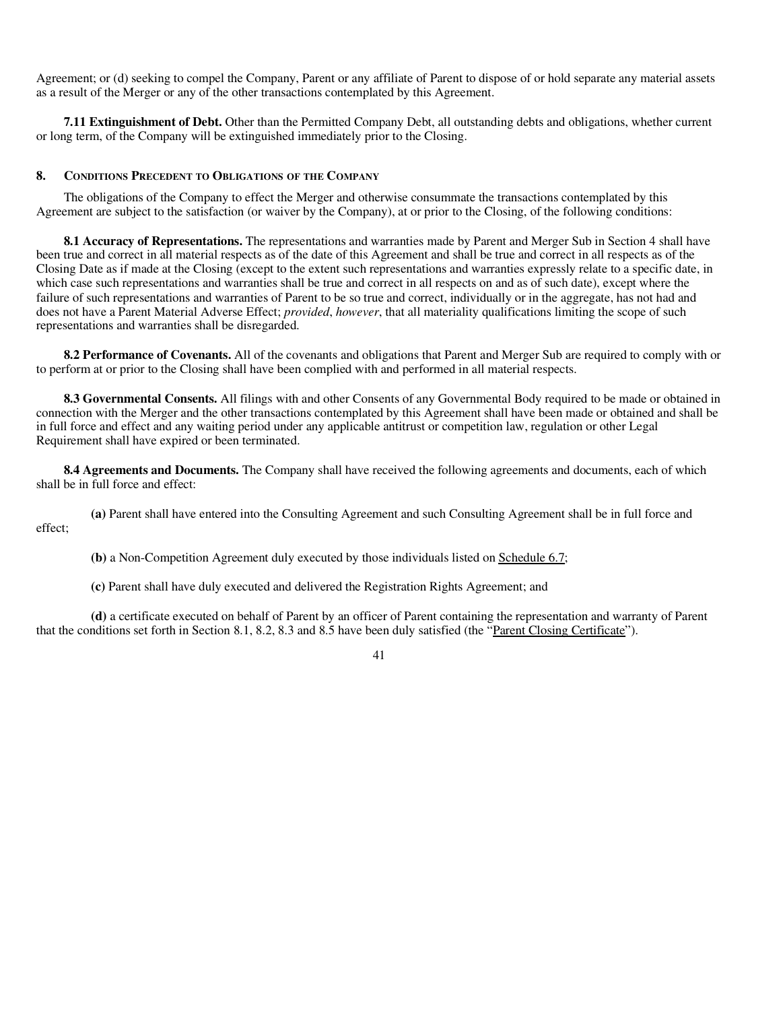Agreement; or (d) seeking to compel the Company, Parent or any affiliate of Parent to dispose of or hold separate any material assets as a result of the Merger or any of the other transactions contemplated by this Agreement.

**7.11 Extinguishment of Debt.** Other than the Permitted Company Debt, all outstanding debts and obligations, whether current or long term, of the Company will be extinguished immediately prior to the Closing.

# **8. CONDITIONS PRECEDENT TO OBLIGATIONS OF THE COMPANY**

The obligations of the Company to effect the Merger and otherwise consummate the transactions contemplated by this Agreement are subject to the satisfaction (or waiver by the Company), at or prior to the Closing, of the following conditions:

**8.1 Accuracy of Representations.** The representations and warranties made by Parent and Merger Sub in Section 4 shall have been true and correct in all material respects as of the date of this Agreement and shall be true and correct in all respects as of the Closing Date as if made at the Closing (except to the extent such representations and warranties expressly relate to a specific date, in which case such representations and warranties shall be true and correct in all respects on and as of such date), except where the failure of such representations and warranties of Parent to be so true and correct, individually or in the aggregate, has not had and does not have a Parent Material Adverse Effect; *provided*, *however*, that all materiality qualifications limiting the scope of such representations and warranties shall be disregarded.

**8.2 Performance of Covenants.** All of the covenants and obligations that Parent and Merger Sub are required to comply with or to perform at or prior to the Closing shall have been complied with and performed in all material respects.

**8.3 Governmental Consents.** All filings with and other Consents of any Governmental Body required to be made or obtained in connection with the Merger and the other transactions contemplated by this Agreement shall have been made or obtained and shall be in full force and effect and any waiting period under any applicable antitrust or competition law, regulation or other Legal Requirement shall have expired or been terminated.

**8.4 Agreements and Documents.** The Company shall have received the following agreements and documents, each of which shall be in full force and effect:

**(a)** Parent shall have entered into the Consulting Agreement and such Consulting Agreement shall be in full force and effect;

**(b)** a Non-Competition Agreement duly executed by those individuals listed on Schedule 6.7;

**(c)** Parent shall have duly executed and delivered the Registration Rights Agreement; and

**(d)** a certificate executed on behalf of Parent by an officer of Parent containing the representation and warranty of Parent that the conditions set forth in Section 8.1, 8.2, 8.3 and 8.5 have been duly satisfied (the "Parent Closing Certificate").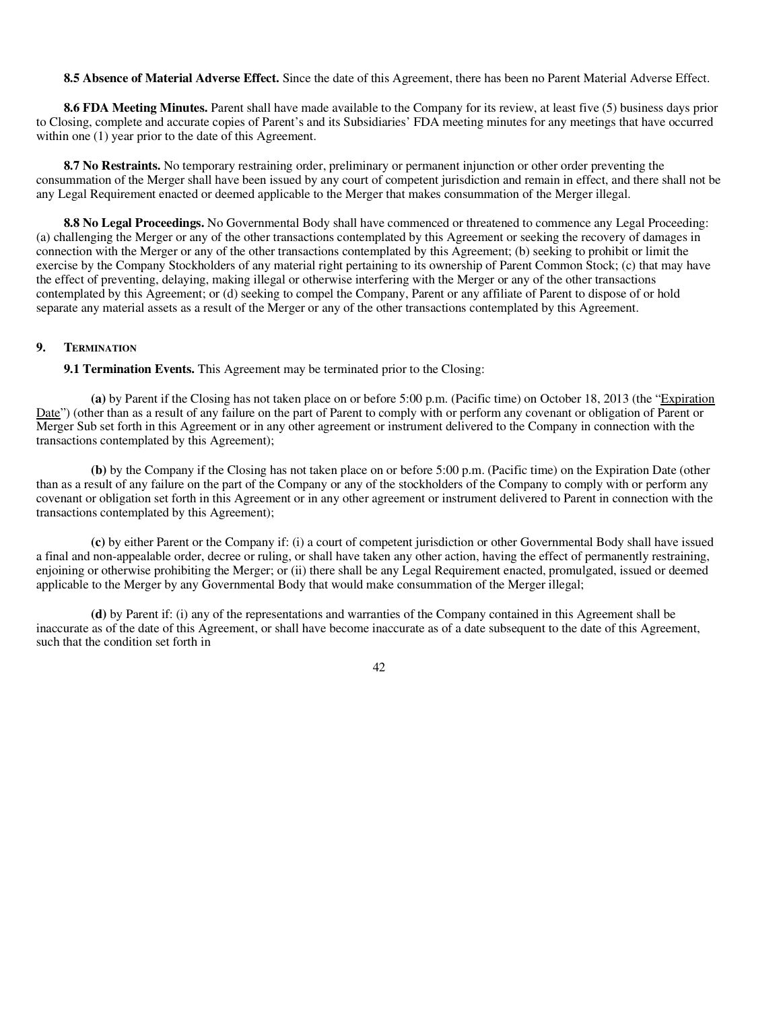**8.5 Absence of Material Adverse Effect.** Since the date of this Agreement, there has been no Parent Material Adverse Effect.

**8.6 FDA Meeting Minutes.** Parent shall have made available to the Company for its review, at least five (5) business days prior to Closing, complete and accurate copies of Parent's and its Subsidiaries' FDA meeting minutes for any meetings that have occurred within one  $(1)$  year prior to the date of this Agreement.

**8.7 No Restraints.** No temporary restraining order, preliminary or permanent injunction or other order preventing the consummation of the Merger shall have been issued by any court of competent jurisdiction and remain in effect, and there shall not be any Legal Requirement enacted or deemed applicable to the Merger that makes consummation of the Merger illegal.

**8.8 No Legal Proceedings.** No Governmental Body shall have commenced or threatened to commence any Legal Proceeding: (a) challenging the Merger or any of the other transactions contemplated by this Agreement or seeking the recovery of damages in connection with the Merger or any of the other transactions contemplated by this Agreement; (b) seeking to prohibit or limit the exercise by the Company Stockholders of any material right pertaining to its ownership of Parent Common Stock; (c) that may have the effect of preventing, delaying, making illegal or otherwise interfering with the Merger or any of the other transactions contemplated by this Agreement; or (d) seeking to compel the Company, Parent or any affiliate of Parent to dispose of or hold separate any material assets as a result of the Merger or any of the other transactions contemplated by this Agreement.

#### **9. TERMINATION**

**9.1 Termination Events.** This Agreement may be terminated prior to the Closing:

**(a)** by Parent if the Closing has not taken place on or before 5:00 p.m. (Pacific time) on October 18, 2013 (the "Expiration Date") (other than as a result of any failure on the part of Parent to comply with or perform any covenant or obligation of Parent or Merger Sub set forth in this Agreement or in any other agreement or instrument delivered to the Company in connection with the transactions contemplated by this Agreement);

**(b)** by the Company if the Closing has not taken place on or before 5:00 p.m. (Pacific time) on the Expiration Date (other than as a result of any failure on the part of the Company or any of the stockholders of the Company to comply with or perform any covenant or obligation set forth in this Agreement or in any other agreement or instrument delivered to Parent in connection with the transactions contemplated by this Agreement);

**(c)** by either Parent or the Company if: (i) a court of competent jurisdiction or other Governmental Body shall have issued a final and non-appealable order, decree or ruling, or shall have taken any other action, having the effect of permanently restraining, enjoining or otherwise prohibiting the Merger; or (ii) there shall be any Legal Requirement enacted, promulgated, issued or deemed applicable to the Merger by any Governmental Body that would make consummation of the Merger illegal;

**(d)** by Parent if: (i) any of the representations and warranties of the Company contained in this Agreement shall be inaccurate as of the date of this Agreement, or shall have become inaccurate as of a date subsequent to the date of this Agreement, such that the condition set forth in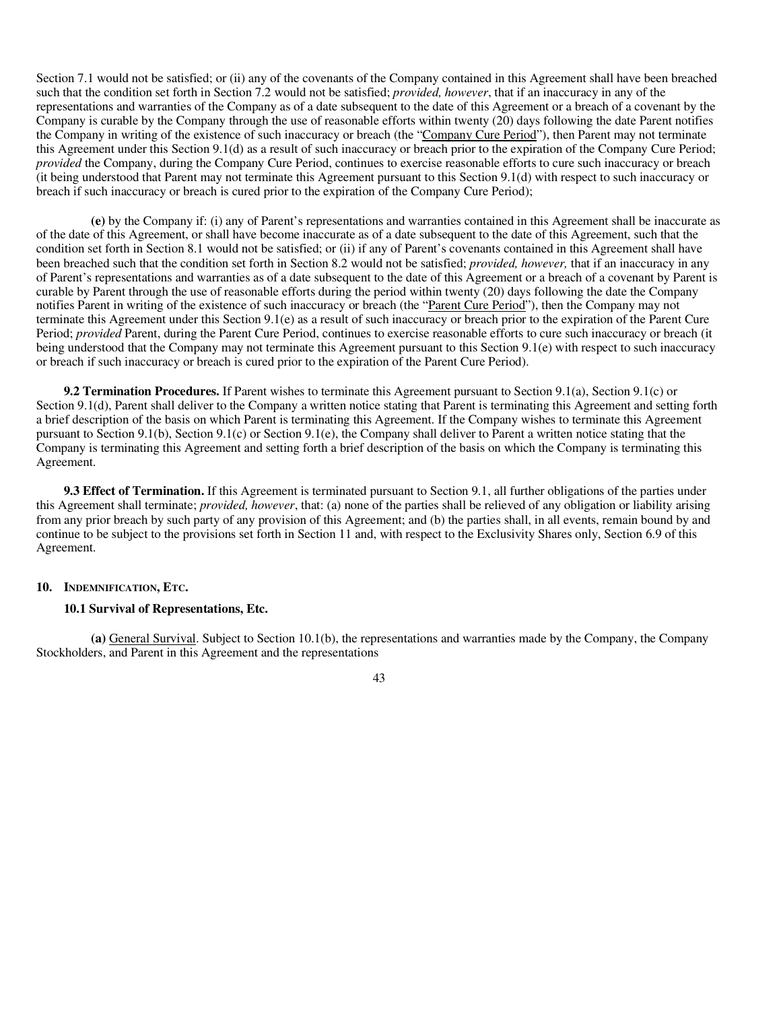Section 7.1 would not be satisfied; or (ii) any of the covenants of the Company contained in this Agreement shall have been breached such that the condition set forth in Section 7.2 would not be satisfied; *provided, however*, that if an inaccuracy in any of the representations and warranties of the Company as of a date subsequent to the date of this Agreement or a breach of a covenant by the Company is curable by the Company through the use of reasonable efforts within twenty (20) days following the date Parent notifies the Company in writing of the existence of such inaccuracy or breach (the "Company Cure Period"), then Parent may not terminate this Agreement under this Section 9.1(d) as a result of such inaccuracy or breach prior to the expiration of the Company Cure Period; *provided* the Company, during the Company Cure Period, continues to exercise reasonable efforts to cure such inaccuracy or breach (it being understood that Parent may not terminate this Agreement pursuant to this Section 9.1(d) with respect to such inaccuracy or breach if such inaccuracy or breach is cured prior to the expiration of the Company Cure Period);

**(e)** by the Company if: (i) any of Parent's representations and warranties contained in this Agreement shall be inaccurate as of the date of this Agreement, or shall have become inaccurate as of a date subsequent to the date of this Agreement, such that the condition set forth in Section 8.1 would not be satisfied; or (ii) if any of Parent's covenants contained in this Agreement shall have been breached such that the condition set forth in Section 8.2 would not be satisfied; *provided, however,* that if an inaccuracy in any of Parent's representations and warranties as of a date subsequent to the date of this Agreement or a breach of a covenant by Parent is curable by Parent through the use of reasonable efforts during the period within twenty (20) days following the date the Company notifies Parent in writing of the existence of such inaccuracy or breach (the "Parent Cure Period"), then the Company may not terminate this Agreement under this Section 9.1(e) as a result of such inaccuracy or breach prior to the expiration of the Parent Cure Period; *provided* Parent, during the Parent Cure Period, continues to exercise reasonable efforts to cure such inaccuracy or breach (it being understood that the Company may not terminate this Agreement pursuant to this Section 9.1(e) with respect to such inaccuracy or breach if such inaccuracy or breach is cured prior to the expiration of the Parent Cure Period).

**9.2 Termination Procedures.** If Parent wishes to terminate this Agreement pursuant to Section 9.1(a), Section 9.1(c) or Section 9.1(d), Parent shall deliver to the Company a written notice stating that Parent is terminating this Agreement and setting forth a brief description of the basis on which Parent is terminating this Agreement. If the Company wishes to terminate this Agreement pursuant to Section 9.1(b), Section 9.1(c) or Section 9.1(e), the Company shall deliver to Parent a written notice stating that the Company is terminating this Agreement and setting forth a brief description of the basis on which the Company is terminating this Agreement.

**9.3 Effect of Termination.** If this Agreement is terminated pursuant to Section 9.1, all further obligations of the parties under this Agreement shall terminate; *provided, however*, that: (a) none of the parties shall be relieved of any obligation or liability arising from any prior breach by such party of any provision of this Agreement; and (b) the parties shall, in all events, remain bound by and continue to be subject to the provisions set forth in Section 11 and, with respect to the Exclusivity Shares only, Section 6.9 of this Agreement.

# **10. INDEMNIFICATION, ETC.**

# **10.1 Survival of Representations, Etc.**

**(a)** General Survival. Subject to Section 10.1(b), the representations and warranties made by the Company, the Company Stockholders, and Parent in this Agreement and the representations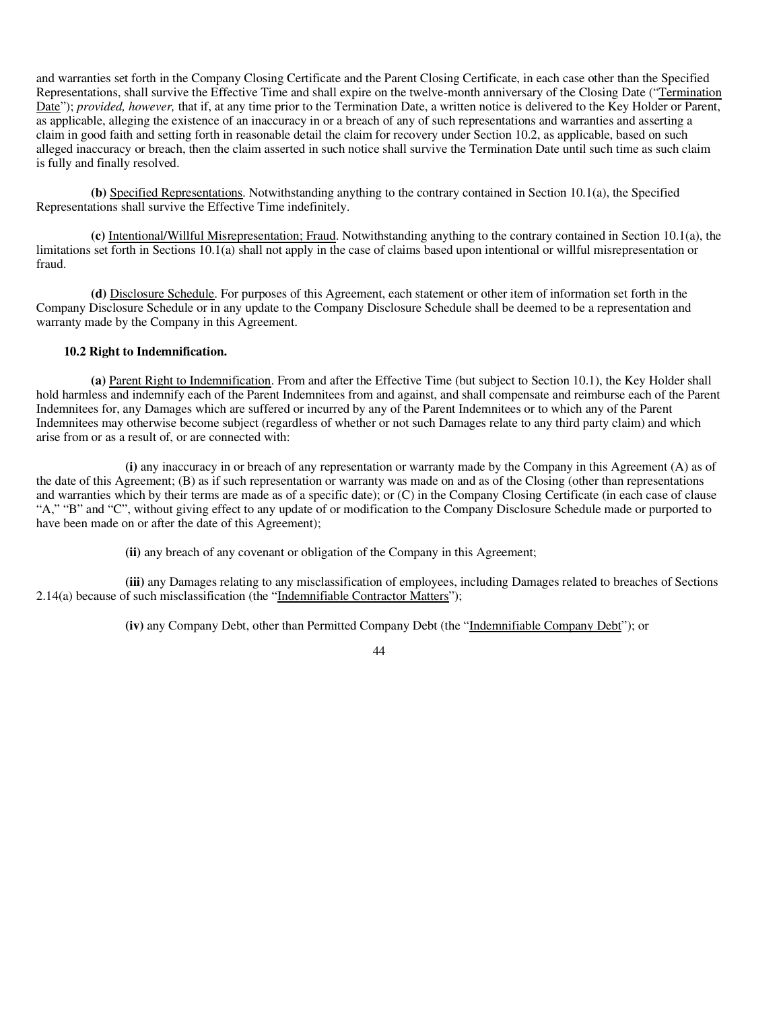and warranties set forth in the Company Closing Certificate and the Parent Closing Certificate, in each case other than the Specified Representations, shall survive the Effective Time and shall expire on the twelve-month anniversary of the Closing Date ("Termination Date"); *provided, however,* that if, at any time prior to the Termination Date, a written notice is delivered to the Key Holder or Parent, as applicable, alleging the existence of an inaccuracy in or a breach of any of such representations and warranties and asserting a claim in good faith and setting forth in reasonable detail the claim for recovery under Section 10.2, as applicable, based on such alleged inaccuracy or breach, then the claim asserted in such notice shall survive the Termination Date until such time as such claim is fully and finally resolved.

**(b)** Specified Representations. Notwithstanding anything to the contrary contained in Section 10.1(a), the Specified Representations shall survive the Effective Time indefinitely.

**(c)** Intentional/Willful Misrepresentation; Fraud. Notwithstanding anything to the contrary contained in Section 10.1(a), the limitations set forth in Sections 10.1(a) shall not apply in the case of claims based upon intentional or willful misrepresentation or fraud.

**(d)** Disclosure Schedule. For purposes of this Agreement, each statement or other item of information set forth in the Company Disclosure Schedule or in any update to the Company Disclosure Schedule shall be deemed to be a representation and warranty made by the Company in this Agreement.

# **10.2 Right to Indemnification.**

**(a)** Parent Right to Indemnification. From and after the Effective Time (but subject to Section 10.1), the Key Holder shall hold harmless and indemnify each of the Parent Indemnitees from and against, and shall compensate and reimburse each of the Parent Indemnitees for, any Damages which are suffered or incurred by any of the Parent Indemnitees or to which any of the Parent Indemnitees may otherwise become subject (regardless of whether or not such Damages relate to any third party claim) and which arise from or as a result of, or are connected with:

**(i)** any inaccuracy in or breach of any representation or warranty made by the Company in this Agreement (A) as of the date of this Agreement; (B) as if such representation or warranty was made on and as of the Closing (other than representations and warranties which by their terms are made as of a specific date); or (C) in the Company Closing Certificate (in each case of clause "A," "B" and "C", without giving effect to any update of or modification to the Company Disclosure Schedule made or purported to have been made on or after the date of this Agreement);

**(ii)** any breach of any covenant or obligation of the Company in this Agreement;

**(iii)** any Damages relating to any misclassification of employees, including Damages related to breaches of Sections 2.14(a) because of such misclassification (the "Indemnifiable Contractor Matters");

**(iv)** any Company Debt, other than Permitted Company Debt (the "Indemnifiable Company Debt"); or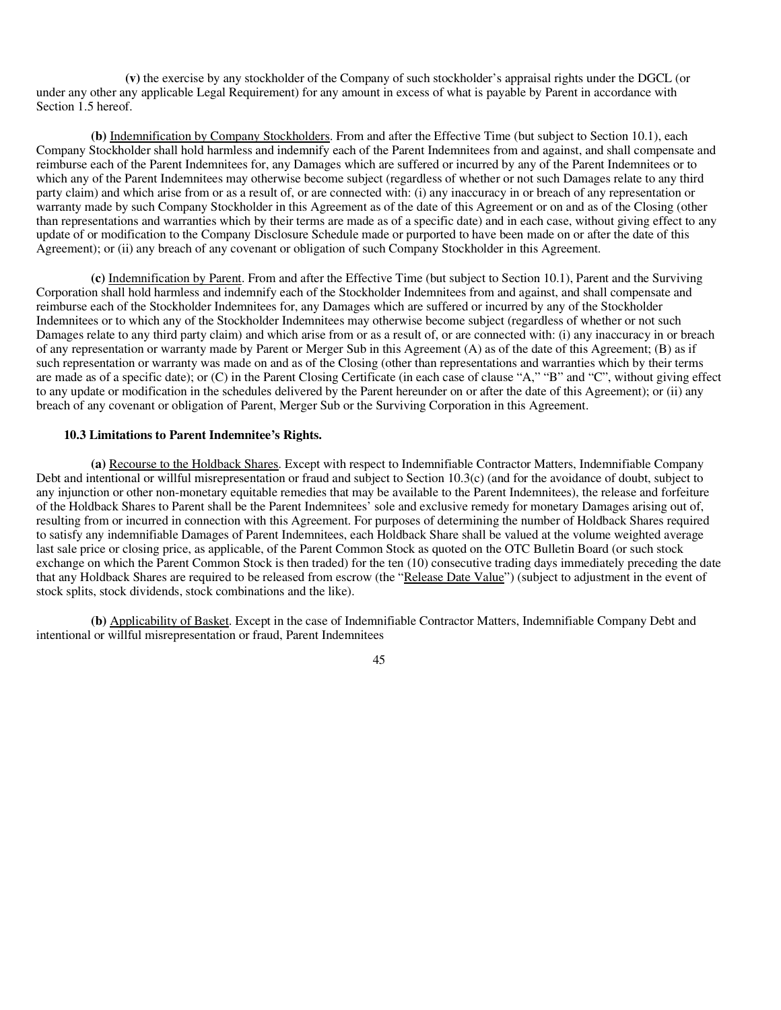**(v)** the exercise by any stockholder of the Company of such stockholder's appraisal rights under the DGCL (or under any other any applicable Legal Requirement) for any amount in excess of what is payable by Parent in accordance with Section 1.5 hereof.

**(b)** Indemnification by Company Stockholders. From and after the Effective Time (but subject to Section 10.1), each Company Stockholder shall hold harmless and indemnify each of the Parent Indemnitees from and against, and shall compensate and reimburse each of the Parent Indemnitees for, any Damages which are suffered or incurred by any of the Parent Indemnitees or to which any of the Parent Indemnitees may otherwise become subject (regardless of whether or not such Damages relate to any third party claim) and which arise from or as a result of, or are connected with: (i) any inaccuracy in or breach of any representation or warranty made by such Company Stockholder in this Agreement as of the date of this Agreement or on and as of the Closing (other than representations and warranties which by their terms are made as of a specific date) and in each case, without giving effect to any update of or modification to the Company Disclosure Schedule made or purported to have been made on or after the date of this Agreement); or (ii) any breach of any covenant or obligation of such Company Stockholder in this Agreement.

**(c)** Indemnification by Parent. From and after the Effective Time (but subject to Section 10.1), Parent and the Surviving Corporation shall hold harmless and indemnify each of the Stockholder Indemnitees from and against, and shall compensate and reimburse each of the Stockholder Indemnitees for, any Damages which are suffered or incurred by any of the Stockholder Indemnitees or to which any of the Stockholder Indemnitees may otherwise become subject (regardless of whether or not such Damages relate to any third party claim) and which arise from or as a result of, or are connected with: (i) any inaccuracy in or breach of any representation or warranty made by Parent or Merger Sub in this Agreement (A) as of the date of this Agreement; (B) as if such representation or warranty was made on and as of the Closing (other than representations and warranties which by their terms are made as of a specific date); or (C) in the Parent Closing Certificate (in each case of clause "A," "B" and "C", without giving effect to any update or modification in the schedules delivered by the Parent hereunder on or after the date of this Agreement); or (ii) any breach of any covenant or obligation of Parent, Merger Sub or the Surviving Corporation in this Agreement.

#### **10.3 Limitations to Parent Indemnitee's Rights.**

**(a)** Recourse to the Holdback Shares. Except with respect to Indemnifiable Contractor Matters, Indemnifiable Company Debt and intentional or willful misrepresentation or fraud and subject to Section 10.3(c) (and for the avoidance of doubt, subject to any injunction or other non-monetary equitable remedies that may be available to the Parent Indemnitees), the release and forfeiture of the Holdback Shares to Parent shall be the Parent Indemnitees' sole and exclusive remedy for monetary Damages arising out of, resulting from or incurred in connection with this Agreement. For purposes of determining the number of Holdback Shares required to satisfy any indemnifiable Damages of Parent Indemnitees, each Holdback Share shall be valued at the volume weighted average last sale price or closing price, as applicable, of the Parent Common Stock as quoted on the OTC Bulletin Board (or such stock exchange on which the Parent Common Stock is then traded) for the ten (10) consecutive trading days immediately preceding the date that any Holdback Shares are required to be released from escrow (the "Release Date Value") (subject to adjustment in the event of stock splits, stock dividends, stock combinations and the like).

**(b)** Applicability of Basket. Except in the case of Indemnifiable Contractor Matters, Indemnifiable Company Debt and intentional or willful misrepresentation or fraud, Parent Indemnitees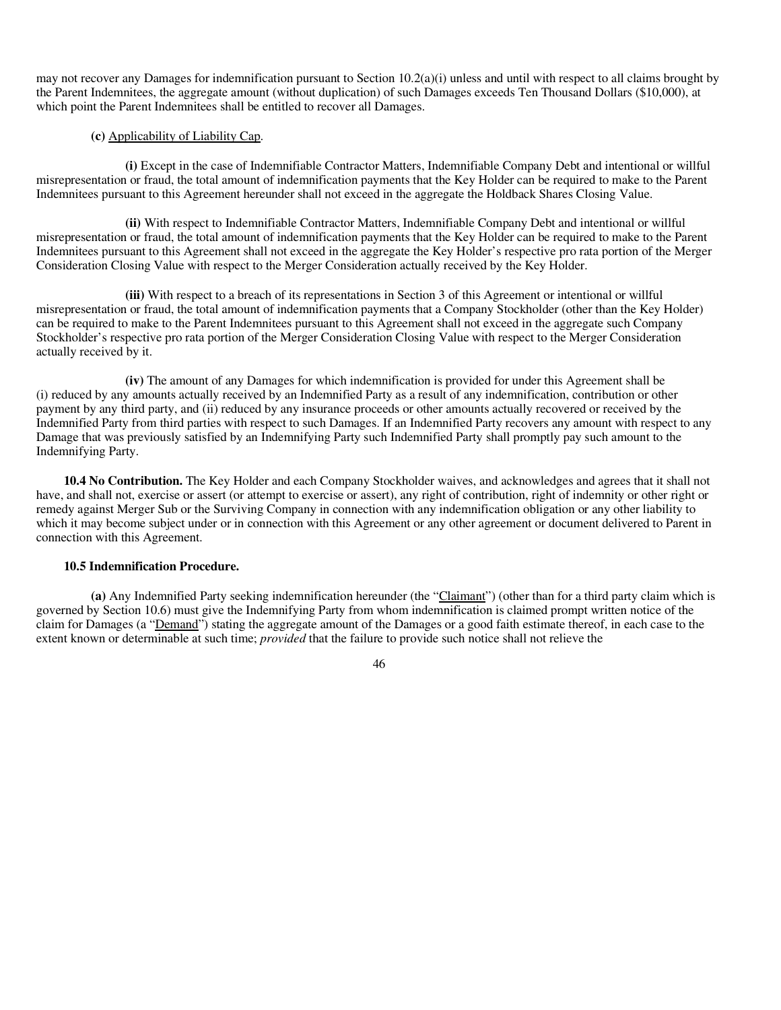may not recover any Damages for indemnification pursuant to Section 10.2(a)(i) unless and until with respect to all claims brought by the Parent Indemnitees, the aggregate amount (without duplication) of such Damages exceeds Ten Thousand Dollars (\$10,000), at which point the Parent Indemnitees shall be entitled to recover all Damages.

## **(c)** Applicability of Liability Cap.

**(i)** Except in the case of Indemnifiable Contractor Matters, Indemnifiable Company Debt and intentional or willful misrepresentation or fraud, the total amount of indemnification payments that the Key Holder can be required to make to the Parent Indemnitees pursuant to this Agreement hereunder shall not exceed in the aggregate the Holdback Shares Closing Value.

**(ii)** With respect to Indemnifiable Contractor Matters, Indemnifiable Company Debt and intentional or willful misrepresentation or fraud, the total amount of indemnification payments that the Key Holder can be required to make to the Parent Indemnitees pursuant to this Agreement shall not exceed in the aggregate the Key Holder's respective pro rata portion of the Merger Consideration Closing Value with respect to the Merger Consideration actually received by the Key Holder.

**(iii)** With respect to a breach of its representations in Section 3 of this Agreement or intentional or willful misrepresentation or fraud, the total amount of indemnification payments that a Company Stockholder (other than the Key Holder) can be required to make to the Parent Indemnitees pursuant to this Agreement shall not exceed in the aggregate such Company Stockholder's respective pro rata portion of the Merger Consideration Closing Value with respect to the Merger Consideration actually received by it.

**(iv)** The amount of any Damages for which indemnification is provided for under this Agreement shall be (i) reduced by any amounts actually received by an Indemnified Party as a result of any indemnification, contribution or other payment by any third party, and (ii) reduced by any insurance proceeds or other amounts actually recovered or received by the Indemnified Party from third parties with respect to such Damages. If an Indemnified Party recovers any amount with respect to any Damage that was previously satisfied by an Indemnifying Party such Indemnified Party shall promptly pay such amount to the Indemnifying Party.

**10.4 No Contribution.** The Key Holder and each Company Stockholder waives, and acknowledges and agrees that it shall not have, and shall not, exercise or assert (or attempt to exercise or assert), any right of contribution, right of indemnity or other right or remedy against Merger Sub or the Surviving Company in connection with any indemnification obligation or any other liability to which it may become subject under or in connection with this Agreement or any other agreement or document delivered to Parent in connection with this Agreement.

#### **10.5 Indemnification Procedure.**

**(a)** Any Indemnified Party seeking indemnification hereunder (the "Claimant") (other than for a third party claim which is governed by Section 10.6) must give the Indemnifying Party from whom indemnification is claimed prompt written notice of the claim for Damages (a "Demand") stating the aggregate amount of the Damages or a good faith estimate thereof, in each case to the extent known or determinable at such time; *provided* that the failure to provide such notice shall not relieve the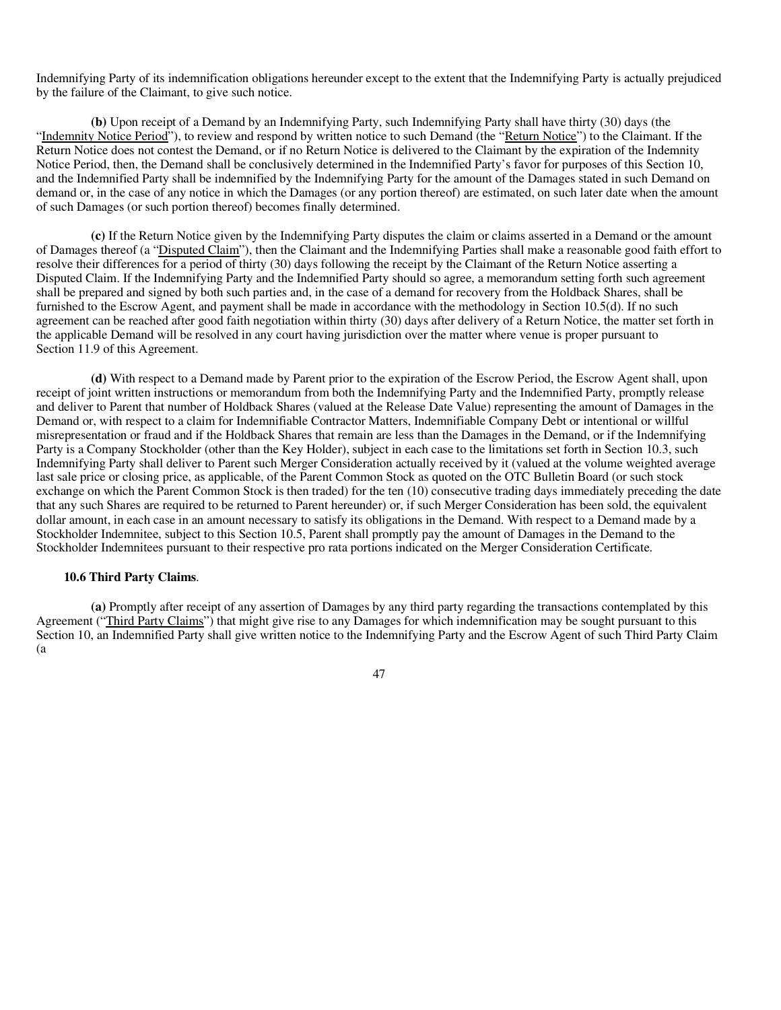Indemnifying Party of its indemnification obligations hereunder except to the extent that the Indemnifying Party is actually prejudiced by the failure of the Claimant, to give such notice.

**(b)** Upon receipt of a Demand by an Indemnifying Party, such Indemnifying Party shall have thirty (30) days (the "Indemnity Notice Period"), to review and respond by written notice to such Demand (the "Return Notice") to the Claimant. If the Return Notice does not contest the Demand, or if no Return Notice is delivered to the Claimant by the expiration of the Indemnity Notice Period, then, the Demand shall be conclusively determined in the Indemnified Party's favor for purposes of this Section 10, and the Indemnified Party shall be indemnified by the Indemnifying Party for the amount of the Damages stated in such Demand on demand or, in the case of any notice in which the Damages (or any portion thereof) are estimated, on such later date when the amount of such Damages (or such portion thereof) becomes finally determined.

**(c)** If the Return Notice given by the Indemnifying Party disputes the claim or claims asserted in a Demand or the amount of Damages thereof (a "Disputed Claim"), then the Claimant and the Indemnifying Parties shall make a reasonable good faith effort to resolve their differences for a period of thirty (30) days following the receipt by the Claimant of the Return Notice asserting a Disputed Claim. If the Indemnifying Party and the Indemnified Party should so agree, a memorandum setting forth such agreement shall be prepared and signed by both such parties and, in the case of a demand for recovery from the Holdback Shares, shall be furnished to the Escrow Agent, and payment shall be made in accordance with the methodology in Section 10.5(d). If no such agreement can be reached after good faith negotiation within thirty (30) days after delivery of a Return Notice, the matter set forth in the applicable Demand will be resolved in any court having jurisdiction over the matter where venue is proper pursuant to Section 11.9 of this Agreement.

**(d)** With respect to a Demand made by Parent prior to the expiration of the Escrow Period, the Escrow Agent shall, upon receipt of joint written instructions or memorandum from both the Indemnifying Party and the Indemnified Party, promptly release and deliver to Parent that number of Holdback Shares (valued at the Release Date Value) representing the amount of Damages in the Demand or, with respect to a claim for Indemnifiable Contractor Matters, Indemnifiable Company Debt or intentional or willful misrepresentation or fraud and if the Holdback Shares that remain are less than the Damages in the Demand, or if the Indemnifying Party is a Company Stockholder (other than the Key Holder), subject in each case to the limitations set forth in Section 10.3, such Indemnifying Party shall deliver to Parent such Merger Consideration actually received by it (valued at the volume weighted average last sale price or closing price, as applicable, of the Parent Common Stock as quoted on the OTC Bulletin Board (or such stock exchange on which the Parent Common Stock is then traded) for the ten (10) consecutive trading days immediately preceding the date that any such Shares are required to be returned to Parent hereunder) or, if such Merger Consideration has been sold, the equivalent dollar amount, in each case in an amount necessary to satisfy its obligations in the Demand. With respect to a Demand made by a Stockholder Indemnitee, subject to this Section 10.5, Parent shall promptly pay the amount of Damages in the Demand to the Stockholder Indemnitees pursuant to their respective pro rata portions indicated on the Merger Consideration Certificate.

### **10.6 Third Party Claims**.

**(a)** Promptly after receipt of any assertion of Damages by any third party regarding the transactions contemplated by this Agreement ("Third Party Claims") that might give rise to any Damages for which indemnification may be sought pursuant to this Section 10, an Indemnified Party shall give written notice to the Indemnifying Party and the Escrow Agent of such Third Party Claim (a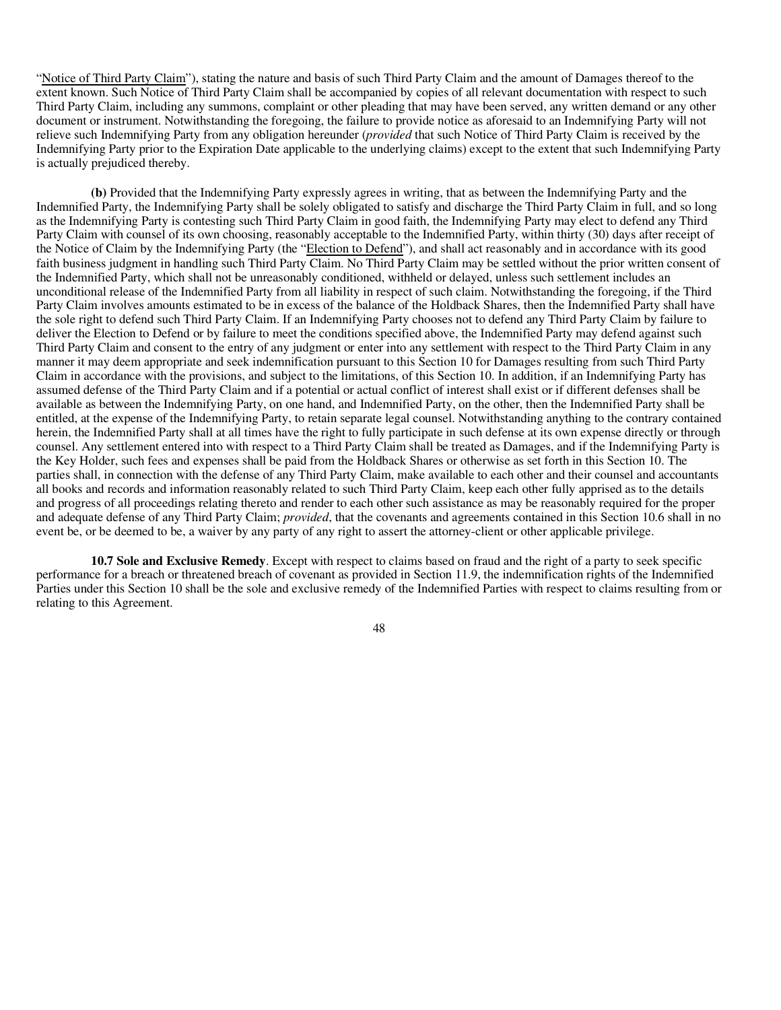"Notice of Third Party Claim"), stating the nature and basis of such Third Party Claim and the amount of Damages thereof to the extent known. Such Notice of Third Party Claim shall be accompanied by copies of all relevant documentation with respect to such Third Party Claim, including any summons, complaint or other pleading that may have been served, any written demand or any other document or instrument. Notwithstanding the foregoing, the failure to provide notice as aforesaid to an Indemnifying Party will not relieve such Indemnifying Party from any obligation hereunder (*provided* that such Notice of Third Party Claim is received by the Indemnifying Party prior to the Expiration Date applicable to the underlying claims) except to the extent that such Indemnifying Party is actually prejudiced thereby.

**(b)** Provided that the Indemnifying Party expressly agrees in writing, that as between the Indemnifying Party and the Indemnified Party, the Indemnifying Party shall be solely obligated to satisfy and discharge the Third Party Claim in full, and so long as the Indemnifying Party is contesting such Third Party Claim in good faith, the Indemnifying Party may elect to defend any Third Party Claim with counsel of its own choosing, reasonably acceptable to the Indemnified Party, within thirty (30) days after receipt of the Notice of Claim by the Indemnifying Party (the "Election to Defend"), and shall act reasonably and in accordance with its good faith business judgment in handling such Third Party Claim. No Third Party Claim may be settled without the prior written consent of the Indemnified Party, which shall not be unreasonably conditioned, withheld or delayed, unless such settlement includes an unconditional release of the Indemnified Party from all liability in respect of such claim. Notwithstanding the foregoing, if the Third Party Claim involves amounts estimated to be in excess of the balance of the Holdback Shares, then the Indemnified Party shall have the sole right to defend such Third Party Claim. If an Indemnifying Party chooses not to defend any Third Party Claim by failure to deliver the Election to Defend or by failure to meet the conditions specified above, the Indemnified Party may defend against such Third Party Claim and consent to the entry of any judgment or enter into any settlement with respect to the Third Party Claim in any manner it may deem appropriate and seek indemnification pursuant to this Section 10 for Damages resulting from such Third Party Claim in accordance with the provisions, and subject to the limitations, of this Section 10. In addition, if an Indemnifying Party has assumed defense of the Third Party Claim and if a potential or actual conflict of interest shall exist or if different defenses shall be available as between the Indemnifying Party, on one hand, and Indemnified Party, on the other, then the Indemnified Party shall be entitled, at the expense of the Indemnifying Party, to retain separate legal counsel. Notwithstanding anything to the contrary contained herein, the Indemnified Party shall at all times have the right to fully participate in such defense at its own expense directly or through counsel. Any settlement entered into with respect to a Third Party Claim shall be treated as Damages, and if the Indemnifying Party is the Key Holder, such fees and expenses shall be paid from the Holdback Shares or otherwise as set forth in this Section 10. The parties shall, in connection with the defense of any Third Party Claim, make available to each other and their counsel and accountants all books and records and information reasonably related to such Third Party Claim, keep each other fully apprised as to the details and progress of all proceedings relating thereto and render to each other such assistance as may be reasonably required for the proper and adequate defense of any Third Party Claim; *provided*, that the covenants and agreements contained in this Section 10.6 shall in no event be, or be deemed to be, a waiver by any party of any right to assert the attorney-client or other applicable privilege.

**10.7 Sole and Exclusive Remedy**. Except with respect to claims based on fraud and the right of a party to seek specific performance for a breach or threatened breach of covenant as provided in Section 11.9, the indemnification rights of the Indemnified Parties under this Section 10 shall be the sole and exclusive remedy of the Indemnified Parties with respect to claims resulting from or relating to this Agreement.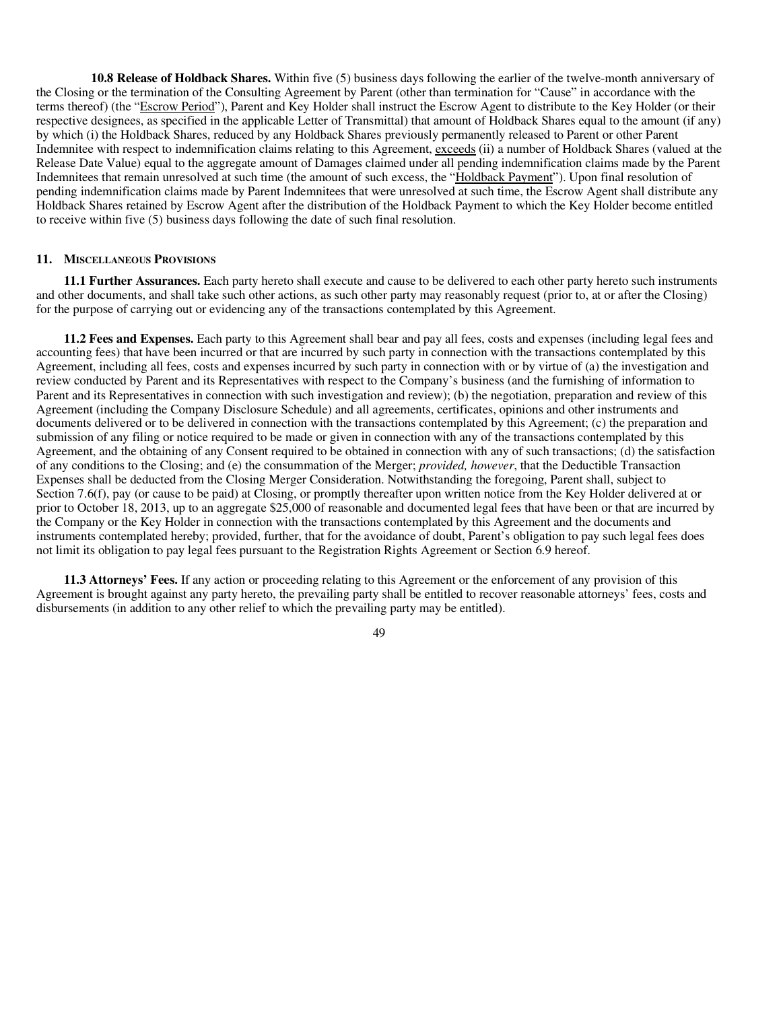**10.8 Release of Holdback Shares.** Within five (5) business days following the earlier of the twelve-month anniversary of the Closing or the termination of the Consulting Agreement by Parent (other than termination for "Cause" in accordance with the terms thereof) (the "Escrow Period"), Parent and Key Holder shall instruct the Escrow Agent to distribute to the Key Holder (or their respective designees, as specified in the applicable Letter of Transmittal) that amount of Holdback Shares equal to the amount (if any) by which (i) the Holdback Shares, reduced by any Holdback Shares previously permanently released to Parent or other Parent Indemnitee with respect to indemnification claims relating to this Agreement, exceeds (ii) a number of Holdback Shares (valued at the Release Date Value) equal to the aggregate amount of Damages claimed under all pending indemnification claims made by the Parent Indemnitees that remain unresolved at such time (the amount of such excess, the "Holdback Payment"). Upon final resolution of pending indemnification claims made by Parent Indemnitees that were unresolved at such time, the Escrow Agent shall distribute any Holdback Shares retained by Escrow Agent after the distribution of the Holdback Payment to which the Key Holder become entitled to receive within five (5) business days following the date of such final resolution.

#### **11. MISCELLANEOUS PROVISIONS**

**11.1 Further Assurances.** Each party hereto shall execute and cause to be delivered to each other party hereto such instruments and other documents, and shall take such other actions, as such other party may reasonably request (prior to, at or after the Closing) for the purpose of carrying out or evidencing any of the transactions contemplated by this Agreement.

**11.2 Fees and Expenses.** Each party to this Agreement shall bear and pay all fees, costs and expenses (including legal fees and accounting fees) that have been incurred or that are incurred by such party in connection with the transactions contemplated by this Agreement, including all fees, costs and expenses incurred by such party in connection with or by virtue of (a) the investigation and review conducted by Parent and its Representatives with respect to the Company's business (and the furnishing of information to Parent and its Representatives in connection with such investigation and review); (b) the negotiation, preparation and review of this Agreement (including the Company Disclosure Schedule) and all agreements, certificates, opinions and other instruments and documents delivered or to be delivered in connection with the transactions contemplated by this Agreement; (c) the preparation and submission of any filing or notice required to be made or given in connection with any of the transactions contemplated by this Agreement, and the obtaining of any Consent required to be obtained in connection with any of such transactions; (d) the satisfaction of any conditions to the Closing; and (e) the consummation of the Merger; *provided, however*, that the Deductible Transaction Expenses shall be deducted from the Closing Merger Consideration. Notwithstanding the foregoing, Parent shall, subject to Section 7.6(f), pay (or cause to be paid) at Closing, or promptly thereafter upon written notice from the Key Holder delivered at or prior to October 18, 2013, up to an aggregate \$25,000 of reasonable and documented legal fees that have been or that are incurred by the Company or the Key Holder in connection with the transactions contemplated by this Agreement and the documents and instruments contemplated hereby; provided, further, that for the avoidance of doubt, Parent's obligation to pay such legal fees does not limit its obligation to pay legal fees pursuant to the Registration Rights Agreement or Section 6.9 hereof.

**11.3 Attorneys' Fees.** If any action or proceeding relating to this Agreement or the enforcement of any provision of this Agreement is brought against any party hereto, the prevailing party shall be entitled to recover reasonable attorneys' fees, costs and disbursements (in addition to any other relief to which the prevailing party may be entitled).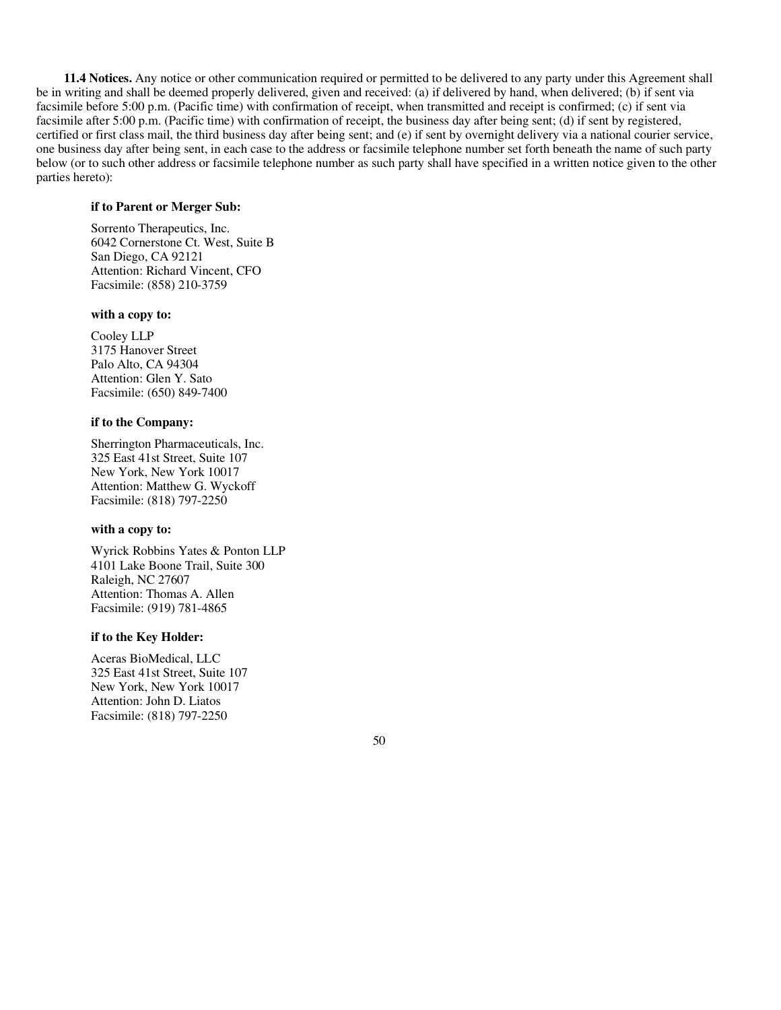**11.4 Notices.** Any notice or other communication required or permitted to be delivered to any party under this Agreement shall be in writing and shall be deemed properly delivered, given and received: (a) if delivered by hand, when delivered; (b) if sent via facsimile before 5:00 p.m. (Pacific time) with confirmation of receipt, when transmitted and receipt is confirmed; (c) if sent via facsimile after 5:00 p.m. (Pacific time) with confirmation of receipt, the business day after being sent; (d) if sent by registered, certified or first class mail, the third business day after being sent; and (e) if sent by overnight delivery via a national courier service, one business day after being sent, in each case to the address or facsimile telephone number set forth beneath the name of such party below (or to such other address or facsimile telephone number as such party shall have specified in a written notice given to the other parties hereto):

# **if to Parent or Merger Sub:**

Sorrento Therapeutics, Inc. 6042 Cornerstone Ct. West, Suite B San Diego, CA 92121 Attention: Richard Vincent, CFO Facsimile: (858) 210-3759

#### **with a copy to:**

Cooley LLP 3175 Hanover Street Palo Alto, CA 94304 Attention: Glen Y. Sato Facsimile: (650) 849-7400

#### **if to the Company:**

Sherrington Pharmaceuticals, Inc. 325 East 41st Street, Suite 107 New York, New York 10017 Attention: Matthew G. Wyckoff Facsimile: (818) 797-2250

#### **with a copy to:**

Wyrick Robbins Yates & Ponton LLP 4101 Lake Boone Trail, Suite 300 Raleigh, NC 27607 Attention: Thomas A. Allen Facsimile: (919) 781-4865

# **if to the Key Holder:**

Aceras BioMedical, LLC 325 East 41st Street, Suite 107 New York, New York 10017 Attention: John D. Liatos Facsimile: (818) 797-2250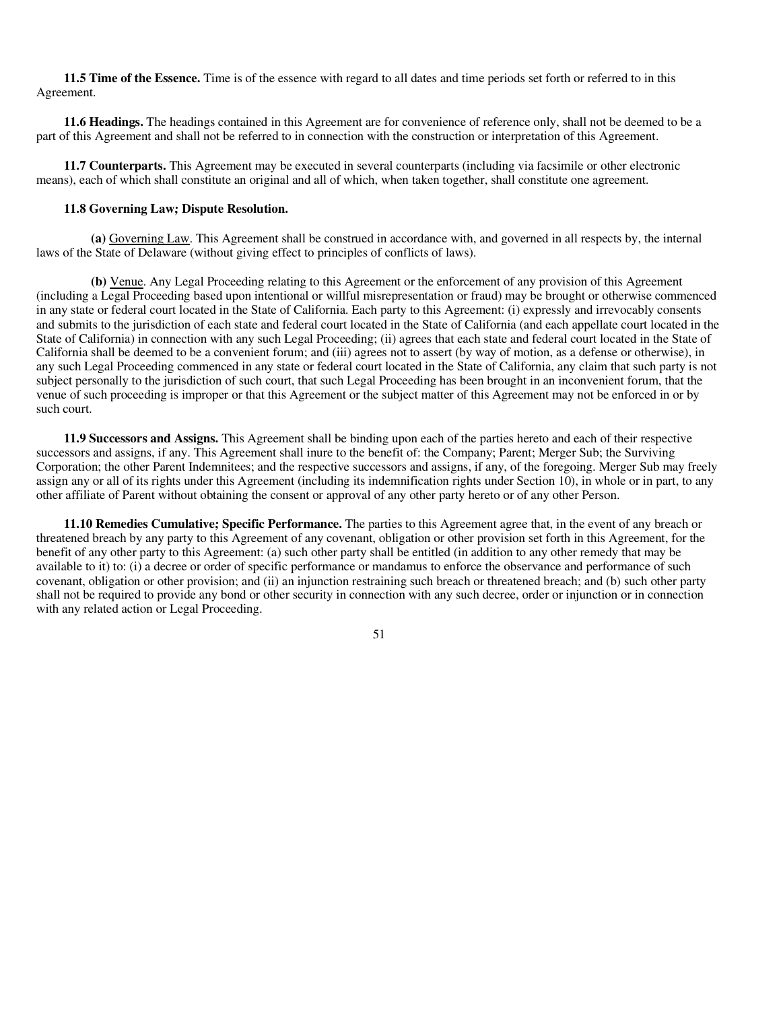**11.5 Time of the Essence.** Time is of the essence with regard to all dates and time periods set forth or referred to in this Agreement.

**11.6 Headings.** The headings contained in this Agreement are for convenience of reference only, shall not be deemed to be a part of this Agreement and shall not be referred to in connection with the construction or interpretation of this Agreement.

**11.7 Counterparts.** This Agreement may be executed in several counterparts (including via facsimile or other electronic means), each of which shall constitute an original and all of which, when taken together, shall constitute one agreement.

#### **11.8 Governing Law; Dispute Resolution.**

**(a)** Governing Law. This Agreement shall be construed in accordance with, and governed in all respects by, the internal laws of the State of Delaware (without giving effect to principles of conflicts of laws).

**(b)** Venue. Any Legal Proceeding relating to this Agreement or the enforcement of any provision of this Agreement (including a Legal Proceeding based upon intentional or willful misrepresentation or fraud) may be brought or otherwise commenced in any state or federal court located in the State of California. Each party to this Agreement: (i) expressly and irrevocably consents and submits to the jurisdiction of each state and federal court located in the State of California (and each appellate court located in the State of California) in connection with any such Legal Proceeding; (ii) agrees that each state and federal court located in the State of California shall be deemed to be a convenient forum; and (iii) agrees not to assert (by way of motion, as a defense or otherwise), in any such Legal Proceeding commenced in any state or federal court located in the State of California, any claim that such party is not subject personally to the jurisdiction of such court, that such Legal Proceeding has been brought in an inconvenient forum, that the venue of such proceeding is improper or that this Agreement or the subject matter of this Agreement may not be enforced in or by such court.

**11.9 Successors and Assigns.** This Agreement shall be binding upon each of the parties hereto and each of their respective successors and assigns, if any. This Agreement shall inure to the benefit of: the Company; Parent; Merger Sub; the Surviving Corporation; the other Parent Indemnitees; and the respective successors and assigns, if any, of the foregoing. Merger Sub may freely assign any or all of its rights under this Agreement (including its indemnification rights under Section 10), in whole or in part, to any other affiliate of Parent without obtaining the consent or approval of any other party hereto or of any other Person.

**11.10 Remedies Cumulative; Specific Performance.** The parties to this Agreement agree that, in the event of any breach or threatened breach by any party to this Agreement of any covenant, obligation or other provision set forth in this Agreement, for the benefit of any other party to this Agreement: (a) such other party shall be entitled (in addition to any other remedy that may be available to it) to: (i) a decree or order of specific performance or mandamus to enforce the observance and performance of such covenant, obligation or other provision; and (ii) an injunction restraining such breach or threatened breach; and (b) such other party shall not be required to provide any bond or other security in connection with any such decree, order or injunction or in connection with any related action or Legal Proceeding.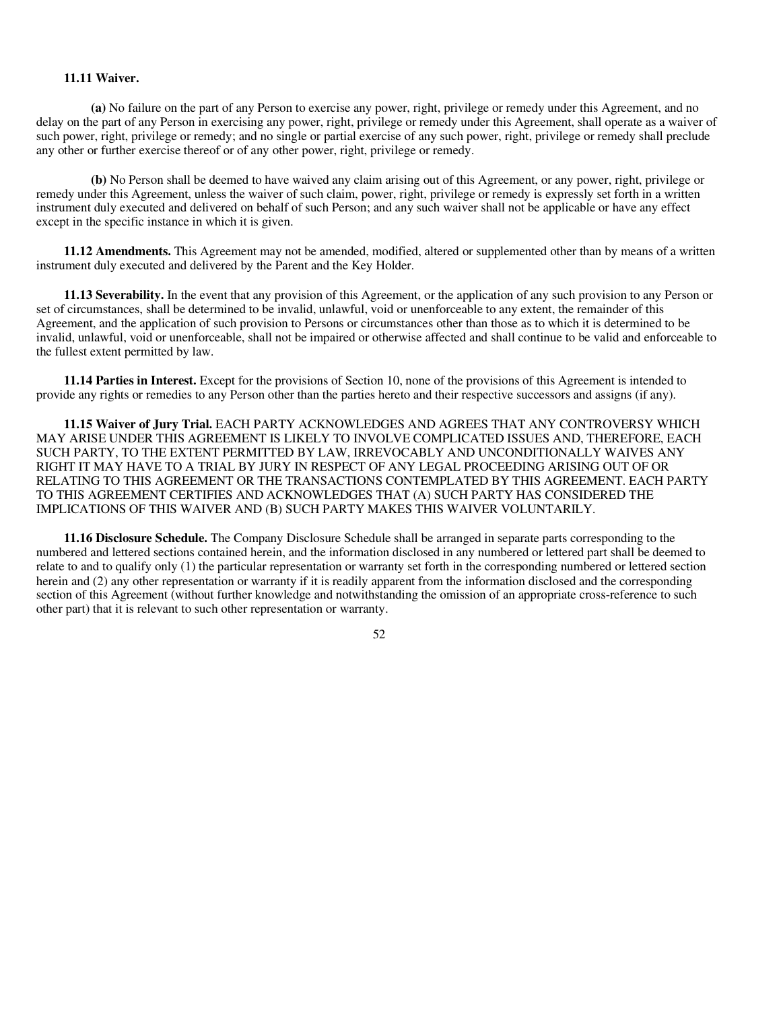#### **11.11 Waiver.**

**(a)** No failure on the part of any Person to exercise any power, right, privilege or remedy under this Agreement, and no delay on the part of any Person in exercising any power, right, privilege or remedy under this Agreement, shall operate as a waiver of such power, right, privilege or remedy; and no single or partial exercise of any such power, right, privilege or remedy shall preclude any other or further exercise thereof or of any other power, right, privilege or remedy.

**(b)** No Person shall be deemed to have waived any claim arising out of this Agreement, or any power, right, privilege or remedy under this Agreement, unless the waiver of such claim, power, right, privilege or remedy is expressly set forth in a written instrument duly executed and delivered on behalf of such Person; and any such waiver shall not be applicable or have any effect except in the specific instance in which it is given.

**11.12 Amendments.** This Agreement may not be amended, modified, altered or supplemented other than by means of a written instrument duly executed and delivered by the Parent and the Key Holder.

**11.13 Severability.** In the event that any provision of this Agreement, or the application of any such provision to any Person or set of circumstances, shall be determined to be invalid, unlawful, void or unenforceable to any extent, the remainder of this Agreement, and the application of such provision to Persons or circumstances other than those as to which it is determined to be invalid, unlawful, void or unenforceable, shall not be impaired or otherwise affected and shall continue to be valid and enforceable to the fullest extent permitted by law.

**11.14 Parties in Interest.** Except for the provisions of Section 10, none of the provisions of this Agreement is intended to provide any rights or remedies to any Person other than the parties hereto and their respective successors and assigns (if any).

**11.15 Waiver of Jury Trial.** EACH PARTY ACKNOWLEDGES AND AGREES THAT ANY CONTROVERSY WHICH MAY ARISE UNDER THIS AGREEMENT IS LIKELY TO INVOLVE COMPLICATED ISSUES AND, THEREFORE, EACH SUCH PARTY, TO THE EXTENT PERMITTED BY LAW, IRREVOCABLY AND UNCONDITIONALLY WAIVES ANY RIGHT IT MAY HAVE TO A TRIAL BY JURY IN RESPECT OF ANY LEGAL PROCEEDING ARISING OUT OF OR RELATING TO THIS AGREEMENT OR THE TRANSACTIONS CONTEMPLATED BY THIS AGREEMENT. EACH PARTY TO THIS AGREEMENT CERTIFIES AND ACKNOWLEDGES THAT (A) SUCH PARTY HAS CONSIDERED THE IMPLICATIONS OF THIS WAIVER AND (B) SUCH PARTY MAKES THIS WAIVER VOLUNTARILY.

**11.16 Disclosure Schedule.** The Company Disclosure Schedule shall be arranged in separate parts corresponding to the numbered and lettered sections contained herein, and the information disclosed in any numbered or lettered part shall be deemed to relate to and to qualify only (1) the particular representation or warranty set forth in the corresponding numbered or lettered section herein and (2) any other representation or warranty if it is readily apparent from the information disclosed and the corresponding section of this Agreement (without further knowledge and notwithstanding the omission of an appropriate cross-reference to such other part) that it is relevant to such other representation or warranty.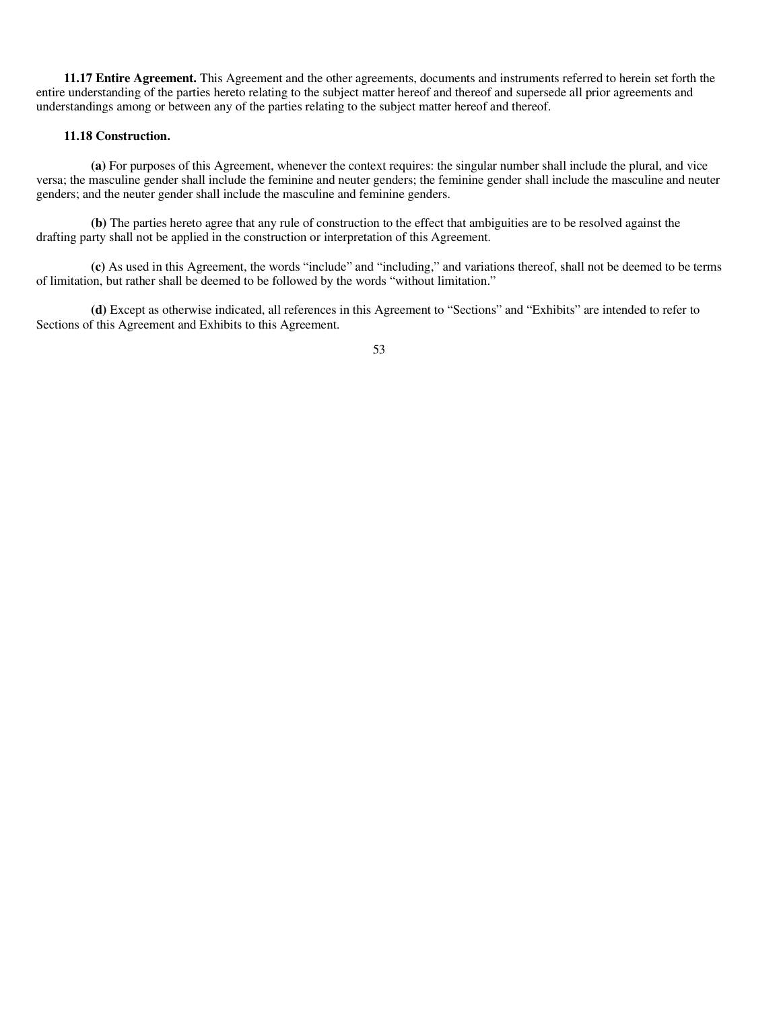**11.17 Entire Agreement.** This Agreement and the other agreements, documents and instruments referred to herein set forth the entire understanding of the parties hereto relating to the subject matter hereof and thereof and supersede all prior agreements and understandings among or between any of the parties relating to the subject matter hereof and thereof.

## **11.18 Construction.**

**(a)** For purposes of this Agreement, whenever the context requires: the singular number shall include the plural, and vice versa; the masculine gender shall include the feminine and neuter genders; the feminine gender shall include the masculine and neuter genders; and the neuter gender shall include the masculine and feminine genders.

**(b)** The parties hereto agree that any rule of construction to the effect that ambiguities are to be resolved against the drafting party shall not be applied in the construction or interpretation of this Agreement.

**(c)** As used in this Agreement, the words "include" and "including," and variations thereof, shall not be deemed to be terms of limitation, but rather shall be deemed to be followed by the words "without limitation."

**(d)** Except as otherwise indicated, all references in this Agreement to "Sections" and "Exhibits" are intended to refer to Sections of this Agreement and Exhibits to this Agreement.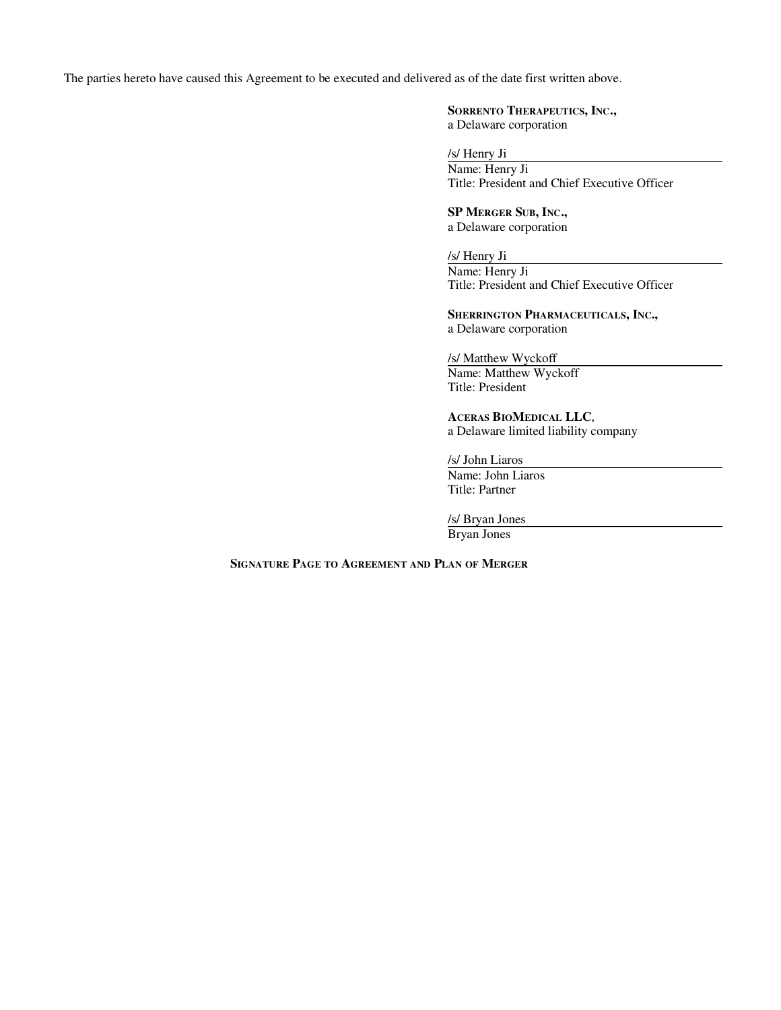The parties hereto have caused this Agreement to be executed and delivered as of the date first written above.

# **SORRENTO THERAPEUTICS, INC.,**

a Delaware corporation

/s/ Henry Ji

Name: Henry Ji Title: President and Chief Executive Officer

**SP MERGER SUB, INC.,** a Delaware corporation

/s/ Henry Ji Name: Henry Ji Title: President and Chief Executive Officer

**SHERRINGTON PHARMACEUTICALS, INC.,** a Delaware corporation

/s/ Matthew Wyckoff Name: Matthew Wyckoff Title: President

**ACERAS BIOMEDICAL LLC**, a Delaware limited liability company

/s/ John Liaros Name: John Liaros Title: Partner

/s/ Bryan Jones

Bryan Jones

**SIGNATURE PAGE TO AGREEMENT AND PLAN OF MERGER**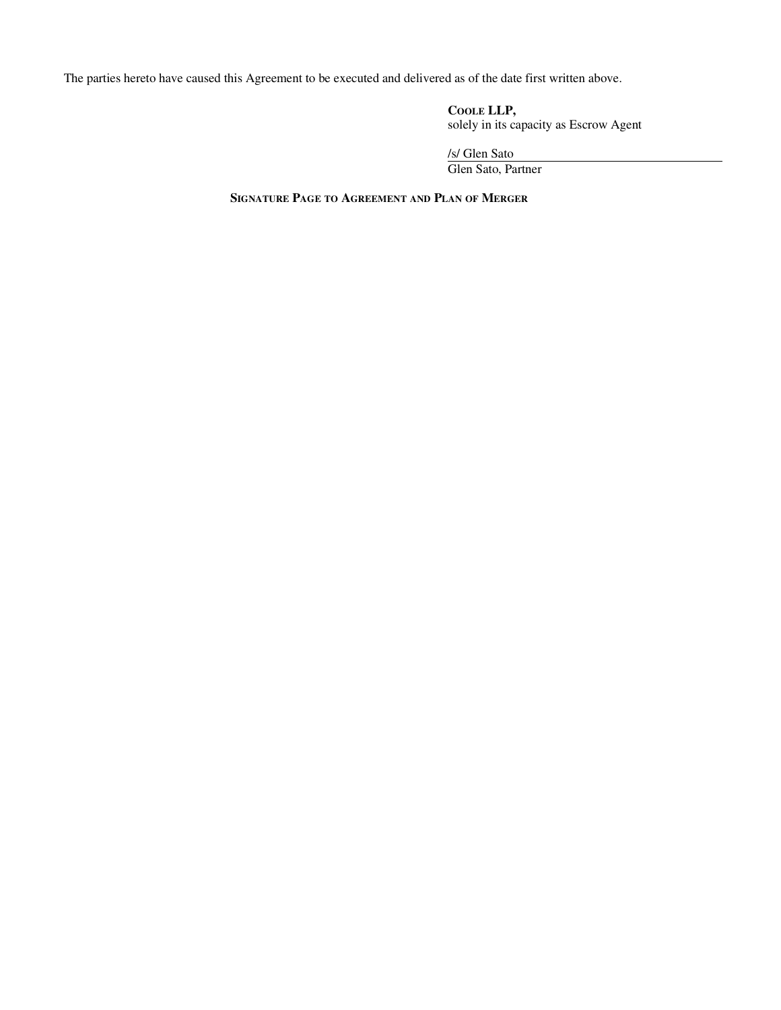The parties hereto have caused this Agreement to be executed and delivered as of the date first written above.

**COOLE LLP,** solely in its capacity as Escrow Agent

/s/ Glen Sato Glen Sato, Partner

**SIGNATURE PAGE TO AGREEMENT AND PLAN OF MERGER**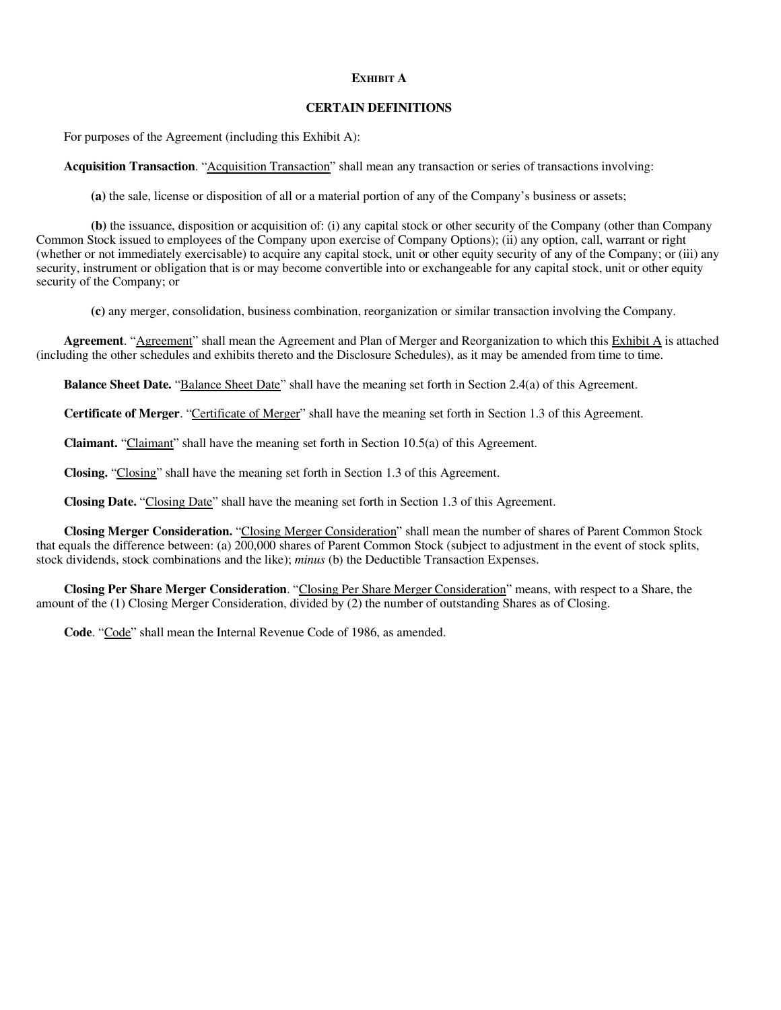# **EXHIBIT A**

### **CERTAIN DEFINITIONS**

For purposes of the Agreement (including this Exhibit A):

Acquisition Transaction. "Acquisition Transaction" shall mean any transaction or series of transactions involving:

**(a)** the sale, license or disposition of all or a material portion of any of the Company's business or assets;

**(b)** the issuance, disposition or acquisition of: (i) any capital stock or other security of the Company (other than Company Common Stock issued to employees of the Company upon exercise of Company Options); (ii) any option, call, warrant or right (whether or not immediately exercisable) to acquire any capital stock, unit or other equity security of any of the Company; or (iii) any security, instrument or obligation that is or may become convertible into or exchangeable for any capital stock, unit or other equity security of the Company; or

**(c)** any merger, consolidation, business combination, reorganization or similar transaction involving the Company.

**Agreement**. "Agreement" shall mean the Agreement and Plan of Merger and Reorganization to which this Exhibit A is attached (including the other schedules and exhibits thereto and the Disclosure Schedules), as it may be amended from time to time.

**Balance Sheet Date.** "Balance Sheet Date" shall have the meaning set forth in Section 2.4(a) of this Agreement.

**Certificate of Merger**. "Certificate of Merger" shall have the meaning set forth in Section 1.3 of this Agreement.

**Claimant.** "Claimant" shall have the meaning set forth in Section 10.5(a) of this Agreement.

**Closing.** "Closing" shall have the meaning set forth in Section 1.3 of this Agreement.

**Closing Date.** "Closing Date" shall have the meaning set forth in Section 1.3 of this Agreement.

**Closing Merger Consideration.** "Closing Merger Consideration" shall mean the number of shares of Parent Common Stock that equals the difference between: (a) 200,000 shares of Parent Common Stock (subject to adjustment in the event of stock splits, stock dividends, stock combinations and the like); *minus* (b) the Deductible Transaction Expenses.

**Closing Per Share Merger Consideration**. "Closing Per Share Merger Consideration" means, with respect to a Share, the amount of the (1) Closing Merger Consideration, divided by (2) the number of outstanding Shares as of Closing.

**Code**. "Code" shall mean the Internal Revenue Code of 1986, as amended.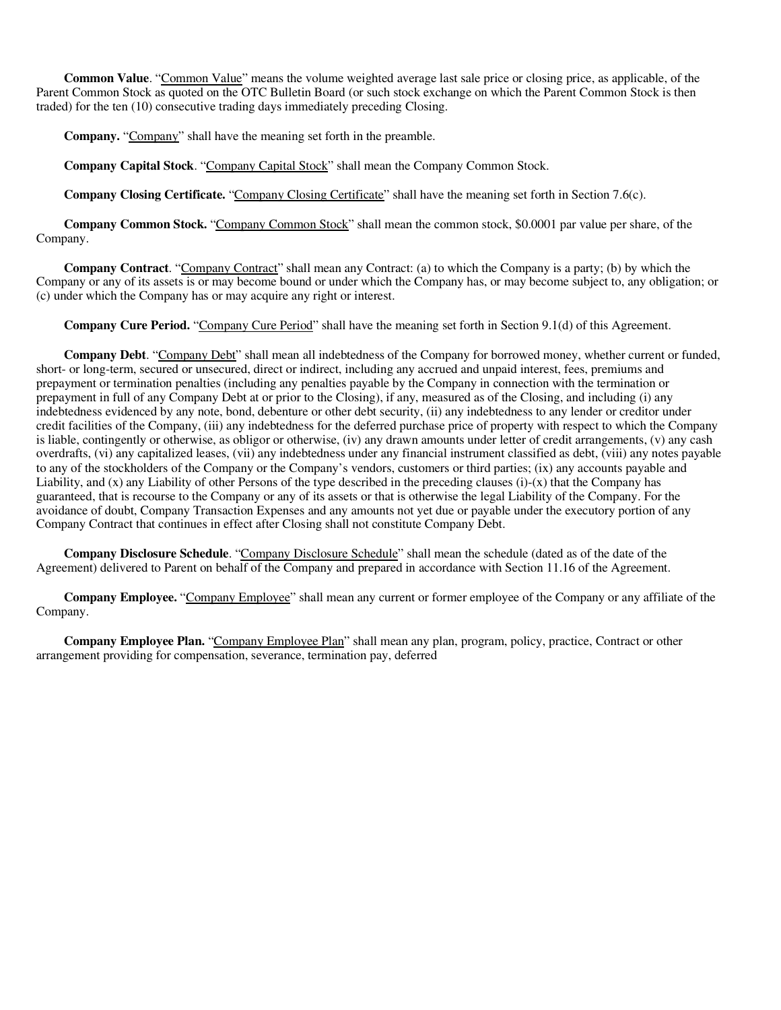**Common Value**. "Common Value" means the volume weighted average last sale price or closing price, as applicable, of the Parent Common Stock as quoted on the OTC Bulletin Board (or such stock exchange on which the Parent Common Stock is then traded) for the ten (10) consecutive trading days immediately preceding Closing.

**Company.** "Company" shall have the meaning set forth in the preamble.

**Company Capital Stock**. "Company Capital Stock" shall mean the Company Common Stock.

**Company Closing Certificate.** "Company Closing Certificate" shall have the meaning set forth in Section 7.6(c).

**Company Common Stock.** "Company Common Stock" shall mean the common stock, \$0.0001 par value per share, of the Company.

**Company Contract**. "Company Contract" shall mean any Contract: (a) to which the Company is a party; (b) by which the Company or any of its assets is or may become bound or under which the Company has, or may become subject to, any obligation; or (c) under which the Company has or may acquire any right or interest.

**Company Cure Period.** "Company Cure Period" shall have the meaning set forth in Section 9.1(d) of this Agreement.

**Company Debt**. "Company Debt" shall mean all indebtedness of the Company for borrowed money, whether current or funded, short- or long-term, secured or unsecured, direct or indirect, including any accrued and unpaid interest, fees, premiums and prepayment or termination penalties (including any penalties payable by the Company in connection with the termination or prepayment in full of any Company Debt at or prior to the Closing), if any, measured as of the Closing, and including (i) any indebtedness evidenced by any note, bond, debenture or other debt security, (ii) any indebtedness to any lender or creditor under credit facilities of the Company, (iii) any indebtedness for the deferred purchase price of property with respect to which the Company is liable, contingently or otherwise, as obligor or otherwise, (iv) any drawn amounts under letter of credit arrangements, (v) any cash overdrafts, (vi) any capitalized leases, (vii) any indebtedness under any financial instrument classified as debt, (viii) any notes payable to any of the stockholders of the Company or the Company's vendors, customers or third parties; (ix) any accounts payable and Liability, and  $(x)$  any Liability of other Persons of the type described in the preceding clauses  $(i)-(x)$  that the Company has guaranteed, that is recourse to the Company or any of its assets or that is otherwise the legal Liability of the Company. For the avoidance of doubt, Company Transaction Expenses and any amounts not yet due or payable under the executory portion of any Company Contract that continues in effect after Closing shall not constitute Company Debt.

**Company Disclosure Schedule**. "Company Disclosure Schedule" shall mean the schedule (dated as of the date of the Agreement) delivered to Parent on behalf of the Company and prepared in accordance with Section 11.16 of the Agreement.

**Company Employee.** "Company Employee" shall mean any current or former employee of the Company or any affiliate of the Company.

**Company Employee Plan.** "Company Employee Plan" shall mean any plan, program, policy, practice, Contract or other arrangement providing for compensation, severance, termination pay, deferred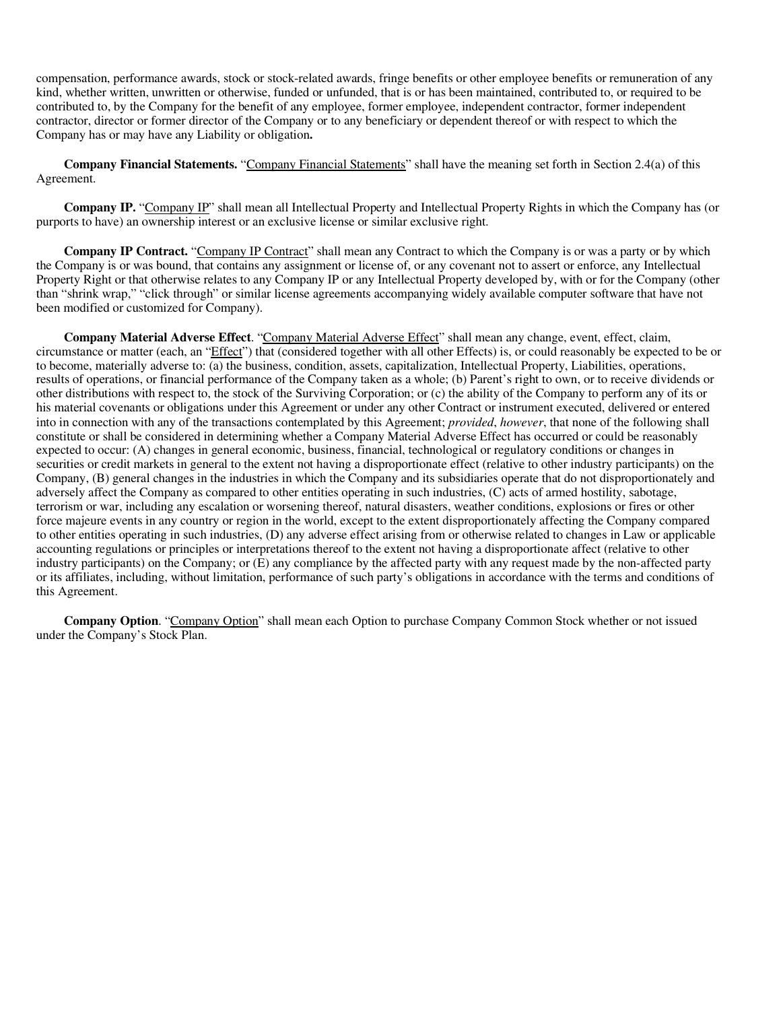compensation, performance awards, stock or stock-related awards, fringe benefits or other employee benefits or remuneration of any kind, whether written, unwritten or otherwise, funded or unfunded, that is or has been maintained, contributed to, or required to be contributed to, by the Company for the benefit of any employee, former employee, independent contractor, former independent contractor, director or former director of the Company or to any beneficiary or dependent thereof or with respect to which the Company has or may have any Liability or obligation**.**

**Company Financial Statements.** "Company Financial Statements" shall have the meaning set forth in Section 2.4(a) of this Agreement.

**Company IP.** "Company IP" shall mean all Intellectual Property and Intellectual Property Rights in which the Company has (or purports to have) an ownership interest or an exclusive license or similar exclusive right.

**Company IP Contract.** "Company IP Contract" shall mean any Contract to which the Company is or was a party or by which the Company is or was bound, that contains any assignment or license of, or any covenant not to assert or enforce, any Intellectual Property Right or that otherwise relates to any Company IP or any Intellectual Property developed by, with or for the Company (other than "shrink wrap," "click through" or similar license agreements accompanying widely available computer software that have not been modified or customized for Company).

**Company Material Adverse Effect**. "Company Material Adverse Effect" shall mean any change, event, effect, claim, circumstance or matter (each, an "Effect") that (considered together with all other Effects) is, or could reasonably be expected to be or to become, materially adverse to: (a) the business, condition, assets, capitalization, Intellectual Property, Liabilities, operations, results of operations, or financial performance of the Company taken as a whole; (b) Parent's right to own, or to receive dividends or other distributions with respect to, the stock of the Surviving Corporation; or (c) the ability of the Company to perform any of its or his material covenants or obligations under this Agreement or under any other Contract or instrument executed, delivered or entered into in connection with any of the transactions contemplated by this Agreement; *provided*, *however*, that none of the following shall constitute or shall be considered in determining whether a Company Material Adverse Effect has occurred or could be reasonably expected to occur: (A) changes in general economic, business, financial, technological or regulatory conditions or changes in securities or credit markets in general to the extent not having a disproportionate effect (relative to other industry participants) on the Company, (B) general changes in the industries in which the Company and its subsidiaries operate that do not disproportionately and adversely affect the Company as compared to other entities operating in such industries, (C) acts of armed hostility, sabotage, terrorism or war, including any escalation or worsening thereof, natural disasters, weather conditions, explosions or fires or other force majeure events in any country or region in the world, except to the extent disproportionately affecting the Company compared to other entities operating in such industries, (D) any adverse effect arising from or otherwise related to changes in Law or applicable accounting regulations or principles or interpretations thereof to the extent not having a disproportionate affect (relative to other industry participants) on the Company; or (E) any compliance by the affected party with any request made by the non-affected party or its affiliates, including, without limitation, performance of such party's obligations in accordance with the terms and conditions of this Agreement.

**Company Option**. "Company Option" shall mean each Option to purchase Company Common Stock whether or not issued under the Company's Stock Plan.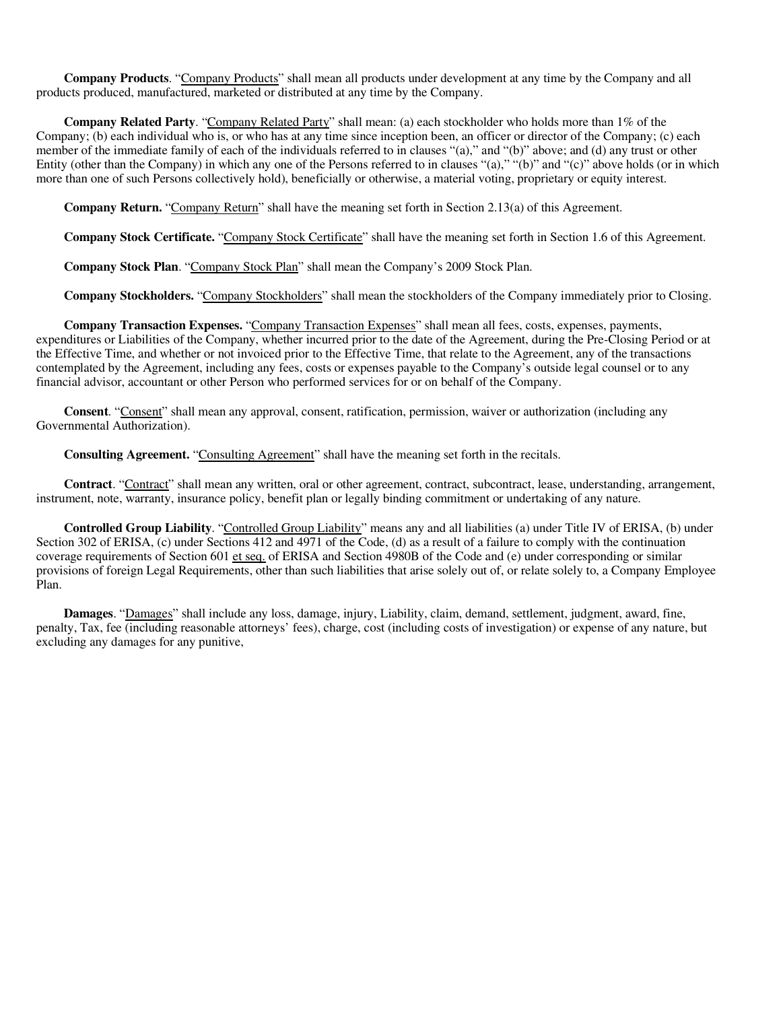**Company Products**. "Company Products" shall mean all products under development at any time by the Company and all products produced, manufactured, marketed or distributed at any time by the Company.

**Company Related Party**. "Company Related Party" shall mean: (a) each stockholder who holds more than 1% of the Company; (b) each individual who is, or who has at any time since inception been, an officer or director of the Company; (c) each member of the immediate family of each of the individuals referred to in clauses "(a)," and "(b)" above; and (d) any trust or other Entity (other than the Company) in which any one of the Persons referred to in clauses "(a)," "(b)" and "(c)" above holds (or in which more than one of such Persons collectively hold), beneficially or otherwise, a material voting, proprietary or equity interest.

**Company Return.** "Company Return" shall have the meaning set forth in Section 2.13(a) of this Agreement.

**Company Stock Certificate.** "Company Stock Certificate" shall have the meaning set forth in Section 1.6 of this Agreement.

**Company Stock Plan**. "Company Stock Plan" shall mean the Company's 2009 Stock Plan.

**Company Stockholders.** "Company Stockholders" shall mean the stockholders of the Company immediately prior to Closing.

**Company Transaction Expenses.** "Company Transaction Expenses" shall mean all fees, costs, expenses, payments, expenditures or Liabilities of the Company, whether incurred prior to the date of the Agreement, during the Pre-Closing Period or at the Effective Time, and whether or not invoiced prior to the Effective Time, that relate to the Agreement, any of the transactions contemplated by the Agreement, including any fees, costs or expenses payable to the Company's outside legal counsel or to any financial advisor, accountant or other Person who performed services for or on behalf of the Company.

**Consent**. "Consent" shall mean any approval, consent, ratification, permission, waiver or authorization (including any Governmental Authorization).

**Consulting Agreement.** "Consulting Agreement" shall have the meaning set forth in the recitals.

**Contract**. "Contract" shall mean any written, oral or other agreement, contract, subcontract, lease, understanding, arrangement, instrument, note, warranty, insurance policy, benefit plan or legally binding commitment or undertaking of any nature.

**Controlled Group Liability**. "Controlled Group Liability" means any and all liabilities (a) under Title IV of ERISA, (b) under Section 302 of ERISA, (c) under Sections 412 and 4971 of the Code, (d) as a result of a failure to comply with the continuation coverage requirements of Section 601 et seq. of ERISA and Section 4980B of the Code and (e) under corresponding or similar provisions of foreign Legal Requirements, other than such liabilities that arise solely out of, or relate solely to, a Company Employee Plan.

**Damages**. "Damages" shall include any loss, damage, injury, Liability, claim, demand, settlement, judgment, award, fine, penalty, Tax, fee (including reasonable attorneys' fees), charge, cost (including costs of investigation) or expense of any nature, but excluding any damages for any punitive,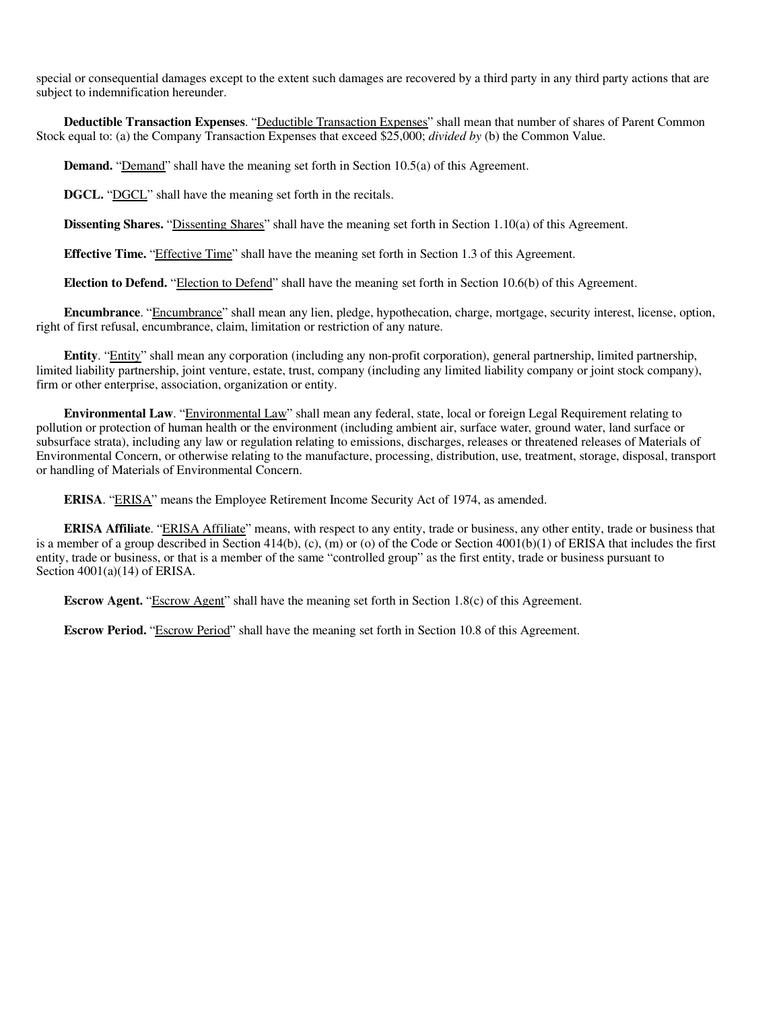special or consequential damages except to the extent such damages are recovered by a third party in any third party actions that are subject to indemnification hereunder.

**Deductible Transaction Expenses**. "Deductible Transaction Expenses" shall mean that number of shares of Parent Common Stock equal to: (a) the Company Transaction Expenses that exceed \$25,000; *divided by* (b) the Common Value.

**Demand.** "Demand" shall have the meaning set forth in Section 10.5(a) of this Agreement.

**DGCL.** "DGCL" shall have the meaning set forth in the recitals.

**Dissenting Shares.** "Dissenting Shares" shall have the meaning set forth in Section 1.10(a) of this Agreement.

**Effective Time.** "Effective Time" shall have the meaning set forth in Section 1.3 of this Agreement.

**Election to Defend.** "Election to Defend" shall have the meaning set forth in Section 10.6(b) of this Agreement.

**Encumbrance**. "Encumbrance" shall mean any lien, pledge, hypothecation, charge, mortgage, security interest, license, option, right of first refusal, encumbrance, claim, limitation or restriction of any nature.

**Entity**. "Entity" shall mean any corporation (including any non-profit corporation), general partnership, limited partnership, limited liability partnership, joint venture, estate, trust, company (including any limited liability company or joint stock company), firm or other enterprise, association, organization or entity.

**Environmental Law**. "Environmental Law" shall mean any federal, state, local or foreign Legal Requirement relating to pollution or protection of human health or the environment (including ambient air, surface water, ground water, land surface or subsurface strata), including any law or regulation relating to emissions, discharges, releases or threatened releases of Materials of Environmental Concern, or otherwise relating to the manufacture, processing, distribution, use, treatment, storage, disposal, transport or handling of Materials of Environmental Concern.

**ERISA**. "ERISA" means the Employee Retirement Income Security Act of 1974, as amended.

**ERISA Affiliate**. "ERISA Affiliate" means, with respect to any entity, trade or business, any other entity, trade or business that is a member of a group described in Section 414(b),  $(c)$ ,  $(m)$  or  $(o)$  of the Code or Section 4001(b)(1) of ERISA that includes the first entity, trade or business, or that is a member of the same "controlled group" as the first entity, trade or business pursuant to Section  $4001(a)(14)$  of ERISA.

**Escrow Agent.** "Escrow Agent" shall have the meaning set forth in Section 1.8(c) of this Agreement.

**Escrow Period.** "Escrow Period" shall have the meaning set forth in Section 10.8 of this Agreement.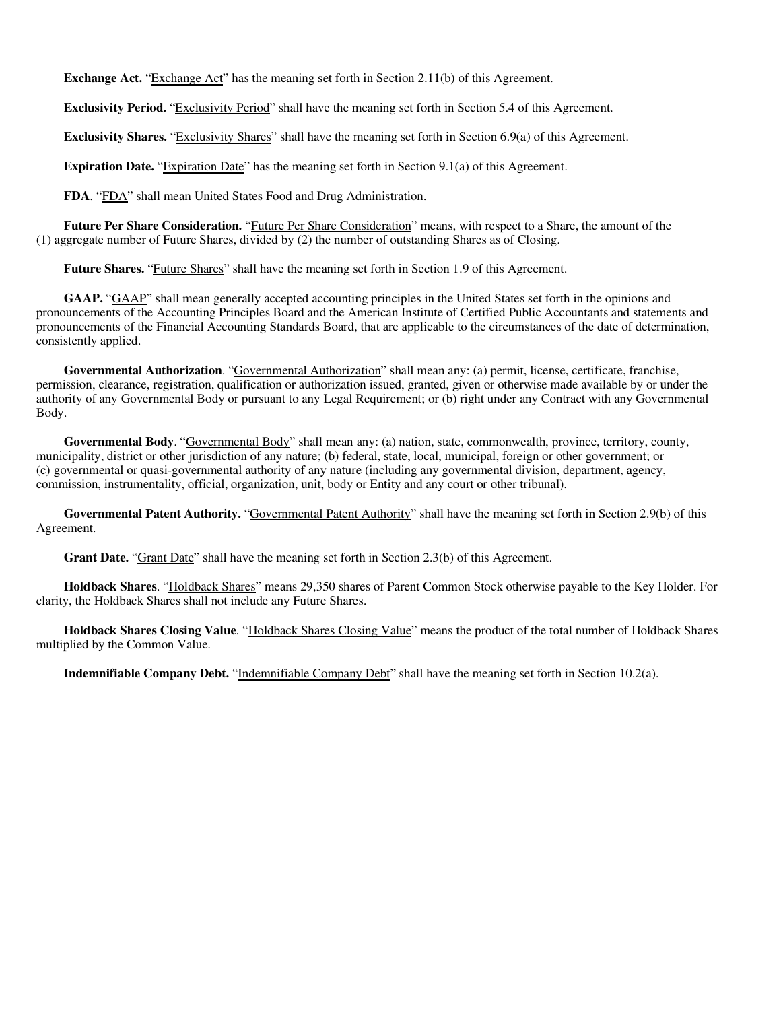**Exchange Act.** "Exchange Act" has the meaning set forth in Section 2.11(b) of this Agreement.

**Exclusivity Period.** "Exclusivity Period" shall have the meaning set forth in Section 5.4 of this Agreement.

**Exclusivity Shares.** "Exclusivity Shares" shall have the meaning set forth in Section 6.9(a) of this Agreement.

**Expiration Date.** "Expiration Date" has the meaning set forth in Section 9.1(a) of this Agreement.

FDA. "FDA" shall mean United States Food and Drug Administration.

**Future Per Share Consideration.** "Future Per Share Consideration" means, with respect to a Share, the amount of the (1) aggregate number of Future Shares, divided by (2) the number of outstanding Shares as of Closing.

Future Shares. "Future Shares" shall have the meaning set forth in Section 1.9 of this Agreement.

**GAAP.** "GAAP" shall mean generally accepted accounting principles in the United States set forth in the opinions and pronouncements of the Accounting Principles Board and the American Institute of Certified Public Accountants and statements and pronouncements of the Financial Accounting Standards Board, that are applicable to the circumstances of the date of determination, consistently applied.

**Governmental Authorization**. "Governmental Authorization" shall mean any: (a) permit, license, certificate, franchise, permission, clearance, registration, qualification or authorization issued, granted, given or otherwise made available by or under the authority of any Governmental Body or pursuant to any Legal Requirement; or (b) right under any Contract with any Governmental Body.

**Governmental Body**. "Governmental Body" shall mean any: (a) nation, state, commonwealth, province, territory, county, municipality, district or other jurisdiction of any nature; (b) federal, state, local, municipal, foreign or other government; or (c) governmental or quasi-governmental authority of any nature (including any governmental division, department, agency, commission, instrumentality, official, organization, unit, body or Entity and any court or other tribunal).

**Governmental Patent Authority.** "Governmental Patent Authority" shall have the meaning set forth in Section 2.9(b) of this Agreement.

Grant Date. "Grant Date" shall have the meaning set forth in Section 2.3(b) of this Agreement.

**Holdback Shares**. "Holdback Shares" means 29,350 shares of Parent Common Stock otherwise payable to the Key Holder. For clarity, the Holdback Shares shall not include any Future Shares.

**Holdback Shares Closing Value**. "Holdback Shares Closing Value" means the product of the total number of Holdback Shares multiplied by the Common Value.

**Indemnifiable Company Debt.** "Indemnifiable Company Debt" shall have the meaning set forth in Section 10.2(a).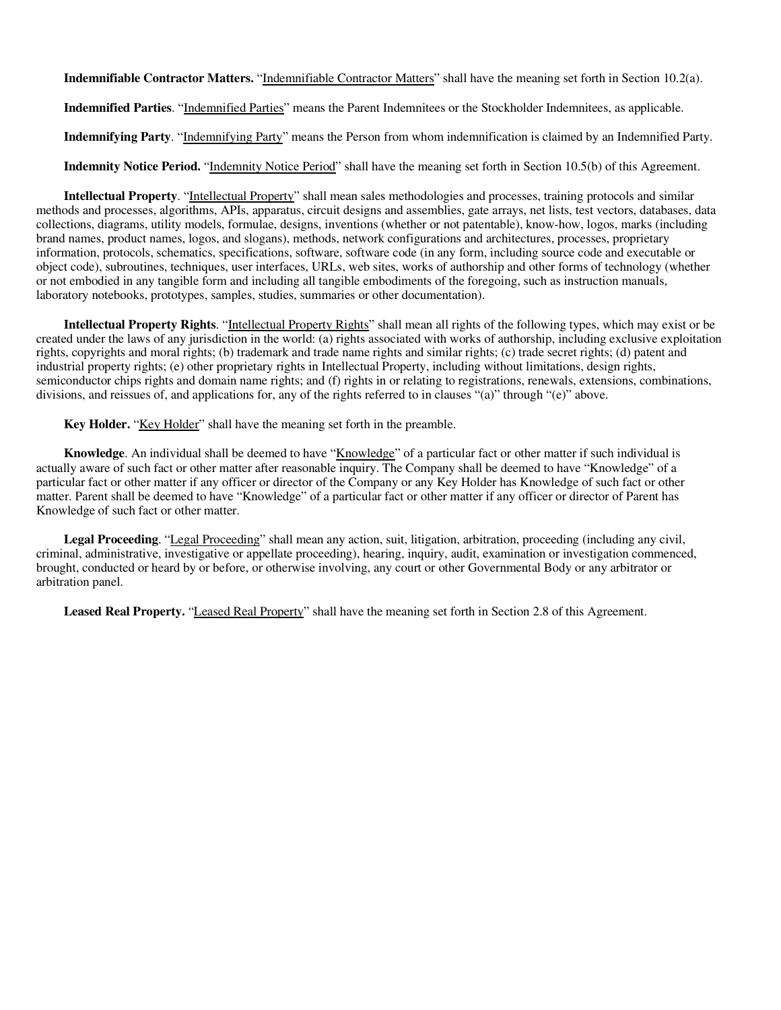**Indemnifiable Contractor Matters.** "Indemnifiable Contractor Matters" shall have the meaning set forth in Section 10.2(a).

**Indemnified Parties**. "Indemnified Parties" means the Parent Indemnitees or the Stockholder Indemnitees, as applicable.

**Indemnifying Party**. "Indemnifying Party" means the Person from whom indemnification is claimed by an Indemnified Party.

**Indemnity Notice Period.** "Indemnity Notice Period" shall have the meaning set forth in Section 10.5(b) of this Agreement.

**Intellectual Property**. "Intellectual Property" shall mean sales methodologies and processes, training protocols and similar methods and processes, algorithms, APIs, apparatus, circuit designs and assemblies, gate arrays, net lists, test vectors, databases, data collections, diagrams, utility models, formulae, designs, inventions (whether or not patentable), know-how, logos, marks (including brand names, product names, logos, and slogans), methods, network configurations and architectures, processes, proprietary information, protocols, schematics, specifications, software, software code (in any form, including source code and executable or object code), subroutines, techniques, user interfaces, URLs, web sites, works of authorship and other forms of technology (whether or not embodied in any tangible form and including all tangible embodiments of the foregoing, such as instruction manuals, laboratory notebooks, prototypes, samples, studies, summaries or other documentation).

**Intellectual Property Rights**. "Intellectual Property Rights" shall mean all rights of the following types, which may exist or be created under the laws of any jurisdiction in the world: (a) rights associated with works of authorship, including exclusive exploitation rights, copyrights and moral rights; (b) trademark and trade name rights and similar rights; (c) trade secret rights; (d) patent and industrial property rights; (e) other proprietary rights in Intellectual Property, including without limitations, design rights, semiconductor chips rights and domain name rights; and (f) rights in or relating to registrations, renewals, extensions, combinations, divisions, and reissues of, and applications for, any of the rights referred to in clauses "(a)" through "(e)" above.

**Key Holder.** "Key Holder" shall have the meaning set forth in the preamble.

**Knowledge**. An individual shall be deemed to have "Knowledge" of a particular fact or other matter if such individual is actually aware of such fact or other matter after reasonable inquiry. The Company shall be deemed to have "Knowledge" of a particular fact or other matter if any officer or director of the Company or any Key Holder has Knowledge of such fact or other matter. Parent shall be deemed to have "Knowledge" of a particular fact or other matter if any officer or director of Parent has Knowledge of such fact or other matter.

**Legal Proceeding**. "Legal Proceeding" shall mean any action, suit, litigation, arbitration, proceeding (including any civil, criminal, administrative, investigative or appellate proceeding), hearing, inquiry, audit, examination or investigation commenced, brought, conducted or heard by or before, or otherwise involving, any court or other Governmental Body or any arbitrator or arbitration panel.

**Leased Real Property.** "Leased Real Property" shall have the meaning set forth in Section 2.8 of this Agreement.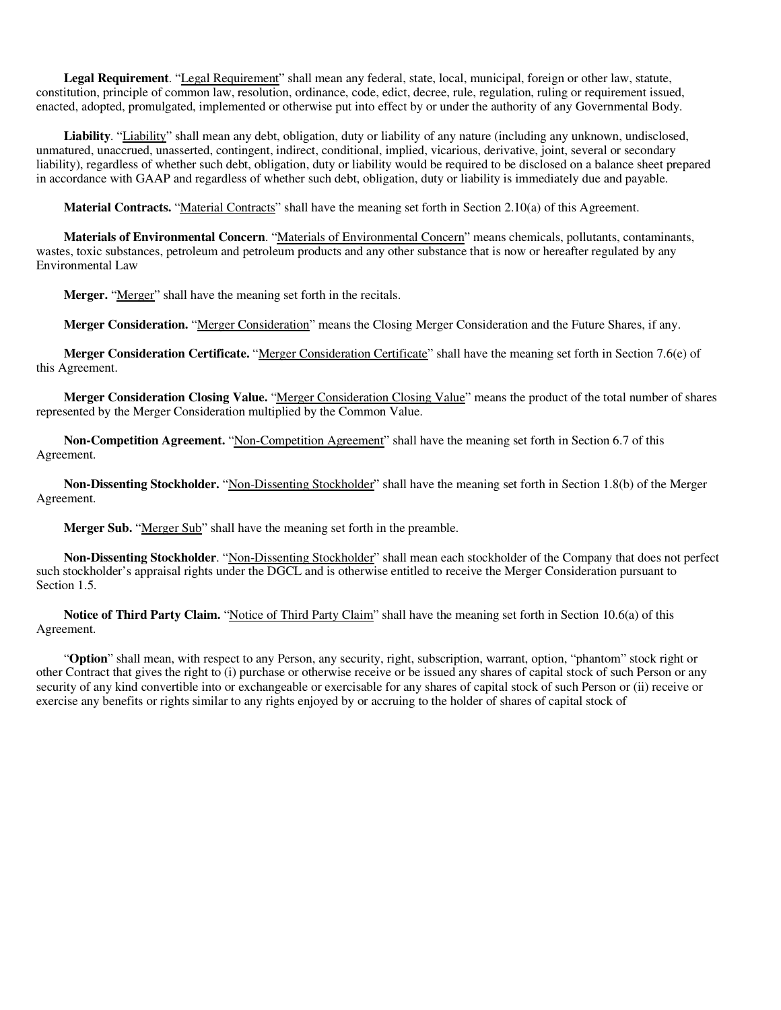**Legal Requirement**. "Legal Requirement" shall mean any federal, state, local, municipal, foreign or other law, statute, constitution, principle of common law, resolution, ordinance, code, edict, decree, rule, regulation, ruling or requirement issued, enacted, adopted, promulgated, implemented or otherwise put into effect by or under the authority of any Governmental Body.

**Liability**. "Liability" shall mean any debt, obligation, duty or liability of any nature (including any unknown, undisclosed, unmatured, unaccrued, unasserted, contingent, indirect, conditional, implied, vicarious, derivative, joint, several or secondary liability), regardless of whether such debt, obligation, duty or liability would be required to be disclosed on a balance sheet prepared in accordance with GAAP and regardless of whether such debt, obligation, duty or liability is immediately due and payable.

**Material Contracts.** "Material Contracts" shall have the meaning set forth in Section 2.10(a) of this Agreement.

**Materials of Environmental Concern**. "Materials of Environmental Concern" means chemicals, pollutants, contaminants, wastes, toxic substances, petroleum and petroleum products and any other substance that is now or hereafter regulated by any Environmental Law

Merger. "Merger" shall have the meaning set forth in the recitals.

**Merger Consideration.** "Merger Consideration" means the Closing Merger Consideration and the Future Shares, if any.

**Merger Consideration Certificate.** "Merger Consideration Certificate" shall have the meaning set forth in Section 7.6(e) of this Agreement.

**Merger Consideration Closing Value.** "Merger Consideration Closing Value" means the product of the total number of shares represented by the Merger Consideration multiplied by the Common Value.

**Non-Competition Agreement.** "Non-Competition Agreement" shall have the meaning set forth in Section 6.7 of this Agreement.

**Non-Dissenting Stockholder.** "Non-Dissenting Stockholder" shall have the meaning set forth in Section 1.8(b) of the Merger Agreement.

**Merger Sub.** "Merger Sub" shall have the meaning set forth in the preamble.

**Non-Dissenting Stockholder**. "Non-Dissenting Stockholder" shall mean each stockholder of the Company that does not perfect such stockholder's appraisal rights under the DGCL and is otherwise entitled to receive the Merger Consideration pursuant to Section 1.5.

**Notice of Third Party Claim.** "Notice of Third Party Claim" shall have the meaning set forth in Section 10.6(a) of this Agreement.

"**Option**" shall mean, with respect to any Person, any security, right, subscription, warrant, option, "phantom" stock right or other Contract that gives the right to (i) purchase or otherwise receive or be issued any shares of capital stock of such Person or any security of any kind convertible into or exchangeable or exercisable for any shares of capital stock of such Person or (ii) receive or exercise any benefits or rights similar to any rights enjoyed by or accruing to the holder of shares of capital stock of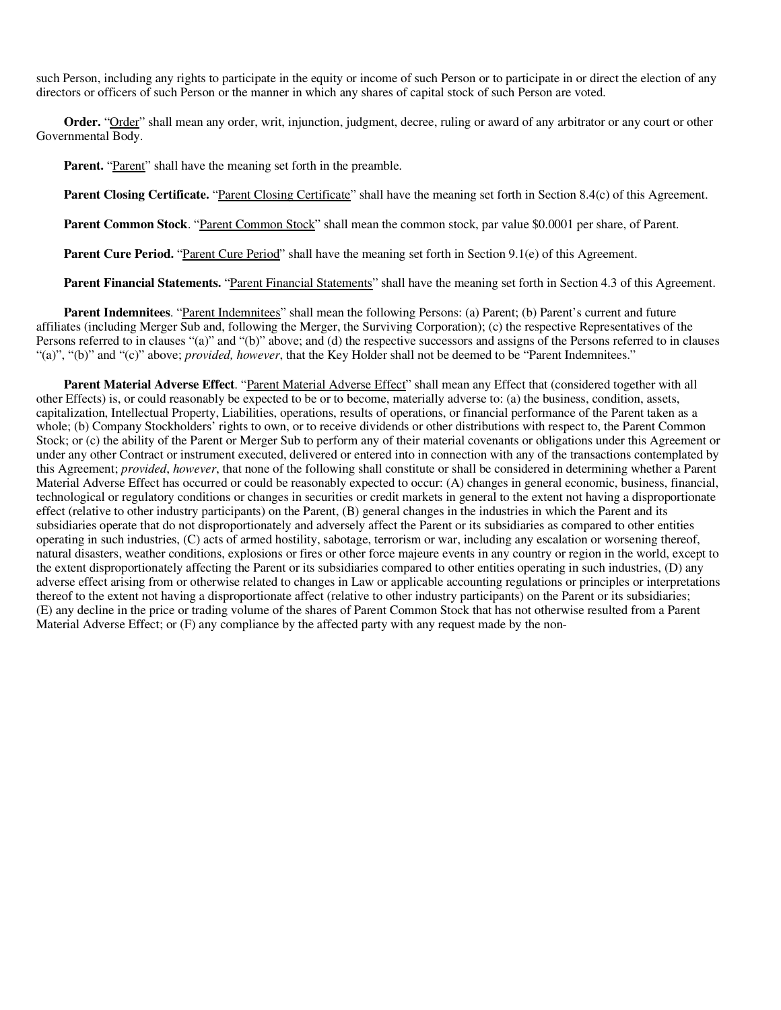such Person, including any rights to participate in the equity or income of such Person or to participate in or direct the election of any directors or officers of such Person or the manner in which any shares of capital stock of such Person are voted.

**Order.** "Order" shall mean any order, writ, injunction, judgment, decree, ruling or award of any arbitrator or any court or other Governmental Body.

**Parent.** "Parent" shall have the meaning set forth in the preamble.

**Parent Closing Certificate.** "Parent Closing Certificate" shall have the meaning set forth in Section 8.4(c) of this Agreement.

**Parent Common Stock**. "Parent Common Stock" shall mean the common stock, par value \$0.0001 per share, of Parent.

**Parent Cure Period.** "Parent Cure Period" shall have the meaning set forth in Section 9.1(e) of this Agreement.

**Parent Financial Statements.** "Parent Financial Statements" shall have the meaning set forth in Section 4.3 of this Agreement.

**Parent Indemnitees**. "Parent Indemnitees" shall mean the following Persons: (a) Parent; (b) Parent's current and future affiliates (including Merger Sub and, following the Merger, the Surviving Corporation); (c) the respective Representatives of the Persons referred to in clauses "(a)" and "(b)" above; and (d) the respective successors and assigns of the Persons referred to in clauses "(a)", "(b)" and "(c)" above; *provided, however*, that the Key Holder shall not be deemed to be "Parent Indemnitees."

Parent Material Adverse Effect. "Parent Material Adverse Effect" shall mean any Effect that (considered together with all other Effects) is, or could reasonably be expected to be or to become, materially adverse to: (a) the business, condition, assets, capitalization, Intellectual Property, Liabilities, operations, results of operations, or financial performance of the Parent taken as a whole; (b) Company Stockholders' rights to own, or to receive dividends or other distributions with respect to, the Parent Common Stock; or (c) the ability of the Parent or Merger Sub to perform any of their material covenants or obligations under this Agreement or under any other Contract or instrument executed, delivered or entered into in connection with any of the transactions contemplated by this Agreement; *provided*, *however*, that none of the following shall constitute or shall be considered in determining whether a Parent Material Adverse Effect has occurred or could be reasonably expected to occur: (A) changes in general economic, business, financial, technological or regulatory conditions or changes in securities or credit markets in general to the extent not having a disproportionate effect (relative to other industry participants) on the Parent, (B) general changes in the industries in which the Parent and its subsidiaries operate that do not disproportionately and adversely affect the Parent or its subsidiaries as compared to other entities operating in such industries, (C) acts of armed hostility, sabotage, terrorism or war, including any escalation or worsening thereof, natural disasters, weather conditions, explosions or fires or other force majeure events in any country or region in the world, except to the extent disproportionately affecting the Parent or its subsidiaries compared to other entities operating in such industries, (D) any adverse effect arising from or otherwise related to changes in Law or applicable accounting regulations or principles or interpretations thereof to the extent not having a disproportionate affect (relative to other industry participants) on the Parent or its subsidiaries; (E) any decline in the price or trading volume of the shares of Parent Common Stock that has not otherwise resulted from a Parent Material Adverse Effect; or (F) any compliance by the affected party with any request made by the non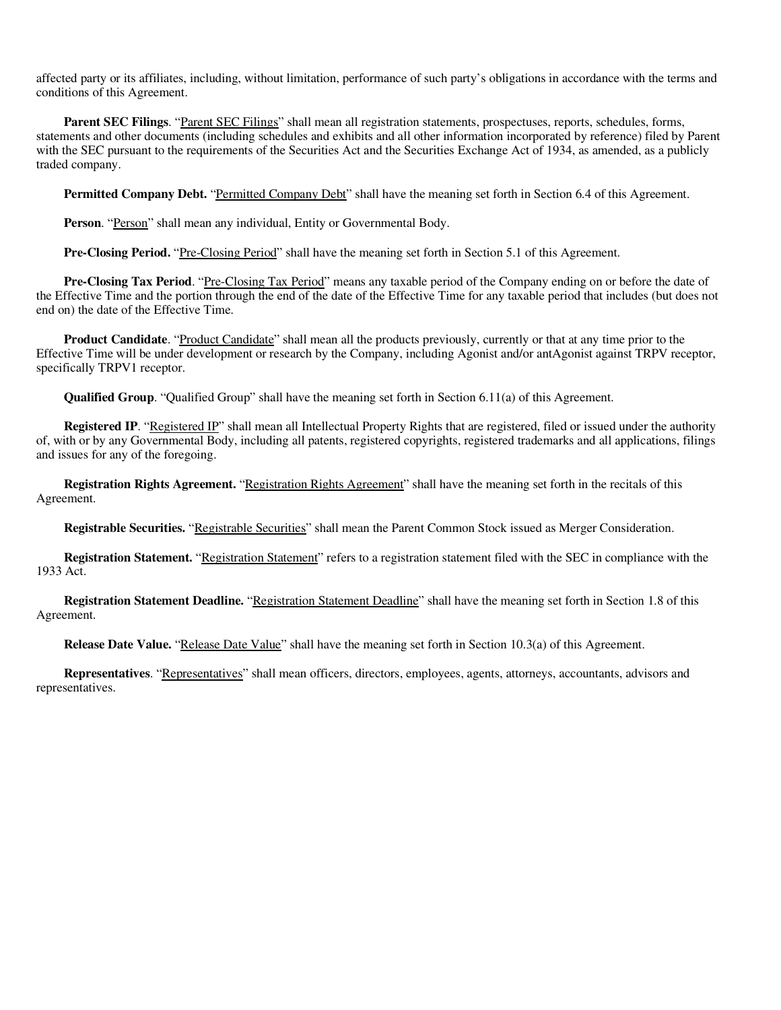affected party or its affiliates, including, without limitation, performance of such party's obligations in accordance with the terms and conditions of this Agreement.

Parent SEC Filings. "Parent SEC Filings" shall mean all registration statements, prospectuses, reports, schedules, forms, statements and other documents (including schedules and exhibits and all other information incorporated by reference) filed by Parent with the SEC pursuant to the requirements of the Securities Act and the Securities Exchange Act of 1934, as amended, as a publicly traded company.

**Permitted Company Debt.** "Permitted Company Debt" shall have the meaning set forth in Section 6.4 of this Agreement.

Person. "Person" shall mean any individual, Entity or Governmental Body.

**Pre-Closing Period.** "Pre-Closing Period" shall have the meaning set forth in Section 5.1 of this Agreement.

**Pre-Closing Tax Period**. "Pre-Closing Tax Period" means any taxable period of the Company ending on or before the date of the Effective Time and the portion through the end of the date of the Effective Time for any taxable period that includes (but does not end on) the date of the Effective Time.

**Product Candidate**. "Product Candidate" shall mean all the products previously, currently or that at any time prior to the Effective Time will be under development or research by the Company, including Agonist and/or antAgonist against TRPV receptor, specifically TRPV1 receptor.

**Qualified Group**. "Qualified Group" shall have the meaning set forth in Section 6.11(a) of this Agreement.

**Registered IP**. "Registered IP" shall mean all Intellectual Property Rights that are registered, filed or issued under the authority of, with or by any Governmental Body, including all patents, registered copyrights, registered trademarks and all applications, filings and issues for any of the foregoing.

**Registration Rights Agreement.** "Registration Rights Agreement" shall have the meaning set forth in the recitals of this Agreement.

**Registrable Securities.** "Registrable Securities" shall mean the Parent Common Stock issued as Merger Consideration.

**Registration Statement.** "Registration Statement" refers to a registration statement filed with the SEC in compliance with the 1933 Act.

**Registration Statement Deadline.** "Registration Statement Deadline" shall have the meaning set forth in Section 1.8 of this Agreement.

**Release Date Value.** "Release Date Value" shall have the meaning set forth in Section 10.3(a) of this Agreement.

**Representatives**. "Representatives" shall mean officers, directors, employees, agents, attorneys, accountants, advisors and representatives.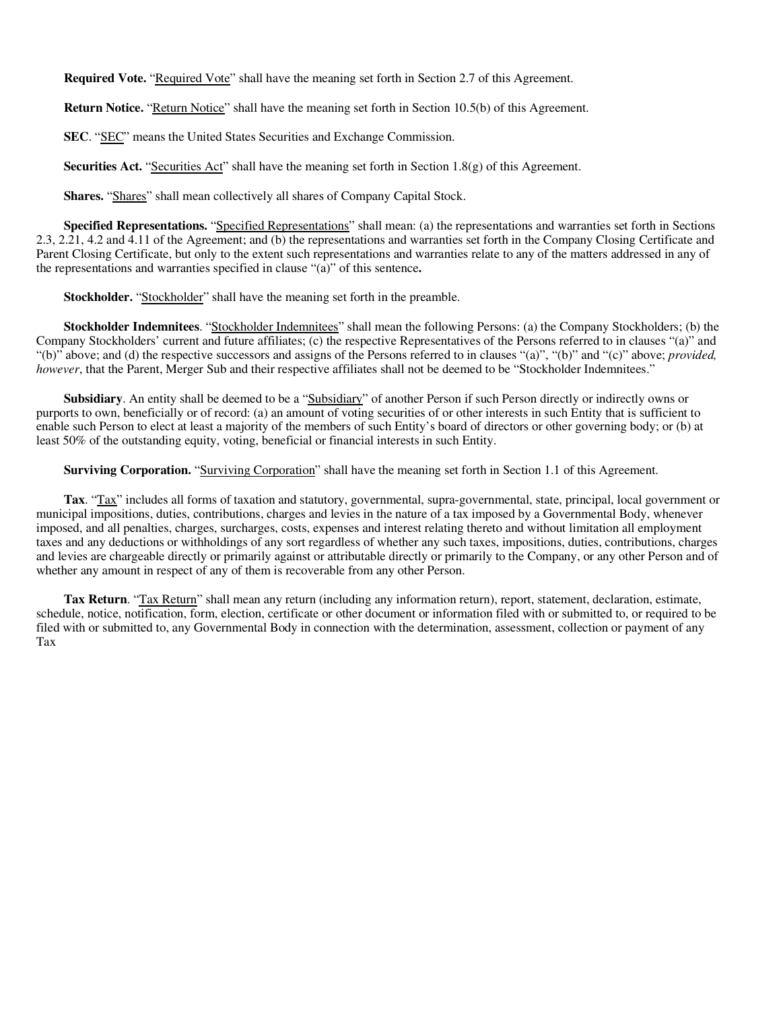**Required Vote.** "Required Vote" shall have the meaning set forth in Section 2.7 of this Agreement.

**Return Notice.** "Return Notice" shall have the meaning set forth in Section 10.5(b) of this Agreement.

**SEC**. "SEC" means the United States Securities and Exchange Commission.

**Securities Act.** "Securities Act" shall have the meaning set forth in Section 1.8(g) of this Agreement.

Shares. "Shares" shall mean collectively all shares of Company Capital Stock.

**Specified Representations.** "Specified Representations" shall mean: (a) the representations and warranties set forth in Sections 2.3, 2.21, 4.2 and 4.11 of the Agreement; and (b) the representations and warranties set forth in the Company Closing Certificate and Parent Closing Certificate, but only to the extent such representations and warranties relate to any of the matters addressed in any of the representations and warranties specified in clause "(a)" of this sentence**.**

**Stockholder.** "Stockholder" shall have the meaning set forth in the preamble.

**Stockholder Indemnitees**. "Stockholder Indemnitees" shall mean the following Persons: (a) the Company Stockholders; (b) the Company Stockholders' current and future affiliates; (c) the respective Representatives of the Persons referred to in clauses "(a)" and "(b)" above; and (d) the respective successors and assigns of the Persons referred to in clauses "(a)", "(b)" and "(c)" above; *provided, however*, that the Parent, Merger Sub and their respective affiliates shall not be deemed to be "Stockholder Indemnitees."

**Subsidiary**. An entity shall be deemed to be a "Subsidiary" of another Person if such Person directly or indirectly owns or purports to own, beneficially or of record: (a) an amount of voting securities of or other interests in such Entity that is sufficient to enable such Person to elect at least a majority of the members of such Entity's board of directors or other governing body; or (b) at least 50% of the outstanding equity, voting, beneficial or financial interests in such Entity.

**Surviving Corporation.** "Surviving Corporation" shall have the meaning set forth in Section 1.1 of this Agreement.

**Tax**. "Tax" includes all forms of taxation and statutory, governmental, supra-governmental, state, principal, local government or municipal impositions, duties, contributions, charges and levies in the nature of a tax imposed by a Governmental Body, whenever imposed, and all penalties, charges, surcharges, costs, expenses and interest relating thereto and without limitation all employment taxes and any deductions or withholdings of any sort regardless of whether any such taxes, impositions, duties, contributions, charges and levies are chargeable directly or primarily against or attributable directly or primarily to the Company, or any other Person and of whether any amount in respect of any of them is recoverable from any other Person.

**Tax Return**. "Tax Return" shall mean any return (including any information return), report, statement, declaration, estimate, schedule, notice, notification, form, election, certificate or other document or information filed with or submitted to, or required to be filed with or submitted to, any Governmental Body in connection with the determination, assessment, collection or payment of any Tax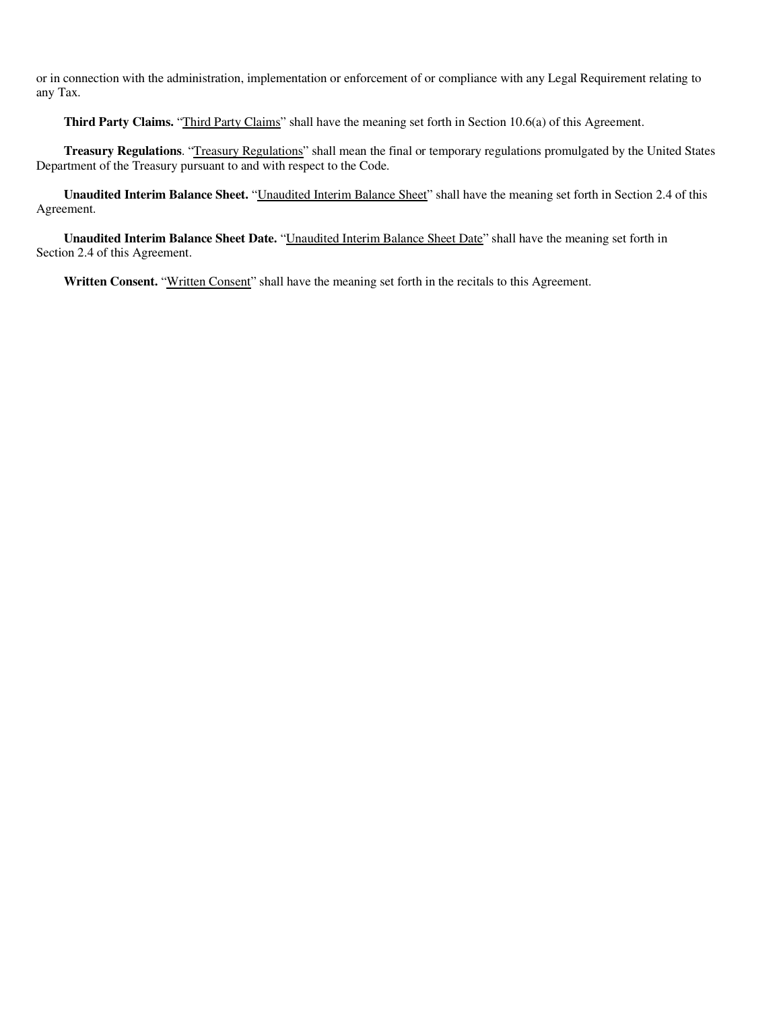or in connection with the administration, implementation or enforcement of or compliance with any Legal Requirement relating to any Tax.

**Third Party Claims.** "Third Party Claims" shall have the meaning set forth in Section 10.6(a) of this Agreement.

**Treasury Regulations**. "Treasury Regulations" shall mean the final or temporary regulations promulgated by the United States Department of the Treasury pursuant to and with respect to the Code.

**Unaudited Interim Balance Sheet.** "Unaudited Interim Balance Sheet" shall have the meaning set forth in Section 2.4 of this Agreement.

**Unaudited Interim Balance Sheet Date.** "Unaudited Interim Balance Sheet Date" shall have the meaning set forth in Section 2.4 of this Agreement.

Written Consent. "Written Consent" shall have the meaning set forth in the recitals to this Agreement.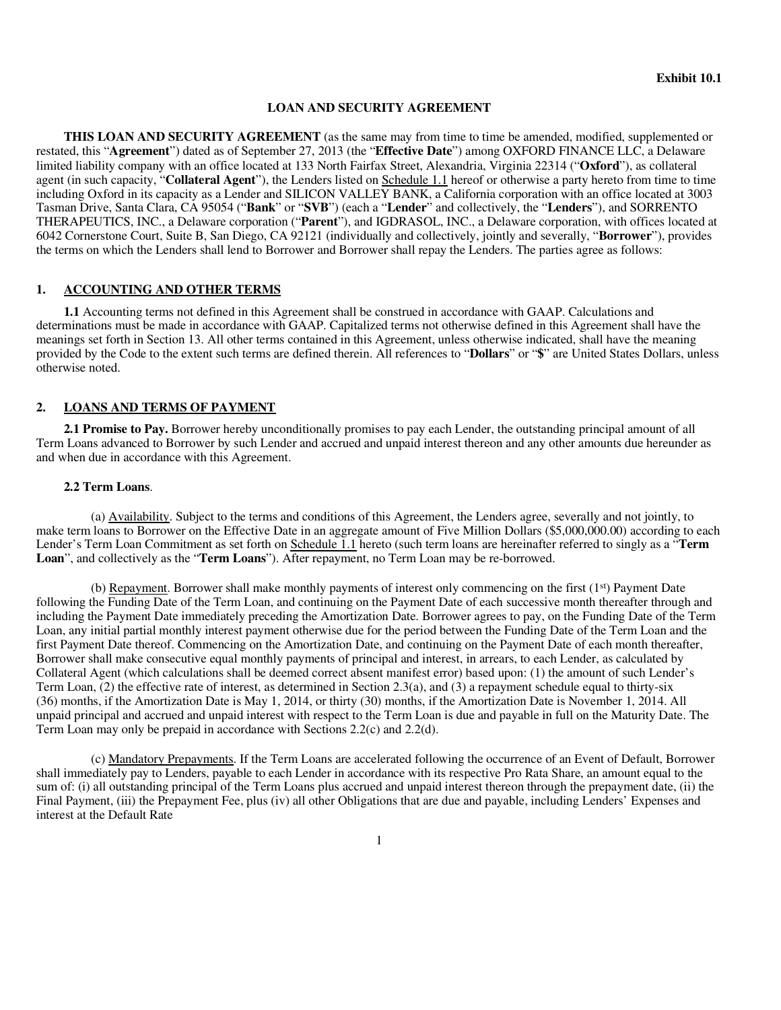#### **LOAN AND SECURITY AGREEMENT**

**THIS LOAN AND SECURITY AGREEMENT** (as the same may from time to time be amended, modified, supplemented or restated, this "**Agreement**") dated as of September 27, 2013 (the "**Effective Date**") among OXFORD FINANCE LLC, a Delaware limited liability company with an office located at 133 North Fairfax Street, Alexandria, Virginia 22314 ("**Oxford**"), as collateral agent (in such capacity, "**Collateral Agent**"), the Lenders listed on Schedule 1.1 hereof or otherwise a party hereto from time to time including Oxford in its capacity as a Lender and SILICON VALLEY BANK, a California corporation with an office located at 3003 Tasman Drive, Santa Clara, CA 95054 ("**Bank**" or "**SVB**") (each a "**Lender**" and collectively, the "**Lenders**"), and SORRENTO THERAPEUTICS, INC., a Delaware corporation ("**Parent**"), and IGDRASOL, INC., a Delaware corporation, with offices located at 6042 Cornerstone Court, Suite B, San Diego, CA 92121 (individually and collectively, jointly and severally, "**Borrower**"), provides the terms on which the Lenders shall lend to Borrower and Borrower shall repay the Lenders. The parties agree as follows:

### **1. ACCOUNTING AND OTHER TERMS**

**1.1** Accounting terms not defined in this Agreement shall be construed in accordance with GAAP. Calculations and determinations must be made in accordance with GAAP. Capitalized terms not otherwise defined in this Agreement shall have the meanings set forth in Section 13. All other terms contained in this Agreement, unless otherwise indicated, shall have the meaning provided by the Code to the extent such terms are defined therein. All references to "**Dollars**" or "**\$**" are United States Dollars, unless otherwise noted.

## **2. LOANS AND TERMS OF PAYMENT**

**2.1 Promise to Pay.** Borrower hereby unconditionally promises to pay each Lender, the outstanding principal amount of all Term Loans advanced to Borrower by such Lender and accrued and unpaid interest thereon and any other amounts due hereunder as and when due in accordance with this Agreement.

#### **2.2 Term Loans**.

(a) Availability. Subject to the terms and conditions of this Agreement, the Lenders agree, severally and not jointly, to make term loans to Borrower on the Effective Date in an aggregate amount of Five Million Dollars (\$5,000,000.00) according to each Lender's Term Loan Commitment as set forth on Schedule 1.1 hereto (such term loans are hereinafter referred to singly as a "**Term Loan**", and collectively as the "**Term Loans**"). After repayment, no Term Loan may be re-borrowed.

(b) Repayment. Borrower shall make monthly payments of interest only commencing on the first (1st) Payment Date following the Funding Date of the Term Loan, and continuing on the Payment Date of each successive month thereafter through and including the Payment Date immediately preceding the Amortization Date. Borrower agrees to pay, on the Funding Date of the Term Loan, any initial partial monthly interest payment otherwise due for the period between the Funding Date of the Term Loan and the first Payment Date thereof. Commencing on the Amortization Date, and continuing on the Payment Date of each month thereafter, Borrower shall make consecutive equal monthly payments of principal and interest, in arrears, to each Lender, as calculated by Collateral Agent (which calculations shall be deemed correct absent manifest error) based upon: (1) the amount of such Lender's Term Loan, (2) the effective rate of interest, as determined in Section 2.3(a), and (3) a repayment schedule equal to thirty-six (36) months, if the Amortization Date is May 1, 2014, or thirty (30) months, if the Amortization Date is November 1, 2014. All unpaid principal and accrued and unpaid interest with respect to the Term Loan is due and payable in full on the Maturity Date. The Term Loan may only be prepaid in accordance with Sections 2.2(c) and 2.2(d).

(c) Mandatory Prepayments. If the Term Loans are accelerated following the occurrence of an Event of Default, Borrower shall immediately pay to Lenders, payable to each Lender in accordance with its respective Pro Rata Share, an amount equal to the sum of: (i) all outstanding principal of the Term Loans plus accrued and unpaid interest thereon through the prepayment date, (ii) the Final Payment, (iii) the Prepayment Fee, plus (iv) all other Obligations that are due and payable, including Lenders' Expenses and interest at the Default Rate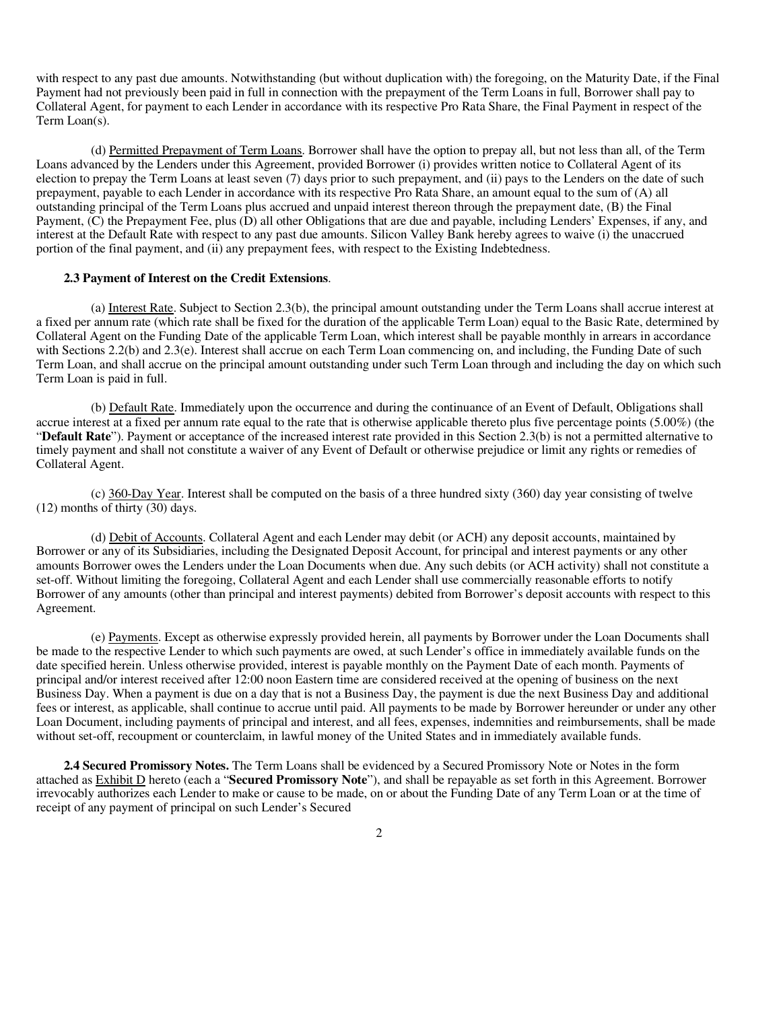with respect to any past due amounts. Notwithstanding (but without duplication with) the foregoing, on the Maturity Date, if the Final Payment had not previously been paid in full in connection with the prepayment of the Term Loans in full, Borrower shall pay to Collateral Agent, for payment to each Lender in accordance with its respective Pro Rata Share, the Final Payment in respect of the Term Loan(s).

(d) Permitted Prepayment of Term Loans. Borrower shall have the option to prepay all, but not less than all, of the Term Loans advanced by the Lenders under this Agreement, provided Borrower (i) provides written notice to Collateral Agent of its election to prepay the Term Loans at least seven (7) days prior to such prepayment, and (ii) pays to the Lenders on the date of such prepayment, payable to each Lender in accordance with its respective Pro Rata Share, an amount equal to the sum of (A) all outstanding principal of the Term Loans plus accrued and unpaid interest thereon through the prepayment date, (B) the Final Payment, (C) the Prepayment Fee, plus (D) all other Obligations that are due and payable, including Lenders' Expenses, if any, and interest at the Default Rate with respect to any past due amounts. Silicon Valley Bank hereby agrees to waive (i) the unaccrued portion of the final payment, and (ii) any prepayment fees, with respect to the Existing Indebtedness.

#### **2.3 Payment of Interest on the Credit Extensions**.

(a) Interest Rate. Subject to Section 2.3(b), the principal amount outstanding under the Term Loans shall accrue interest at a fixed per annum rate (which rate shall be fixed for the duration of the applicable Term Loan) equal to the Basic Rate, determined by Collateral Agent on the Funding Date of the applicable Term Loan, which interest shall be payable monthly in arrears in accordance with Sections 2.2(b) and 2.3(e). Interest shall accrue on each Term Loan commencing on, and including, the Funding Date of such Term Loan, and shall accrue on the principal amount outstanding under such Term Loan through and including the day on which such Term Loan is paid in full.

(b) Default Rate. Immediately upon the occurrence and during the continuance of an Event of Default, Obligations shall accrue interest at a fixed per annum rate equal to the rate that is otherwise applicable thereto plus five percentage points (5.00%) (the "**Default Rate**"). Payment or acceptance of the increased interest rate provided in this Section 2.3(b) is not a permitted alternative to timely payment and shall not constitute a waiver of any Event of Default or otherwise prejudice or limit any rights or remedies of Collateral Agent.

(c) 360-Day Year. Interest shall be computed on the basis of a three hundred sixty (360) day year consisting of twelve (12) months of thirty (30) days.

(d) Debit of Accounts. Collateral Agent and each Lender may debit (or ACH) any deposit accounts, maintained by Borrower or any of its Subsidiaries, including the Designated Deposit Account, for principal and interest payments or any other amounts Borrower owes the Lenders under the Loan Documents when due. Any such debits (or ACH activity) shall not constitute a set-off. Without limiting the foregoing, Collateral Agent and each Lender shall use commercially reasonable efforts to notify Borrower of any amounts (other than principal and interest payments) debited from Borrower's deposit accounts with respect to this Agreement.

(e) Payments. Except as otherwise expressly provided herein, all payments by Borrower under the Loan Documents shall be made to the respective Lender to which such payments are owed, at such Lender's office in immediately available funds on the date specified herein. Unless otherwise provided, interest is payable monthly on the Payment Date of each month. Payments of principal and/or interest received after 12:00 noon Eastern time are considered received at the opening of business on the next Business Day. When a payment is due on a day that is not a Business Day, the payment is due the next Business Day and additional fees or interest, as applicable, shall continue to accrue until paid. All payments to be made by Borrower hereunder or under any other Loan Document, including payments of principal and interest, and all fees, expenses, indemnities and reimbursements, shall be made without set-off, recoupment or counterclaim, in lawful money of the United States and in immediately available funds.

**2.4 Secured Promissory Notes.** The Term Loans shall be evidenced by a Secured Promissory Note or Notes in the form attached as Exhibit D hereto (each a "**Secured Promissory Note**"), and shall be repayable as set forth in this Agreement. Borrower irrevocably authorizes each Lender to make or cause to be made, on or about the Funding Date of any Term Loan or at the time of receipt of any payment of principal on such Lender's Secured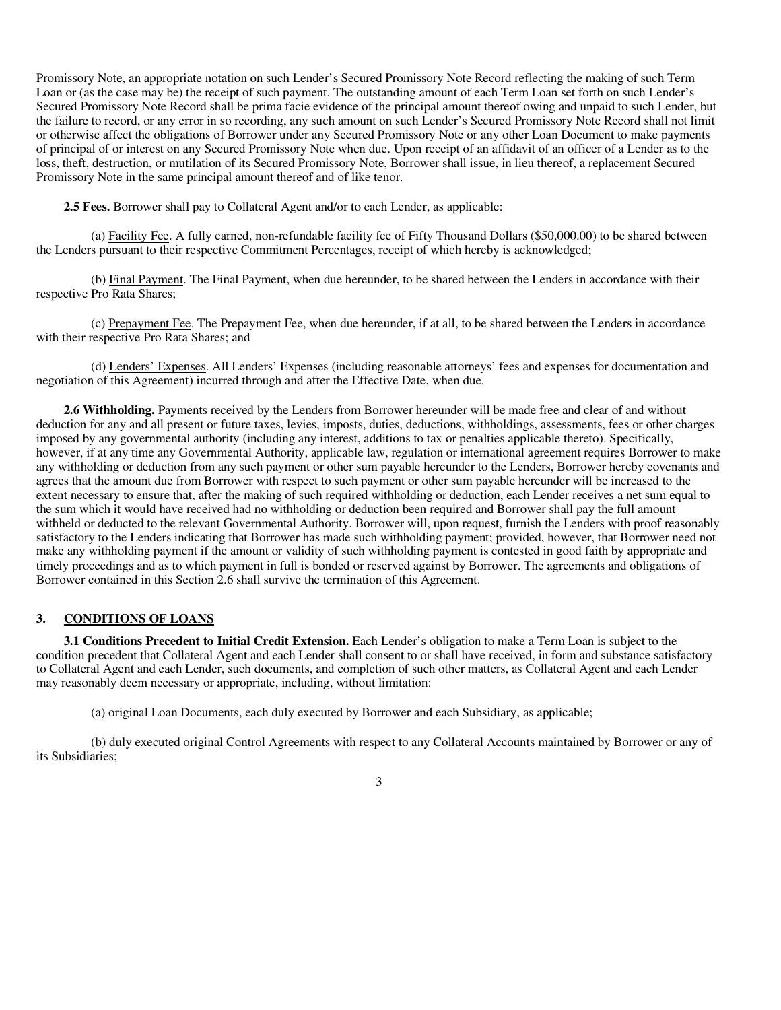Promissory Note, an appropriate notation on such Lender's Secured Promissory Note Record reflecting the making of such Term Loan or (as the case may be) the receipt of such payment. The outstanding amount of each Term Loan set forth on such Lender's Secured Promissory Note Record shall be prima facie evidence of the principal amount thereof owing and unpaid to such Lender, but the failure to record, or any error in so recording, any such amount on such Lender's Secured Promissory Note Record shall not limit or otherwise affect the obligations of Borrower under any Secured Promissory Note or any other Loan Document to make payments of principal of or interest on any Secured Promissory Note when due. Upon receipt of an affidavit of an officer of a Lender as to the loss, theft, destruction, or mutilation of its Secured Promissory Note, Borrower shall issue, in lieu thereof, a replacement Secured Promissory Note in the same principal amount thereof and of like tenor.

**2.5 Fees.** Borrower shall pay to Collateral Agent and/or to each Lender, as applicable:

(a) Facility Fee. A fully earned, non-refundable facility fee of Fifty Thousand Dollars (\$50,000.00) to be shared between the Lenders pursuant to their respective Commitment Percentages, receipt of which hereby is acknowledged;

(b) Final Payment. The Final Payment, when due hereunder, to be shared between the Lenders in accordance with their respective Pro Rata Shares;

(c) Prepayment Fee. The Prepayment Fee, when due hereunder, if at all, to be shared between the Lenders in accordance with their respective Pro Rata Shares; and

(d) Lenders' Expenses. All Lenders' Expenses (including reasonable attorneys' fees and expenses for documentation and negotiation of this Agreement) incurred through and after the Effective Date, when due.

**2.6 Withholding.** Payments received by the Lenders from Borrower hereunder will be made free and clear of and without deduction for any and all present or future taxes, levies, imposts, duties, deductions, withholdings, assessments, fees or other charges imposed by any governmental authority (including any interest, additions to tax or penalties applicable thereto). Specifically, however, if at any time any Governmental Authority, applicable law, regulation or international agreement requires Borrower to make any withholding or deduction from any such payment or other sum payable hereunder to the Lenders, Borrower hereby covenants and agrees that the amount due from Borrower with respect to such payment or other sum payable hereunder will be increased to the extent necessary to ensure that, after the making of such required withholding or deduction, each Lender receives a net sum equal to the sum which it would have received had no withholding or deduction been required and Borrower shall pay the full amount withheld or deducted to the relevant Governmental Authority. Borrower will, upon request, furnish the Lenders with proof reasonably satisfactory to the Lenders indicating that Borrower has made such withholding payment; provided, however, that Borrower need not make any withholding payment if the amount or validity of such withholding payment is contested in good faith by appropriate and timely proceedings and as to which payment in full is bonded or reserved against by Borrower. The agreements and obligations of Borrower contained in this Section 2.6 shall survive the termination of this Agreement.

## **3. CONDITIONS OF LOANS**

**3.1 Conditions Precedent to Initial Credit Extension.** Each Lender's obligation to make a Term Loan is subject to the condition precedent that Collateral Agent and each Lender shall consent to or shall have received, in form and substance satisfactory to Collateral Agent and each Lender, such documents, and completion of such other matters, as Collateral Agent and each Lender may reasonably deem necessary or appropriate, including, without limitation:

(a) original Loan Documents, each duly executed by Borrower and each Subsidiary, as applicable;

(b) duly executed original Control Agreements with respect to any Collateral Accounts maintained by Borrower or any of its Subsidiaries;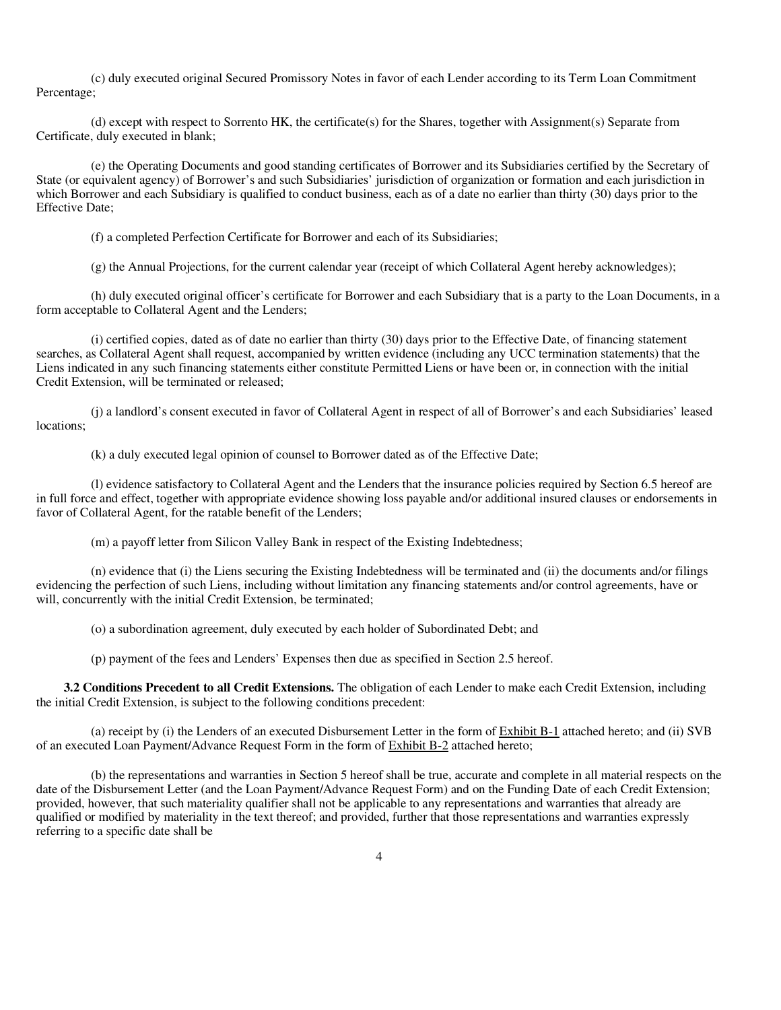(c) duly executed original Secured Promissory Notes in favor of each Lender according to its Term Loan Commitment Percentage;

(d) except with respect to Sorrento HK, the certificate(s) for the Shares, together with Assignment(s) Separate from Certificate, duly executed in blank;

(e) the Operating Documents and good standing certificates of Borrower and its Subsidiaries certified by the Secretary of State (or equivalent agency) of Borrower's and such Subsidiaries' jurisdiction of organization or formation and each jurisdiction in which Borrower and each Subsidiary is qualified to conduct business, each as of a date no earlier than thirty (30) days prior to the Effective Date;

(f) a completed Perfection Certificate for Borrower and each of its Subsidiaries;

(g) the Annual Projections, for the current calendar year (receipt of which Collateral Agent hereby acknowledges);

(h) duly executed original officer's certificate for Borrower and each Subsidiary that is a party to the Loan Documents, in a form acceptable to Collateral Agent and the Lenders;

(i) certified copies, dated as of date no earlier than thirty (30) days prior to the Effective Date, of financing statement searches, as Collateral Agent shall request, accompanied by written evidence (including any UCC termination statements) that the Liens indicated in any such financing statements either constitute Permitted Liens or have been or, in connection with the initial Credit Extension, will be terminated or released;

(j) a landlord's consent executed in favor of Collateral Agent in respect of all of Borrower's and each Subsidiaries' leased locations:

(k) a duly executed legal opinion of counsel to Borrower dated as of the Effective Date;

(l) evidence satisfactory to Collateral Agent and the Lenders that the insurance policies required by Section 6.5 hereof are in full force and effect, together with appropriate evidence showing loss payable and/or additional insured clauses or endorsements in favor of Collateral Agent, for the ratable benefit of the Lenders;

(m) a payoff letter from Silicon Valley Bank in respect of the Existing Indebtedness;

(n) evidence that (i) the Liens securing the Existing Indebtedness will be terminated and (ii) the documents and/or filings evidencing the perfection of such Liens, including without limitation any financing statements and/or control agreements, have or will, concurrently with the initial Credit Extension, be terminated;

(o) a subordination agreement, duly executed by each holder of Subordinated Debt; and

(p) payment of the fees and Lenders' Expenses then due as specified in Section 2.5 hereof.

**3.2 Conditions Precedent to all Credit Extensions.** The obligation of each Lender to make each Credit Extension, including the initial Credit Extension, is subject to the following conditions precedent:

(a) receipt by (i) the Lenders of an executed Disbursement Letter in the form of Exhibit B-1 attached hereto; and (ii) SVB of an executed Loan Payment/Advance Request Form in the form of Exhibit B-2 attached hereto;

(b) the representations and warranties in Section 5 hereof shall be true, accurate and complete in all material respects on the date of the Disbursement Letter (and the Loan Payment/Advance Request Form) and on the Funding Date of each Credit Extension; provided, however, that such materiality qualifier shall not be applicable to any representations and warranties that already are qualified or modified by materiality in the text thereof; and provided, further that those representations and warranties expressly referring to a specific date shall be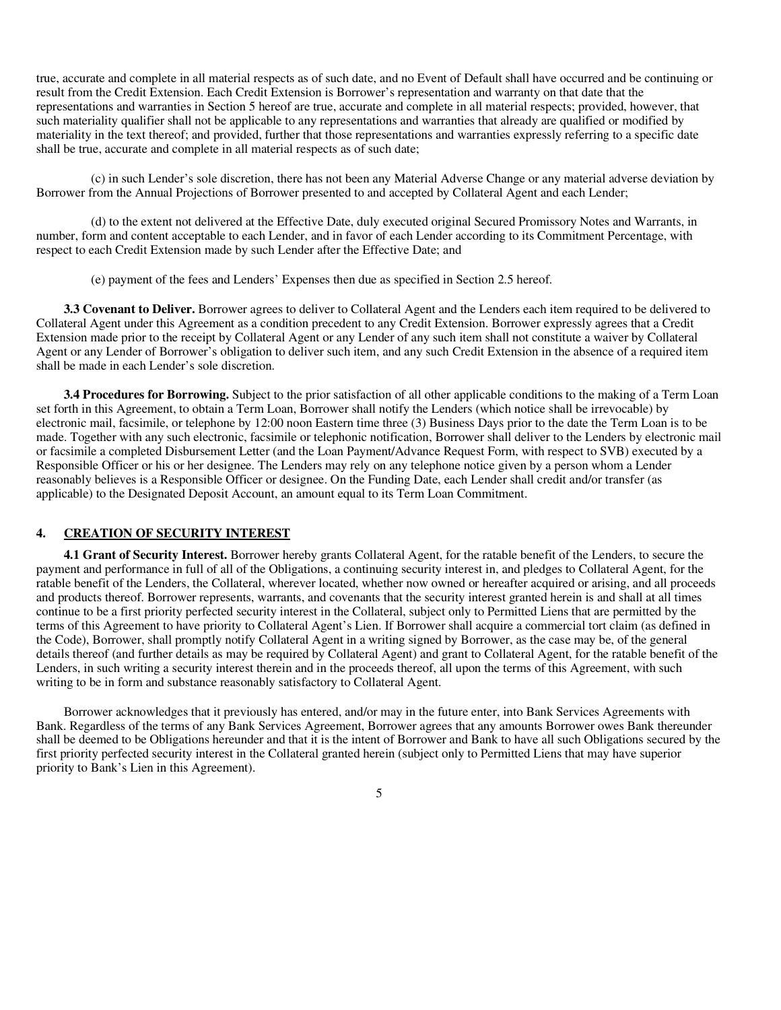true, accurate and complete in all material respects as of such date, and no Event of Default shall have occurred and be continuing or result from the Credit Extension. Each Credit Extension is Borrower's representation and warranty on that date that the representations and warranties in Section 5 hereof are true, accurate and complete in all material respects; provided, however, that such materiality qualifier shall not be applicable to any representations and warranties that already are qualified or modified by materiality in the text thereof; and provided, further that those representations and warranties expressly referring to a specific date shall be true, accurate and complete in all material respects as of such date;

(c) in such Lender's sole discretion, there has not been any Material Adverse Change or any material adverse deviation by Borrower from the Annual Projections of Borrower presented to and accepted by Collateral Agent and each Lender;

(d) to the extent not delivered at the Effective Date, duly executed original Secured Promissory Notes and Warrants, in number, form and content acceptable to each Lender, and in favor of each Lender according to its Commitment Percentage, with respect to each Credit Extension made by such Lender after the Effective Date; and

(e) payment of the fees and Lenders' Expenses then due as specified in Section 2.5 hereof.

**3.3 Covenant to Deliver.** Borrower agrees to deliver to Collateral Agent and the Lenders each item required to be delivered to Collateral Agent under this Agreement as a condition precedent to any Credit Extension. Borrower expressly agrees that a Credit Extension made prior to the receipt by Collateral Agent or any Lender of any such item shall not constitute a waiver by Collateral Agent or any Lender of Borrower's obligation to deliver such item, and any such Credit Extension in the absence of a required item shall be made in each Lender's sole discretion.

**3.4 Procedures for Borrowing.** Subject to the prior satisfaction of all other applicable conditions to the making of a Term Loan set forth in this Agreement, to obtain a Term Loan, Borrower shall notify the Lenders (which notice shall be irrevocable) by electronic mail, facsimile, or telephone by 12:00 noon Eastern time three (3) Business Days prior to the date the Term Loan is to be made. Together with any such electronic, facsimile or telephonic notification, Borrower shall deliver to the Lenders by electronic mail or facsimile a completed Disbursement Letter (and the Loan Payment/Advance Request Form, with respect to SVB) executed by a Responsible Officer or his or her designee. The Lenders may rely on any telephone notice given by a person whom a Lender reasonably believes is a Responsible Officer or designee. On the Funding Date, each Lender shall credit and/or transfer (as applicable) to the Designated Deposit Account, an amount equal to its Term Loan Commitment.

# **4. CREATION OF SECURITY INTEREST**

**4.1 Grant of Security Interest.** Borrower hereby grants Collateral Agent, for the ratable benefit of the Lenders, to secure the payment and performance in full of all of the Obligations, a continuing security interest in, and pledges to Collateral Agent, for the ratable benefit of the Lenders, the Collateral, wherever located, whether now owned or hereafter acquired or arising, and all proceeds and products thereof. Borrower represents, warrants, and covenants that the security interest granted herein is and shall at all times continue to be a first priority perfected security interest in the Collateral, subject only to Permitted Liens that are permitted by the terms of this Agreement to have priority to Collateral Agent's Lien. If Borrower shall acquire a commercial tort claim (as defined in the Code), Borrower, shall promptly notify Collateral Agent in a writing signed by Borrower, as the case may be, of the general details thereof (and further details as may be required by Collateral Agent) and grant to Collateral Agent, for the ratable benefit of the Lenders, in such writing a security interest therein and in the proceeds thereof, all upon the terms of this Agreement, with such writing to be in form and substance reasonably satisfactory to Collateral Agent.

Borrower acknowledges that it previously has entered, and/or may in the future enter, into Bank Services Agreements with Bank. Regardless of the terms of any Bank Services Agreement, Borrower agrees that any amounts Borrower owes Bank thereunder shall be deemed to be Obligations hereunder and that it is the intent of Borrower and Bank to have all such Obligations secured by the first priority perfected security interest in the Collateral granted herein (subject only to Permitted Liens that may have superior priority to Bank's Lien in this Agreement).

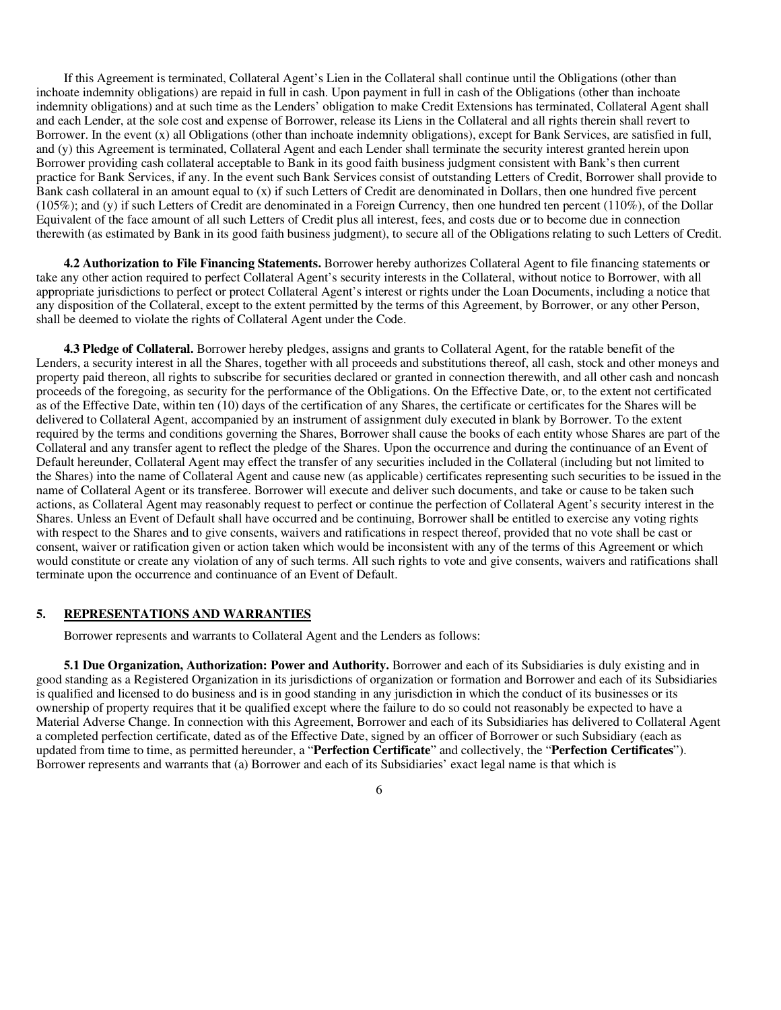If this Agreement is terminated, Collateral Agent's Lien in the Collateral shall continue until the Obligations (other than inchoate indemnity obligations) are repaid in full in cash. Upon payment in full in cash of the Obligations (other than inchoate indemnity obligations) and at such time as the Lenders' obligation to make Credit Extensions has terminated, Collateral Agent shall and each Lender, at the sole cost and expense of Borrower, release its Liens in the Collateral and all rights therein shall revert to Borrower. In the event (x) all Obligations (other than inchoate indemnity obligations), except for Bank Services, are satisfied in full, and (y) this Agreement is terminated, Collateral Agent and each Lender shall terminate the security interest granted herein upon Borrower providing cash collateral acceptable to Bank in its good faith business judgment consistent with Bank's then current practice for Bank Services, if any. In the event such Bank Services consist of outstanding Letters of Credit, Borrower shall provide to Bank cash collateral in an amount equal to (x) if such Letters of Credit are denominated in Dollars, then one hundred five percent (105%); and (y) if such Letters of Credit are denominated in a Foreign Currency, then one hundred ten percent (110%), of the Dollar Equivalent of the face amount of all such Letters of Credit plus all interest, fees, and costs due or to become due in connection therewith (as estimated by Bank in its good faith business judgment), to secure all of the Obligations relating to such Letters of Credit.

**4.2 Authorization to File Financing Statements.** Borrower hereby authorizes Collateral Agent to file financing statements or take any other action required to perfect Collateral Agent's security interests in the Collateral, without notice to Borrower, with all appropriate jurisdictions to perfect or protect Collateral Agent's interest or rights under the Loan Documents, including a notice that any disposition of the Collateral, except to the extent permitted by the terms of this Agreement, by Borrower, or any other Person, shall be deemed to violate the rights of Collateral Agent under the Code.

**4.3 Pledge of Collateral.** Borrower hereby pledges, assigns and grants to Collateral Agent, for the ratable benefit of the Lenders, a security interest in all the Shares, together with all proceeds and substitutions thereof, all cash, stock and other moneys and property paid thereon, all rights to subscribe for securities declared or granted in connection therewith, and all other cash and noncash proceeds of the foregoing, as security for the performance of the Obligations. On the Effective Date, or, to the extent not certificated as of the Effective Date, within ten (10) days of the certification of any Shares, the certificate or certificates for the Shares will be delivered to Collateral Agent, accompanied by an instrument of assignment duly executed in blank by Borrower. To the extent required by the terms and conditions governing the Shares, Borrower shall cause the books of each entity whose Shares are part of the Collateral and any transfer agent to reflect the pledge of the Shares. Upon the occurrence and during the continuance of an Event of Default hereunder, Collateral Agent may effect the transfer of any securities included in the Collateral (including but not limited to the Shares) into the name of Collateral Agent and cause new (as applicable) certificates representing such securities to be issued in the name of Collateral Agent or its transferee. Borrower will execute and deliver such documents, and take or cause to be taken such actions, as Collateral Agent may reasonably request to perfect or continue the perfection of Collateral Agent's security interest in the Shares. Unless an Event of Default shall have occurred and be continuing, Borrower shall be entitled to exercise any voting rights with respect to the Shares and to give consents, waivers and ratifications in respect thereof, provided that no vote shall be cast or consent, waiver or ratification given or action taken which would be inconsistent with any of the terms of this Agreement or which would constitute or create any violation of any of such terms. All such rights to vote and give consents, waivers and ratifications shall terminate upon the occurrence and continuance of an Event of Default.

# **5. REPRESENTATIONS AND WARRANTIES**

Borrower represents and warrants to Collateral Agent and the Lenders as follows:

**5.1 Due Organization, Authorization: Power and Authority.** Borrower and each of its Subsidiaries is duly existing and in good standing as a Registered Organization in its jurisdictions of organization or formation and Borrower and each of its Subsidiaries is qualified and licensed to do business and is in good standing in any jurisdiction in which the conduct of its businesses or its ownership of property requires that it be qualified except where the failure to do so could not reasonably be expected to have a Material Adverse Change. In connection with this Agreement, Borrower and each of its Subsidiaries has delivered to Collateral Agent a completed perfection certificate, dated as of the Effective Date, signed by an officer of Borrower or such Subsidiary (each as updated from time to time, as permitted hereunder, a "**Perfection Certificate**" and collectively, the "**Perfection Certificates**"). Borrower represents and warrants that (a) Borrower and each of its Subsidiaries' exact legal name is that which is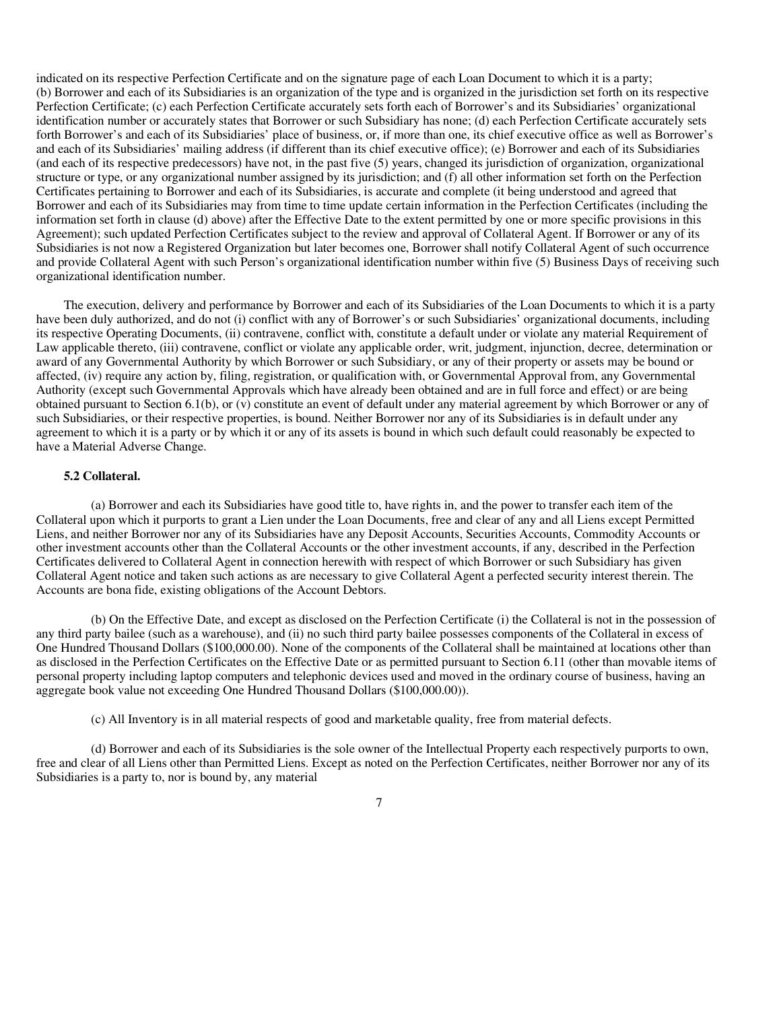indicated on its respective Perfection Certificate and on the signature page of each Loan Document to which it is a party; (b) Borrower and each of its Subsidiaries is an organization of the type and is organized in the jurisdiction set forth on its respective Perfection Certificate; (c) each Perfection Certificate accurately sets forth each of Borrower's and its Subsidiaries' organizational identification number or accurately states that Borrower or such Subsidiary has none; (d) each Perfection Certificate accurately sets forth Borrower's and each of its Subsidiaries' place of business, or, if more than one, its chief executive office as well as Borrower's and each of its Subsidiaries' mailing address (if different than its chief executive office); (e) Borrower and each of its Subsidiaries (and each of its respective predecessors) have not, in the past five (5) years, changed its jurisdiction of organization, organizational structure or type, or any organizational number assigned by its jurisdiction; and (f) all other information set forth on the Perfection Certificates pertaining to Borrower and each of its Subsidiaries, is accurate and complete (it being understood and agreed that Borrower and each of its Subsidiaries may from time to time update certain information in the Perfection Certificates (including the information set forth in clause (d) above) after the Effective Date to the extent permitted by one or more specific provisions in this Agreement); such updated Perfection Certificates subject to the review and approval of Collateral Agent. If Borrower or any of its Subsidiaries is not now a Registered Organization but later becomes one, Borrower shall notify Collateral Agent of such occurrence and provide Collateral Agent with such Person's organizational identification number within five (5) Business Days of receiving such organizational identification number.

The execution, delivery and performance by Borrower and each of its Subsidiaries of the Loan Documents to which it is a party have been duly authorized, and do not (i) conflict with any of Borrower's or such Subsidiaries' organizational documents, including its respective Operating Documents, (ii) contravene, conflict with, constitute a default under or violate any material Requirement of Law applicable thereto, (iii) contravene, conflict or violate any applicable order, writ, judgment, injunction, decree, determination or award of any Governmental Authority by which Borrower or such Subsidiary, or any of their property or assets may be bound or affected, (iv) require any action by, filing, registration, or qualification with, or Governmental Approval from, any Governmental Authority (except such Governmental Approvals which have already been obtained and are in full force and effect) or are being obtained pursuant to Section 6.1(b), or (v) constitute an event of default under any material agreement by which Borrower or any of such Subsidiaries, or their respective properties, is bound. Neither Borrower nor any of its Subsidiaries is in default under any agreement to which it is a party or by which it or any of its assets is bound in which such default could reasonably be expected to have a Material Adverse Change.

### **5.2 Collateral.**

(a) Borrower and each its Subsidiaries have good title to, have rights in, and the power to transfer each item of the Collateral upon which it purports to grant a Lien under the Loan Documents, free and clear of any and all Liens except Permitted Liens, and neither Borrower nor any of its Subsidiaries have any Deposit Accounts, Securities Accounts, Commodity Accounts or other investment accounts other than the Collateral Accounts or the other investment accounts, if any, described in the Perfection Certificates delivered to Collateral Agent in connection herewith with respect of which Borrower or such Subsidiary has given Collateral Agent notice and taken such actions as are necessary to give Collateral Agent a perfected security interest therein. The Accounts are bona fide, existing obligations of the Account Debtors.

(b) On the Effective Date, and except as disclosed on the Perfection Certificate (i) the Collateral is not in the possession of any third party bailee (such as a warehouse), and (ii) no such third party bailee possesses components of the Collateral in excess of One Hundred Thousand Dollars (\$100,000.00). None of the components of the Collateral shall be maintained at locations other than as disclosed in the Perfection Certificates on the Effective Date or as permitted pursuant to Section 6.11 (other than movable items of personal property including laptop computers and telephonic devices used and moved in the ordinary course of business, having an aggregate book value not exceeding One Hundred Thousand Dollars (\$100,000.00)).

(c) All Inventory is in all material respects of good and marketable quality, free from material defects.

(d) Borrower and each of its Subsidiaries is the sole owner of the Intellectual Property each respectively purports to own, free and clear of all Liens other than Permitted Liens. Except as noted on the Perfection Certificates, neither Borrower nor any of its Subsidiaries is a party to, nor is bound by, any material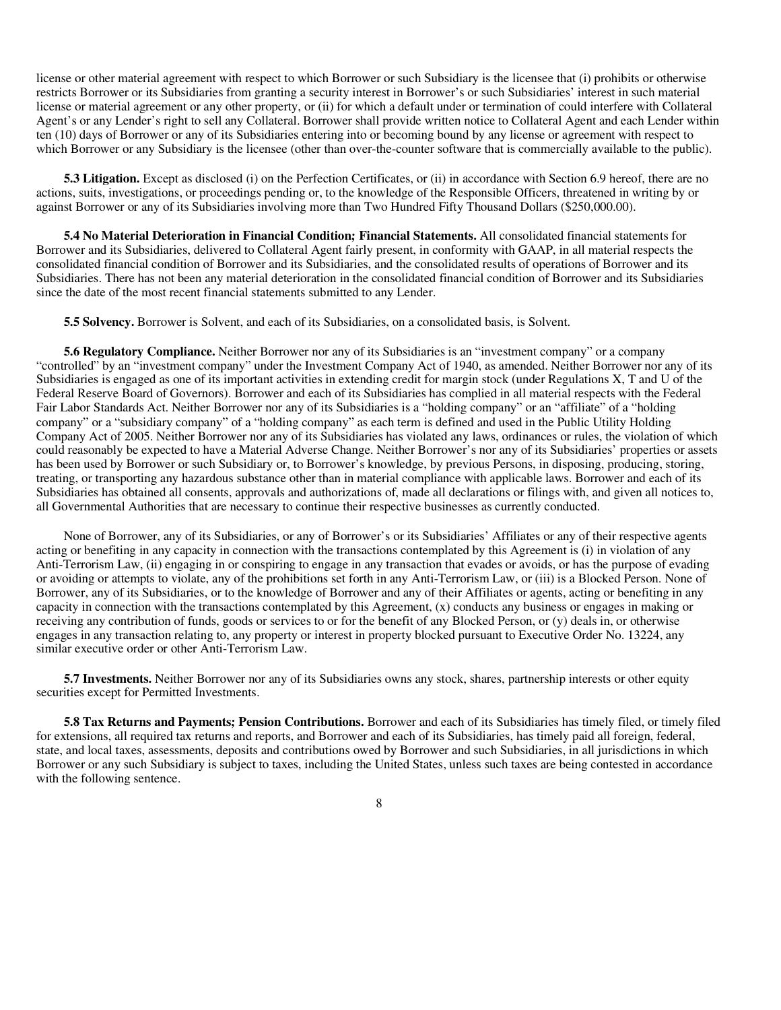license or other material agreement with respect to which Borrower or such Subsidiary is the licensee that (i) prohibits or otherwise restricts Borrower or its Subsidiaries from granting a security interest in Borrower's or such Subsidiaries' interest in such material license or material agreement or any other property, or (ii) for which a default under or termination of could interfere with Collateral Agent's or any Lender's right to sell any Collateral. Borrower shall provide written notice to Collateral Agent and each Lender within ten (10) days of Borrower or any of its Subsidiaries entering into or becoming bound by any license or agreement with respect to which Borrower or any Subsidiary is the licensee (other than over-the-counter software that is commercially available to the public).

**5.3 Litigation.** Except as disclosed (i) on the Perfection Certificates, or (ii) in accordance with Section 6.9 hereof, there are no actions, suits, investigations, or proceedings pending or, to the knowledge of the Responsible Officers, threatened in writing by or against Borrower or any of its Subsidiaries involving more than Two Hundred Fifty Thousand Dollars (\$250,000.00).

**5.4 No Material Deterioration in Financial Condition; Financial Statements.** All consolidated financial statements for Borrower and its Subsidiaries, delivered to Collateral Agent fairly present, in conformity with GAAP, in all material respects the consolidated financial condition of Borrower and its Subsidiaries, and the consolidated results of operations of Borrower and its Subsidiaries. There has not been any material deterioration in the consolidated financial condition of Borrower and its Subsidiaries since the date of the most recent financial statements submitted to any Lender.

**5.5 Solvency.** Borrower is Solvent, and each of its Subsidiaries, on a consolidated basis, is Solvent.

**5.6 Regulatory Compliance.** Neither Borrower nor any of its Subsidiaries is an "investment company" or a company "controlled" by an "investment company" under the Investment Company Act of 1940, as amended. Neither Borrower nor any of its Subsidiaries is engaged as one of its important activities in extending credit for margin stock (under Regulations X, T and U of the Federal Reserve Board of Governors). Borrower and each of its Subsidiaries has complied in all material respects with the Federal Fair Labor Standards Act. Neither Borrower nor any of its Subsidiaries is a "holding company" or an "affiliate" of a "holding company" or a "subsidiary company" of a "holding company" as each term is defined and used in the Public Utility Holding Company Act of 2005. Neither Borrower nor any of its Subsidiaries has violated any laws, ordinances or rules, the violation of which could reasonably be expected to have a Material Adverse Change. Neither Borrower's nor any of its Subsidiaries' properties or assets has been used by Borrower or such Subsidiary or, to Borrower's knowledge, by previous Persons, in disposing, producing, storing, treating, or transporting any hazardous substance other than in material compliance with applicable laws. Borrower and each of its Subsidiaries has obtained all consents, approvals and authorizations of, made all declarations or filings with, and given all notices to, all Governmental Authorities that are necessary to continue their respective businesses as currently conducted.

None of Borrower, any of its Subsidiaries, or any of Borrower's or its Subsidiaries' Affiliates or any of their respective agents acting or benefiting in any capacity in connection with the transactions contemplated by this Agreement is (i) in violation of any Anti-Terrorism Law, (ii) engaging in or conspiring to engage in any transaction that evades or avoids, or has the purpose of evading or avoiding or attempts to violate, any of the prohibitions set forth in any Anti-Terrorism Law, or (iii) is a Blocked Person. None of Borrower, any of its Subsidiaries, or to the knowledge of Borrower and any of their Affiliates or agents, acting or benefiting in any capacity in connection with the transactions contemplated by this Agreement, (x) conducts any business or engages in making or receiving any contribution of funds, goods or services to or for the benefit of any Blocked Person, or (y) deals in, or otherwise engages in any transaction relating to, any property or interest in property blocked pursuant to Executive Order No. 13224, any similar executive order or other Anti-Terrorism Law.

**5.7 Investments.** Neither Borrower nor any of its Subsidiaries owns any stock, shares, partnership interests or other equity securities except for Permitted Investments.

**5.8 Tax Returns and Payments; Pension Contributions.** Borrower and each of its Subsidiaries has timely filed, or timely filed for extensions, all required tax returns and reports, and Borrower and each of its Subsidiaries, has timely paid all foreign, federal, state, and local taxes, assessments, deposits and contributions owed by Borrower and such Subsidiaries, in all jurisdictions in which Borrower or any such Subsidiary is subject to taxes, including the United States, unless such taxes are being contested in accordance with the following sentence.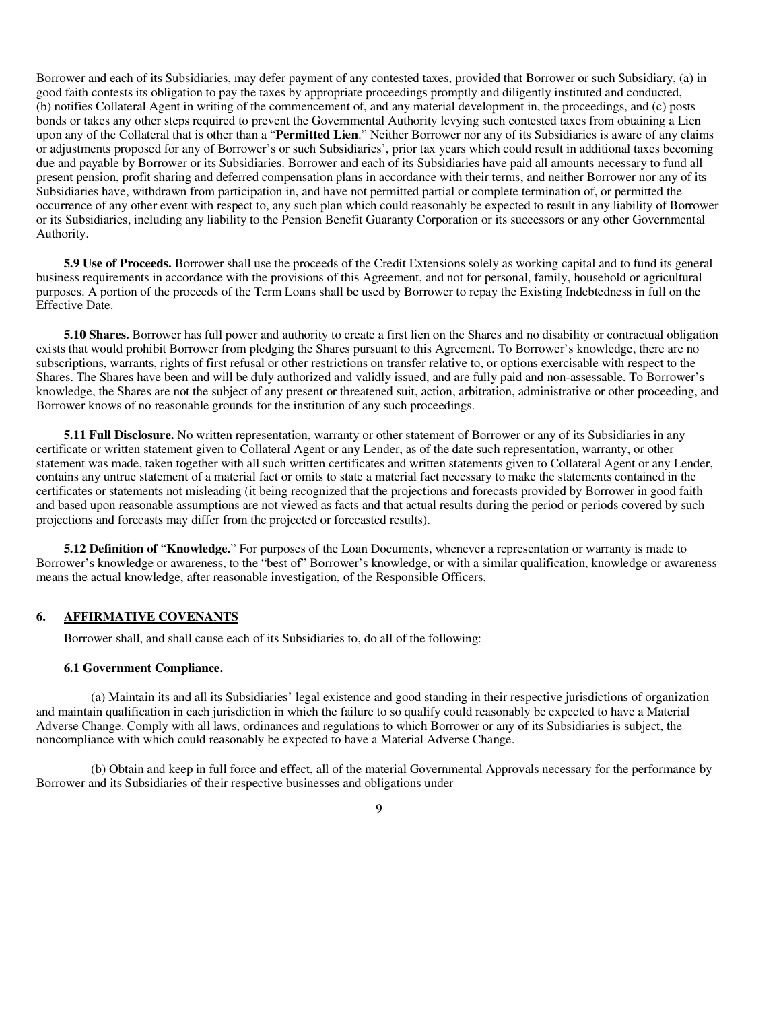Borrower and each of its Subsidiaries, may defer payment of any contested taxes, provided that Borrower or such Subsidiary, (a) in good faith contests its obligation to pay the taxes by appropriate proceedings promptly and diligently instituted and conducted, (b) notifies Collateral Agent in writing of the commencement of, and any material development in, the proceedings, and (c) posts bonds or takes any other steps required to prevent the Governmental Authority levying such contested taxes from obtaining a Lien upon any of the Collateral that is other than a "**Permitted Lien**." Neither Borrower nor any of its Subsidiaries is aware of any claims or adjustments proposed for any of Borrower's or such Subsidiaries', prior tax years which could result in additional taxes becoming due and payable by Borrower or its Subsidiaries. Borrower and each of its Subsidiaries have paid all amounts necessary to fund all present pension, profit sharing and deferred compensation plans in accordance with their terms, and neither Borrower nor any of its Subsidiaries have, withdrawn from participation in, and have not permitted partial or complete termination of, or permitted the occurrence of any other event with respect to, any such plan which could reasonably be expected to result in any liability of Borrower or its Subsidiaries, including any liability to the Pension Benefit Guaranty Corporation or its successors or any other Governmental Authority.

**5.9 Use of Proceeds.** Borrower shall use the proceeds of the Credit Extensions solely as working capital and to fund its general business requirements in accordance with the provisions of this Agreement, and not for personal, family, household or agricultural purposes. A portion of the proceeds of the Term Loans shall be used by Borrower to repay the Existing Indebtedness in full on the Effective Date.

**5.10 Shares.** Borrower has full power and authority to create a first lien on the Shares and no disability or contractual obligation exists that would prohibit Borrower from pledging the Shares pursuant to this Agreement. To Borrower's knowledge, there are no subscriptions, warrants, rights of first refusal or other restrictions on transfer relative to, or options exercisable with respect to the Shares. The Shares have been and will be duly authorized and validly issued, and are fully paid and non-assessable. To Borrower's knowledge, the Shares are not the subject of any present or threatened suit, action, arbitration, administrative or other proceeding, and Borrower knows of no reasonable grounds for the institution of any such proceedings.

**5.11 Full Disclosure.** No written representation, warranty or other statement of Borrower or any of its Subsidiaries in any certificate or written statement given to Collateral Agent or any Lender, as of the date such representation, warranty, or other statement was made, taken together with all such written certificates and written statements given to Collateral Agent or any Lender, contains any untrue statement of a material fact or omits to state a material fact necessary to make the statements contained in the certificates or statements not misleading (it being recognized that the projections and forecasts provided by Borrower in good faith and based upon reasonable assumptions are not viewed as facts and that actual results during the period or periods covered by such projections and forecasts may differ from the projected or forecasted results).

**5.12 Definition of** "**Knowledge.**" For purposes of the Loan Documents, whenever a representation or warranty is made to Borrower's knowledge or awareness, to the "best of" Borrower's knowledge, or with a similar qualification, knowledge or awareness means the actual knowledge, after reasonable investigation, of the Responsible Officers.

# **6. AFFIRMATIVE COVENANTS**

Borrower shall, and shall cause each of its Subsidiaries to, do all of the following:

## **6.1 Government Compliance.**

(a) Maintain its and all its Subsidiaries' legal existence and good standing in their respective jurisdictions of organization and maintain qualification in each jurisdiction in which the failure to so qualify could reasonably be expected to have a Material Adverse Change. Comply with all laws, ordinances and regulations to which Borrower or any of its Subsidiaries is subject, the noncompliance with which could reasonably be expected to have a Material Adverse Change.

(b) Obtain and keep in full force and effect, all of the material Governmental Approvals necessary for the performance by Borrower and its Subsidiaries of their respective businesses and obligations under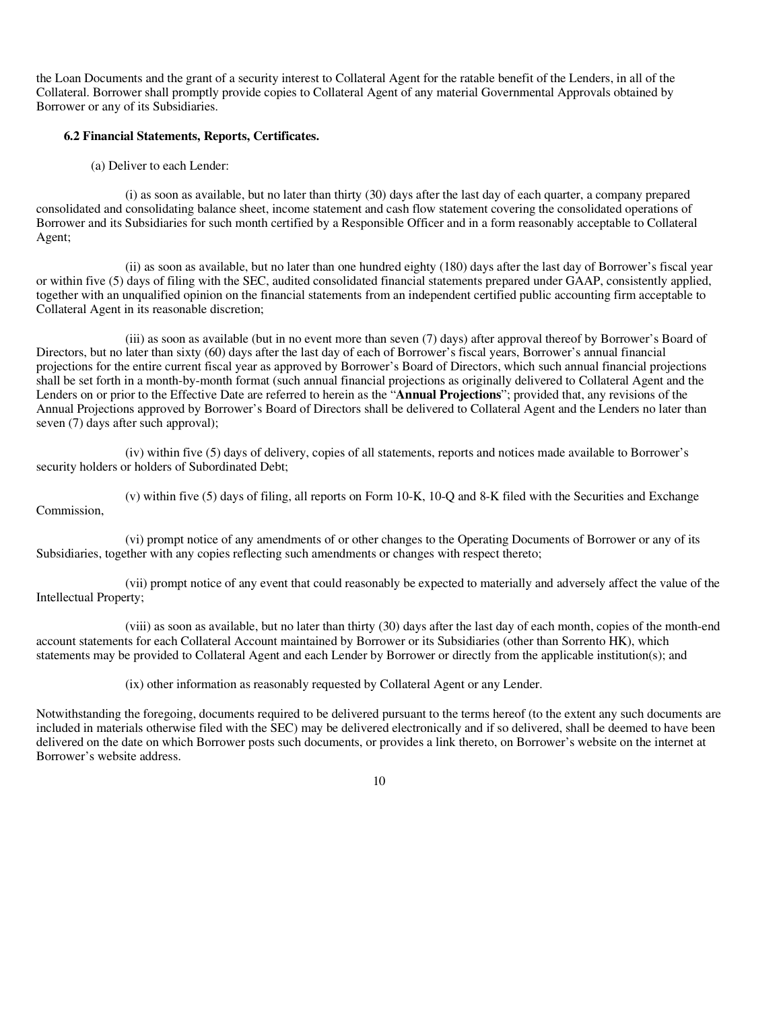the Loan Documents and the grant of a security interest to Collateral Agent for the ratable benefit of the Lenders, in all of the Collateral. Borrower shall promptly provide copies to Collateral Agent of any material Governmental Approvals obtained by Borrower or any of its Subsidiaries.

## **6.2 Financial Statements, Reports, Certificates.**

(a) Deliver to each Lender:

(i) as soon as available, but no later than thirty (30) days after the last day of each quarter, a company prepared consolidated and consolidating balance sheet, income statement and cash flow statement covering the consolidated operations of Borrower and its Subsidiaries for such month certified by a Responsible Officer and in a form reasonably acceptable to Collateral Agent;

(ii) as soon as available, but no later than one hundred eighty (180) days after the last day of Borrower's fiscal year or within five (5) days of filing with the SEC, audited consolidated financial statements prepared under GAAP, consistently applied, together with an unqualified opinion on the financial statements from an independent certified public accounting firm acceptable to Collateral Agent in its reasonable discretion;

(iii) as soon as available (but in no event more than seven (7) days) after approval thereof by Borrower's Board of Directors, but no later than sixty (60) days after the last day of each of Borrower's fiscal years, Borrower's annual financial projections for the entire current fiscal year as approved by Borrower's Board of Directors, which such annual financial projections shall be set forth in a month-by-month format (such annual financial projections as originally delivered to Collateral Agent and the Lenders on or prior to the Effective Date are referred to herein as the "**Annual Projections**"; provided that, any revisions of the Annual Projections approved by Borrower's Board of Directors shall be delivered to Collateral Agent and the Lenders no later than seven (7) days after such approval);

(iv) within five (5) days of delivery, copies of all statements, reports and notices made available to Borrower's security holders or holders of Subordinated Debt;

(v) within five (5) days of filing, all reports on Form 10-K, 10-Q and 8-K filed with the Securities and Exchange Commission,

(vi) prompt notice of any amendments of or other changes to the Operating Documents of Borrower or any of its Subsidiaries, together with any copies reflecting such amendments or changes with respect thereto;

(vii) prompt notice of any event that could reasonably be expected to materially and adversely affect the value of the Intellectual Property;

(viii) as soon as available, but no later than thirty (30) days after the last day of each month, copies of the month-end account statements for each Collateral Account maintained by Borrower or its Subsidiaries (other than Sorrento HK), which statements may be provided to Collateral Agent and each Lender by Borrower or directly from the applicable institution(s); and

(ix) other information as reasonably requested by Collateral Agent or any Lender.

Notwithstanding the foregoing, documents required to be delivered pursuant to the terms hereof (to the extent any such documents are included in materials otherwise filed with the SEC) may be delivered electronically and if so delivered, shall be deemed to have been delivered on the date on which Borrower posts such documents, or provides a link thereto, on Borrower's website on the internet at Borrower's website address.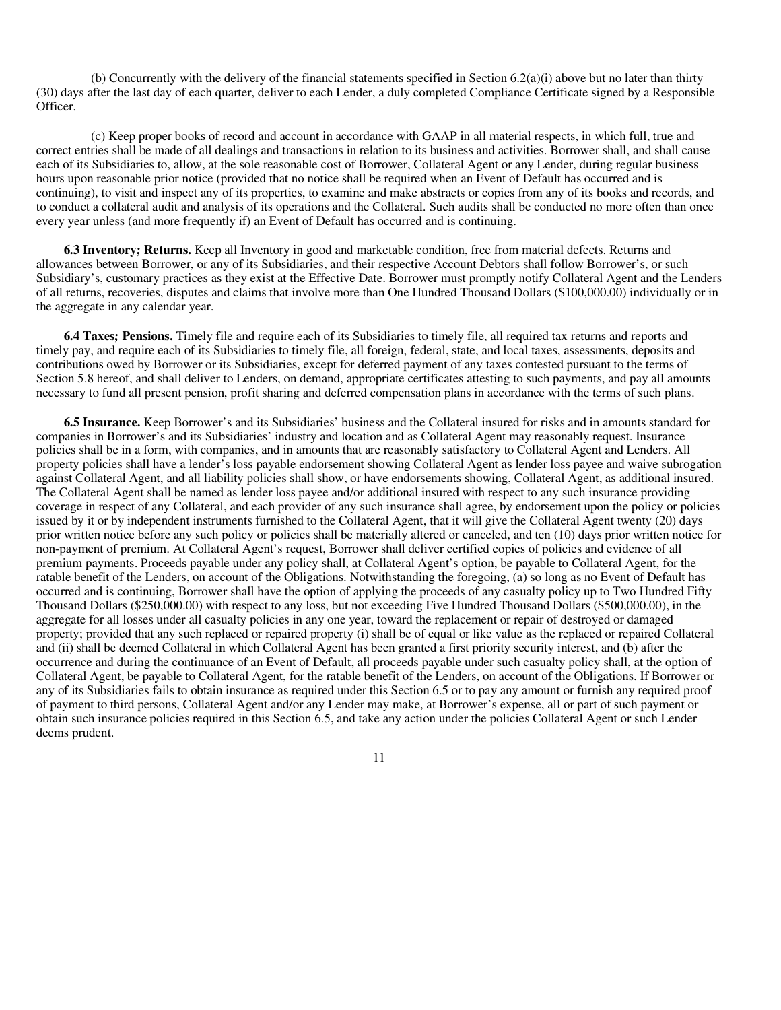(b) Concurrently with the delivery of the financial statements specified in Section  $6.2(a)(i)$  above but no later than thirty (30) days after the last day of each quarter, deliver to each Lender, a duly completed Compliance Certificate signed by a Responsible Officer.

(c) Keep proper books of record and account in accordance with GAAP in all material respects, in which full, true and correct entries shall be made of all dealings and transactions in relation to its business and activities. Borrower shall, and shall cause each of its Subsidiaries to, allow, at the sole reasonable cost of Borrower, Collateral Agent or any Lender, during regular business hours upon reasonable prior notice (provided that no notice shall be required when an Event of Default has occurred and is continuing), to visit and inspect any of its properties, to examine and make abstracts or copies from any of its books and records, and to conduct a collateral audit and analysis of its operations and the Collateral. Such audits shall be conducted no more often than once every year unless (and more frequently if) an Event of Default has occurred and is continuing.

**6.3 Inventory; Returns.** Keep all Inventory in good and marketable condition, free from material defects. Returns and allowances between Borrower, or any of its Subsidiaries, and their respective Account Debtors shall follow Borrower's, or such Subsidiary's, customary practices as they exist at the Effective Date. Borrower must promptly notify Collateral Agent and the Lenders of all returns, recoveries, disputes and claims that involve more than One Hundred Thousand Dollars (\$100,000.00) individually or in the aggregate in any calendar year.

**6.4 Taxes; Pensions.** Timely file and require each of its Subsidiaries to timely file, all required tax returns and reports and timely pay, and require each of its Subsidiaries to timely file, all foreign, federal, state, and local taxes, assessments, deposits and contributions owed by Borrower or its Subsidiaries, except for deferred payment of any taxes contested pursuant to the terms of Section 5.8 hereof, and shall deliver to Lenders, on demand, appropriate certificates attesting to such payments, and pay all amounts necessary to fund all present pension, profit sharing and deferred compensation plans in accordance with the terms of such plans.

**6.5 Insurance.** Keep Borrower's and its Subsidiaries' business and the Collateral insured for risks and in amounts standard for companies in Borrower's and its Subsidiaries' industry and location and as Collateral Agent may reasonably request. Insurance policies shall be in a form, with companies, and in amounts that are reasonably satisfactory to Collateral Agent and Lenders. All property policies shall have a lender's loss payable endorsement showing Collateral Agent as lender loss payee and waive subrogation against Collateral Agent, and all liability policies shall show, or have endorsements showing, Collateral Agent, as additional insured. The Collateral Agent shall be named as lender loss payee and/or additional insured with respect to any such insurance providing coverage in respect of any Collateral, and each provider of any such insurance shall agree, by endorsement upon the policy or policies issued by it or by independent instruments furnished to the Collateral Agent, that it will give the Collateral Agent twenty (20) days prior written notice before any such policy or policies shall be materially altered or canceled, and ten (10) days prior written notice for non-payment of premium. At Collateral Agent's request, Borrower shall deliver certified copies of policies and evidence of all premium payments. Proceeds payable under any policy shall, at Collateral Agent's option, be payable to Collateral Agent, for the ratable benefit of the Lenders, on account of the Obligations. Notwithstanding the foregoing, (a) so long as no Event of Default has occurred and is continuing, Borrower shall have the option of applying the proceeds of any casualty policy up to Two Hundred Fifty Thousand Dollars (\$250,000.00) with respect to any loss, but not exceeding Five Hundred Thousand Dollars (\$500,000.00), in the aggregate for all losses under all casualty policies in any one year, toward the replacement or repair of destroyed or damaged property; provided that any such replaced or repaired property (i) shall be of equal or like value as the replaced or repaired Collateral and (ii) shall be deemed Collateral in which Collateral Agent has been granted a first priority security interest, and (b) after the occurrence and during the continuance of an Event of Default, all proceeds payable under such casualty policy shall, at the option of Collateral Agent, be payable to Collateral Agent, for the ratable benefit of the Lenders, on account of the Obligations. If Borrower or any of its Subsidiaries fails to obtain insurance as required under this Section 6.5 or to pay any amount or furnish any required proof of payment to third persons, Collateral Agent and/or any Lender may make, at Borrower's expense, all or part of such payment or obtain such insurance policies required in this Section 6.5, and take any action under the policies Collateral Agent or such Lender deems prudent.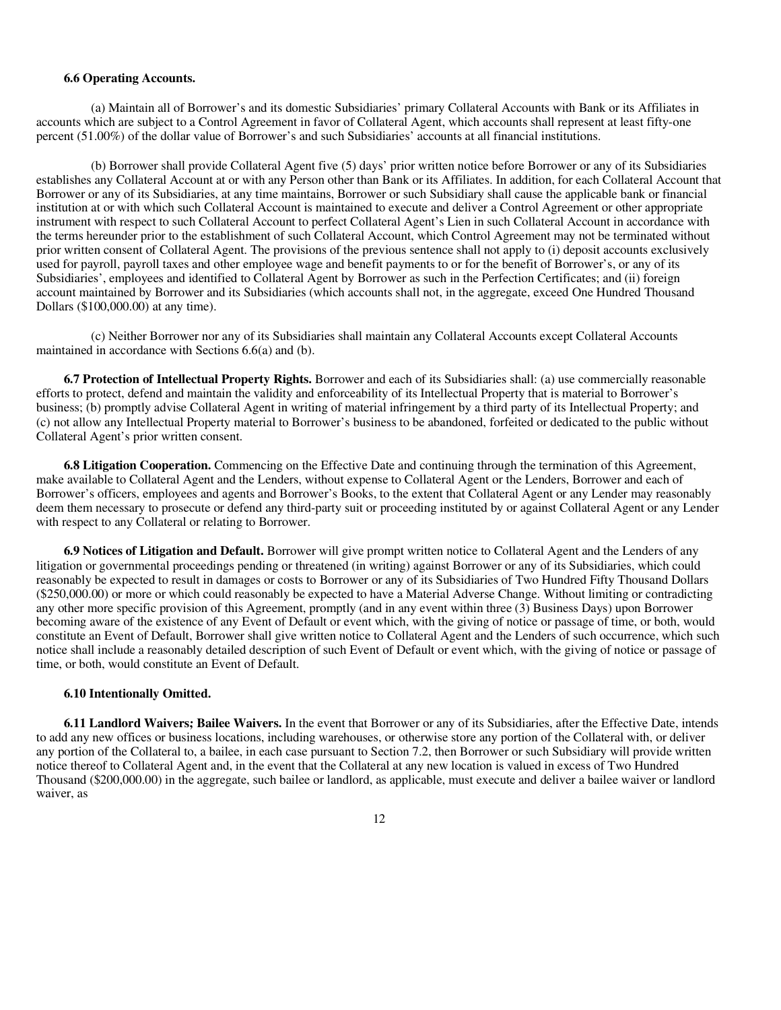#### **6.6 Operating Accounts.**

(a) Maintain all of Borrower's and its domestic Subsidiaries' primary Collateral Accounts with Bank or its Affiliates in accounts which are subject to a Control Agreement in favor of Collateral Agent, which accounts shall represent at least fifty-one percent (51.00%) of the dollar value of Borrower's and such Subsidiaries' accounts at all financial institutions.

(b) Borrower shall provide Collateral Agent five (5) days' prior written notice before Borrower or any of its Subsidiaries establishes any Collateral Account at or with any Person other than Bank or its Affiliates. In addition, for each Collateral Account that Borrower or any of its Subsidiaries, at any time maintains, Borrower or such Subsidiary shall cause the applicable bank or financial institution at or with which such Collateral Account is maintained to execute and deliver a Control Agreement or other appropriate instrument with respect to such Collateral Account to perfect Collateral Agent's Lien in such Collateral Account in accordance with the terms hereunder prior to the establishment of such Collateral Account, which Control Agreement may not be terminated without prior written consent of Collateral Agent. The provisions of the previous sentence shall not apply to (i) deposit accounts exclusively used for payroll, payroll taxes and other employee wage and benefit payments to or for the benefit of Borrower's, or any of its Subsidiaries', employees and identified to Collateral Agent by Borrower as such in the Perfection Certificates; and (ii) foreign account maintained by Borrower and its Subsidiaries (which accounts shall not, in the aggregate, exceed One Hundred Thousand Dollars (\$100,000.00) at any time).

(c) Neither Borrower nor any of its Subsidiaries shall maintain any Collateral Accounts except Collateral Accounts maintained in accordance with Sections 6.6(a) and (b).

**6.7 Protection of Intellectual Property Rights.** Borrower and each of its Subsidiaries shall: (a) use commercially reasonable efforts to protect, defend and maintain the validity and enforceability of its Intellectual Property that is material to Borrower's business; (b) promptly advise Collateral Agent in writing of material infringement by a third party of its Intellectual Property; and (c) not allow any Intellectual Property material to Borrower's business to be abandoned, forfeited or dedicated to the public without Collateral Agent's prior written consent.

**6.8 Litigation Cooperation.** Commencing on the Effective Date and continuing through the termination of this Agreement, make available to Collateral Agent and the Lenders, without expense to Collateral Agent or the Lenders, Borrower and each of Borrower's officers, employees and agents and Borrower's Books, to the extent that Collateral Agent or any Lender may reasonably deem them necessary to prosecute or defend any third-party suit or proceeding instituted by or against Collateral Agent or any Lender with respect to any Collateral or relating to Borrower.

**6.9 Notices of Litigation and Default.** Borrower will give prompt written notice to Collateral Agent and the Lenders of any litigation or governmental proceedings pending or threatened (in writing) against Borrower or any of its Subsidiaries, which could reasonably be expected to result in damages or costs to Borrower or any of its Subsidiaries of Two Hundred Fifty Thousand Dollars (\$250,000.00) or more or which could reasonably be expected to have a Material Adverse Change. Without limiting or contradicting any other more specific provision of this Agreement, promptly (and in any event within three (3) Business Days) upon Borrower becoming aware of the existence of any Event of Default or event which, with the giving of notice or passage of time, or both, would constitute an Event of Default, Borrower shall give written notice to Collateral Agent and the Lenders of such occurrence, which such notice shall include a reasonably detailed description of such Event of Default or event which, with the giving of notice or passage of time, or both, would constitute an Event of Default.

#### **6.10 Intentionally Omitted.**

**6.11 Landlord Waivers; Bailee Waivers.** In the event that Borrower or any of its Subsidiaries, after the Effective Date, intends to add any new offices or business locations, including warehouses, or otherwise store any portion of the Collateral with, or deliver any portion of the Collateral to, a bailee, in each case pursuant to Section 7.2, then Borrower or such Subsidiary will provide written notice thereof to Collateral Agent and, in the event that the Collateral at any new location is valued in excess of Two Hundred Thousand (\$200,000.00) in the aggregate, such bailee or landlord, as applicable, must execute and deliver a bailee waiver or landlord waiver, as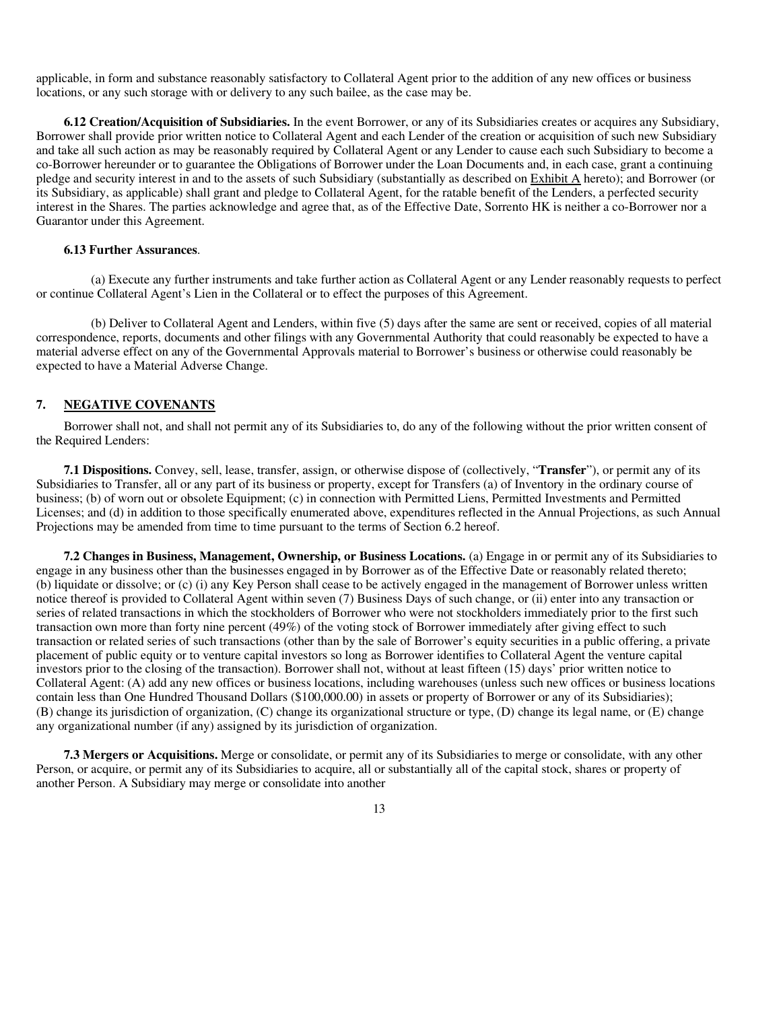applicable, in form and substance reasonably satisfactory to Collateral Agent prior to the addition of any new offices or business locations, or any such storage with or delivery to any such bailee, as the case may be.

**6.12 Creation/Acquisition of Subsidiaries.** In the event Borrower, or any of its Subsidiaries creates or acquires any Subsidiary, Borrower shall provide prior written notice to Collateral Agent and each Lender of the creation or acquisition of such new Subsidiary and take all such action as may be reasonably required by Collateral Agent or any Lender to cause each such Subsidiary to become a co-Borrower hereunder or to guarantee the Obligations of Borrower under the Loan Documents and, in each case, grant a continuing pledge and security interest in and to the assets of such Subsidiary (substantially as described on Exhibit A hereto); and Borrower (or its Subsidiary, as applicable) shall grant and pledge to Collateral Agent, for the ratable benefit of the Lenders, a perfected security interest in the Shares. The parties acknowledge and agree that, as of the Effective Date, Sorrento HK is neither a co-Borrower nor a Guarantor under this Agreement.

### **6.13 Further Assurances**.

(a) Execute any further instruments and take further action as Collateral Agent or any Lender reasonably requests to perfect or continue Collateral Agent's Lien in the Collateral or to effect the purposes of this Agreement.

(b) Deliver to Collateral Agent and Lenders, within five (5) days after the same are sent or received, copies of all material correspondence, reports, documents and other filings with any Governmental Authority that could reasonably be expected to have a material adverse effect on any of the Governmental Approvals material to Borrower's business or otherwise could reasonably be expected to have a Material Adverse Change.

# **7. NEGATIVE COVENANTS**

Borrower shall not, and shall not permit any of its Subsidiaries to, do any of the following without the prior written consent of the Required Lenders:

**7.1 Dispositions.** Convey, sell, lease, transfer, assign, or otherwise dispose of (collectively, "**Transfer**"), or permit any of its Subsidiaries to Transfer, all or any part of its business or property, except for Transfers (a) of Inventory in the ordinary course of business; (b) of worn out or obsolete Equipment; (c) in connection with Permitted Liens, Permitted Investments and Permitted Licenses; and (d) in addition to those specifically enumerated above, expenditures reflected in the Annual Projections, as such Annual Projections may be amended from time to time pursuant to the terms of Section 6.2 hereof.

**7.2 Changes in Business, Management, Ownership, or Business Locations.** (a) Engage in or permit any of its Subsidiaries to engage in any business other than the businesses engaged in by Borrower as of the Effective Date or reasonably related thereto; (b) liquidate or dissolve; or (c) (i) any Key Person shall cease to be actively engaged in the management of Borrower unless written notice thereof is provided to Collateral Agent within seven (7) Business Days of such change, or (ii) enter into any transaction or series of related transactions in which the stockholders of Borrower who were not stockholders immediately prior to the first such transaction own more than forty nine percent (49%) of the voting stock of Borrower immediately after giving effect to such transaction or related series of such transactions (other than by the sale of Borrower's equity securities in a public offering, a private placement of public equity or to venture capital investors so long as Borrower identifies to Collateral Agent the venture capital investors prior to the closing of the transaction). Borrower shall not, without at least fifteen (15) days' prior written notice to Collateral Agent: (A) add any new offices or business locations, including warehouses (unless such new offices or business locations contain less than One Hundred Thousand Dollars (\$100,000.00) in assets or property of Borrower or any of its Subsidiaries); (B) change its jurisdiction of organization, (C) change its organizational structure or type, (D) change its legal name, or (E) change any organizational number (if any) assigned by its jurisdiction of organization.

**7.3 Mergers or Acquisitions.** Merge or consolidate, or permit any of its Subsidiaries to merge or consolidate, with any other Person, or acquire, or permit any of its Subsidiaries to acquire, all or substantially all of the capital stock, shares or property of another Person. A Subsidiary may merge or consolidate into another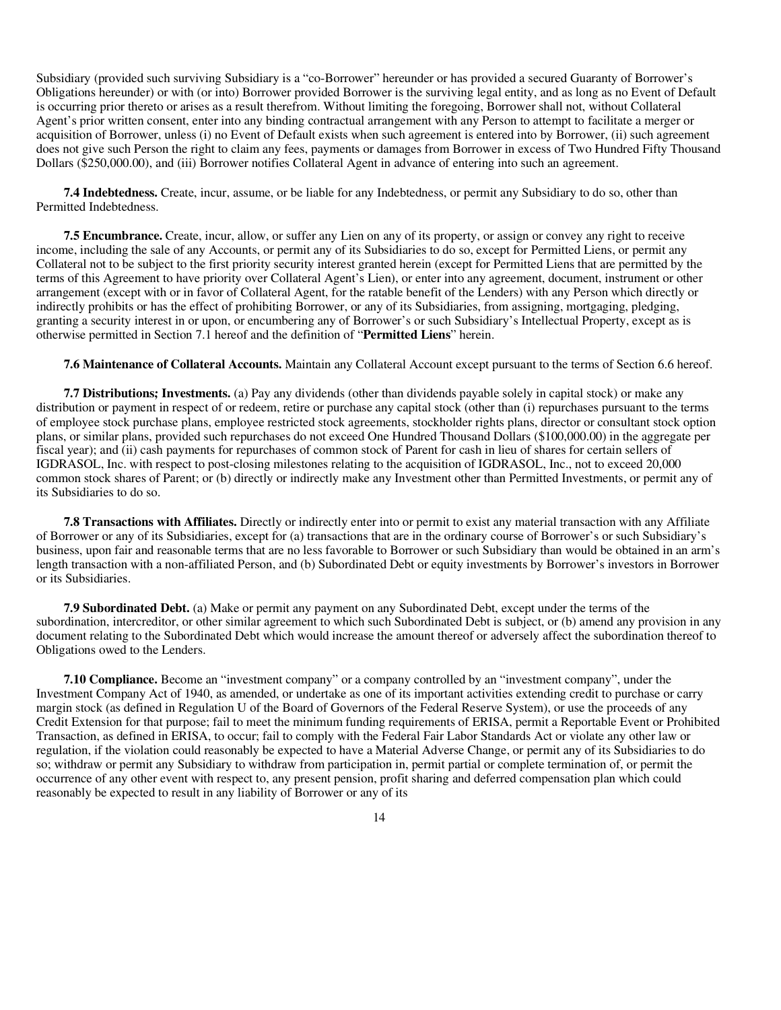Subsidiary (provided such surviving Subsidiary is a "co-Borrower" hereunder or has provided a secured Guaranty of Borrower's Obligations hereunder) or with (or into) Borrower provided Borrower is the surviving legal entity, and as long as no Event of Default is occurring prior thereto or arises as a result therefrom. Without limiting the foregoing, Borrower shall not, without Collateral Agent's prior written consent, enter into any binding contractual arrangement with any Person to attempt to facilitate a merger or acquisition of Borrower, unless (i) no Event of Default exists when such agreement is entered into by Borrower, (ii) such agreement does not give such Person the right to claim any fees, payments or damages from Borrower in excess of Two Hundred Fifty Thousand Dollars (\$250,000.00), and (iii) Borrower notifies Collateral Agent in advance of entering into such an agreement.

**7.4 Indebtedness.** Create, incur, assume, or be liable for any Indebtedness, or permit any Subsidiary to do so, other than Permitted Indebtedness.

**7.5 Encumbrance.** Create, incur, allow, or suffer any Lien on any of its property, or assign or convey any right to receive income, including the sale of any Accounts, or permit any of its Subsidiaries to do so, except for Permitted Liens, or permit any Collateral not to be subject to the first priority security interest granted herein (except for Permitted Liens that are permitted by the terms of this Agreement to have priority over Collateral Agent's Lien), or enter into any agreement, document, instrument or other arrangement (except with or in favor of Collateral Agent, for the ratable benefit of the Lenders) with any Person which directly or indirectly prohibits or has the effect of prohibiting Borrower, or any of its Subsidiaries, from assigning, mortgaging, pledging, granting a security interest in or upon, or encumbering any of Borrower's or such Subsidiary's Intellectual Property, except as is otherwise permitted in Section 7.1 hereof and the definition of "**Permitted Liens**" herein.

**7.6 Maintenance of Collateral Accounts.** Maintain any Collateral Account except pursuant to the terms of Section 6.6 hereof.

**7.7 Distributions; Investments.** (a) Pay any dividends (other than dividends payable solely in capital stock) or make any distribution or payment in respect of or redeem, retire or purchase any capital stock (other than (i) repurchases pursuant to the terms of employee stock purchase plans, employee restricted stock agreements, stockholder rights plans, director or consultant stock option plans, or similar plans, provided such repurchases do not exceed One Hundred Thousand Dollars (\$100,000.00) in the aggregate per fiscal year); and (ii) cash payments for repurchases of common stock of Parent for cash in lieu of shares for certain sellers of IGDRASOL, Inc. with respect to post-closing milestones relating to the acquisition of IGDRASOL, Inc., not to exceed 20,000 common stock shares of Parent; or (b) directly or indirectly make any Investment other than Permitted Investments, or permit any of its Subsidiaries to do so.

**7.8 Transactions with Affiliates.** Directly or indirectly enter into or permit to exist any material transaction with any Affiliate of Borrower or any of its Subsidiaries, except for (a) transactions that are in the ordinary course of Borrower's or such Subsidiary's business, upon fair and reasonable terms that are no less favorable to Borrower or such Subsidiary than would be obtained in an arm's length transaction with a non-affiliated Person, and (b) Subordinated Debt or equity investments by Borrower's investors in Borrower or its Subsidiaries.

**7.9 Subordinated Debt.** (a) Make or permit any payment on any Subordinated Debt, except under the terms of the subordination, intercreditor, or other similar agreement to which such Subordinated Debt is subject, or (b) amend any provision in any document relating to the Subordinated Debt which would increase the amount thereof or adversely affect the subordination thereof to Obligations owed to the Lenders.

**7.10 Compliance.** Become an "investment company" or a company controlled by an "investment company", under the Investment Company Act of 1940, as amended, or undertake as one of its important activities extending credit to purchase or carry margin stock (as defined in Regulation U of the Board of Governors of the Federal Reserve System), or use the proceeds of any Credit Extension for that purpose; fail to meet the minimum funding requirements of ERISA, permit a Reportable Event or Prohibited Transaction, as defined in ERISA, to occur; fail to comply with the Federal Fair Labor Standards Act or violate any other law or regulation, if the violation could reasonably be expected to have a Material Adverse Change, or permit any of its Subsidiaries to do so; withdraw or permit any Subsidiary to withdraw from participation in, permit partial or complete termination of, or permit the occurrence of any other event with respect to, any present pension, profit sharing and deferred compensation plan which could reasonably be expected to result in any liability of Borrower or any of its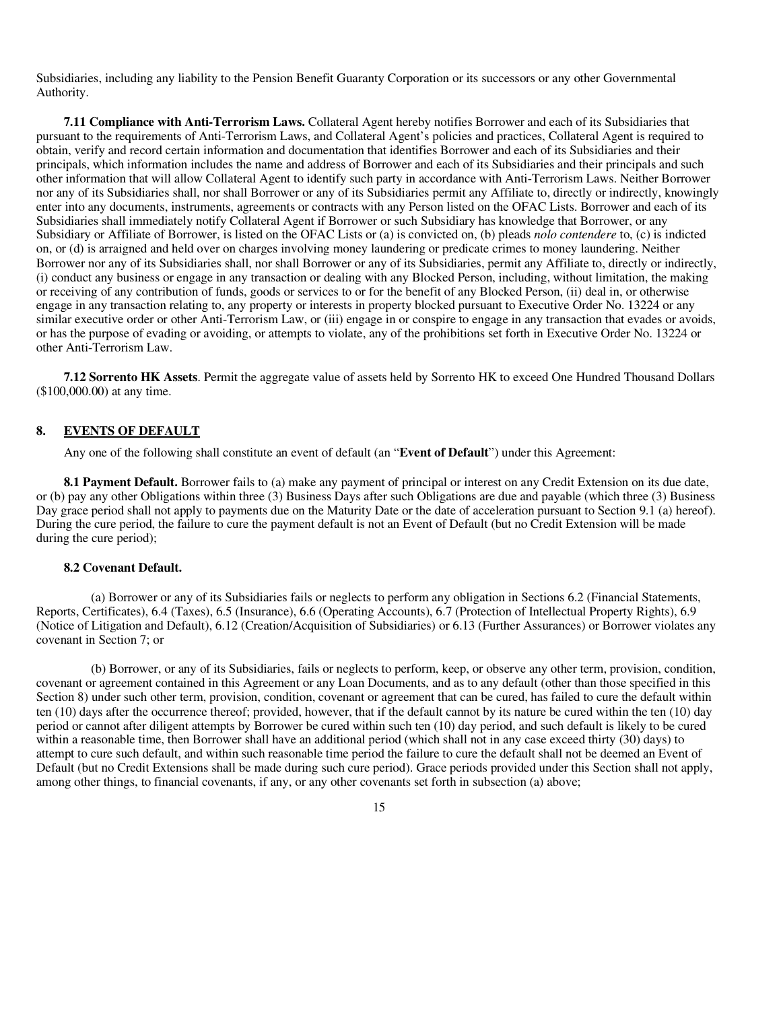Subsidiaries, including any liability to the Pension Benefit Guaranty Corporation or its successors or any other Governmental Authority.

**7.11 Compliance with Anti-Terrorism Laws.** Collateral Agent hereby notifies Borrower and each of its Subsidiaries that pursuant to the requirements of Anti-Terrorism Laws, and Collateral Agent's policies and practices, Collateral Agent is required to obtain, verify and record certain information and documentation that identifies Borrower and each of its Subsidiaries and their principals, which information includes the name and address of Borrower and each of its Subsidiaries and their principals and such other information that will allow Collateral Agent to identify such party in accordance with Anti-Terrorism Laws. Neither Borrower nor any of its Subsidiaries shall, nor shall Borrower or any of its Subsidiaries permit any Affiliate to, directly or indirectly, knowingly enter into any documents, instruments, agreements or contracts with any Person listed on the OFAC Lists. Borrower and each of its Subsidiaries shall immediately notify Collateral Agent if Borrower or such Subsidiary has knowledge that Borrower, or any Subsidiary or Affiliate of Borrower, is listed on the OFAC Lists or (a) is convicted on, (b) pleads *nolo contendere* to, (c) is indicted on, or (d) is arraigned and held over on charges involving money laundering or predicate crimes to money laundering. Neither Borrower nor any of its Subsidiaries shall, nor shall Borrower or any of its Subsidiaries, permit any Affiliate to, directly or indirectly, (i) conduct any business or engage in any transaction or dealing with any Blocked Person, including, without limitation, the making or receiving of any contribution of funds, goods or services to or for the benefit of any Blocked Person, (ii) deal in, or otherwise engage in any transaction relating to, any property or interests in property blocked pursuant to Executive Order No. 13224 or any similar executive order or other Anti-Terrorism Law, or (iii) engage in or conspire to engage in any transaction that evades or avoids, or has the purpose of evading or avoiding, or attempts to violate, any of the prohibitions set forth in Executive Order No. 13224 or other Anti-Terrorism Law.

**7.12 Sorrento HK Assets**. Permit the aggregate value of assets held by Sorrento HK to exceed One Hundred Thousand Dollars (\$100,000.00) at any time.

#### **8. EVENTS OF DEFAULT**

Any one of the following shall constitute an event of default (an "**Event of Default**") under this Agreement:

**8.1 Payment Default.** Borrower fails to (a) make any payment of principal or interest on any Credit Extension on its due date, or (b) pay any other Obligations within three (3) Business Days after such Obligations are due and payable (which three (3) Business Day grace period shall not apply to payments due on the Maturity Date or the date of acceleration pursuant to Section 9.1 (a) hereof). During the cure period, the failure to cure the payment default is not an Event of Default (but no Credit Extension will be made during the cure period);

#### **8.2 Covenant Default.**

(a) Borrower or any of its Subsidiaries fails or neglects to perform any obligation in Sections 6.2 (Financial Statements, Reports, Certificates), 6.4 (Taxes), 6.5 (Insurance), 6.6 (Operating Accounts), 6.7 (Protection of Intellectual Property Rights), 6.9 (Notice of Litigation and Default), 6.12 (Creation/Acquisition of Subsidiaries) or 6.13 (Further Assurances) or Borrower violates any covenant in Section 7; or

(b) Borrower, or any of its Subsidiaries, fails or neglects to perform, keep, or observe any other term, provision, condition, covenant or agreement contained in this Agreement or any Loan Documents, and as to any default (other than those specified in this Section 8) under such other term, provision, condition, covenant or agreement that can be cured, has failed to cure the default within ten (10) days after the occurrence thereof; provided, however, that if the default cannot by its nature be cured within the ten (10) day period or cannot after diligent attempts by Borrower be cured within such ten (10) day period, and such default is likely to be cured within a reasonable time, then Borrower shall have an additional period (which shall not in any case exceed thirty (30) days) to attempt to cure such default, and within such reasonable time period the failure to cure the default shall not be deemed an Event of Default (but no Credit Extensions shall be made during such cure period). Grace periods provided under this Section shall not apply, among other things, to financial covenants, if any, or any other covenants set forth in subsection (a) above;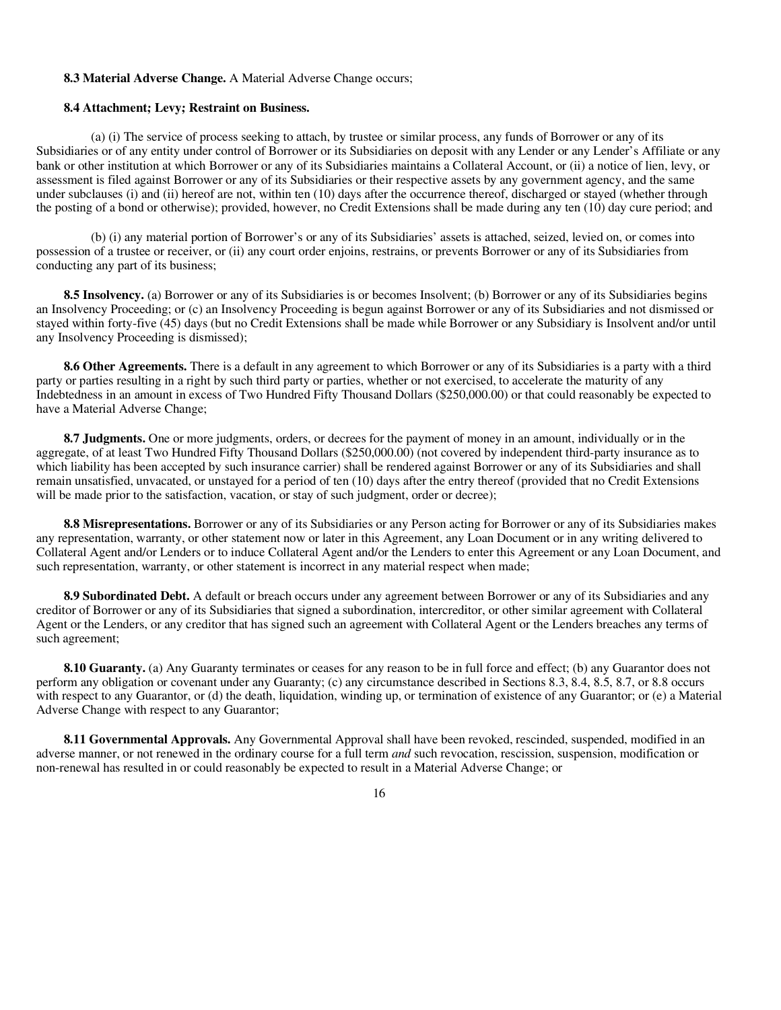## **8.3 Material Adverse Change.** A Material Adverse Change occurs;

#### **8.4 Attachment; Levy; Restraint on Business.**

(a) (i) The service of process seeking to attach, by trustee or similar process, any funds of Borrower or any of its Subsidiaries or of any entity under control of Borrower or its Subsidiaries on deposit with any Lender or any Lender's Affiliate or any bank or other institution at which Borrower or any of its Subsidiaries maintains a Collateral Account, or (ii) a notice of lien, levy, or assessment is filed against Borrower or any of its Subsidiaries or their respective assets by any government agency, and the same under subclauses (i) and (ii) hereof are not, within ten (10) days after the occurrence thereof, discharged or stayed (whether through the posting of a bond or otherwise); provided, however, no Credit Extensions shall be made during any ten (10) day cure period; and

(b) (i) any material portion of Borrower's or any of its Subsidiaries' assets is attached, seized, levied on, or comes into possession of a trustee or receiver, or (ii) any court order enjoins, restrains, or prevents Borrower or any of its Subsidiaries from conducting any part of its business;

**8.5 Insolvency.** (a) Borrower or any of its Subsidiaries is or becomes Insolvent; (b) Borrower or any of its Subsidiaries begins an Insolvency Proceeding; or (c) an Insolvency Proceeding is begun against Borrower or any of its Subsidiaries and not dismissed or stayed within forty-five (45) days (but no Credit Extensions shall be made while Borrower or any Subsidiary is Insolvent and/or until any Insolvency Proceeding is dismissed);

**8.6 Other Agreements.** There is a default in any agreement to which Borrower or any of its Subsidiaries is a party with a third party or parties resulting in a right by such third party or parties, whether or not exercised, to accelerate the maturity of any Indebtedness in an amount in excess of Two Hundred Fifty Thousand Dollars (\$250,000.00) or that could reasonably be expected to have a Material Adverse Change;

**8.7 Judgments.** One or more judgments, orders, or decrees for the payment of money in an amount, individually or in the aggregate, of at least Two Hundred Fifty Thousand Dollars (\$250,000.00) (not covered by independent third-party insurance as to which liability has been accepted by such insurance carrier) shall be rendered against Borrower or any of its Subsidiaries and shall remain unsatisfied, unvacated, or unstayed for a period of ten (10) days after the entry thereof (provided that no Credit Extensions will be made prior to the satisfaction, vacation, or stay of such judgment, order or decree);

**8.8 Misrepresentations.** Borrower or any of its Subsidiaries or any Person acting for Borrower or any of its Subsidiaries makes any representation, warranty, or other statement now or later in this Agreement, any Loan Document or in any writing delivered to Collateral Agent and/or Lenders or to induce Collateral Agent and/or the Lenders to enter this Agreement or any Loan Document, and such representation, warranty, or other statement is incorrect in any material respect when made;

**8.9 Subordinated Debt.** A default or breach occurs under any agreement between Borrower or any of its Subsidiaries and any creditor of Borrower or any of its Subsidiaries that signed a subordination, intercreditor, or other similar agreement with Collateral Agent or the Lenders, or any creditor that has signed such an agreement with Collateral Agent or the Lenders breaches any terms of such agreement;

**8.10 Guaranty.** (a) Any Guaranty terminates or ceases for any reason to be in full force and effect; (b) any Guarantor does not perform any obligation or covenant under any Guaranty; (c) any circumstance described in Sections 8.3, 8.4, 8.5, 8.7, or 8.8 occurs with respect to any Guarantor, or (d) the death, liquidation, winding up, or termination of existence of any Guarantor; or (e) a Material Adverse Change with respect to any Guarantor;

**8.11 Governmental Approvals.** Any Governmental Approval shall have been revoked, rescinded, suspended, modified in an adverse manner, or not renewed in the ordinary course for a full term *and* such revocation, rescission, suspension, modification or non-renewal has resulted in or could reasonably be expected to result in a Material Adverse Change; or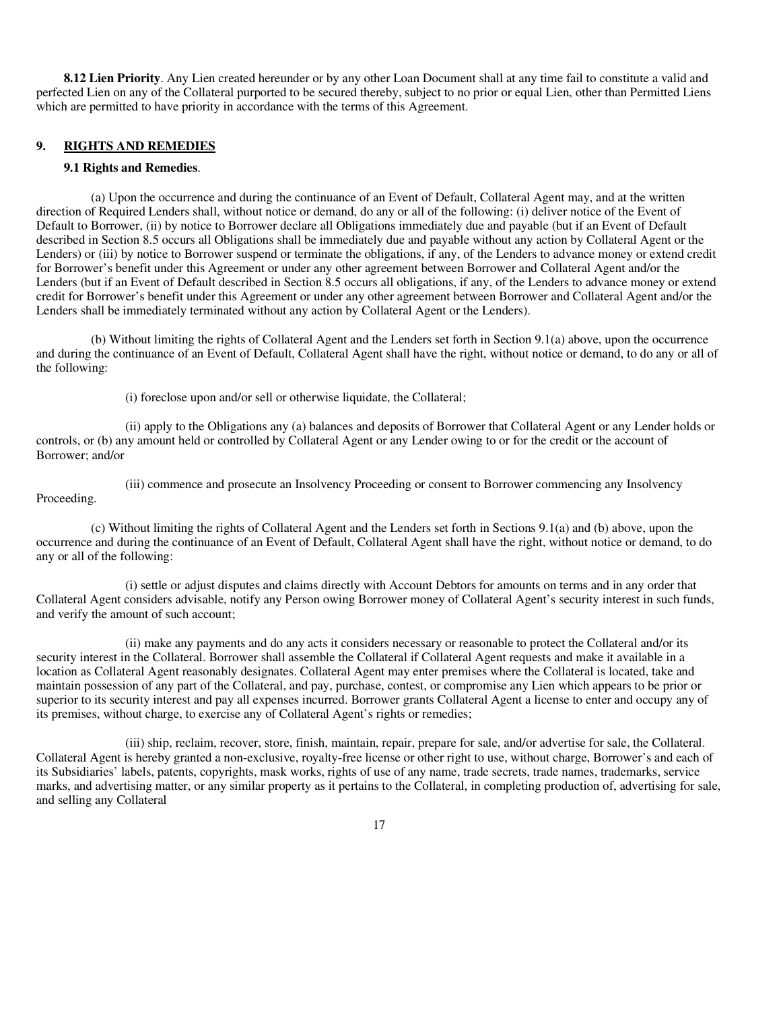**8.12 Lien Priority**. Any Lien created hereunder or by any other Loan Document shall at any time fail to constitute a valid and perfected Lien on any of the Collateral purported to be secured thereby, subject to no prior or equal Lien, other than Permitted Liens which are permitted to have priority in accordance with the terms of this Agreement.

# **9. RIGHTS AND REMEDIES**

#### **9.1 Rights and Remedies**.

(a) Upon the occurrence and during the continuance of an Event of Default, Collateral Agent may, and at the written direction of Required Lenders shall, without notice or demand, do any or all of the following: (i) deliver notice of the Event of Default to Borrower, (ii) by notice to Borrower declare all Obligations immediately due and payable (but if an Event of Default described in Section 8.5 occurs all Obligations shall be immediately due and payable without any action by Collateral Agent or the Lenders) or (iii) by notice to Borrower suspend or terminate the obligations, if any, of the Lenders to advance money or extend credit for Borrower's benefit under this Agreement or under any other agreement between Borrower and Collateral Agent and/or the Lenders (but if an Event of Default described in Section 8.5 occurs all obligations, if any, of the Lenders to advance money or extend credit for Borrower's benefit under this Agreement or under any other agreement between Borrower and Collateral Agent and/or the Lenders shall be immediately terminated without any action by Collateral Agent or the Lenders).

(b) Without limiting the rights of Collateral Agent and the Lenders set forth in Section 9.1(a) above, upon the occurrence and during the continuance of an Event of Default, Collateral Agent shall have the right, without notice or demand, to do any or all of the following:

(i) foreclose upon and/or sell or otherwise liquidate, the Collateral;

(ii) apply to the Obligations any (a) balances and deposits of Borrower that Collateral Agent or any Lender holds or controls, or (b) any amount held or controlled by Collateral Agent or any Lender owing to or for the credit or the account of Borrower; and/or

(iii) commence and prosecute an Insolvency Proceeding or consent to Borrower commencing any Insolvency Proceeding.

(c) Without limiting the rights of Collateral Agent and the Lenders set forth in Sections 9.1(a) and (b) above, upon the occurrence and during the continuance of an Event of Default, Collateral Agent shall have the right, without notice or demand, to do any or all of the following:

(i) settle or adjust disputes and claims directly with Account Debtors for amounts on terms and in any order that Collateral Agent considers advisable, notify any Person owing Borrower money of Collateral Agent's security interest in such funds, and verify the amount of such account;

(ii) make any payments and do any acts it considers necessary or reasonable to protect the Collateral and/or its security interest in the Collateral. Borrower shall assemble the Collateral if Collateral Agent requests and make it available in a location as Collateral Agent reasonably designates. Collateral Agent may enter premises where the Collateral is located, take and maintain possession of any part of the Collateral, and pay, purchase, contest, or compromise any Lien which appears to be prior or superior to its security interest and pay all expenses incurred. Borrower grants Collateral Agent a license to enter and occupy any of its premises, without charge, to exercise any of Collateral Agent's rights or remedies;

(iii) ship, reclaim, recover, store, finish, maintain, repair, prepare for sale, and/or advertise for sale, the Collateral. Collateral Agent is hereby granted a non-exclusive, royalty-free license or other right to use, without charge, Borrower's and each of its Subsidiaries' labels, patents, copyrights, mask works, rights of use of any name, trade secrets, trade names, trademarks, service marks, and advertising matter, or any similar property as it pertains to the Collateral, in completing production of, advertising for sale, and selling any Collateral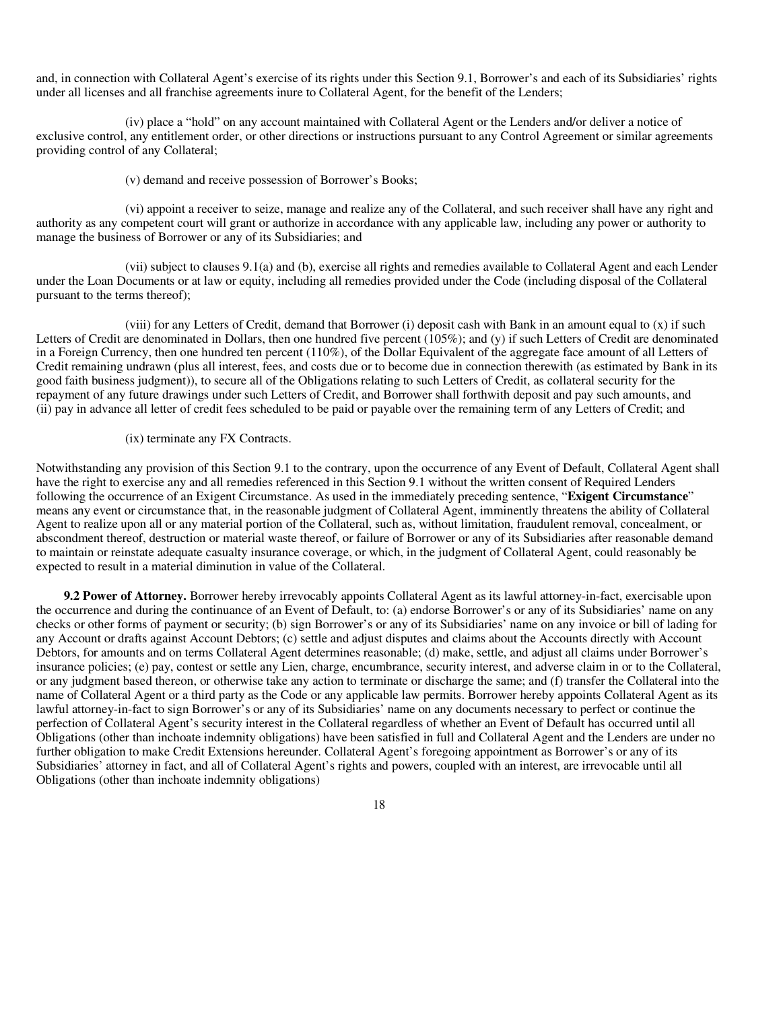and, in connection with Collateral Agent's exercise of its rights under this Section 9.1, Borrower's and each of its Subsidiaries' rights under all licenses and all franchise agreements inure to Collateral Agent, for the benefit of the Lenders;

(iv) place a "hold" on any account maintained with Collateral Agent or the Lenders and/or deliver a notice of exclusive control, any entitlement order, or other directions or instructions pursuant to any Control Agreement or similar agreements providing control of any Collateral;

(v) demand and receive possession of Borrower's Books;

(vi) appoint a receiver to seize, manage and realize any of the Collateral, and such receiver shall have any right and authority as any competent court will grant or authorize in accordance with any applicable law, including any power or authority to manage the business of Borrower or any of its Subsidiaries; and

(vii) subject to clauses 9.1(a) and (b), exercise all rights and remedies available to Collateral Agent and each Lender under the Loan Documents or at law or equity, including all remedies provided under the Code (including disposal of the Collateral pursuant to the terms thereof);

(viii) for any Letters of Credit, demand that Borrower (i) deposit cash with Bank in an amount equal to (x) if such Letters of Credit are denominated in Dollars, then one hundred five percent (105%); and (y) if such Letters of Credit are denominated in a Foreign Currency, then one hundred ten percent (110%), of the Dollar Equivalent of the aggregate face amount of all Letters of Credit remaining undrawn (plus all interest, fees, and costs due or to become due in connection therewith (as estimated by Bank in its good faith business judgment)), to secure all of the Obligations relating to such Letters of Credit, as collateral security for the repayment of any future drawings under such Letters of Credit, and Borrower shall forthwith deposit and pay such amounts, and (ii) pay in advance all letter of credit fees scheduled to be paid or payable over the remaining term of any Letters of Credit; and

#### (ix) terminate any FX Contracts.

Notwithstanding any provision of this Section 9.1 to the contrary, upon the occurrence of any Event of Default, Collateral Agent shall have the right to exercise any and all remedies referenced in this Section 9.1 without the written consent of Required Lenders following the occurrence of an Exigent Circumstance. As used in the immediately preceding sentence, "**Exigent Circumstance**" means any event or circumstance that, in the reasonable judgment of Collateral Agent, imminently threatens the ability of Collateral Agent to realize upon all or any material portion of the Collateral, such as, without limitation, fraudulent removal, concealment, or abscondment thereof, destruction or material waste thereof, or failure of Borrower or any of its Subsidiaries after reasonable demand to maintain or reinstate adequate casualty insurance coverage, or which, in the judgment of Collateral Agent, could reasonably be expected to result in a material diminution in value of the Collateral.

**9.2 Power of Attorney.** Borrower hereby irrevocably appoints Collateral Agent as its lawful attorney-in-fact, exercisable upon the occurrence and during the continuance of an Event of Default, to: (a) endorse Borrower's or any of its Subsidiaries' name on any checks or other forms of payment or security; (b) sign Borrower's or any of its Subsidiaries' name on any invoice or bill of lading for any Account or drafts against Account Debtors; (c) settle and adjust disputes and claims about the Accounts directly with Account Debtors, for amounts and on terms Collateral Agent determines reasonable; (d) make, settle, and adjust all claims under Borrower's insurance policies; (e) pay, contest or settle any Lien, charge, encumbrance, security interest, and adverse claim in or to the Collateral, or any judgment based thereon, or otherwise take any action to terminate or discharge the same; and (f) transfer the Collateral into the name of Collateral Agent or a third party as the Code or any applicable law permits. Borrower hereby appoints Collateral Agent as its lawful attorney-in-fact to sign Borrower's or any of its Subsidiaries' name on any documents necessary to perfect or continue the perfection of Collateral Agent's security interest in the Collateral regardless of whether an Event of Default has occurred until all Obligations (other than inchoate indemnity obligations) have been satisfied in full and Collateral Agent and the Lenders are under no further obligation to make Credit Extensions hereunder. Collateral Agent's foregoing appointment as Borrower's or any of its Subsidiaries' attorney in fact, and all of Collateral Agent's rights and powers, coupled with an interest, are irrevocable until all Obligations (other than inchoate indemnity obligations)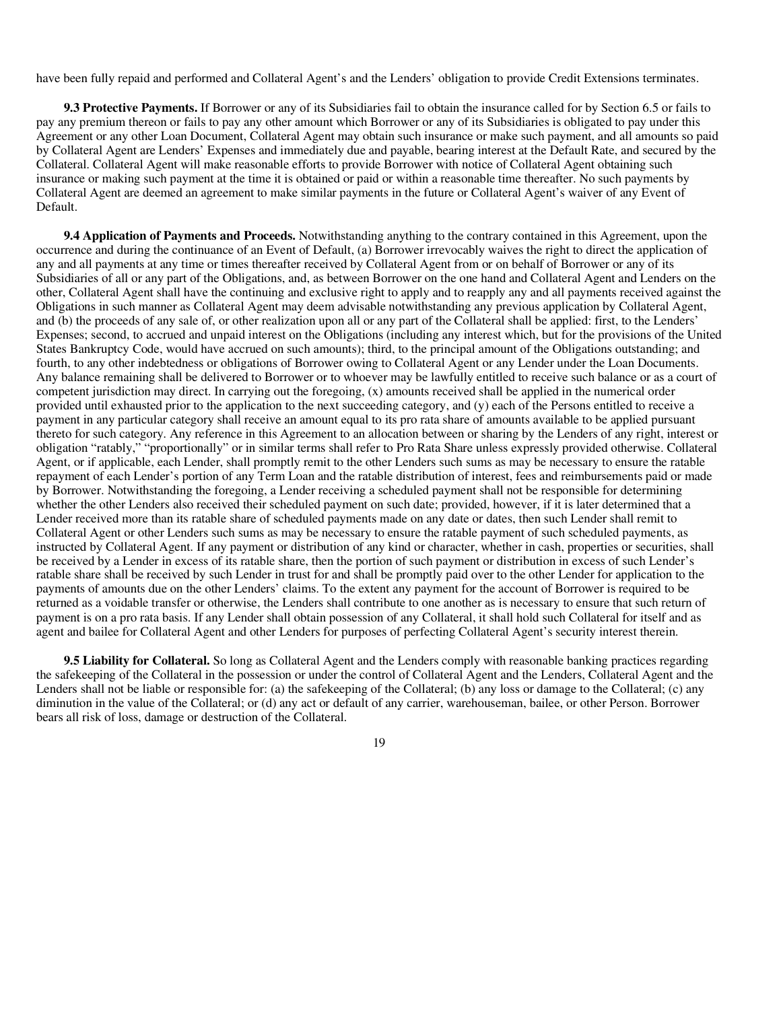have been fully repaid and performed and Collateral Agent's and the Lenders' obligation to provide Credit Extensions terminates.

**9.3 Protective Payments.** If Borrower or any of its Subsidiaries fail to obtain the insurance called for by Section 6.5 or fails to pay any premium thereon or fails to pay any other amount which Borrower or any of its Subsidiaries is obligated to pay under this Agreement or any other Loan Document, Collateral Agent may obtain such insurance or make such payment, and all amounts so paid by Collateral Agent are Lenders' Expenses and immediately due and payable, bearing interest at the Default Rate, and secured by the Collateral. Collateral Agent will make reasonable efforts to provide Borrower with notice of Collateral Agent obtaining such insurance or making such payment at the time it is obtained or paid or within a reasonable time thereafter. No such payments by Collateral Agent are deemed an agreement to make similar payments in the future or Collateral Agent's waiver of any Event of Default.

**9.4 Application of Payments and Proceeds.** Notwithstanding anything to the contrary contained in this Agreement, upon the occurrence and during the continuance of an Event of Default, (a) Borrower irrevocably waives the right to direct the application of any and all payments at any time or times thereafter received by Collateral Agent from or on behalf of Borrower or any of its Subsidiaries of all or any part of the Obligations, and, as between Borrower on the one hand and Collateral Agent and Lenders on the other, Collateral Agent shall have the continuing and exclusive right to apply and to reapply any and all payments received against the Obligations in such manner as Collateral Agent may deem advisable notwithstanding any previous application by Collateral Agent, and (b) the proceeds of any sale of, or other realization upon all or any part of the Collateral shall be applied: first, to the Lenders' Expenses; second, to accrued and unpaid interest on the Obligations (including any interest which, but for the provisions of the United States Bankruptcy Code, would have accrued on such amounts); third, to the principal amount of the Obligations outstanding; and fourth, to any other indebtedness or obligations of Borrower owing to Collateral Agent or any Lender under the Loan Documents. Any balance remaining shall be delivered to Borrower or to whoever may be lawfully entitled to receive such balance or as a court of competent jurisdiction may direct. In carrying out the foregoing, (x) amounts received shall be applied in the numerical order provided until exhausted prior to the application to the next succeeding category, and (y) each of the Persons entitled to receive a payment in any particular category shall receive an amount equal to its pro rata share of amounts available to be applied pursuant thereto for such category. Any reference in this Agreement to an allocation between or sharing by the Lenders of any right, interest or obligation "ratably," "proportionally" or in similar terms shall refer to Pro Rata Share unless expressly provided otherwise. Collateral Agent, or if applicable, each Lender, shall promptly remit to the other Lenders such sums as may be necessary to ensure the ratable repayment of each Lender's portion of any Term Loan and the ratable distribution of interest, fees and reimbursements paid or made by Borrower. Notwithstanding the foregoing, a Lender receiving a scheduled payment shall not be responsible for determining whether the other Lenders also received their scheduled payment on such date; provided, however, if it is later determined that a Lender received more than its ratable share of scheduled payments made on any date or dates, then such Lender shall remit to Collateral Agent or other Lenders such sums as may be necessary to ensure the ratable payment of such scheduled payments, as instructed by Collateral Agent. If any payment or distribution of any kind or character, whether in cash, properties or securities, shall be received by a Lender in excess of its ratable share, then the portion of such payment or distribution in excess of such Lender's ratable share shall be received by such Lender in trust for and shall be promptly paid over to the other Lender for application to the payments of amounts due on the other Lenders' claims. To the extent any payment for the account of Borrower is required to be returned as a voidable transfer or otherwise, the Lenders shall contribute to one another as is necessary to ensure that such return of payment is on a pro rata basis. If any Lender shall obtain possession of any Collateral, it shall hold such Collateral for itself and as agent and bailee for Collateral Agent and other Lenders for purposes of perfecting Collateral Agent's security interest therein.

**9.5 Liability for Collateral.** So long as Collateral Agent and the Lenders comply with reasonable banking practices regarding the safekeeping of the Collateral in the possession or under the control of Collateral Agent and the Lenders, Collateral Agent and the Lenders shall not be liable or responsible for: (a) the safekeeping of the Collateral; (b) any loss or damage to the Collateral; (c) any diminution in the value of the Collateral; or (d) any act or default of any carrier, warehouseman, bailee, or other Person. Borrower bears all risk of loss, damage or destruction of the Collateral.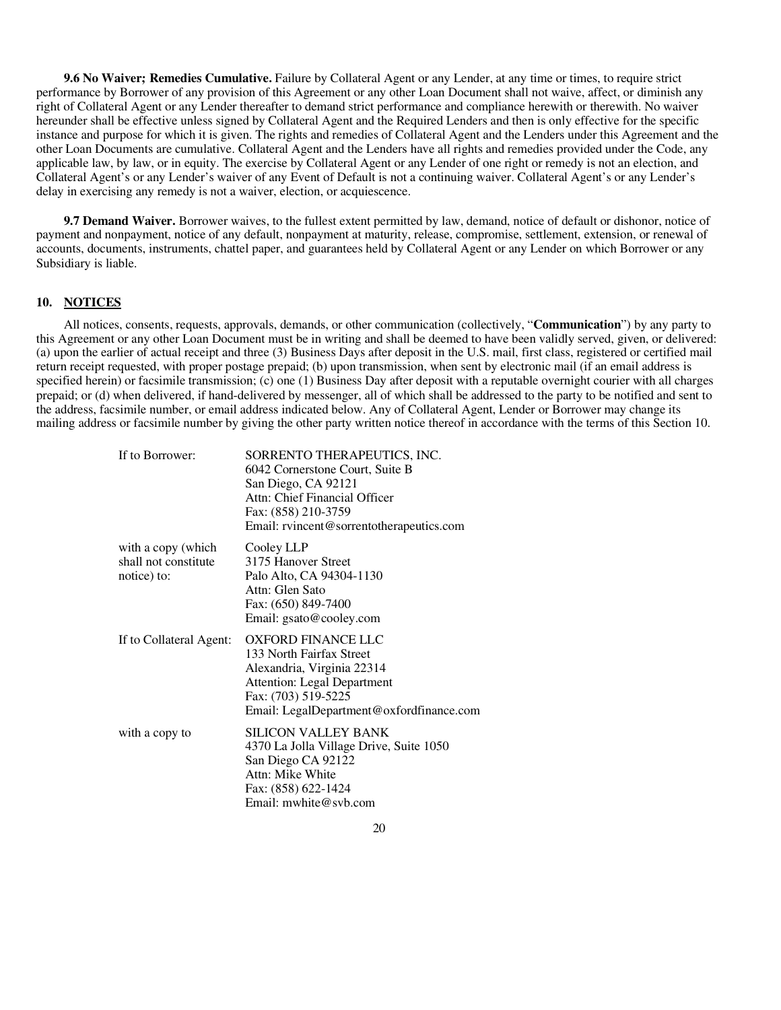**9.6 No Waiver; Remedies Cumulative.** Failure by Collateral Agent or any Lender, at any time or times, to require strict performance by Borrower of any provision of this Agreement or any other Loan Document shall not waive, affect, or diminish any right of Collateral Agent or any Lender thereafter to demand strict performance and compliance herewith or therewith. No waiver hereunder shall be effective unless signed by Collateral Agent and the Required Lenders and then is only effective for the specific instance and purpose for which it is given. The rights and remedies of Collateral Agent and the Lenders under this Agreement and the other Loan Documents are cumulative. Collateral Agent and the Lenders have all rights and remedies provided under the Code, any applicable law, by law, or in equity. The exercise by Collateral Agent or any Lender of one right or remedy is not an election, and Collateral Agent's or any Lender's waiver of any Event of Default is not a continuing waiver. Collateral Agent's or any Lender's delay in exercising any remedy is not a waiver, election, or acquiescence.

**9.7 Demand Waiver.** Borrower waives, to the fullest extent permitted by law, demand, notice of default or dishonor, notice of payment and nonpayment, notice of any default, nonpayment at maturity, release, compromise, settlement, extension, or renewal of accounts, documents, instruments, chattel paper, and guarantees held by Collateral Agent or any Lender on which Borrower or any Subsidiary is liable.

## **10. NOTICES**

All notices, consents, requests, approvals, demands, or other communication (collectively, "**Communication**") by any party to this Agreement or any other Loan Document must be in writing and shall be deemed to have been validly served, given, or delivered: (a) upon the earlier of actual receipt and three (3) Business Days after deposit in the U.S. mail, first class, registered or certified mail return receipt requested, with proper postage prepaid; (b) upon transmission, when sent by electronic mail (if an email address is specified herein) or facsimile transmission; (c) one (1) Business Day after deposit with a reputable overnight courier with all charges prepaid; or (d) when delivered, if hand-delivered by messenger, all of which shall be addressed to the party to be notified and sent to the address, facsimile number, or email address indicated below. Any of Collateral Agent, Lender or Borrower may change its mailing address or facsimile number by giving the other party written notice thereof in accordance with the terms of this Section 10.

| SORRENTO THERAPEUTICS, INC.<br>6042 Cornerstone Court, Suite B<br>San Diego, CA 92121<br>Attn: Chief Financial Officer<br>Fax: (858) 210-3759<br>Email: rvincent@sorrentotherapeutics.com    |
|----------------------------------------------------------------------------------------------------------------------------------------------------------------------------------------------|
| Cooley LLP<br>3175 Hanover Street<br>Palo Alto, CA 94304-1130<br>Attn: Glen Sato<br>Fax: (650) 849-7400<br>Email: gsato@cooley.com                                                           |
| <b>OXFORD FINANCE LLC</b><br>133 North Fairfax Street<br>Alexandria, Virginia 22314<br><b>Attention: Legal Department</b><br>Fax: (703) 519-5225<br>Email: LegalDepartment@oxfordfinance.com |
| <b>SILICON VALLEY BANK</b><br>4370 La Jolla Village Drive, Suite 1050<br>San Diego CA 92122<br>Attn: Mike White<br>Fax: (858) 622-1424<br>Email: mwhite@svb.com                              |
|                                                                                                                                                                                              |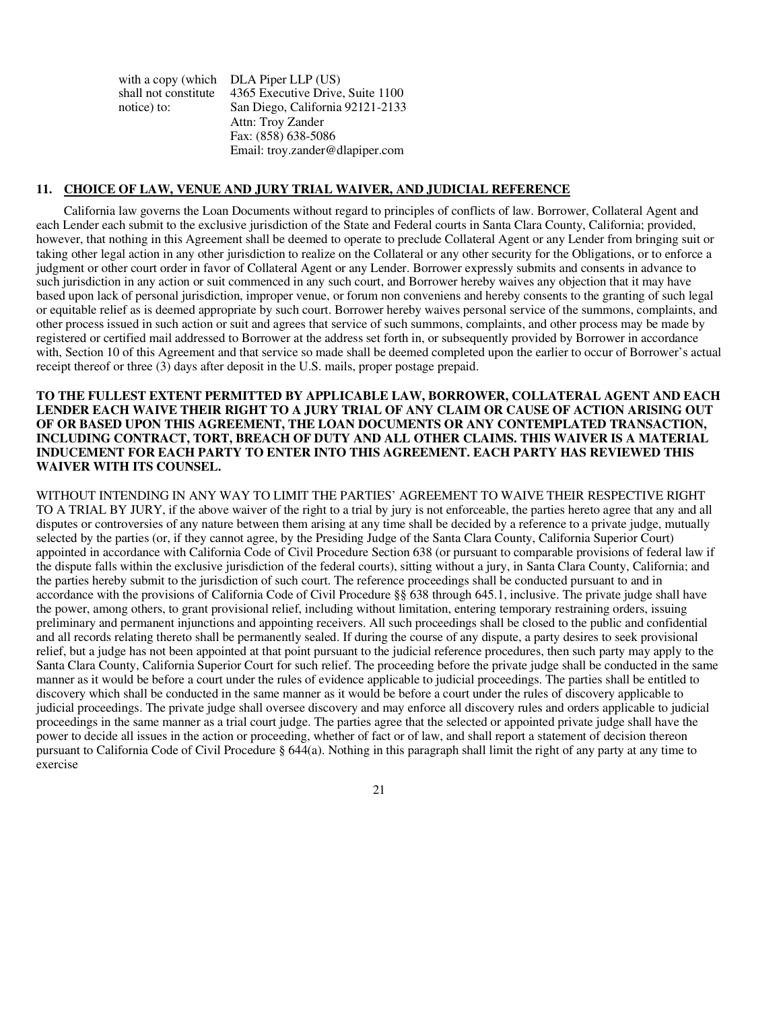with a copy (which shall not constitute notice) to: DLA Piper LLP (US) 4365 Executive Drive, Suite 1100 San Diego, California 92121-2133 Attn: Troy Zander Fax: (858) 638-5086 Email: troy.zander@dlapiper.com

### **11. CHOICE OF LAW, VENUE AND JURY TRIAL WAIVER, AND JUDICIAL REFERENCE**

California law governs the Loan Documents without regard to principles of conflicts of law. Borrower, Collateral Agent and each Lender each submit to the exclusive jurisdiction of the State and Federal courts in Santa Clara County, California; provided, however, that nothing in this Agreement shall be deemed to operate to preclude Collateral Agent or any Lender from bringing suit or taking other legal action in any other jurisdiction to realize on the Collateral or any other security for the Obligations, or to enforce a judgment or other court order in favor of Collateral Agent or any Lender. Borrower expressly submits and consents in advance to such jurisdiction in any action or suit commenced in any such court, and Borrower hereby waives any objection that it may have based upon lack of personal jurisdiction, improper venue, or forum non conveniens and hereby consents to the granting of such legal or equitable relief as is deemed appropriate by such court. Borrower hereby waives personal service of the summons, complaints, and other process issued in such action or suit and agrees that service of such summons, complaints, and other process may be made by registered or certified mail addressed to Borrower at the address set forth in, or subsequently provided by Borrower in accordance with, Section 10 of this Agreement and that service so made shall be deemed completed upon the earlier to occur of Borrower's actual receipt thereof or three (3) days after deposit in the U.S. mails, proper postage prepaid.

## **TO THE FULLEST EXTENT PERMITTED BY APPLICABLE LAW, BORROWER, COLLATERAL AGENT AND EACH LENDER EACH WAIVE THEIR RIGHT TO A JURY TRIAL OF ANY CLAIM OR CAUSE OF ACTION ARISING OUT OF OR BASED UPON THIS AGREEMENT, THE LOAN DOCUMENTS OR ANY CONTEMPLATED TRANSACTION, INCLUDING CONTRACT, TORT, BREACH OF DUTY AND ALL OTHER CLAIMS. THIS WAIVER IS A MATERIAL INDUCEMENT FOR EACH PARTY TO ENTER INTO THIS AGREEMENT. EACH PARTY HAS REVIEWED THIS WAIVER WITH ITS COUNSEL.**

WITHOUT INTENDING IN ANY WAY TO LIMIT THE PARTIES' AGREEMENT TO WAIVE THEIR RESPECTIVE RIGHT TO A TRIAL BY JURY, if the above waiver of the right to a trial by jury is not enforceable, the parties hereto agree that any and all disputes or controversies of any nature between them arising at any time shall be decided by a reference to a private judge, mutually selected by the parties (or, if they cannot agree, by the Presiding Judge of the Santa Clara County, California Superior Court) appointed in accordance with California Code of Civil Procedure Section 638 (or pursuant to comparable provisions of federal law if the dispute falls within the exclusive jurisdiction of the federal courts), sitting without a jury, in Santa Clara County, California; and the parties hereby submit to the jurisdiction of such court. The reference proceedings shall be conducted pursuant to and in accordance with the provisions of California Code of Civil Procedure §§ 638 through 645.1, inclusive. The private judge shall have the power, among others, to grant provisional relief, including without limitation, entering temporary restraining orders, issuing preliminary and permanent injunctions and appointing receivers. All such proceedings shall be closed to the public and confidential and all records relating thereto shall be permanently sealed. If during the course of any dispute, a party desires to seek provisional relief, but a judge has not been appointed at that point pursuant to the judicial reference procedures, then such party may apply to the Santa Clara County, California Superior Court for such relief. The proceeding before the private judge shall be conducted in the same manner as it would be before a court under the rules of evidence applicable to judicial proceedings. The parties shall be entitled to discovery which shall be conducted in the same manner as it would be before a court under the rules of discovery applicable to judicial proceedings. The private judge shall oversee discovery and may enforce all discovery rules and orders applicable to judicial proceedings in the same manner as a trial court judge. The parties agree that the selected or appointed private judge shall have the power to decide all issues in the action or proceeding, whether of fact or of law, and shall report a statement of decision thereon pursuant to California Code of Civil Procedure § 644(a). Nothing in this paragraph shall limit the right of any party at any time to exercise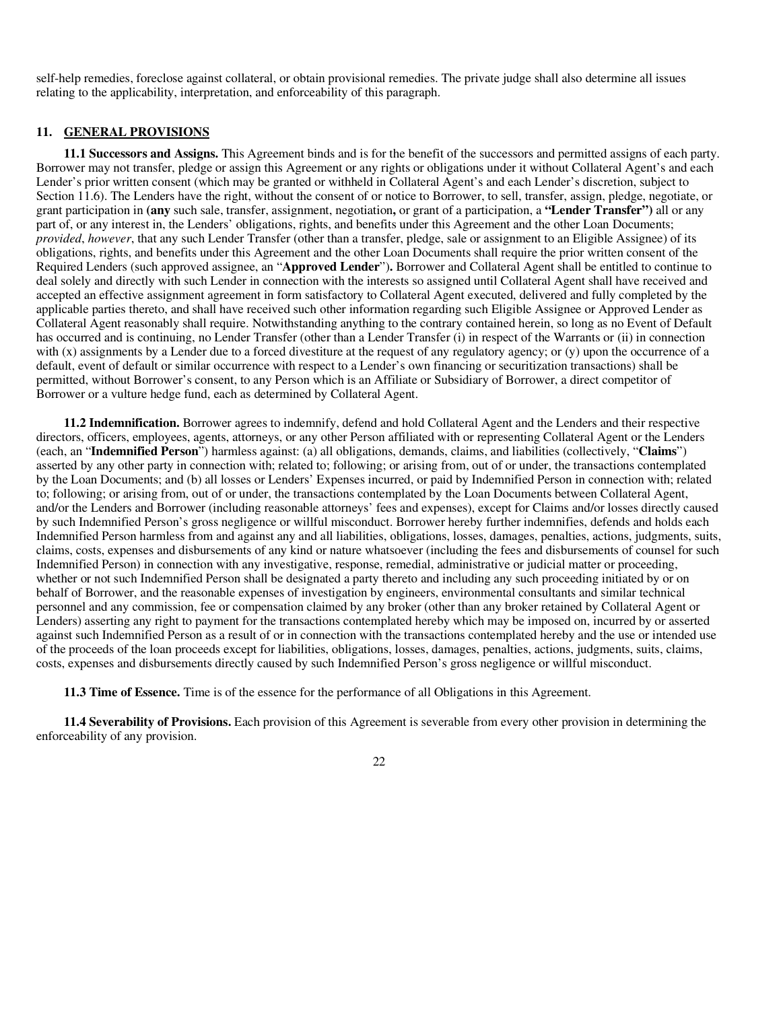self-help remedies, foreclose against collateral, or obtain provisional remedies. The private judge shall also determine all issues relating to the applicability, interpretation, and enforceability of this paragraph.

### **11. GENERAL PROVISIONS**

**11.1 Successors and Assigns.** This Agreement binds and is for the benefit of the successors and permitted assigns of each party. Borrower may not transfer, pledge or assign this Agreement or any rights or obligations under it without Collateral Agent's and each Lender's prior written consent (which may be granted or withheld in Collateral Agent's and each Lender's discretion, subject to Section 11.6). The Lenders have the right, without the consent of or notice to Borrower, to sell, transfer, assign, pledge, negotiate, or grant participation in **(any** such sale, transfer, assignment, negotiation**,** or grant of a participation, a **"Lender Transfer")** all or any part of, or any interest in, the Lenders' obligations, rights, and benefits under this Agreement and the other Loan Documents; *provided*, *however*, that any such Lender Transfer (other than a transfer, pledge, sale or assignment to an Eligible Assignee) of its obligations, rights, and benefits under this Agreement and the other Loan Documents shall require the prior written consent of the Required Lenders (such approved assignee, an "**Approved Lender**")**.** Borrower and Collateral Agent shall be entitled to continue to deal solely and directly with such Lender in connection with the interests so assigned until Collateral Agent shall have received and accepted an effective assignment agreement in form satisfactory to Collateral Agent executed, delivered and fully completed by the applicable parties thereto, and shall have received such other information regarding such Eligible Assignee or Approved Lender as Collateral Agent reasonably shall require. Notwithstanding anything to the contrary contained herein, so long as no Event of Default has occurred and is continuing, no Lender Transfer (other than a Lender Transfer (i) in respect of the Warrants or (ii) in connection with (x) assignments by a Lender due to a forced divestiture at the request of any regulatory agency; or (y) upon the occurrence of a default, event of default or similar occurrence with respect to a Lender's own financing or securitization transactions) shall be permitted, without Borrower's consent, to any Person which is an Affiliate or Subsidiary of Borrower, a direct competitor of Borrower or a vulture hedge fund, each as determined by Collateral Agent.

**11.2 Indemnification.** Borrower agrees to indemnify, defend and hold Collateral Agent and the Lenders and their respective directors, officers, employees, agents, attorneys, or any other Person affiliated with or representing Collateral Agent or the Lenders (each, an "**Indemnified Person**") harmless against: (a) all obligations, demands, claims, and liabilities (collectively, "**Claims**") asserted by any other party in connection with; related to; following; or arising from, out of or under, the transactions contemplated by the Loan Documents; and (b) all losses or Lenders' Expenses incurred, or paid by Indemnified Person in connection with; related to; following; or arising from, out of or under, the transactions contemplated by the Loan Documents between Collateral Agent, and/or the Lenders and Borrower (including reasonable attorneys' fees and expenses), except for Claims and/or losses directly caused by such Indemnified Person's gross negligence or willful misconduct. Borrower hereby further indemnifies, defends and holds each Indemnified Person harmless from and against any and all liabilities, obligations, losses, damages, penalties, actions, judgments, suits, claims, costs, expenses and disbursements of any kind or nature whatsoever (including the fees and disbursements of counsel for such Indemnified Person) in connection with any investigative, response, remedial, administrative or judicial matter or proceeding, whether or not such Indemnified Person shall be designated a party thereto and including any such proceeding initiated by or on behalf of Borrower, and the reasonable expenses of investigation by engineers, environmental consultants and similar technical personnel and any commission, fee or compensation claimed by any broker (other than any broker retained by Collateral Agent or Lenders) asserting any right to payment for the transactions contemplated hereby which may be imposed on, incurred by or asserted against such Indemnified Person as a result of or in connection with the transactions contemplated hereby and the use or intended use of the proceeds of the loan proceeds except for liabilities, obligations, losses, damages, penalties, actions, judgments, suits, claims, costs, expenses and disbursements directly caused by such Indemnified Person's gross negligence or willful misconduct.

**11.3 Time of Essence.** Time is of the essence for the performance of all Obligations in this Agreement.

**11.4 Severability of Provisions.** Each provision of this Agreement is severable from every other provision in determining the enforceability of any provision.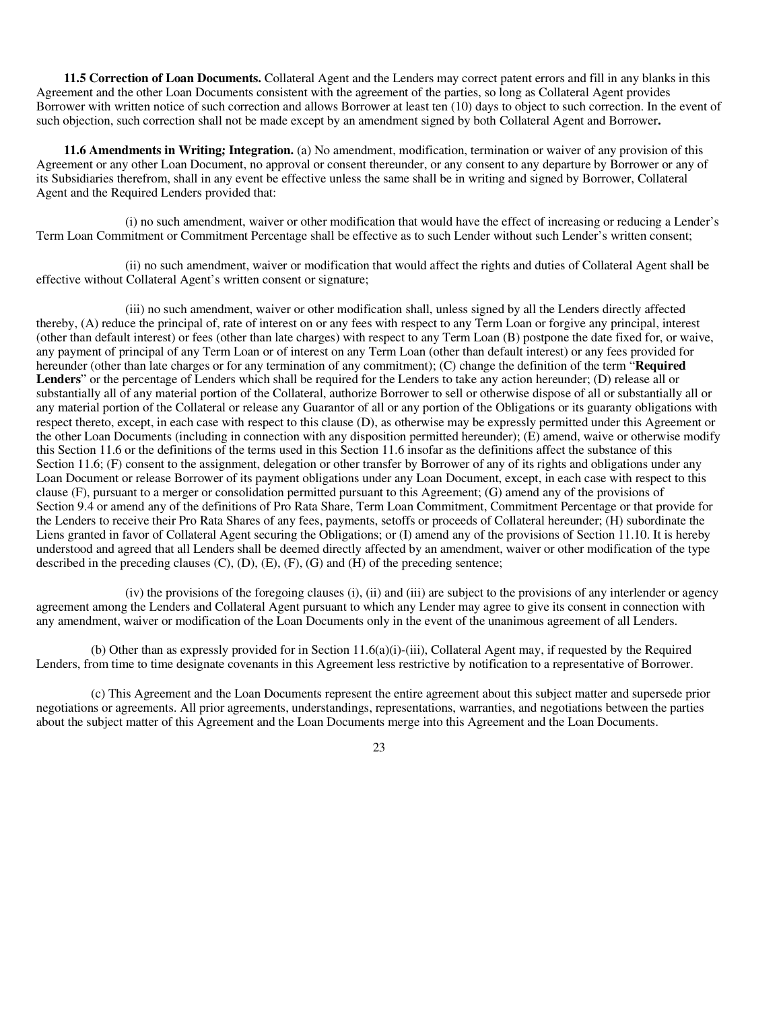**11.5 Correction of Loan Documents.** Collateral Agent and the Lenders may correct patent errors and fill in any blanks in this Agreement and the other Loan Documents consistent with the agreement of the parties, so long as Collateral Agent provides Borrower with written notice of such correction and allows Borrower at least ten (10) days to object to such correction. In the event of such objection, such correction shall not be made except by an amendment signed by both Collateral Agent and Borrower**.** 

**11.6 Amendments in Writing; Integration.** (a) No amendment, modification, termination or waiver of any provision of this Agreement or any other Loan Document, no approval or consent thereunder, or any consent to any departure by Borrower or any of its Subsidiaries therefrom, shall in any event be effective unless the same shall be in writing and signed by Borrower, Collateral Agent and the Required Lenders provided that:

(i) no such amendment, waiver or other modification that would have the effect of increasing or reducing a Lender's Term Loan Commitment or Commitment Percentage shall be effective as to such Lender without such Lender's written consent;

(ii) no such amendment, waiver or modification that would affect the rights and duties of Collateral Agent shall be effective without Collateral Agent's written consent or signature;

(iii) no such amendment, waiver or other modification shall, unless signed by all the Lenders directly affected thereby, (A) reduce the principal of, rate of interest on or any fees with respect to any Term Loan or forgive any principal, interest (other than default interest) or fees (other than late charges) with respect to any Term Loan (B) postpone the date fixed for, or waive, any payment of principal of any Term Loan or of interest on any Term Loan (other than default interest) or any fees provided for hereunder (other than late charges or for any termination of any commitment); (C) change the definition of the term "**Required Lenders**" or the percentage of Lenders which shall be required for the Lenders to take any action hereunder; (D) release all or substantially all of any material portion of the Collateral, authorize Borrower to sell or otherwise dispose of all or substantially all or any material portion of the Collateral or release any Guarantor of all or any portion of the Obligations or its guaranty obligations with respect thereto, except, in each case with respect to this clause (D), as otherwise may be expressly permitted under this Agreement or the other Loan Documents (including in connection with any disposition permitted hereunder); (E) amend, waive or otherwise modify this Section 11.6 or the definitions of the terms used in this Section 11.6 insofar as the definitions affect the substance of this Section 11.6; (F) consent to the assignment, delegation or other transfer by Borrower of any of its rights and obligations under any Loan Document or release Borrower of its payment obligations under any Loan Document, except, in each case with respect to this clause (F), pursuant to a merger or consolidation permitted pursuant to this Agreement; (G) amend any of the provisions of Section 9.4 or amend any of the definitions of Pro Rata Share, Term Loan Commitment, Commitment Percentage or that provide for the Lenders to receive their Pro Rata Shares of any fees, payments, setoffs or proceeds of Collateral hereunder; (H) subordinate the Liens granted in favor of Collateral Agent securing the Obligations; or (I) amend any of the provisions of Section 11.10. It is hereby understood and agreed that all Lenders shall be deemed directly affected by an amendment, waiver or other modification of the type described in the preceding clauses  $(C)$ ,  $(D)$ ,  $(E)$ ,  $(F)$ ,  $(G)$  and  $(H)$  of the preceding sentence;

(iv) the provisions of the foregoing clauses (i), (ii) and (iii) are subject to the provisions of any interlender or agency agreement among the Lenders and Collateral Agent pursuant to which any Lender may agree to give its consent in connection with any amendment, waiver or modification of the Loan Documents only in the event of the unanimous agreement of all Lenders.

(b) Other than as expressly provided for in Section 11.6(a)(i)-(iii), Collateral Agent may, if requested by the Required Lenders, from time to time designate covenants in this Agreement less restrictive by notification to a representative of Borrower.

(c) This Agreement and the Loan Documents represent the entire agreement about this subject matter and supersede prior negotiations or agreements. All prior agreements, understandings, representations, warranties, and negotiations between the parties about the subject matter of this Agreement and the Loan Documents merge into this Agreement and the Loan Documents.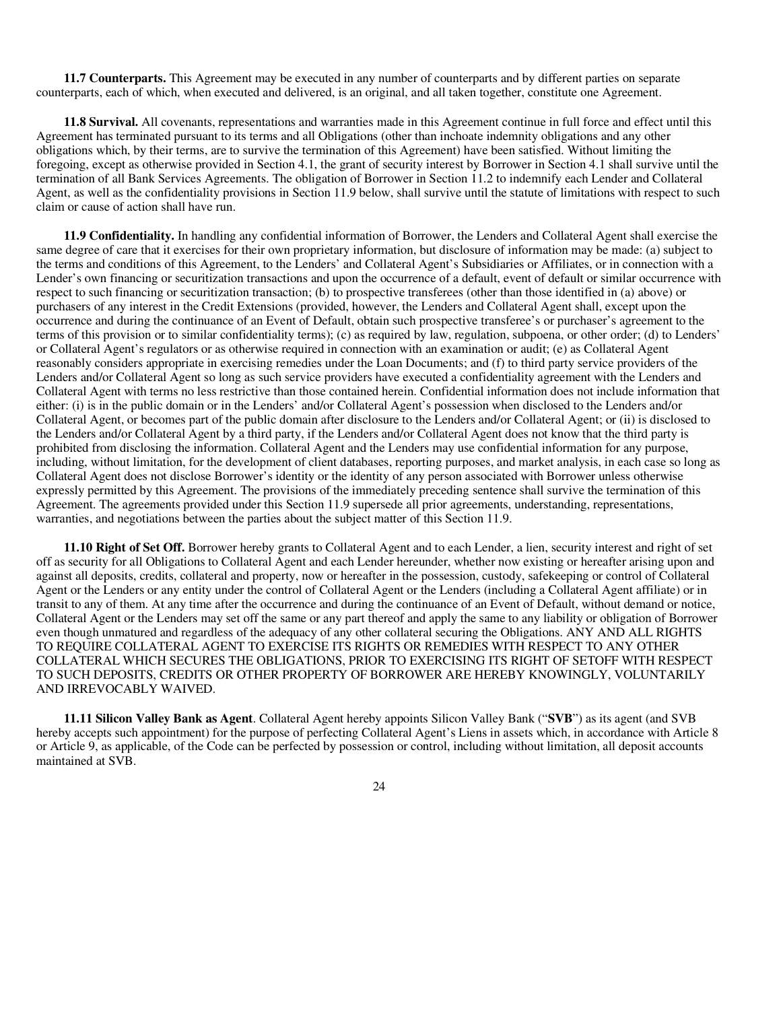**11.7 Counterparts.** This Agreement may be executed in any number of counterparts and by different parties on separate counterparts, each of which, when executed and delivered, is an original, and all taken together, constitute one Agreement.

**11.8 Survival.** All covenants, representations and warranties made in this Agreement continue in full force and effect until this Agreement has terminated pursuant to its terms and all Obligations (other than inchoate indemnity obligations and any other obligations which, by their terms, are to survive the termination of this Agreement) have been satisfied. Without limiting the foregoing, except as otherwise provided in Section 4.1, the grant of security interest by Borrower in Section 4.1 shall survive until the termination of all Bank Services Agreements. The obligation of Borrower in Section 11.2 to indemnify each Lender and Collateral Agent, as well as the confidentiality provisions in Section 11.9 below, shall survive until the statute of limitations with respect to such claim or cause of action shall have run.

**11.9 Confidentiality.** In handling any confidential information of Borrower, the Lenders and Collateral Agent shall exercise the same degree of care that it exercises for their own proprietary information, but disclosure of information may be made: (a) subject to the terms and conditions of this Agreement, to the Lenders' and Collateral Agent's Subsidiaries or Affiliates, or in connection with a Lender's own financing or securitization transactions and upon the occurrence of a default, event of default or similar occurrence with respect to such financing or securitization transaction; (b) to prospective transferees (other than those identified in (a) above) or purchasers of any interest in the Credit Extensions (provided, however, the Lenders and Collateral Agent shall, except upon the occurrence and during the continuance of an Event of Default, obtain such prospective transferee's or purchaser's agreement to the terms of this provision or to similar confidentiality terms); (c) as required by law, regulation, subpoena, or other order; (d) to Lenders' or Collateral Agent's regulators or as otherwise required in connection with an examination or audit; (e) as Collateral Agent reasonably considers appropriate in exercising remedies under the Loan Documents; and (f) to third party service providers of the Lenders and/or Collateral Agent so long as such service providers have executed a confidentiality agreement with the Lenders and Collateral Agent with terms no less restrictive than those contained herein. Confidential information does not include information that either: (i) is in the public domain or in the Lenders' and/or Collateral Agent's possession when disclosed to the Lenders and/or Collateral Agent, or becomes part of the public domain after disclosure to the Lenders and/or Collateral Agent; or (ii) is disclosed to the Lenders and/or Collateral Agent by a third party, if the Lenders and/or Collateral Agent does not know that the third party is prohibited from disclosing the information. Collateral Agent and the Lenders may use confidential information for any purpose, including, without limitation, for the development of client databases, reporting purposes, and market analysis, in each case so long as Collateral Agent does not disclose Borrower's identity or the identity of any person associated with Borrower unless otherwise expressly permitted by this Agreement. The provisions of the immediately preceding sentence shall survive the termination of this Agreement. The agreements provided under this Section 11.9 supersede all prior agreements, understanding, representations, warranties, and negotiations between the parties about the subject matter of this Section 11.9.

**11.10 Right of Set Off.** Borrower hereby grants to Collateral Agent and to each Lender, a lien, security interest and right of set off as security for all Obligations to Collateral Agent and each Lender hereunder, whether now existing or hereafter arising upon and against all deposits, credits, collateral and property, now or hereafter in the possession, custody, safekeeping or control of Collateral Agent or the Lenders or any entity under the control of Collateral Agent or the Lenders (including a Collateral Agent affiliate) or in transit to any of them. At any time after the occurrence and during the continuance of an Event of Default, without demand or notice, Collateral Agent or the Lenders may set off the same or any part thereof and apply the same to any liability or obligation of Borrower even though unmatured and regardless of the adequacy of any other collateral securing the Obligations. ANY AND ALL RIGHTS TO REQUIRE COLLATERAL AGENT TO EXERCISE ITS RIGHTS OR REMEDIES WITH RESPECT TO ANY OTHER COLLATERAL WHICH SECURES THE OBLIGATIONS, PRIOR TO EXERCISING ITS RIGHT OF SETOFF WITH RESPECT TO SUCH DEPOSITS, CREDITS OR OTHER PROPERTY OF BORROWER ARE HEREBY KNOWINGLY, VOLUNTARILY AND IRREVOCABLY WAIVED.

**11.11 Silicon Valley Bank as Agent**. Collateral Agent hereby appoints Silicon Valley Bank ("**SVB**") as its agent (and SVB hereby accepts such appointment) for the purpose of perfecting Collateral Agent's Liens in assets which, in accordance with Article 8 or Article 9, as applicable, of the Code can be perfected by possession or control, including without limitation, all deposit accounts maintained at SVB.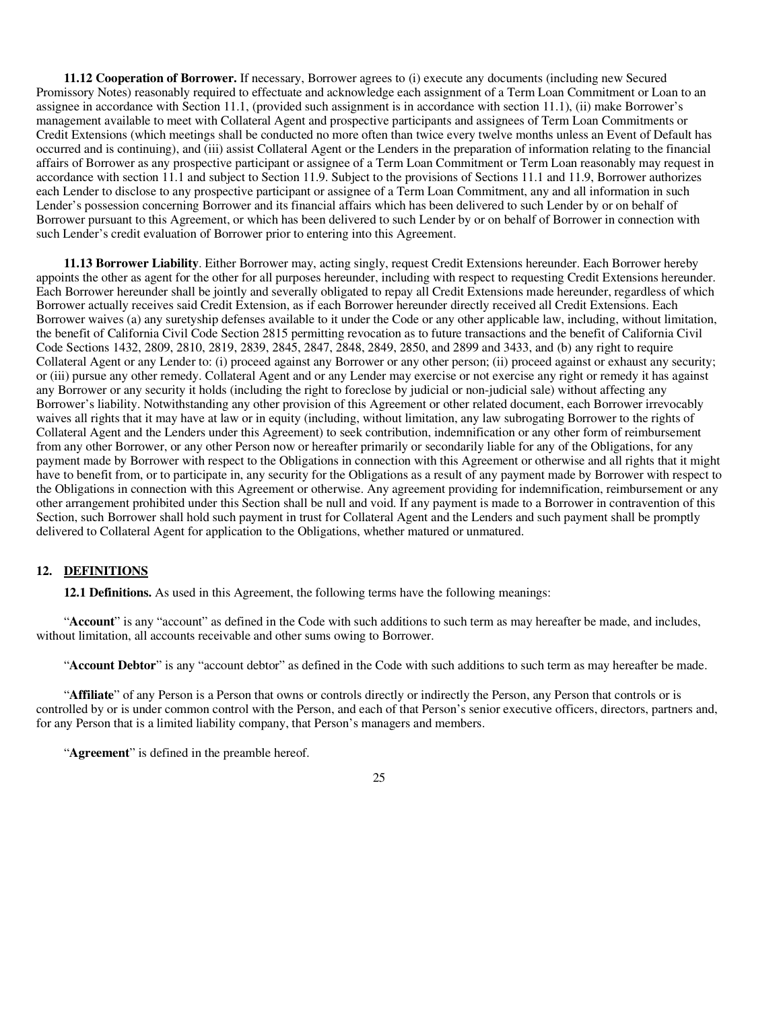**11.12 Cooperation of Borrower.** If necessary, Borrower agrees to (i) execute any documents (including new Secured Promissory Notes) reasonably required to effectuate and acknowledge each assignment of a Term Loan Commitment or Loan to an assignee in accordance with Section 11.1, (provided such assignment is in accordance with section 11.1), (ii) make Borrower's management available to meet with Collateral Agent and prospective participants and assignees of Term Loan Commitments or Credit Extensions (which meetings shall be conducted no more often than twice every twelve months unless an Event of Default has occurred and is continuing), and (iii) assist Collateral Agent or the Lenders in the preparation of information relating to the financial affairs of Borrower as any prospective participant or assignee of a Term Loan Commitment or Term Loan reasonably may request in accordance with section 11.1 and subject to Section 11.9. Subject to the provisions of Sections 11.1 and 11.9, Borrower authorizes each Lender to disclose to any prospective participant or assignee of a Term Loan Commitment, any and all information in such Lender's possession concerning Borrower and its financial affairs which has been delivered to such Lender by or on behalf of Borrower pursuant to this Agreement, or which has been delivered to such Lender by or on behalf of Borrower in connection with such Lender's credit evaluation of Borrower prior to entering into this Agreement.

**11.13 Borrower Liability**. Either Borrower may, acting singly, request Credit Extensions hereunder. Each Borrower hereby appoints the other as agent for the other for all purposes hereunder, including with respect to requesting Credit Extensions hereunder. Each Borrower hereunder shall be jointly and severally obligated to repay all Credit Extensions made hereunder, regardless of which Borrower actually receives said Credit Extension, as if each Borrower hereunder directly received all Credit Extensions. Each Borrower waives (a) any suretyship defenses available to it under the Code or any other applicable law, including, without limitation, the benefit of California Civil Code Section 2815 permitting revocation as to future transactions and the benefit of California Civil Code Sections 1432, 2809, 2810, 2819, 2839, 2845, 2847, 2848, 2849, 2850, and 2899 and 3433, and (b) any right to require Collateral Agent or any Lender to: (i) proceed against any Borrower or any other person; (ii) proceed against or exhaust any security; or (iii) pursue any other remedy. Collateral Agent and or any Lender may exercise or not exercise any right or remedy it has against any Borrower or any security it holds (including the right to foreclose by judicial or non-judicial sale) without affecting any Borrower's liability. Notwithstanding any other provision of this Agreement or other related document, each Borrower irrevocably waives all rights that it may have at law or in equity (including, without limitation, any law subrogating Borrower to the rights of Collateral Agent and the Lenders under this Agreement) to seek contribution, indemnification or any other form of reimbursement from any other Borrower, or any other Person now or hereafter primarily or secondarily liable for any of the Obligations, for any payment made by Borrower with respect to the Obligations in connection with this Agreement or otherwise and all rights that it might have to benefit from, or to participate in, any security for the Obligations as a result of any payment made by Borrower with respect to the Obligations in connection with this Agreement or otherwise. Any agreement providing for indemnification, reimbursement or any other arrangement prohibited under this Section shall be null and void. If any payment is made to a Borrower in contravention of this Section, such Borrower shall hold such payment in trust for Collateral Agent and the Lenders and such payment shall be promptly delivered to Collateral Agent for application to the Obligations, whether matured or unmatured.

### **12. DEFINITIONS**

**12.1 Definitions.** As used in this Agreement, the following terms have the following meanings:

"**Account**" is any "account" as defined in the Code with such additions to such term as may hereafter be made, and includes, without limitation, all accounts receivable and other sums owing to Borrower.

"**Account Debtor**" is any "account debtor" as defined in the Code with such additions to such term as may hereafter be made.

"**Affiliate**" of any Person is a Person that owns or controls directly or indirectly the Person, any Person that controls or is controlled by or is under common control with the Person, and each of that Person's senior executive officers, directors, partners and, for any Person that is a limited liability company, that Person's managers and members.

"**Agreement**" is defined in the preamble hereof.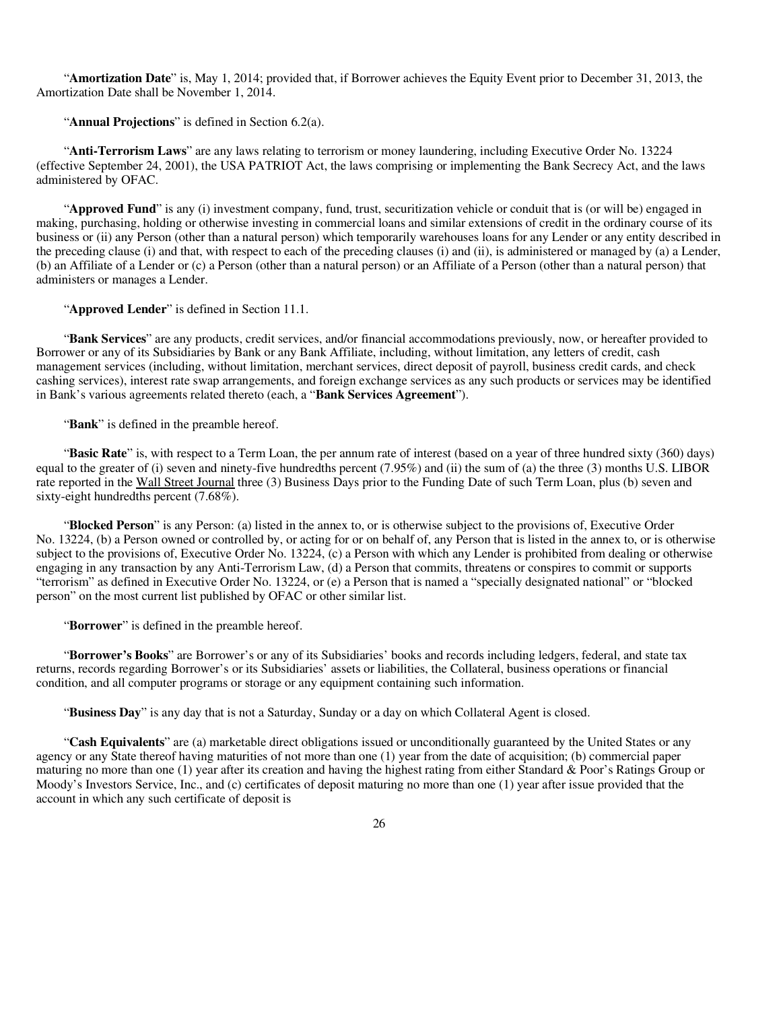"**Amortization Date**" is, May 1, 2014; provided that, if Borrower achieves the Equity Event prior to December 31, 2013, the Amortization Date shall be November 1, 2014.

"**Annual Projections**" is defined in Section 6.2(a).

"**Anti-Terrorism Laws**" are any laws relating to terrorism or money laundering, including Executive Order No. 13224 (effective September 24, 2001), the USA PATRIOT Act, the laws comprising or implementing the Bank Secrecy Act, and the laws administered by OFAC.

"**Approved Fund**" is any (i) investment company, fund, trust, securitization vehicle or conduit that is (or will be) engaged in making, purchasing, holding or otherwise investing in commercial loans and similar extensions of credit in the ordinary course of its business or (ii) any Person (other than a natural person) which temporarily warehouses loans for any Lender or any entity described in the preceding clause (i) and that, with respect to each of the preceding clauses (i) and (ii), is administered or managed by (a) a Lender, (b) an Affiliate of a Lender or (c) a Person (other than a natural person) or an Affiliate of a Person (other than a natural person) that administers or manages a Lender.

"**Approved Lender**" is defined in Section 11.1.

"**Bank Services**" are any products, credit services, and/or financial accommodations previously, now, or hereafter provided to Borrower or any of its Subsidiaries by Bank or any Bank Affiliate, including, without limitation, any letters of credit, cash management services (including, without limitation, merchant services, direct deposit of payroll, business credit cards, and check cashing services), interest rate swap arrangements, and foreign exchange services as any such products or services may be identified in Bank's various agreements related thereto (each, a "**Bank Services Agreement**").

"**Bank**" is defined in the preamble hereof.

"**Basic Rate**" is, with respect to a Term Loan, the per annum rate of interest (based on a year of three hundred sixty (360) days) equal to the greater of (i) seven and ninety-five hundredths percent (7.95%) and (ii) the sum of (a) the three (3) months U.S. LIBOR rate reported in the Wall Street Journal three (3) Business Days prior to the Funding Date of such Term Loan, plus (b) seven and sixty-eight hundredths percent (7.68%).

"**Blocked Person**" is any Person: (a) listed in the annex to, or is otherwise subject to the provisions of, Executive Order No. 13224, (b) a Person owned or controlled by, or acting for or on behalf of, any Person that is listed in the annex to, or is otherwise subject to the provisions of, Executive Order No. 13224, (c) a Person with which any Lender is prohibited from dealing or otherwise engaging in any transaction by any Anti-Terrorism Law, (d) a Person that commits, threatens or conspires to commit or supports "terrorism" as defined in Executive Order No. 13224, or (e) a Person that is named a "specially designated national" or "blocked person" on the most current list published by OFAC or other similar list.

"**Borrower**" is defined in the preamble hereof.

"**Borrower's Books**" are Borrower's or any of its Subsidiaries' books and records including ledgers, federal, and state tax returns, records regarding Borrower's or its Subsidiaries' assets or liabilities, the Collateral, business operations or financial condition, and all computer programs or storage or any equipment containing such information.

"**Business Day**" is any day that is not a Saturday, Sunday or a day on which Collateral Agent is closed.

"**Cash Equivalents**" are (a) marketable direct obligations issued or unconditionally guaranteed by the United States or any agency or any State thereof having maturities of not more than one (1) year from the date of acquisition; (b) commercial paper maturing no more than one (1) year after its creation and having the highest rating from either Standard & Poor's Ratings Group or Moody's Investors Service, Inc., and (c) certificates of deposit maturing no more than one (1) year after issue provided that the account in which any such certificate of deposit is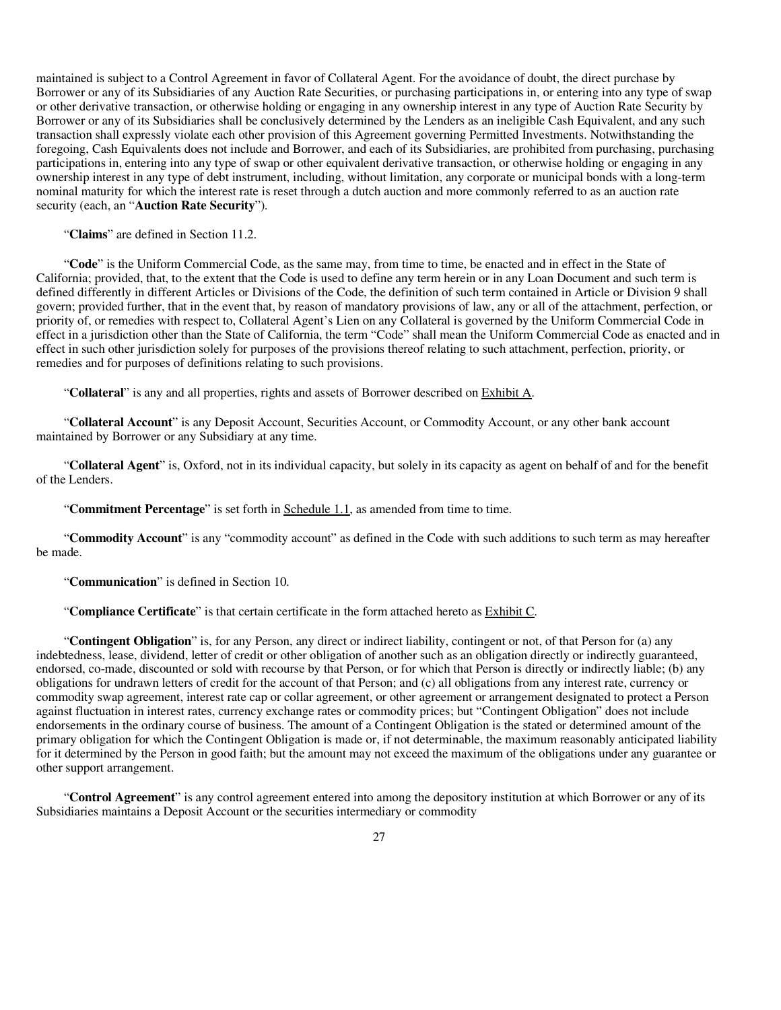maintained is subject to a Control Agreement in favor of Collateral Agent. For the avoidance of doubt, the direct purchase by Borrower or any of its Subsidiaries of any Auction Rate Securities, or purchasing participations in, or entering into any type of swap or other derivative transaction, or otherwise holding or engaging in any ownership interest in any type of Auction Rate Security by Borrower or any of its Subsidiaries shall be conclusively determined by the Lenders as an ineligible Cash Equivalent, and any such transaction shall expressly violate each other provision of this Agreement governing Permitted Investments. Notwithstanding the foregoing, Cash Equivalents does not include and Borrower, and each of its Subsidiaries, are prohibited from purchasing, purchasing participations in, entering into any type of swap or other equivalent derivative transaction, or otherwise holding or engaging in any ownership interest in any type of debt instrument, including, without limitation, any corporate or municipal bonds with a long-term nominal maturity for which the interest rate is reset through a dutch auction and more commonly referred to as an auction rate security (each, an "**Auction Rate Security**").

"**Claims**" are defined in Section 11.2.

"**Code**" is the Uniform Commercial Code, as the same may, from time to time, be enacted and in effect in the State of California; provided, that, to the extent that the Code is used to define any term herein or in any Loan Document and such term is defined differently in different Articles or Divisions of the Code, the definition of such term contained in Article or Division 9 shall govern; provided further, that in the event that, by reason of mandatory provisions of law, any or all of the attachment, perfection, or priority of, or remedies with respect to, Collateral Agent's Lien on any Collateral is governed by the Uniform Commercial Code in effect in a jurisdiction other than the State of California, the term "Code" shall mean the Uniform Commercial Code as enacted and in effect in such other jurisdiction solely for purposes of the provisions thereof relating to such attachment, perfection, priority, or remedies and for purposes of definitions relating to such provisions.

"**Collateral**" is any and all properties, rights and assets of Borrower described on Exhibit A.

"**Collateral Account**" is any Deposit Account, Securities Account, or Commodity Account, or any other bank account maintained by Borrower or any Subsidiary at any time.

"**Collateral Agent**" is, Oxford, not in its individual capacity, but solely in its capacity as agent on behalf of and for the benefit of the Lenders.

"**Commitment Percentage**" is set forth in Schedule 1.1, as amended from time to time.

"**Commodity Account**" is any "commodity account" as defined in the Code with such additions to such term as may hereafter be made.

"**Communication**" is defined in Section 10.

"**Compliance Certificate**" is that certain certificate in the form attached hereto as Exhibit C.

"**Contingent Obligation**" is, for any Person, any direct or indirect liability, contingent or not, of that Person for (a) any indebtedness, lease, dividend, letter of credit or other obligation of another such as an obligation directly or indirectly guaranteed, endorsed, co-made, discounted or sold with recourse by that Person, or for which that Person is directly or indirectly liable; (b) any obligations for undrawn letters of credit for the account of that Person; and (c) all obligations from any interest rate, currency or commodity swap agreement, interest rate cap or collar agreement, or other agreement or arrangement designated to protect a Person against fluctuation in interest rates, currency exchange rates or commodity prices; but "Contingent Obligation" does not include endorsements in the ordinary course of business. The amount of a Contingent Obligation is the stated or determined amount of the primary obligation for which the Contingent Obligation is made or, if not determinable, the maximum reasonably anticipated liability for it determined by the Person in good faith; but the amount may not exceed the maximum of the obligations under any guarantee or other support arrangement.

"**Control Agreement**" is any control agreement entered into among the depository institution at which Borrower or any of its Subsidiaries maintains a Deposit Account or the securities intermediary or commodity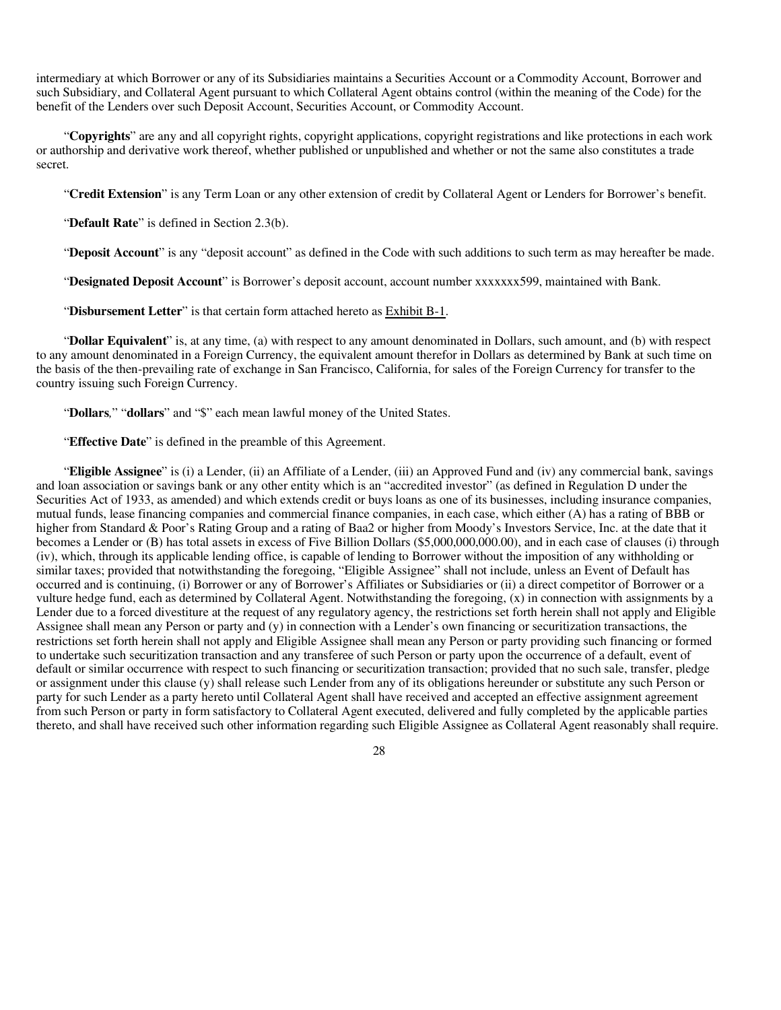intermediary at which Borrower or any of its Subsidiaries maintains a Securities Account or a Commodity Account, Borrower and such Subsidiary, and Collateral Agent pursuant to which Collateral Agent obtains control (within the meaning of the Code) for the benefit of the Lenders over such Deposit Account, Securities Account, or Commodity Account.

"**Copyrights**" are any and all copyright rights, copyright applications, copyright registrations and like protections in each work or authorship and derivative work thereof, whether published or unpublished and whether or not the same also constitutes a trade secret.

"**Credit Extension**" is any Term Loan or any other extension of credit by Collateral Agent or Lenders for Borrower's benefit.

"**Default Rate**" is defined in Section 2.3(b).

"**Deposit Account**" is any "deposit account" as defined in the Code with such additions to such term as may hereafter be made.

"**Designated Deposit Account**" is Borrower's deposit account, account number xxxxxxx599, maintained with Bank.

"**Disbursement Letter**" is that certain form attached hereto as Exhibit B-1.

"Dollar Equivalent" is, at any time, (a) with respect to any amount denominated in Dollars, such amount, and (b) with respect to any amount denominated in a Foreign Currency, the equivalent amount therefor in Dollars as determined by Bank at such time on the basis of the then-prevailing rate of exchange in San Francisco, California, for sales of the Foreign Currency for transfer to the country issuing such Foreign Currency.

"**Dollars***,*" "**dollars**" and "\$" each mean lawful money of the United States.

"**Effective Date**" is defined in the preamble of this Agreement.

"**Eligible Assignee**" is (i) a Lender, (ii) an Affiliate of a Lender, (iii) an Approved Fund and (iv) any commercial bank, savings and loan association or savings bank or any other entity which is an "accredited investor" (as defined in Regulation D under the Securities Act of 1933, as amended) and which extends credit or buys loans as one of its businesses, including insurance companies, mutual funds, lease financing companies and commercial finance companies, in each case, which either (A) has a rating of BBB or higher from Standard & Poor's Rating Group and a rating of Baa2 or higher from Moody's Investors Service, Inc. at the date that it becomes a Lender or (B) has total assets in excess of Five Billion Dollars (\$5,000,000,000.00), and in each case of clauses (i) through (iv), which, through its applicable lending office, is capable of lending to Borrower without the imposition of any withholding or similar taxes; provided that notwithstanding the foregoing, "Eligible Assignee" shall not include, unless an Event of Default has occurred and is continuing, (i) Borrower or any of Borrower's Affiliates or Subsidiaries or (ii) a direct competitor of Borrower or a vulture hedge fund, each as determined by Collateral Agent. Notwithstanding the foregoing, (x) in connection with assignments by a Lender due to a forced divestiture at the request of any regulatory agency, the restrictions set forth herein shall not apply and Eligible Assignee shall mean any Person or party and (y) in connection with a Lender's own financing or securitization transactions, the restrictions set forth herein shall not apply and Eligible Assignee shall mean any Person or party providing such financing or formed to undertake such securitization transaction and any transferee of such Person or party upon the occurrence of a default, event of default or similar occurrence with respect to such financing or securitization transaction; provided that no such sale, transfer, pledge or assignment under this clause (y) shall release such Lender from any of its obligations hereunder or substitute any such Person or party for such Lender as a party hereto until Collateral Agent shall have received and accepted an effective assignment agreement from such Person or party in form satisfactory to Collateral Agent executed, delivered and fully completed by the applicable parties thereto, and shall have received such other information regarding such Eligible Assignee as Collateral Agent reasonably shall require.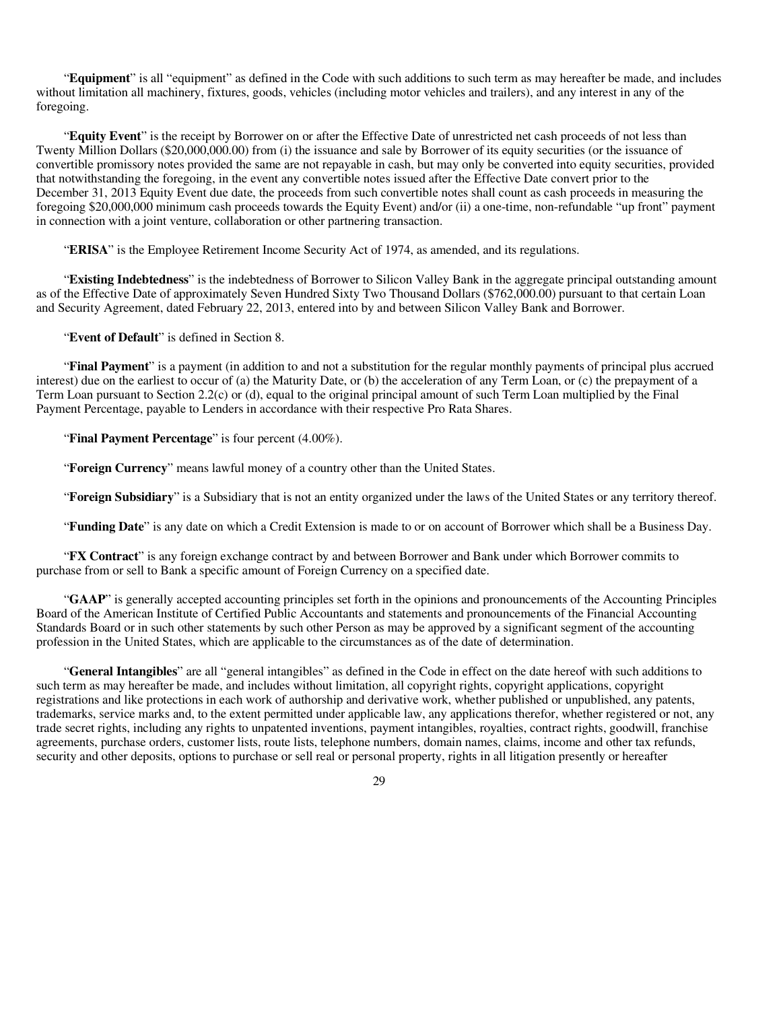"**Equipment**" is all "equipment" as defined in the Code with such additions to such term as may hereafter be made, and includes without limitation all machinery, fixtures, goods, vehicles (including motor vehicles and trailers), and any interest in any of the foregoing.

"**Equity Event**" is the receipt by Borrower on or after the Effective Date of unrestricted net cash proceeds of not less than Twenty Million Dollars (\$20,000,000.00) from (i) the issuance and sale by Borrower of its equity securities (or the issuance of convertible promissory notes provided the same are not repayable in cash, but may only be converted into equity securities, provided that notwithstanding the foregoing, in the event any convertible notes issued after the Effective Date convert prior to the December 31, 2013 Equity Event due date, the proceeds from such convertible notes shall count as cash proceeds in measuring the foregoing \$20,000,000 minimum cash proceeds towards the Equity Event) and/or (ii) a one-time, non-refundable "up front" payment in connection with a joint venture, collaboration or other partnering transaction.

"**ERISA**" is the Employee Retirement Income Security Act of 1974, as amended, and its regulations.

"**Existing Indebtedness**" is the indebtedness of Borrower to Silicon Valley Bank in the aggregate principal outstanding amount as of the Effective Date of approximately Seven Hundred Sixty Two Thousand Dollars (\$762,000.00) pursuant to that certain Loan and Security Agreement, dated February 22, 2013, entered into by and between Silicon Valley Bank and Borrower.

"**Event of Default**" is defined in Section 8.

"**Final Payment**" is a payment (in addition to and not a substitution for the regular monthly payments of principal plus accrued interest) due on the earliest to occur of (a) the Maturity Date, or (b) the acceleration of any Term Loan, or (c) the prepayment of a Term Loan pursuant to Section 2.2(c) or (d), equal to the original principal amount of such Term Loan multiplied by the Final Payment Percentage, payable to Lenders in accordance with their respective Pro Rata Shares.

"**Final Payment Percentage**" is four percent (4.00%).

"**Foreign Currency**" means lawful money of a country other than the United States.

"**Foreign Subsidiary**" is a Subsidiary that is not an entity organized under the laws of the United States or any territory thereof.

"**Funding Date**" is any date on which a Credit Extension is made to or on account of Borrower which shall be a Business Day.

"**FX Contract**" is any foreign exchange contract by and between Borrower and Bank under which Borrower commits to purchase from or sell to Bank a specific amount of Foreign Currency on a specified date.

"**GAAP**" is generally accepted accounting principles set forth in the opinions and pronouncements of the Accounting Principles Board of the American Institute of Certified Public Accountants and statements and pronouncements of the Financial Accounting Standards Board or in such other statements by such other Person as may be approved by a significant segment of the accounting profession in the United States, which are applicable to the circumstances as of the date of determination.

"**General Intangibles**" are all "general intangibles" as defined in the Code in effect on the date hereof with such additions to such term as may hereafter be made, and includes without limitation, all copyright rights, copyright applications, copyright registrations and like protections in each work of authorship and derivative work, whether published or unpublished, any patents, trademarks, service marks and, to the extent permitted under applicable law, any applications therefor, whether registered or not, any trade secret rights, including any rights to unpatented inventions, payment intangibles, royalties, contract rights, goodwill, franchise agreements, purchase orders, customer lists, route lists, telephone numbers, domain names, claims, income and other tax refunds, security and other deposits, options to purchase or sell real or personal property, rights in all litigation presently or hereafter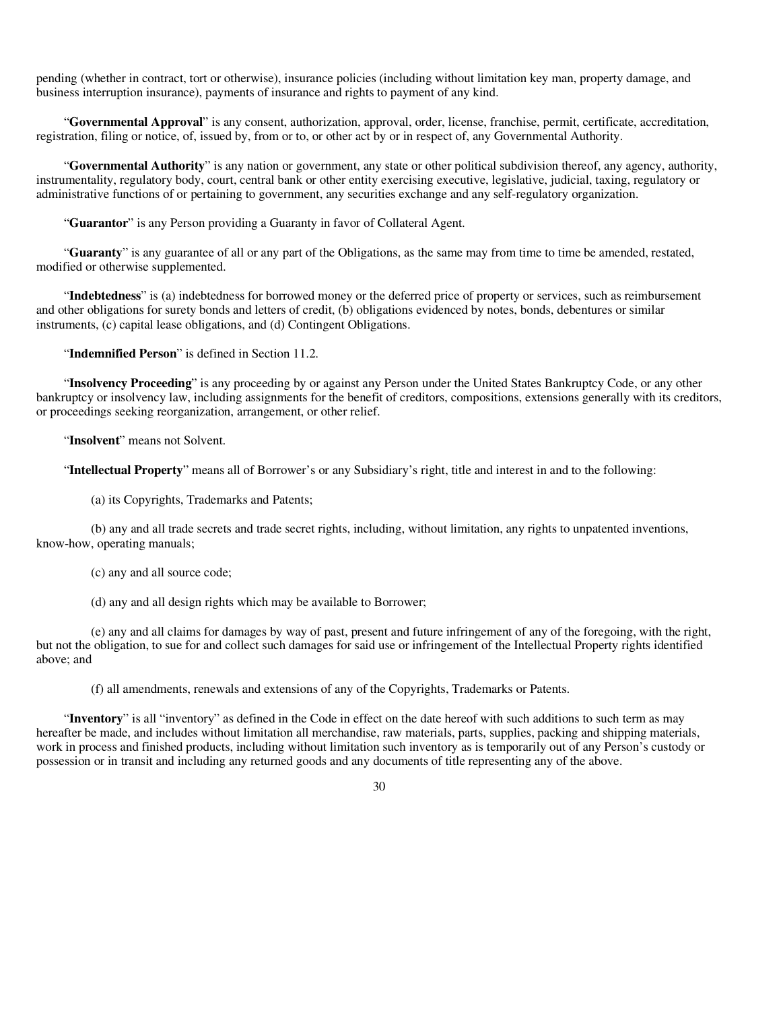pending (whether in contract, tort or otherwise), insurance policies (including without limitation key man, property damage, and business interruption insurance), payments of insurance and rights to payment of any kind.

"**Governmental Approval**" is any consent, authorization, approval, order, license, franchise, permit, certificate, accreditation, registration, filing or notice, of, issued by, from or to, or other act by or in respect of, any Governmental Authority.

"**Governmental Authority**" is any nation or government, any state or other political subdivision thereof, any agency, authority, instrumentality, regulatory body, court, central bank or other entity exercising executive, legislative, judicial, taxing, regulatory or administrative functions of or pertaining to government, any securities exchange and any self-regulatory organization.

"**Guarantor**" is any Person providing a Guaranty in favor of Collateral Agent.

"**Guaranty**" is any guarantee of all or any part of the Obligations, as the same may from time to time be amended, restated, modified or otherwise supplemented.

"**Indebtedness**" is (a) indebtedness for borrowed money or the deferred price of property or services, such as reimbursement and other obligations for surety bonds and letters of credit, (b) obligations evidenced by notes, bonds, debentures or similar instruments, (c) capital lease obligations, and (d) Contingent Obligations.

"**Indemnified Person**" is defined in Section 11.2.

"**Insolvency Proceeding**" is any proceeding by or against any Person under the United States Bankruptcy Code, or any other bankruptcy or insolvency law, including assignments for the benefit of creditors, compositions, extensions generally with its creditors, or proceedings seeking reorganization, arrangement, or other relief.

"**Insolvent**" means not Solvent.

"**Intellectual Property**" means all of Borrower's or any Subsidiary's right, title and interest in and to the following:

(a) its Copyrights, Trademarks and Patents;

(b) any and all trade secrets and trade secret rights, including, without limitation, any rights to unpatented inventions, know-how, operating manuals;

- (c) any and all source code;
- (d) any and all design rights which may be available to Borrower;

(e) any and all claims for damages by way of past, present and future infringement of any of the foregoing, with the right, but not the obligation, to sue for and collect such damages for said use or infringement of the Intellectual Property rights identified above; and

(f) all amendments, renewals and extensions of any of the Copyrights, Trademarks or Patents.

"**Inventory**" is all "inventory" as defined in the Code in effect on the date hereof with such additions to such term as may hereafter be made, and includes without limitation all merchandise, raw materials, parts, supplies, packing and shipping materials, work in process and finished products, including without limitation such inventory as is temporarily out of any Person's custody or possession or in transit and including any returned goods and any documents of title representing any of the above.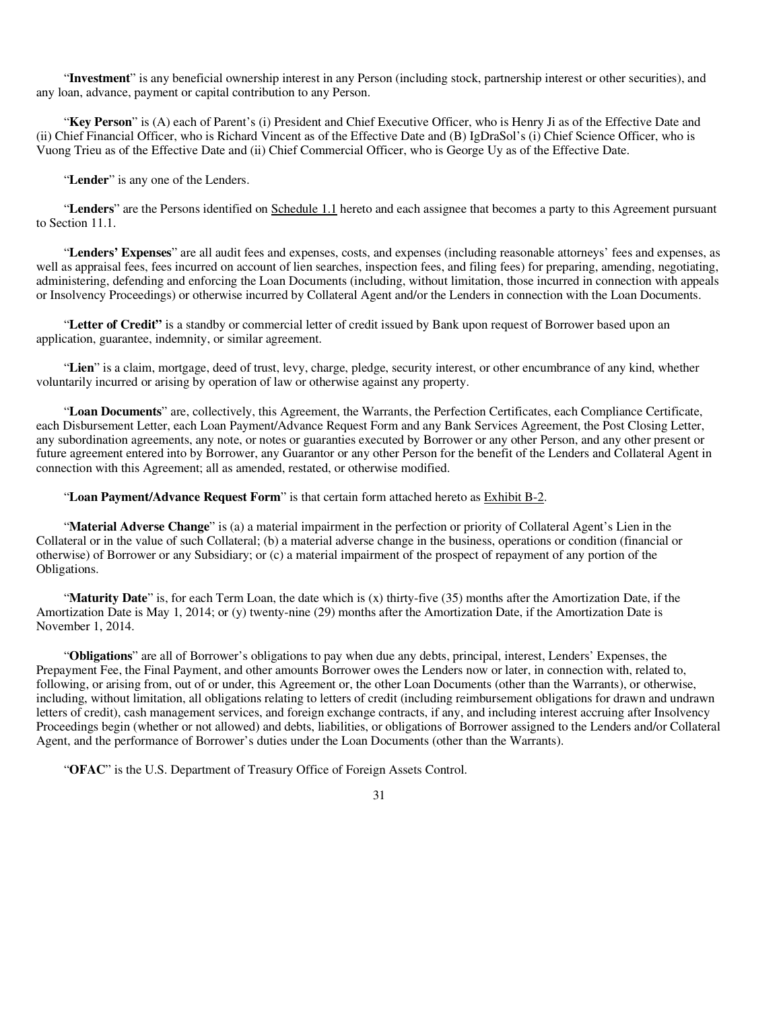"**Investment**" is any beneficial ownership interest in any Person (including stock, partnership interest or other securities), and any loan, advance, payment or capital contribution to any Person.

"**Key Person**" is (A) each of Parent's (i) President and Chief Executive Officer, who is Henry Ji as of the Effective Date and (ii) Chief Financial Officer, who is Richard Vincent as of the Effective Date and (B) IgDraSol's (i) Chief Science Officer, who is Vuong Trieu as of the Effective Date and (ii) Chief Commercial Officer, who is George Uy as of the Effective Date.

"**Lender**" is any one of the Lenders.

"**Lenders**" are the Persons identified on Schedule 1.1 hereto and each assignee that becomes a party to this Agreement pursuant to Section 11.1.

"**Lenders' Expenses**" are all audit fees and expenses, costs, and expenses (including reasonable attorneys' fees and expenses, as well as appraisal fees, fees incurred on account of lien searches, inspection fees, and filing fees) for preparing, amending, negotiating, administering, defending and enforcing the Loan Documents (including, without limitation, those incurred in connection with appeals or Insolvency Proceedings) or otherwise incurred by Collateral Agent and/or the Lenders in connection with the Loan Documents.

"**Letter of Credit"** is a standby or commercial letter of credit issued by Bank upon request of Borrower based upon an application, guarantee, indemnity, or similar agreement.

"**Lien**" is a claim, mortgage, deed of trust, levy, charge, pledge, security interest, or other encumbrance of any kind, whether voluntarily incurred or arising by operation of law or otherwise against any property.

"**Loan Documents**" are, collectively, this Agreement, the Warrants, the Perfection Certificates, each Compliance Certificate, each Disbursement Letter, each Loan Payment/Advance Request Form and any Bank Services Agreement, the Post Closing Letter, any subordination agreements, any note, or notes or guaranties executed by Borrower or any other Person, and any other present or future agreement entered into by Borrower, any Guarantor or any other Person for the benefit of the Lenders and Collateral Agent in connection with this Agreement; all as amended, restated, or otherwise modified.

"**Loan Payment/Advance Request Form**" is that certain form attached hereto as Exhibit B-2.

"**Material Adverse Change**" is (a) a material impairment in the perfection or priority of Collateral Agent's Lien in the Collateral or in the value of such Collateral; (b) a material adverse change in the business, operations or condition (financial or otherwise) of Borrower or any Subsidiary; or (c) a material impairment of the prospect of repayment of any portion of the Obligations.

"**Maturity Date**" is, for each Term Loan, the date which is (x) thirty-five (35) months after the Amortization Date, if the Amortization Date is May 1, 2014; or (y) twenty-nine (29) months after the Amortization Date, if the Amortization Date is November 1, 2014.

"**Obligations**" are all of Borrower's obligations to pay when due any debts, principal, interest, Lenders' Expenses, the Prepayment Fee, the Final Payment, and other amounts Borrower owes the Lenders now or later, in connection with, related to, following, or arising from, out of or under, this Agreement or, the other Loan Documents (other than the Warrants), or otherwise, including, without limitation, all obligations relating to letters of credit (including reimbursement obligations for drawn and undrawn letters of credit), cash management services, and foreign exchange contracts, if any, and including interest accruing after Insolvency Proceedings begin (whether or not allowed) and debts, liabilities, or obligations of Borrower assigned to the Lenders and/or Collateral Agent, and the performance of Borrower's duties under the Loan Documents (other than the Warrants).

"**OFAC**" is the U.S. Department of Treasury Office of Foreign Assets Control.

<sup>31</sup>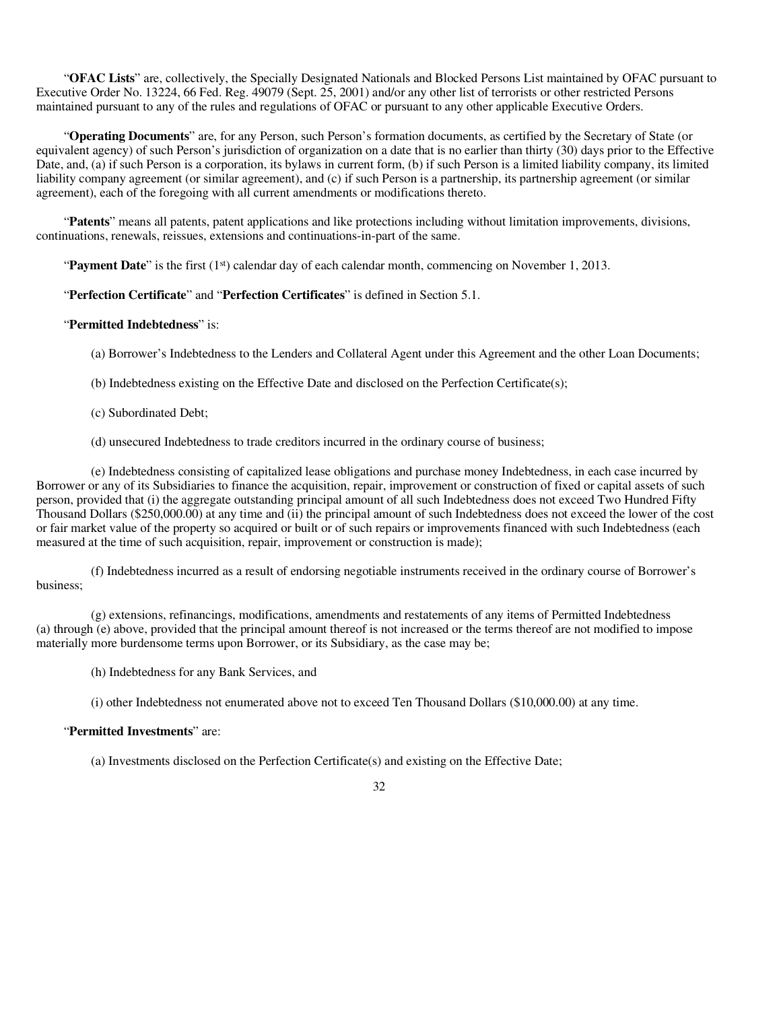"**OFAC Lists**" are, collectively, the Specially Designated Nationals and Blocked Persons List maintained by OFAC pursuant to Executive Order No. 13224, 66 Fed. Reg. 49079 (Sept. 25, 2001) and/or any other list of terrorists or other restricted Persons maintained pursuant to any of the rules and regulations of OFAC or pursuant to any other applicable Executive Orders.

"**Operating Documents**" are, for any Person, such Person's formation documents, as certified by the Secretary of State (or equivalent agency) of such Person's jurisdiction of organization on a date that is no earlier than thirty (30) days prior to the Effective Date, and, (a) if such Person is a corporation, its bylaws in current form, (b) if such Person is a limited liability company, its limited liability company agreement (or similar agreement), and (c) if such Person is a partnership, its partnership agreement (or similar agreement), each of the foregoing with all current amendments or modifications thereto.

"**Patents**" means all patents, patent applications and like protections including without limitation improvements, divisions, continuations, renewals, reissues, extensions and continuations-in-part of the same.

"**Payment Date**" is the first (1st) calendar day of each calendar month, commencing on November 1, 2013.

### "**Perfection Certificate**" and "**Perfection Certificates**" is defined in Section 5.1.

### "**Permitted Indebtedness**" is:

(a) Borrower's Indebtedness to the Lenders and Collateral Agent under this Agreement and the other Loan Documents;

(b) Indebtedness existing on the Effective Date and disclosed on the Perfection Certificate(s);

(c) Subordinated Debt;

(d) unsecured Indebtedness to trade creditors incurred in the ordinary course of business;

(e) Indebtedness consisting of capitalized lease obligations and purchase money Indebtedness, in each case incurred by Borrower or any of its Subsidiaries to finance the acquisition, repair, improvement or construction of fixed or capital assets of such person, provided that (i) the aggregate outstanding principal amount of all such Indebtedness does not exceed Two Hundred Fifty Thousand Dollars (\$250,000.00) at any time and (ii) the principal amount of such Indebtedness does not exceed the lower of the cost or fair market value of the property so acquired or built or of such repairs or improvements financed with such Indebtedness (each measured at the time of such acquisition, repair, improvement or construction is made);

(f) Indebtedness incurred as a result of endorsing negotiable instruments received in the ordinary course of Borrower's business;

(g) extensions, refinancings, modifications, amendments and restatements of any items of Permitted Indebtedness (a) through (e) above, provided that the principal amount thereof is not increased or the terms thereof are not modified to impose materially more burdensome terms upon Borrower, or its Subsidiary, as the case may be;

(h) Indebtedness for any Bank Services, and

(i) other Indebtedness not enumerated above not to exceed Ten Thousand Dollars (\$10,000.00) at any time.

### "**Permitted Investments**" are:

(a) Investments disclosed on the Perfection Certificate(s) and existing on the Effective Date;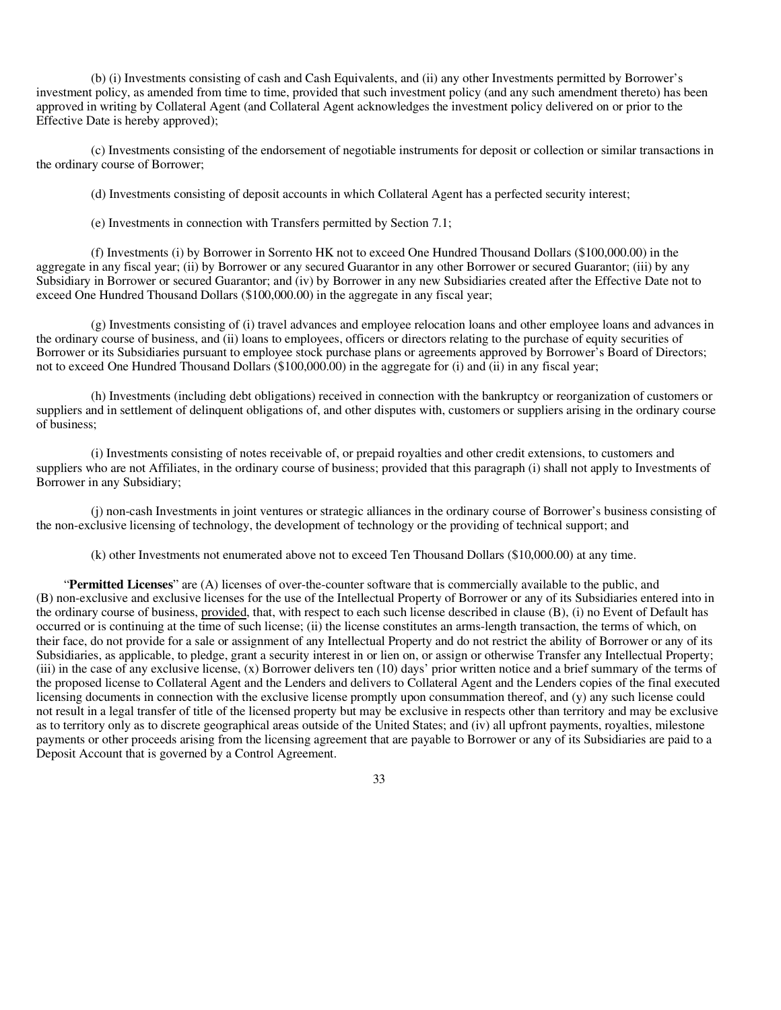(b) (i) Investments consisting of cash and Cash Equivalents, and (ii) any other Investments permitted by Borrower's investment policy, as amended from time to time, provided that such investment policy (and any such amendment thereto) has been approved in writing by Collateral Agent (and Collateral Agent acknowledges the investment policy delivered on or prior to the Effective Date is hereby approved);

(c) Investments consisting of the endorsement of negotiable instruments for deposit or collection or similar transactions in the ordinary course of Borrower;

(d) Investments consisting of deposit accounts in which Collateral Agent has a perfected security interest;

(e) Investments in connection with Transfers permitted by Section 7.1;

(f) Investments (i) by Borrower in Sorrento HK not to exceed One Hundred Thousand Dollars (\$100,000.00) in the aggregate in any fiscal year; (ii) by Borrower or any secured Guarantor in any other Borrower or secured Guarantor; (iii) by any Subsidiary in Borrower or secured Guarantor; and (iv) by Borrower in any new Subsidiaries created after the Effective Date not to exceed One Hundred Thousand Dollars (\$100,000.00) in the aggregate in any fiscal year;

(g) Investments consisting of (i) travel advances and employee relocation loans and other employee loans and advances in the ordinary course of business, and (ii) loans to employees, officers or directors relating to the purchase of equity securities of Borrower or its Subsidiaries pursuant to employee stock purchase plans or agreements approved by Borrower's Board of Directors; not to exceed One Hundred Thousand Dollars (\$100,000.00) in the aggregate for (i) and (ii) in any fiscal year;

(h) Investments (including debt obligations) received in connection with the bankruptcy or reorganization of customers or suppliers and in settlement of delinquent obligations of, and other disputes with, customers or suppliers arising in the ordinary course of business;

(i) Investments consisting of notes receivable of, or prepaid royalties and other credit extensions, to customers and suppliers who are not Affiliates, in the ordinary course of business; provided that this paragraph (i) shall not apply to Investments of Borrower in any Subsidiary;

(j) non-cash Investments in joint ventures or strategic alliances in the ordinary course of Borrower's business consisting of the non-exclusive licensing of technology, the development of technology or the providing of technical support; and

(k) other Investments not enumerated above not to exceed Ten Thousand Dollars (\$10,000.00) at any time.

"**Permitted Licenses**" are (A) licenses of over-the-counter software that is commercially available to the public, and (B) non-exclusive and exclusive licenses for the use of the Intellectual Property of Borrower or any of its Subsidiaries entered into in the ordinary course of business, provided, that, with respect to each such license described in clause (B), (i) no Event of Default has occurred or is continuing at the time of such license; (ii) the license constitutes an arms-length transaction, the terms of which, on their face, do not provide for a sale or assignment of any Intellectual Property and do not restrict the ability of Borrower or any of its Subsidiaries, as applicable, to pledge, grant a security interest in or lien on, or assign or otherwise Transfer any Intellectual Property; (iii) in the case of any exclusive license, (x) Borrower delivers ten (10) days' prior written notice and a brief summary of the terms of the proposed license to Collateral Agent and the Lenders and delivers to Collateral Agent and the Lenders copies of the final executed licensing documents in connection with the exclusive license promptly upon consummation thereof, and (y) any such license could not result in a legal transfer of title of the licensed property but may be exclusive in respects other than territory and may be exclusive as to territory only as to discrete geographical areas outside of the United States; and (iv) all upfront payments, royalties, milestone payments or other proceeds arising from the licensing agreement that are payable to Borrower or any of its Subsidiaries are paid to a Deposit Account that is governed by a Control Agreement.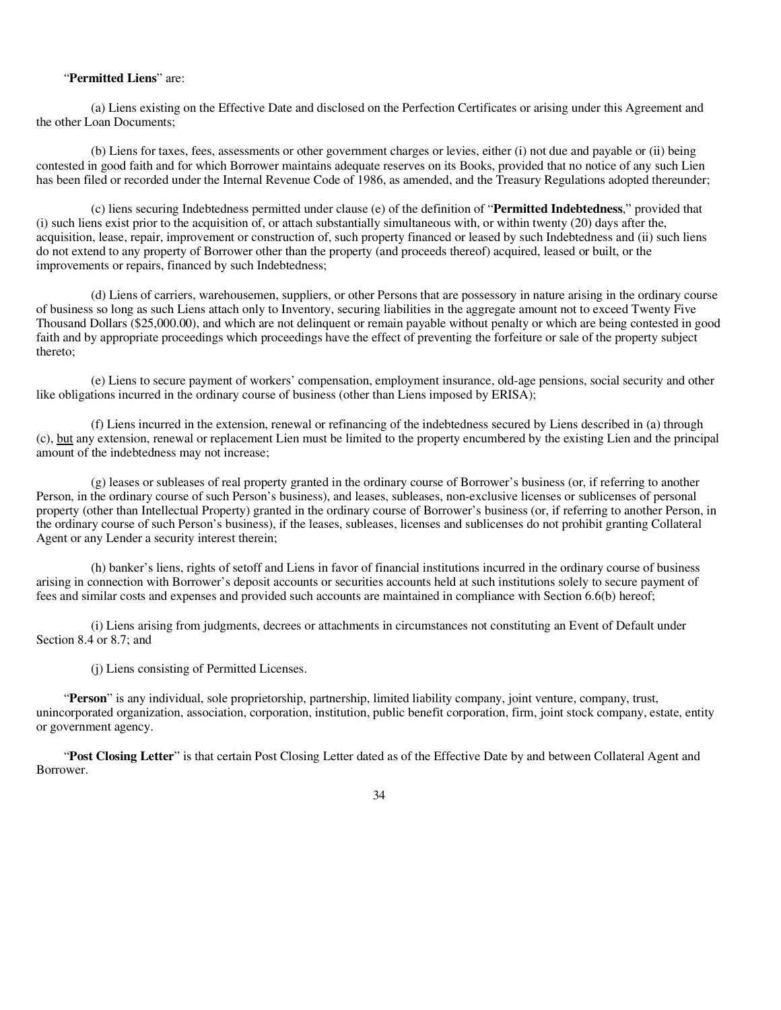### "**Permitted Liens**" are:

(a) Liens existing on the Effective Date and disclosed on the Perfection Certificates or arising under this Agreement and the other Loan Documents;

(b) Liens for taxes, fees, assessments or other government charges or levies, either (i) not due and payable or (ii) being contested in good faith and for which Borrower maintains adequate reserves on its Books, provided that no notice of any such Lien has been filed or recorded under the Internal Revenue Code of 1986, as amended, and the Treasury Regulations adopted thereunder;

(c) liens securing Indebtedness permitted under clause (e) of the definition of "**Permitted Indebtedness**," provided that (i) such liens exist prior to the acquisition of, or attach substantially simultaneous with, or within twenty (20) days after the, acquisition, lease, repair, improvement or construction of, such property financed or leased by such Indebtedness and (ii) such liens do not extend to any property of Borrower other than the property (and proceeds thereof) acquired, leased or built, or the improvements or repairs, financed by such Indebtedness;

(d) Liens of carriers, warehousemen, suppliers, or other Persons that are possessory in nature arising in the ordinary course of business so long as such Liens attach only to Inventory, securing liabilities in the aggregate amount not to exceed Twenty Five Thousand Dollars (\$25,000.00), and which are not delinquent or remain payable without penalty or which are being contested in good faith and by appropriate proceedings which proceedings have the effect of preventing the forfeiture or sale of the property subject thereto;

(e) Liens to secure payment of workers' compensation, employment insurance, old-age pensions, social security and other like obligations incurred in the ordinary course of business (other than Liens imposed by ERISA);

(f) Liens incurred in the extension, renewal or refinancing of the indebtedness secured by Liens described in (a) through (c), but any extension, renewal or replacement Lien must be limited to the property encumbered by the existing Lien and the principal amount of the indebtedness may not increase;

(g) leases or subleases of real property granted in the ordinary course of Borrower's business (or, if referring to another Person, in the ordinary course of such Person's business), and leases, subleases, non-exclusive licenses or sublicenses of personal property (other than Intellectual Property) granted in the ordinary course of Borrower's business (or, if referring to another Person, in the ordinary course of such Person's business), if the leases, subleases, licenses and sublicenses do not prohibit granting Collateral Agent or any Lender a security interest therein;

(h) banker's liens, rights of setoff and Liens in favor of financial institutions incurred in the ordinary course of business arising in connection with Borrower's deposit accounts or securities accounts held at such institutions solely to secure payment of fees and similar costs and expenses and provided such accounts are maintained in compliance with Section 6.6(b) hereof;

(i) Liens arising from judgments, decrees or attachments in circumstances not constituting an Event of Default under Section 8.4 or 8.7; and

(j) Liens consisting of Permitted Licenses.

"**Person**" is any individual, sole proprietorship, partnership, limited liability company, joint venture, company, trust, unincorporated organization, association, corporation, institution, public benefit corporation, firm, joint stock company, estate, entity or government agency.

"**Post Closing Letter**" is that certain Post Closing Letter dated as of the Effective Date by and between Collateral Agent and Borrower.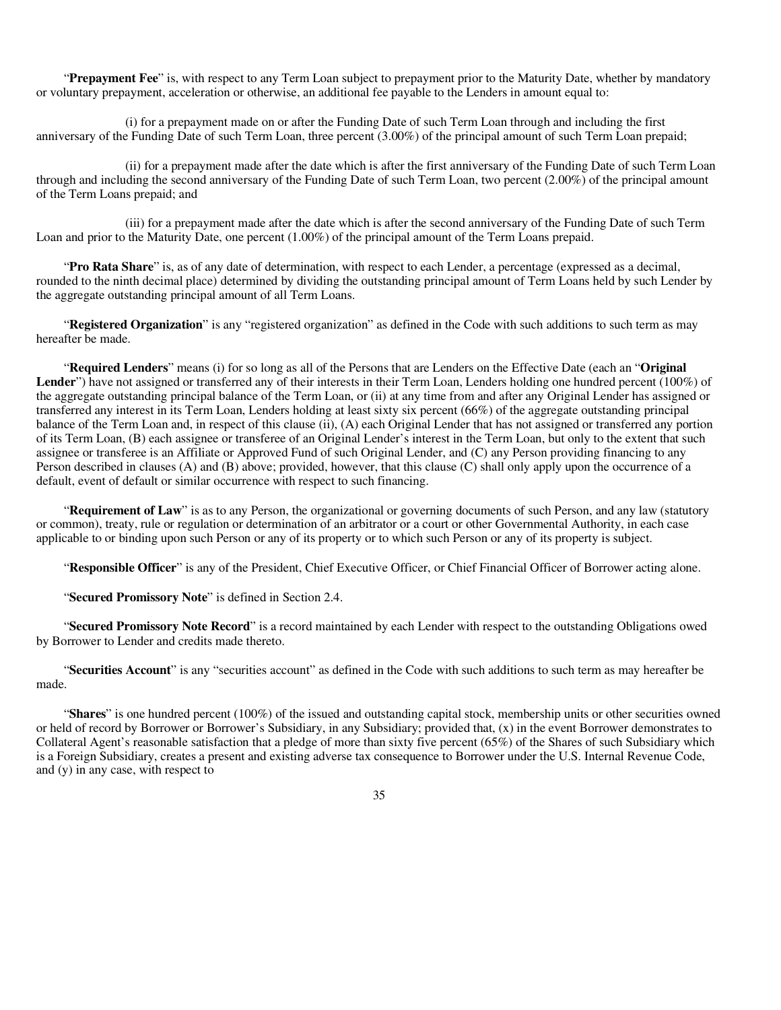"**Prepayment Fee**" is, with respect to any Term Loan subject to prepayment prior to the Maturity Date, whether by mandatory or voluntary prepayment, acceleration or otherwise, an additional fee payable to the Lenders in amount equal to:

(i) for a prepayment made on or after the Funding Date of such Term Loan through and including the first anniversary of the Funding Date of such Term Loan, three percent (3.00%) of the principal amount of such Term Loan prepaid;

(ii) for a prepayment made after the date which is after the first anniversary of the Funding Date of such Term Loan through and including the second anniversary of the Funding Date of such Term Loan, two percent (2.00%) of the principal amount of the Term Loans prepaid; and

(iii) for a prepayment made after the date which is after the second anniversary of the Funding Date of such Term Loan and prior to the Maturity Date, one percent (1.00%) of the principal amount of the Term Loans prepaid.

"**Pro Rata Share**" is, as of any date of determination, with respect to each Lender, a percentage (expressed as a decimal, rounded to the ninth decimal place) determined by dividing the outstanding principal amount of Term Loans held by such Lender by the aggregate outstanding principal amount of all Term Loans.

"**Registered Organization**" is any "registered organization" as defined in the Code with such additions to such term as may hereafter be made.

"**Required Lenders**" means (i) for so long as all of the Persons that are Lenders on the Effective Date (each an "**Original Lender**") have not assigned or transferred any of their interests in their Term Loan, Lenders holding one hundred percent (100%) of the aggregate outstanding principal balance of the Term Loan, or (ii) at any time from and after any Original Lender has assigned or transferred any interest in its Term Loan, Lenders holding at least sixty six percent (66%) of the aggregate outstanding principal balance of the Term Loan and, in respect of this clause (ii), (A) each Original Lender that has not assigned or transferred any portion of its Term Loan, (B) each assignee or transferee of an Original Lender's interest in the Term Loan, but only to the extent that such assignee or transferee is an Affiliate or Approved Fund of such Original Lender, and (C) any Person providing financing to any Person described in clauses (A) and (B) above; provided, however, that this clause (C) shall only apply upon the occurrence of a default, event of default or similar occurrence with respect to such financing.

"**Requirement of Law**" is as to any Person, the organizational or governing documents of such Person, and any law (statutory or common), treaty, rule or regulation or determination of an arbitrator or a court or other Governmental Authority, in each case applicable to or binding upon such Person or any of its property or to which such Person or any of its property is subject.

"**Responsible Officer**" is any of the President, Chief Executive Officer, or Chief Financial Officer of Borrower acting alone.

"**Secured Promissory Note**" is defined in Section 2.4.

"**Secured Promissory Note Record**" is a record maintained by each Lender with respect to the outstanding Obligations owed by Borrower to Lender and credits made thereto.

"**Securities Account**" is any "securities account" as defined in the Code with such additions to such term as may hereafter be made.

"**Shares**" is one hundred percent (100%) of the issued and outstanding capital stock, membership units or other securities owned or held of record by Borrower or Borrower's Subsidiary, in any Subsidiary; provided that, (x) in the event Borrower demonstrates to Collateral Agent's reasonable satisfaction that a pledge of more than sixty five percent (65%) of the Shares of such Subsidiary which is a Foreign Subsidiary, creates a present and existing adverse tax consequence to Borrower under the U.S. Internal Revenue Code, and (y) in any case, with respect to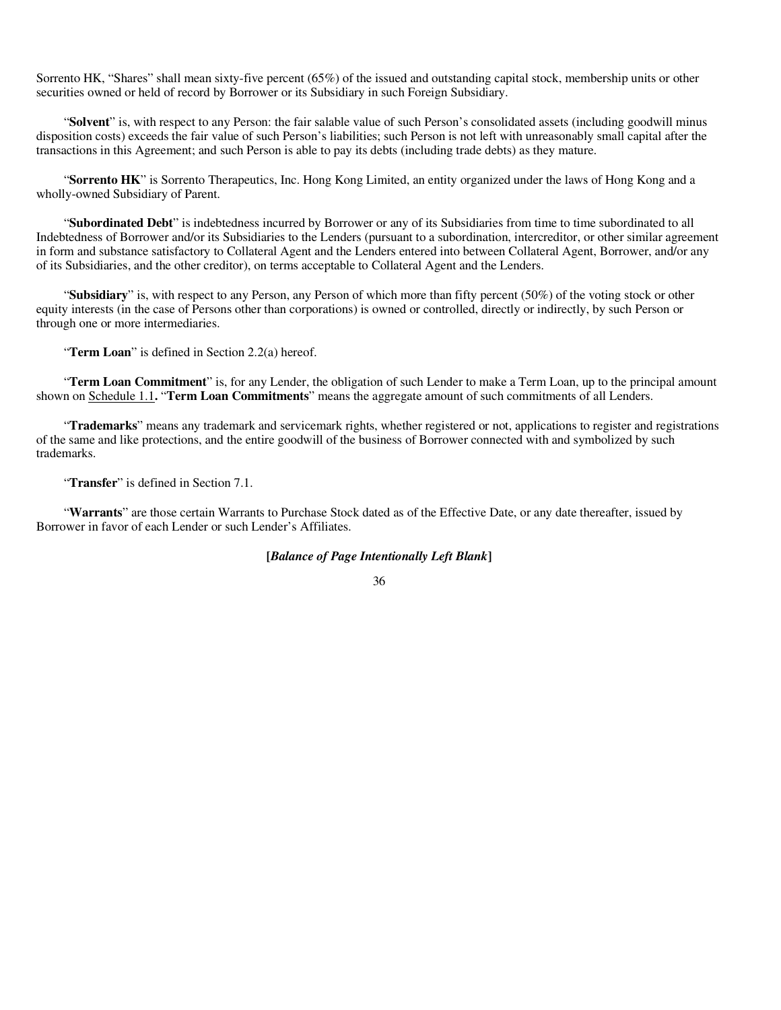Sorrento HK, "Shares" shall mean sixty-five percent (65%) of the issued and outstanding capital stock, membership units or other securities owned or held of record by Borrower or its Subsidiary in such Foreign Subsidiary.

"**Solvent**" is, with respect to any Person: the fair salable value of such Person's consolidated assets (including goodwill minus disposition costs) exceeds the fair value of such Person's liabilities; such Person is not left with unreasonably small capital after the transactions in this Agreement; and such Person is able to pay its debts (including trade debts) as they mature.

"**Sorrento HK**" is Sorrento Therapeutics, Inc. Hong Kong Limited, an entity organized under the laws of Hong Kong and a wholly-owned Subsidiary of Parent.

"**Subordinated Debt**" is indebtedness incurred by Borrower or any of its Subsidiaries from time to time subordinated to all Indebtedness of Borrower and/or its Subsidiaries to the Lenders (pursuant to a subordination, intercreditor, or other similar agreement in form and substance satisfactory to Collateral Agent and the Lenders entered into between Collateral Agent, Borrower, and/or any of its Subsidiaries, and the other creditor), on terms acceptable to Collateral Agent and the Lenders.

"**Subsidiary**" is, with respect to any Person, any Person of which more than fifty percent (50%) of the voting stock or other equity interests (in the case of Persons other than corporations) is owned or controlled, directly or indirectly, by such Person or through one or more intermediaries.

"**Term Loan**" is defined in Section 2.2(a) hereof.

"**Term Loan Commitment**" is, for any Lender, the obligation of such Lender to make a Term Loan, up to the principal amount shown on Schedule 1.1**.** "**Term Loan Commitments**" means the aggregate amount of such commitments of all Lenders.

"**Trademarks**" means any trademark and servicemark rights, whether registered or not, applications to register and registrations of the same and like protections, and the entire goodwill of the business of Borrower connected with and symbolized by such trademarks.

"**Transfer**" is defined in Section 7.1.

"**Warrants**" are those certain Warrants to Purchase Stock dated as of the Effective Date, or any date thereafter, issued by Borrower in favor of each Lender or such Lender's Affiliates.

### **[***Balance of Page Intentionally Left Blank***]**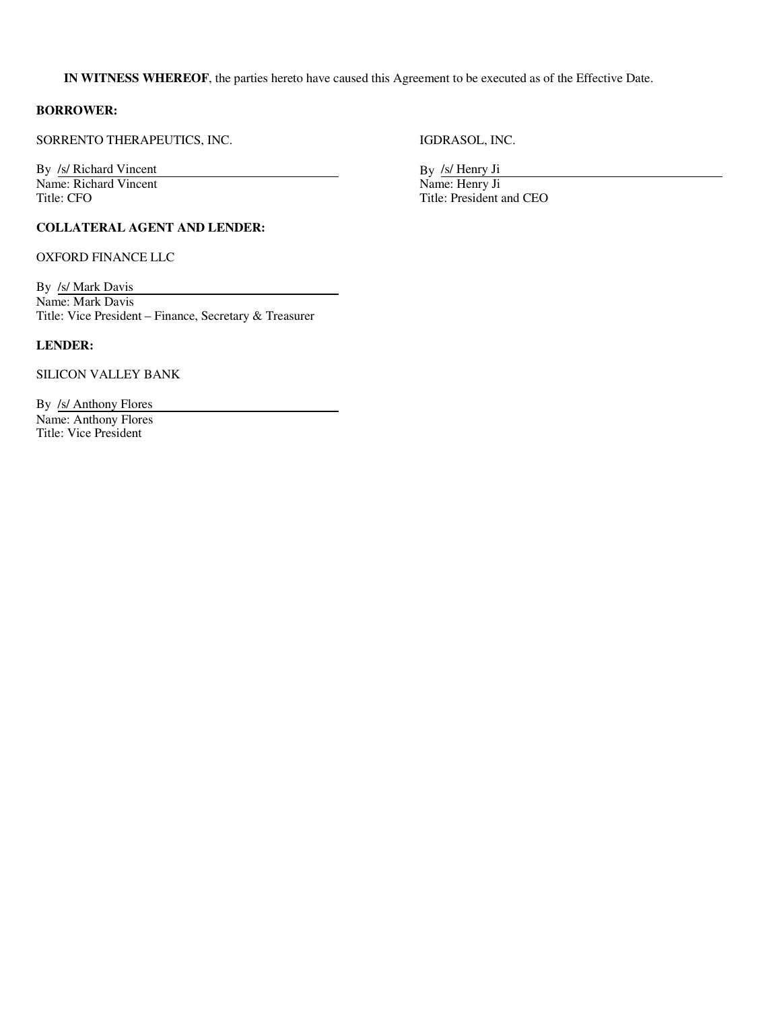**IN WITNESS WHEREOF**, the parties hereto have caused this Agreement to be executed as of the Effective Date.

## **BORROWER:**

SORRENTO THERAPEUTICS, INC. IGDRASOL, INC.

By *Isl* Richard Vincent By *Isl* Richard Vincent By *Isl* Henry Ji<br>Name: Richard Vincent Name: Henry Ji Name: Richard Vincent<br>Title: CFO

## **COLLATERAL AGENT AND LENDER:**

OXFORD FINANCE LLC

By /s/ Mark Davis Name: Mark Davis Title: Vice President – Finance, Secretary & Treasurer

# **LENDER:**

SILICON VALLEY BANK

By /s/ Anthony Flores Name: Anthony Flores Title: Vice President

Title: President and CEO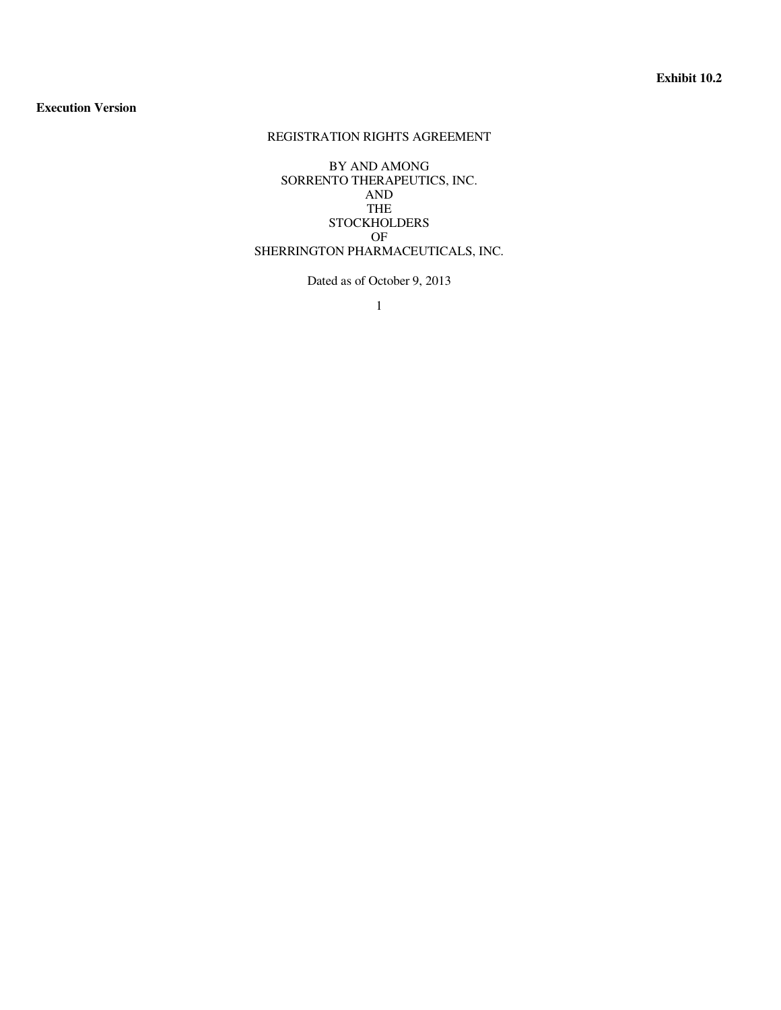## **Execution Version**

# REGISTRATION RIGHTS AGREEMENT

BY AND AMONG SORRENTO THERAPEUTICS, INC. AND THE STOCKHOLDERS OF SHERRINGTON PHARMACEUTICALS, INC.

Dated as of October 9, 2013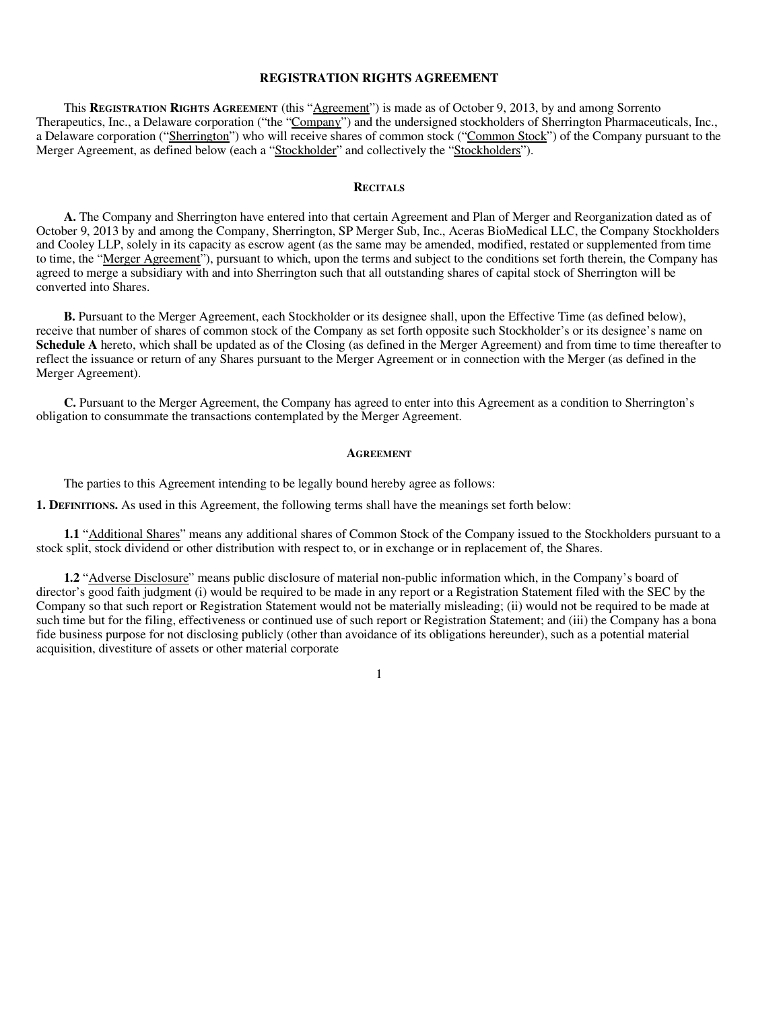### **REGISTRATION RIGHTS AGREEMENT**

This **REGISTRATION RIGHTS AGREEMENT** (this "Agreement") is made as of October 9, 2013, by and among Sorrento Therapeutics, Inc., a Delaware corporation ("the "Company") and the undersigned stockholders of Sherrington Pharmaceuticals, Inc., a Delaware corporation ("Sherrington") who will receive shares of common stock ("Common Stock") of the Company pursuant to the Merger Agreement, as defined below (each a "Stockholder" and collectively the "Stockholders").

#### **RECITALS**

**A.** The Company and Sherrington have entered into that certain Agreement and Plan of Merger and Reorganization dated as of October 9, 2013 by and among the Company, Sherrington, SP Merger Sub, Inc., Aceras BioMedical LLC, the Company Stockholders and Cooley LLP, solely in its capacity as escrow agent (as the same may be amended, modified, restated or supplemented from time to time, the "Merger Agreement"), pursuant to which, upon the terms and subject to the conditions set forth therein, the Company has agreed to merge a subsidiary with and into Sherrington such that all outstanding shares of capital stock of Sherrington will be converted into Shares.

**B.** Pursuant to the Merger Agreement, each Stockholder or its designee shall, upon the Effective Time (as defined below), receive that number of shares of common stock of the Company as set forth opposite such Stockholder's or its designee's name on **Schedule A** hereto, which shall be updated as of the Closing (as defined in the Merger Agreement) and from time to time thereafter to reflect the issuance or return of any Shares pursuant to the Merger Agreement or in connection with the Merger (as defined in the Merger Agreement).

**C.** Pursuant to the Merger Agreement, the Company has agreed to enter into this Agreement as a condition to Sherrington's obligation to consummate the transactions contemplated by the Merger Agreement.

#### **AGREEMENT**

The parties to this Agreement intending to be legally bound hereby agree as follows:

**1. DEFINITIONS.** As used in this Agreement, the following terms shall have the meanings set forth below:

**1.1** "Additional Shares" means any additional shares of Common Stock of the Company issued to the Stockholders pursuant to a stock split, stock dividend or other distribution with respect to, or in exchange or in replacement of, the Shares.

**1.2** "Adverse Disclosure" means public disclosure of material non-public information which, in the Company's board of director's good faith judgment (i) would be required to be made in any report or a Registration Statement filed with the SEC by the Company so that such report or Registration Statement would not be materially misleading; (ii) would not be required to be made at such time but for the filing, effectiveness or continued use of such report or Registration Statement; and (iii) the Company has a bona fide business purpose for not disclosing publicly (other than avoidance of its obligations hereunder), such as a potential material acquisition, divestiture of assets or other material corporate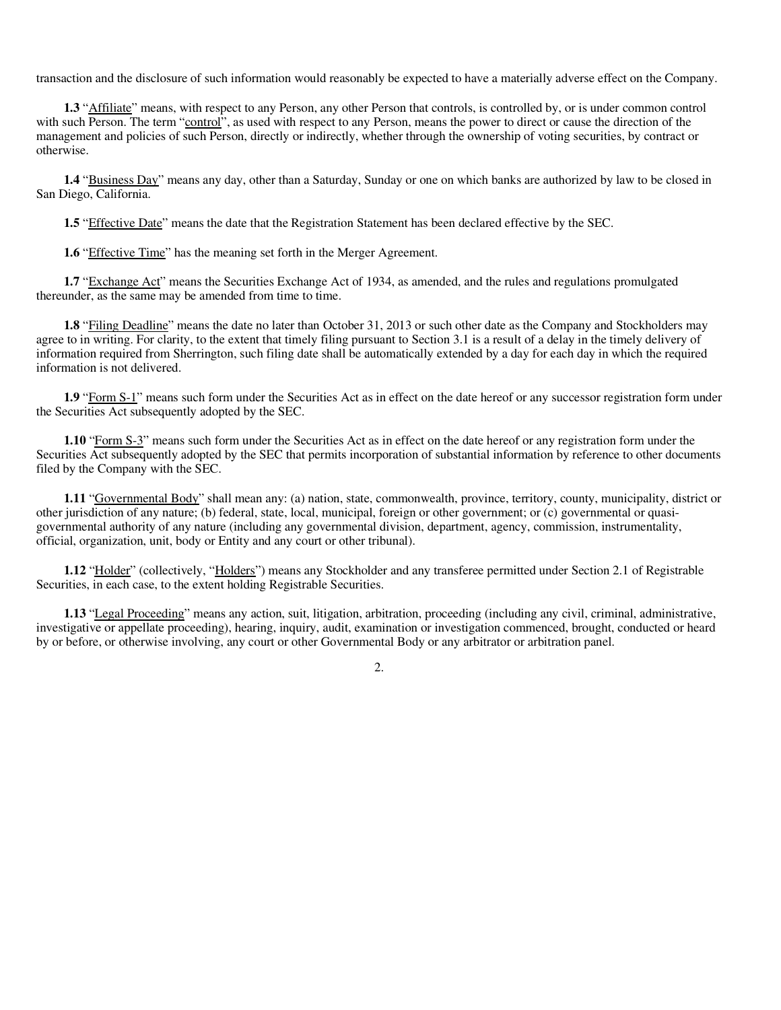transaction and the disclosure of such information would reasonably be expected to have a materially adverse effect on the Company.

**1.3** "Affiliate" means, with respect to any Person, any other Person that controls, is controlled by, or is under common control with such Person. The term "control", as used with respect to any Person, means the power to direct or cause the direction of the management and policies of such Person, directly or indirectly, whether through the ownership of voting securities, by contract or otherwise.

**1.4** "Business Day" means any day, other than a Saturday, Sunday or one on which banks are authorized by law to be closed in San Diego, California.

**1.5** "Effective Date" means the date that the Registration Statement has been declared effective by the SEC.

**1.6** "Effective Time" has the meaning set forth in the Merger Agreement.

**1.7** "Exchange Act" means the Securities Exchange Act of 1934, as amended, and the rules and regulations promulgated thereunder, as the same may be amended from time to time.

**1.8** "Filing Deadline" means the date no later than October 31, 2013 or such other date as the Company and Stockholders may agree to in writing. For clarity, to the extent that timely filing pursuant to Section 3.1 is a result of a delay in the timely delivery of information required from Sherrington, such filing date shall be automatically extended by a day for each day in which the required information is not delivered.

**1.9** "Form S-1" means such form under the Securities Act as in effect on the date hereof or any successor registration form under the Securities Act subsequently adopted by the SEC.

**1.10** "Form S-3" means such form under the Securities Act as in effect on the date hereof or any registration form under the Securities Act subsequently adopted by the SEC that permits incorporation of substantial information by reference to other documents filed by the Company with the SEC.

**1.11** "Governmental Body" shall mean any: (a) nation, state, commonwealth, province, territory, county, municipality, district or other jurisdiction of any nature; (b) federal, state, local, municipal, foreign or other government; or (c) governmental or quasigovernmental authority of any nature (including any governmental division, department, agency, commission, instrumentality, official, organization, unit, body or Entity and any court or other tribunal).

**1.12** "Holder" (collectively, "Holders") means any Stockholder and any transferee permitted under Section 2.1 of Registrable Securities, in each case, to the extent holding Registrable Securities.

**1.13** "Legal Proceeding" means any action, suit, litigation, arbitration, proceeding (including any civil, criminal, administrative, investigative or appellate proceeding), hearing, inquiry, audit, examination or investigation commenced, brought, conducted or heard by or before, or otherwise involving, any court or other Governmental Body or any arbitrator or arbitration panel.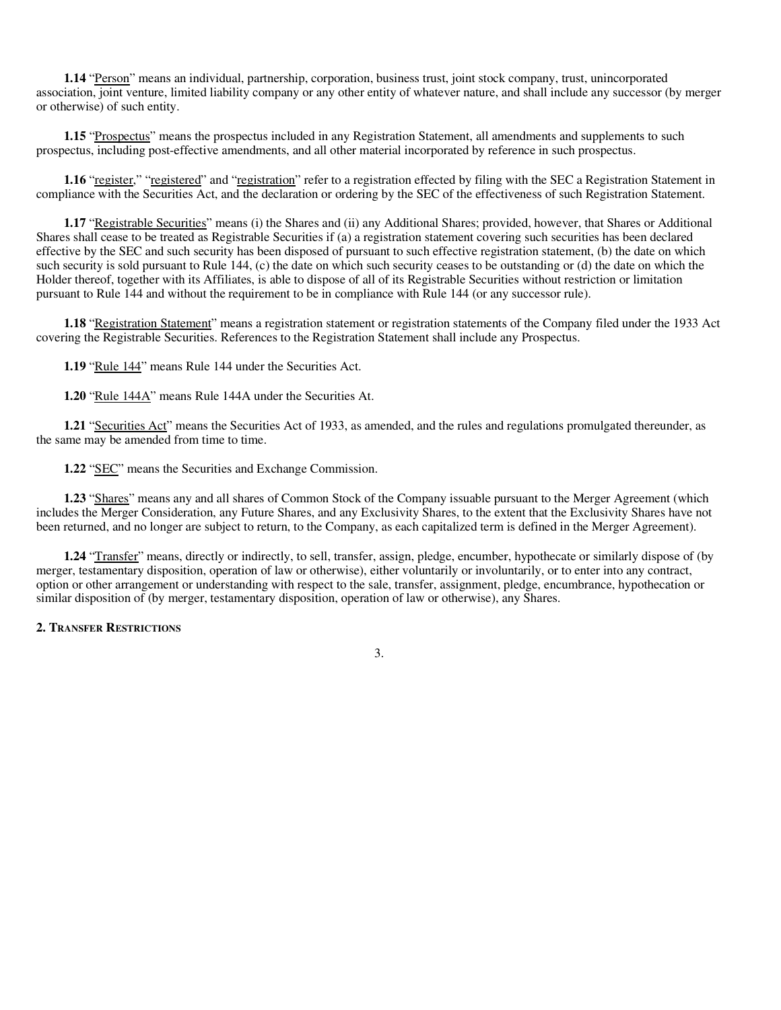**1.14** "Person" means an individual, partnership, corporation, business trust, joint stock company, trust, unincorporated association, joint venture, limited liability company or any other entity of whatever nature, and shall include any successor (by merger or otherwise) of such entity.

**1.15** "Prospectus" means the prospectus included in any Registration Statement, all amendments and supplements to such prospectus, including post-effective amendments, and all other material incorporated by reference in such prospectus.

**1.16** "register," "registered" and "registration" refer to a registration effected by filing with the SEC a Registration Statement in compliance with the Securities Act, and the declaration or ordering by the SEC of the effectiveness of such Registration Statement.

**1.17** "Registrable Securities" means (i) the Shares and (ii) any Additional Shares; provided, however, that Shares or Additional Shares shall cease to be treated as Registrable Securities if (a) a registration statement covering such securities has been declared effective by the SEC and such security has been disposed of pursuant to such effective registration statement, (b) the date on which such security is sold pursuant to Rule 144, (c) the date on which such security ceases to be outstanding or (d) the date on which the Holder thereof, together with its Affiliates, is able to dispose of all of its Registrable Securities without restriction or limitation pursuant to Rule 144 and without the requirement to be in compliance with Rule 144 (or any successor rule).

**1.18** "Registration Statement" means a registration statement or registration statements of the Company filed under the 1933 Act covering the Registrable Securities. References to the Registration Statement shall include any Prospectus.

**1.19** "Rule 144" means Rule 144 under the Securities Act.

**1.20** "Rule 144A" means Rule 144A under the Securities At.

**1.21** "Securities Act" means the Securities Act of 1933, as amended, and the rules and regulations promulgated thereunder, as the same may be amended from time to time.

**1.22** "SEC" means the Securities and Exchange Commission.

**1.23** "Shares" means any and all shares of Common Stock of the Company issuable pursuant to the Merger Agreement (which includes the Merger Consideration, any Future Shares, and any Exclusivity Shares, to the extent that the Exclusivity Shares have not been returned, and no longer are subject to return, to the Company, as each capitalized term is defined in the Merger Agreement).

**1.24** "Transfer" means, directly or indirectly, to sell, transfer, assign, pledge, encumber, hypothecate or similarly dispose of (by merger, testamentary disposition, operation of law or otherwise), either voluntarily or involuntarily, or to enter into any contract, option or other arrangement or understanding with respect to the sale, transfer, assignment, pledge, encumbrance, hypothecation or similar disposition of (by merger, testamentary disposition, operation of law or otherwise), any Shares.

3.

#### **2. TRANSFER RESTRICTIONS**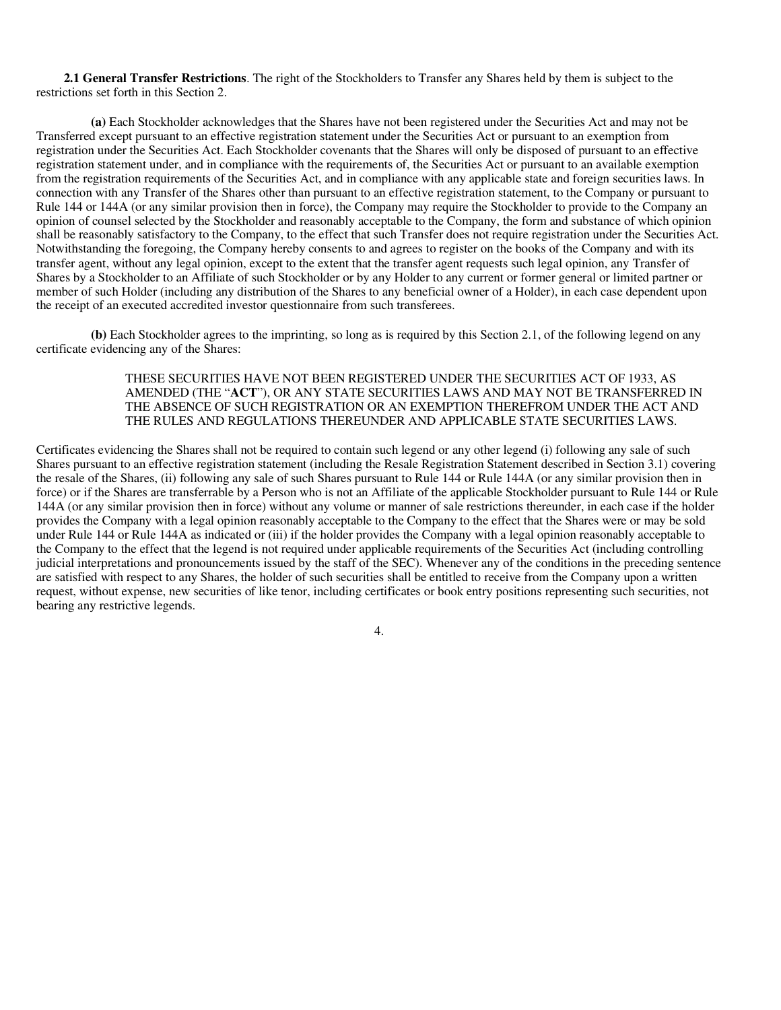**2.1 General Transfer Restrictions**. The right of the Stockholders to Transfer any Shares held by them is subject to the restrictions set forth in this Section 2.

**(a)** Each Stockholder acknowledges that the Shares have not been registered under the Securities Act and may not be Transferred except pursuant to an effective registration statement under the Securities Act or pursuant to an exemption from registration under the Securities Act. Each Stockholder covenants that the Shares will only be disposed of pursuant to an effective registration statement under, and in compliance with the requirements of, the Securities Act or pursuant to an available exemption from the registration requirements of the Securities Act, and in compliance with any applicable state and foreign securities laws. In connection with any Transfer of the Shares other than pursuant to an effective registration statement, to the Company or pursuant to Rule 144 or 144A (or any similar provision then in force), the Company may require the Stockholder to provide to the Company an opinion of counsel selected by the Stockholder and reasonably acceptable to the Company, the form and substance of which opinion shall be reasonably satisfactory to the Company, to the effect that such Transfer does not require registration under the Securities Act. Notwithstanding the foregoing, the Company hereby consents to and agrees to register on the books of the Company and with its transfer agent, without any legal opinion, except to the extent that the transfer agent requests such legal opinion, any Transfer of Shares by a Stockholder to an Affiliate of such Stockholder or by any Holder to any current or former general or limited partner or member of such Holder (including any distribution of the Shares to any beneficial owner of a Holder), in each case dependent upon the receipt of an executed accredited investor questionnaire from such transferees.

**(b)** Each Stockholder agrees to the imprinting, so long as is required by this Section 2.1, of the following legend on any certificate evidencing any of the Shares:

## THESE SECURITIES HAVE NOT BEEN REGISTERED UNDER THE SECURITIES ACT OF 1933, AS AMENDED (THE "**ACT**"), OR ANY STATE SECURITIES LAWS AND MAY NOT BE TRANSFERRED IN THE ABSENCE OF SUCH REGISTRATION OR AN EXEMPTION THEREFROM UNDER THE ACT AND THE RULES AND REGULATIONS THEREUNDER AND APPLICABLE STATE SECURITIES LAWS.

Certificates evidencing the Shares shall not be required to contain such legend or any other legend (i) following any sale of such Shares pursuant to an effective registration statement (including the Resale Registration Statement described in Section 3.1) covering the resale of the Shares, (ii) following any sale of such Shares pursuant to Rule 144 or Rule 144A (or any similar provision then in force) or if the Shares are transferrable by a Person who is not an Affiliate of the applicable Stockholder pursuant to Rule 144 or Rule 144A (or any similar provision then in force) without any volume or manner of sale restrictions thereunder, in each case if the holder provides the Company with a legal opinion reasonably acceptable to the Company to the effect that the Shares were or may be sold under Rule 144 or Rule 144A as indicated or (iii) if the holder provides the Company with a legal opinion reasonably acceptable to the Company to the effect that the legend is not required under applicable requirements of the Securities Act (including controlling judicial interpretations and pronouncements issued by the staff of the SEC). Whenever any of the conditions in the preceding sentence are satisfied with respect to any Shares, the holder of such securities shall be entitled to receive from the Company upon a written request, without expense, new securities of like tenor, including certificates or book entry positions representing such securities, not bearing any restrictive legends.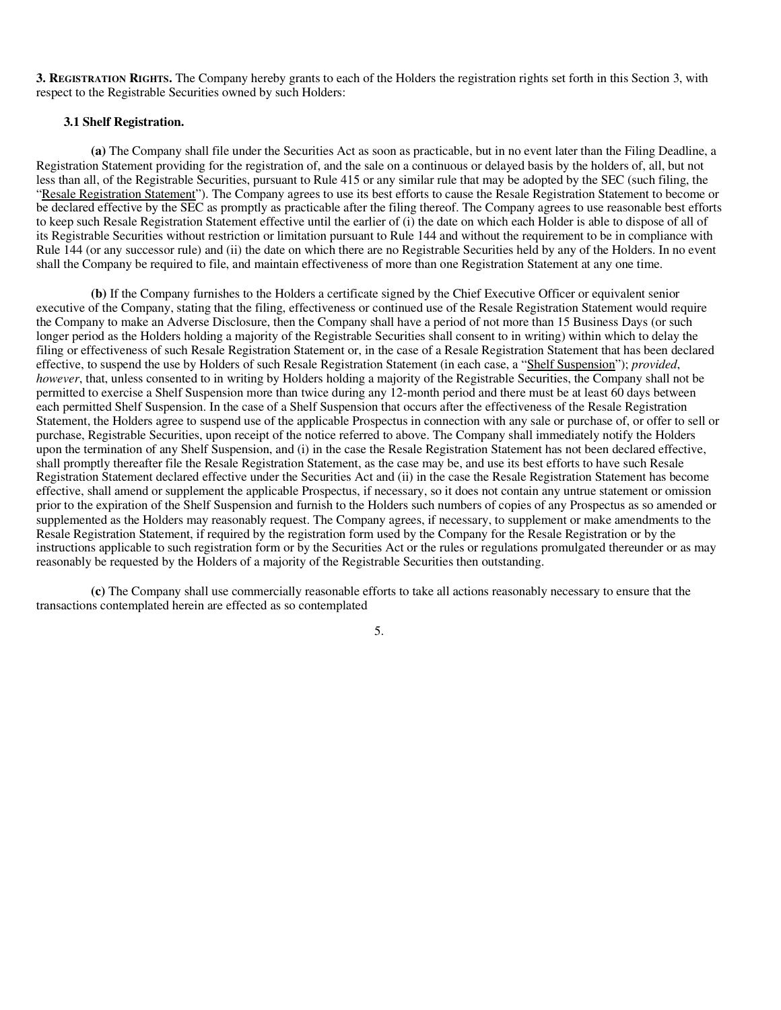**3. REGISTRATION RIGHTS.** The Company hereby grants to each of the Holders the registration rights set forth in this Section 3, with respect to the Registrable Securities owned by such Holders:

## **3.1 Shelf Registration.**

**(a)** The Company shall file under the Securities Act as soon as practicable, but in no event later than the Filing Deadline, a Registration Statement providing for the registration of, and the sale on a continuous or delayed basis by the holders of, all, but not less than all, of the Registrable Securities, pursuant to Rule 415 or any similar rule that may be adopted by the SEC (such filing, the "Resale Registration Statement"). The Company agrees to use its best efforts to cause the Resale Registration Statement to become or be declared effective by the SEC as promptly as practicable after the filing thereof. The Company agrees to use reasonable best efforts to keep such Resale Registration Statement effective until the earlier of (i) the date on which each Holder is able to dispose of all of its Registrable Securities without restriction or limitation pursuant to Rule 144 and without the requirement to be in compliance with Rule 144 (or any successor rule) and (ii) the date on which there are no Registrable Securities held by any of the Holders. In no event shall the Company be required to file, and maintain effectiveness of more than one Registration Statement at any one time.

**(b)** If the Company furnishes to the Holders a certificate signed by the Chief Executive Officer or equivalent senior executive of the Company, stating that the filing, effectiveness or continued use of the Resale Registration Statement would require the Company to make an Adverse Disclosure, then the Company shall have a period of not more than 15 Business Days (or such longer period as the Holders holding a majority of the Registrable Securities shall consent to in writing) within which to delay the filing or effectiveness of such Resale Registration Statement or, in the case of a Resale Registration Statement that has been declared effective, to suspend the use by Holders of such Resale Registration Statement (in each case, a "Shelf Suspension"); *provided*, *however*, that, unless consented to in writing by Holders holding a majority of the Registrable Securities, the Company shall not be permitted to exercise a Shelf Suspension more than twice during any 12-month period and there must be at least 60 days between each permitted Shelf Suspension. In the case of a Shelf Suspension that occurs after the effectiveness of the Resale Registration Statement, the Holders agree to suspend use of the applicable Prospectus in connection with any sale or purchase of, or offer to sell or purchase, Registrable Securities, upon receipt of the notice referred to above. The Company shall immediately notify the Holders upon the termination of any Shelf Suspension, and (i) in the case the Resale Registration Statement has not been declared effective, shall promptly thereafter file the Resale Registration Statement, as the case may be, and use its best efforts to have such Resale Registration Statement declared effective under the Securities Act and (ii) in the case the Resale Registration Statement has become effective, shall amend or supplement the applicable Prospectus, if necessary, so it does not contain any untrue statement or omission prior to the expiration of the Shelf Suspension and furnish to the Holders such numbers of copies of any Prospectus as so amended or supplemented as the Holders may reasonably request. The Company agrees, if necessary, to supplement or make amendments to the Resale Registration Statement, if required by the registration form used by the Company for the Resale Registration or by the instructions applicable to such registration form or by the Securities Act or the rules or regulations promulgated thereunder or as may reasonably be requested by the Holders of a majority of the Registrable Securities then outstanding.

**(c)** The Company shall use commercially reasonable efforts to take all actions reasonably necessary to ensure that the transactions contemplated herein are effected as so contemplated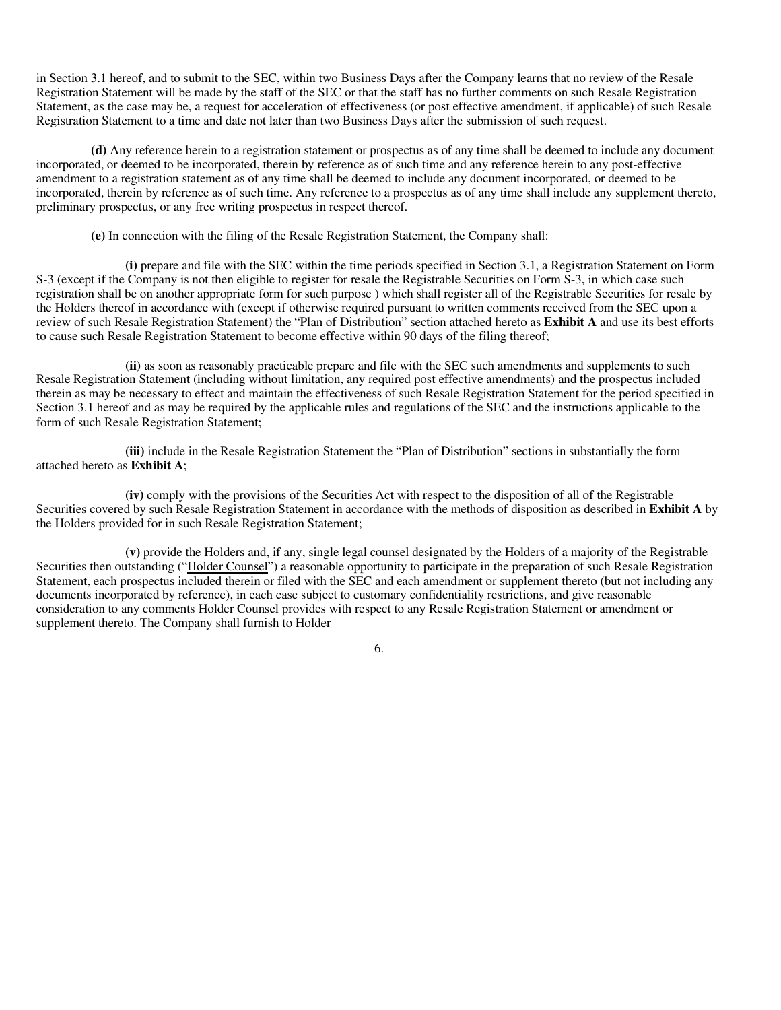in Section 3.1 hereof, and to submit to the SEC, within two Business Days after the Company learns that no review of the Resale Registration Statement will be made by the staff of the SEC or that the staff has no further comments on such Resale Registration Statement, as the case may be, a request for acceleration of effectiveness (or post effective amendment, if applicable) of such Resale Registration Statement to a time and date not later than two Business Days after the submission of such request.

**(d)** Any reference herein to a registration statement or prospectus as of any time shall be deemed to include any document incorporated, or deemed to be incorporated, therein by reference as of such time and any reference herein to any post-effective amendment to a registration statement as of any time shall be deemed to include any document incorporated, or deemed to be incorporated, therein by reference as of such time. Any reference to a prospectus as of any time shall include any supplement thereto, preliminary prospectus, or any free writing prospectus in respect thereof.

**(e)** In connection with the filing of the Resale Registration Statement, the Company shall:

**(i)** prepare and file with the SEC within the time periods specified in Section 3.1, a Registration Statement on Form S-3 (except if the Company is not then eligible to register for resale the Registrable Securities on Form S-3, in which case such registration shall be on another appropriate form for such purpose ) which shall register all of the Registrable Securities for resale by the Holders thereof in accordance with (except if otherwise required pursuant to written comments received from the SEC upon a review of such Resale Registration Statement) the "Plan of Distribution" section attached hereto as **Exhibit A** and use its best efforts to cause such Resale Registration Statement to become effective within 90 days of the filing thereof;

**(ii)** as soon as reasonably practicable prepare and file with the SEC such amendments and supplements to such Resale Registration Statement (including without limitation, any required post effective amendments) and the prospectus included therein as may be necessary to effect and maintain the effectiveness of such Resale Registration Statement for the period specified in Section 3.1 hereof and as may be required by the applicable rules and regulations of the SEC and the instructions applicable to the form of such Resale Registration Statement;

**(iii)** include in the Resale Registration Statement the "Plan of Distribution" sections in substantially the form attached hereto as **Exhibit A**;

**(iv)** comply with the provisions of the Securities Act with respect to the disposition of all of the Registrable Securities covered by such Resale Registration Statement in accordance with the methods of disposition as described in **Exhibit A** by the Holders provided for in such Resale Registration Statement;

**(v)** provide the Holders and, if any, single legal counsel designated by the Holders of a majority of the Registrable Securities then outstanding ("Holder Counsel") a reasonable opportunity to participate in the preparation of such Resale Registration Statement, each prospectus included therein or filed with the SEC and each amendment or supplement thereto (but not including any documents incorporated by reference), in each case subject to customary confidentiality restrictions, and give reasonable consideration to any comments Holder Counsel provides with respect to any Resale Registration Statement or amendment or supplement thereto. The Company shall furnish to Holder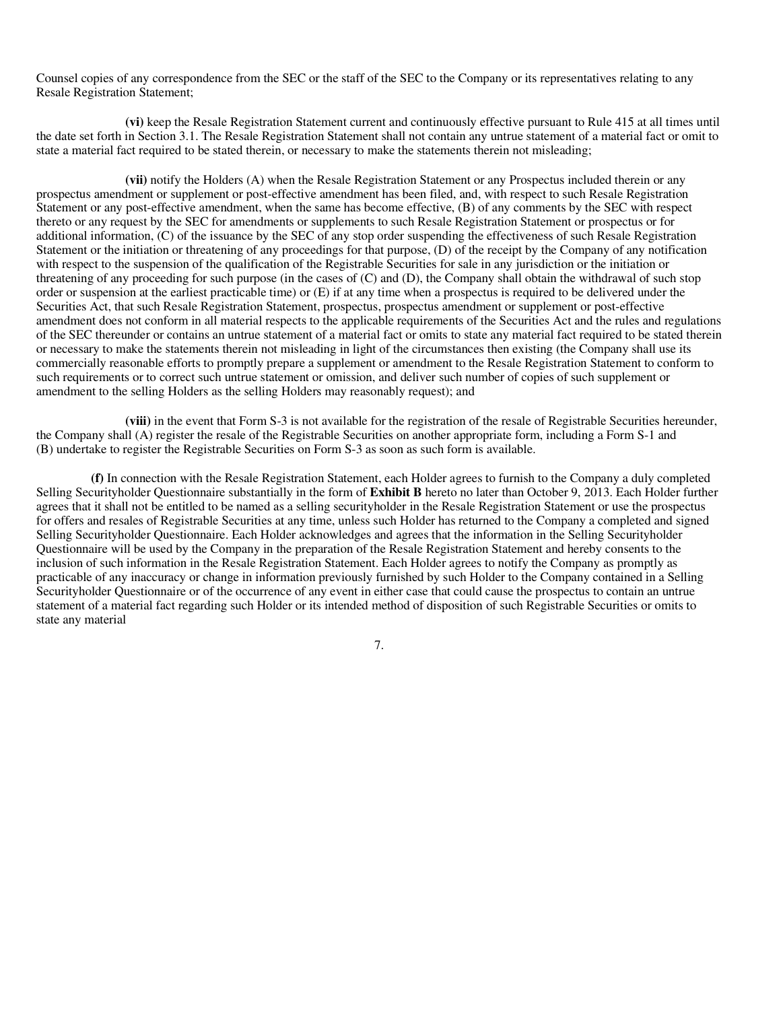Counsel copies of any correspondence from the SEC or the staff of the SEC to the Company or its representatives relating to any Resale Registration Statement;

**(vi)** keep the Resale Registration Statement current and continuously effective pursuant to Rule 415 at all times until the date set forth in Section 3.1. The Resale Registration Statement shall not contain any untrue statement of a material fact or omit to state a material fact required to be stated therein, or necessary to make the statements therein not misleading;

**(vii)** notify the Holders (A) when the Resale Registration Statement or any Prospectus included therein or any prospectus amendment or supplement or post-effective amendment has been filed, and, with respect to such Resale Registration Statement or any post-effective amendment, when the same has become effective, (B) of any comments by the SEC with respect thereto or any request by the SEC for amendments or supplements to such Resale Registration Statement or prospectus or for additional information, (C) of the issuance by the SEC of any stop order suspending the effectiveness of such Resale Registration Statement or the initiation or threatening of any proceedings for that purpose, (D) of the receipt by the Company of any notification with respect to the suspension of the qualification of the Registrable Securities for sale in any jurisdiction or the initiation or threatening of any proceeding for such purpose (in the cases of (C) and (D), the Company shall obtain the withdrawal of such stop order or suspension at the earliest practicable time) or (E) if at any time when a prospectus is required to be delivered under the Securities Act, that such Resale Registration Statement, prospectus, prospectus amendment or supplement or post-effective amendment does not conform in all material respects to the applicable requirements of the Securities Act and the rules and regulations of the SEC thereunder or contains an untrue statement of a material fact or omits to state any material fact required to be stated therein or necessary to make the statements therein not misleading in light of the circumstances then existing (the Company shall use its commercially reasonable efforts to promptly prepare a supplement or amendment to the Resale Registration Statement to conform to such requirements or to correct such untrue statement or omission, and deliver such number of copies of such supplement or amendment to the selling Holders as the selling Holders may reasonably request); and

**(viii)** in the event that Form S-3 is not available for the registration of the resale of Registrable Securities hereunder, the Company shall (A) register the resale of the Registrable Securities on another appropriate form, including a Form S-1 and (B) undertake to register the Registrable Securities on Form S-3 as soon as such form is available.

**(f)** In connection with the Resale Registration Statement, each Holder agrees to furnish to the Company a duly completed Selling Securityholder Questionnaire substantially in the form of **Exhibit B** hereto no later than October 9, 2013. Each Holder further agrees that it shall not be entitled to be named as a selling securityholder in the Resale Registration Statement or use the prospectus for offers and resales of Registrable Securities at any time, unless such Holder has returned to the Company a completed and signed Selling Securityholder Questionnaire. Each Holder acknowledges and agrees that the information in the Selling Securityholder Questionnaire will be used by the Company in the preparation of the Resale Registration Statement and hereby consents to the inclusion of such information in the Resale Registration Statement. Each Holder agrees to notify the Company as promptly as practicable of any inaccuracy or change in information previously furnished by such Holder to the Company contained in a Selling Securityholder Questionnaire or of the occurrence of any event in either case that could cause the prospectus to contain an untrue statement of a material fact regarding such Holder or its intended method of disposition of such Registrable Securities or omits to state any material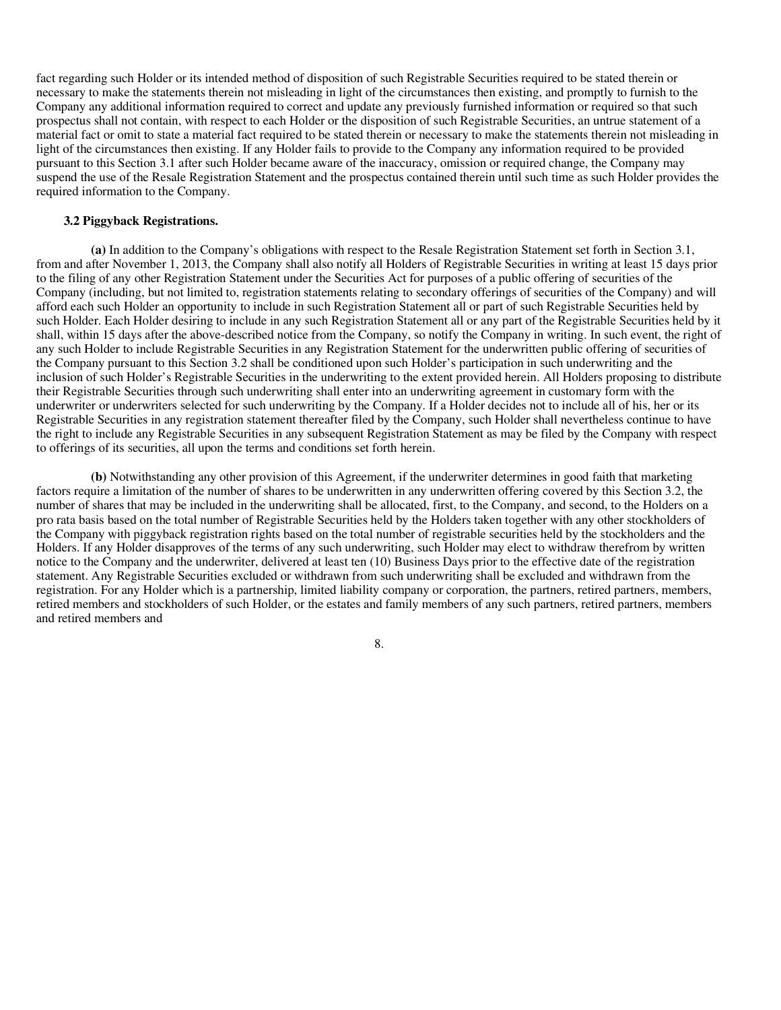fact regarding such Holder or its intended method of disposition of such Registrable Securities required to be stated therein or necessary to make the statements therein not misleading in light of the circumstances then existing, and promptly to furnish to the Company any additional information required to correct and update any previously furnished information or required so that such prospectus shall not contain, with respect to each Holder or the disposition of such Registrable Securities, an untrue statement of a material fact or omit to state a material fact required to be stated therein or necessary to make the statements therein not misleading in light of the circumstances then existing. If any Holder fails to provide to the Company any information required to be provided pursuant to this Section 3.1 after such Holder became aware of the inaccuracy, omission or required change, the Company may suspend the use of the Resale Registration Statement and the prospectus contained therein until such time as such Holder provides the required information to the Company.

#### **3.2 Piggyback Registrations.**

**(a)** In addition to the Company's obligations with respect to the Resale Registration Statement set forth in Section 3.1, from and after November 1, 2013, the Company shall also notify all Holders of Registrable Securities in writing at least 15 days prior to the filing of any other Registration Statement under the Securities Act for purposes of a public offering of securities of the Company (including, but not limited to, registration statements relating to secondary offerings of securities of the Company) and will afford each such Holder an opportunity to include in such Registration Statement all or part of such Registrable Securities held by such Holder. Each Holder desiring to include in any such Registration Statement all or any part of the Registrable Securities held by it shall, within 15 days after the above-described notice from the Company, so notify the Company in writing. In such event, the right of any such Holder to include Registrable Securities in any Registration Statement for the underwritten public offering of securities of the Company pursuant to this Section 3.2 shall be conditioned upon such Holder's participation in such underwriting and the inclusion of such Holder's Registrable Securities in the underwriting to the extent provided herein. All Holders proposing to distribute their Registrable Securities through such underwriting shall enter into an underwriting agreement in customary form with the underwriter or underwriters selected for such underwriting by the Company. If a Holder decides not to include all of his, her or its Registrable Securities in any registration statement thereafter filed by the Company, such Holder shall nevertheless continue to have the right to include any Registrable Securities in any subsequent Registration Statement as may be filed by the Company with respect to offerings of its securities, all upon the terms and conditions set forth herein.

**(b)** Notwithstanding any other provision of this Agreement, if the underwriter determines in good faith that marketing factors require a limitation of the number of shares to be underwritten in any underwritten offering covered by this Section 3.2, the number of shares that may be included in the underwriting shall be allocated, first, to the Company, and second, to the Holders on a pro rata basis based on the total number of Registrable Securities held by the Holders taken together with any other stockholders of the Company with piggyback registration rights based on the total number of registrable securities held by the stockholders and the Holders. If any Holder disapproves of the terms of any such underwriting, such Holder may elect to withdraw therefrom by written notice to the Company and the underwriter, delivered at least ten (10) Business Days prior to the effective date of the registration statement. Any Registrable Securities excluded or withdrawn from such underwriting shall be excluded and withdrawn from the registration. For any Holder which is a partnership, limited liability company or corporation, the partners, retired partners, members, retired members and stockholders of such Holder, or the estates and family members of any such partners, retired partners, members and retired members and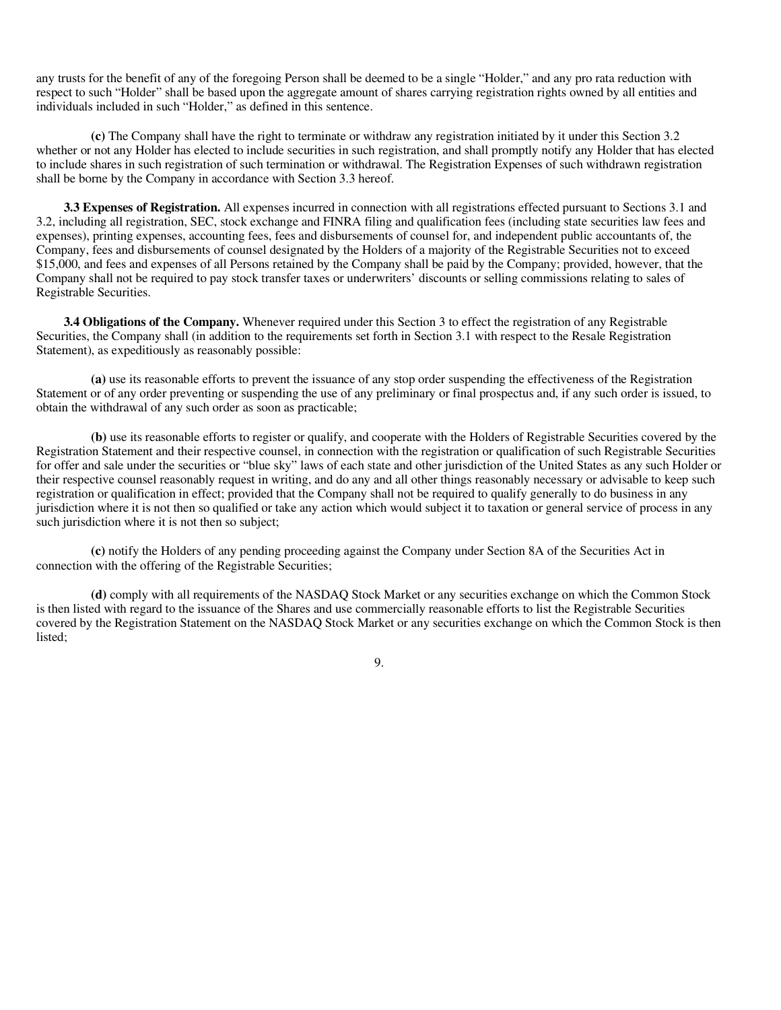any trusts for the benefit of any of the foregoing Person shall be deemed to be a single "Holder," and any pro rata reduction with respect to such "Holder" shall be based upon the aggregate amount of shares carrying registration rights owned by all entities and individuals included in such "Holder," as defined in this sentence.

**(c)** The Company shall have the right to terminate or withdraw any registration initiated by it under this Section 3.2 whether or not any Holder has elected to include securities in such registration, and shall promptly notify any Holder that has elected to include shares in such registration of such termination or withdrawal. The Registration Expenses of such withdrawn registration shall be borne by the Company in accordance with Section 3.3 hereof.

**3.3 Expenses of Registration.** All expenses incurred in connection with all registrations effected pursuant to Sections 3.1 and 3.2, including all registration, SEC, stock exchange and FINRA filing and qualification fees (including state securities law fees and expenses), printing expenses, accounting fees, fees and disbursements of counsel for, and independent public accountants of, the Company, fees and disbursements of counsel designated by the Holders of a majority of the Registrable Securities not to exceed \$15,000, and fees and expenses of all Persons retained by the Company shall be paid by the Company; provided, however, that the Company shall not be required to pay stock transfer taxes or underwriters' discounts or selling commissions relating to sales of Registrable Securities.

**3.4 Obligations of the Company.** Whenever required under this Section 3 to effect the registration of any Registrable Securities, the Company shall (in addition to the requirements set forth in Section 3.1 with respect to the Resale Registration Statement), as expeditiously as reasonably possible:

**(a)** use its reasonable efforts to prevent the issuance of any stop order suspending the effectiveness of the Registration Statement or of any order preventing or suspending the use of any preliminary or final prospectus and, if any such order is issued, to obtain the withdrawal of any such order as soon as practicable;

**(b)** use its reasonable efforts to register or qualify, and cooperate with the Holders of Registrable Securities covered by the Registration Statement and their respective counsel, in connection with the registration or qualification of such Registrable Securities for offer and sale under the securities or "blue sky" laws of each state and other jurisdiction of the United States as any such Holder or their respective counsel reasonably request in writing, and do any and all other things reasonably necessary or advisable to keep such registration or qualification in effect; provided that the Company shall not be required to qualify generally to do business in any jurisdiction where it is not then so qualified or take any action which would subject it to taxation or general service of process in any such jurisdiction where it is not then so subject;

**(c)** notify the Holders of any pending proceeding against the Company under Section 8A of the Securities Act in connection with the offering of the Registrable Securities;

**(d)** comply with all requirements of the NASDAQ Stock Market or any securities exchange on which the Common Stock is then listed with regard to the issuance of the Shares and use commercially reasonable efforts to list the Registrable Securities covered by the Registration Statement on the NASDAQ Stock Market or any securities exchange on which the Common Stock is then listed;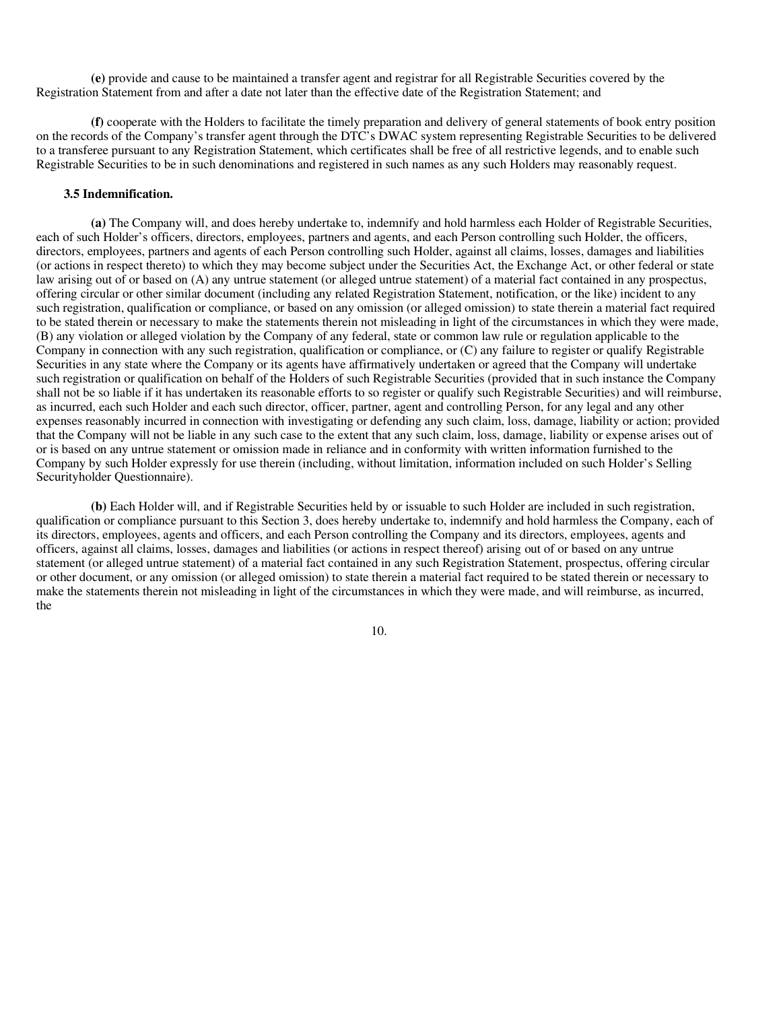**(e)** provide and cause to be maintained a transfer agent and registrar for all Registrable Securities covered by the Registration Statement from and after a date not later than the effective date of the Registration Statement; and

**(f)** cooperate with the Holders to facilitate the timely preparation and delivery of general statements of book entry position on the records of the Company's transfer agent through the DTC's DWAC system representing Registrable Securities to be delivered to a transferee pursuant to any Registration Statement, which certificates shall be free of all restrictive legends, and to enable such Registrable Securities to be in such denominations and registered in such names as any such Holders may reasonably request.

#### **3.5 Indemnification.**

**(a)** The Company will, and does hereby undertake to, indemnify and hold harmless each Holder of Registrable Securities, each of such Holder's officers, directors, employees, partners and agents, and each Person controlling such Holder, the officers, directors, employees, partners and agents of each Person controlling such Holder, against all claims, losses, damages and liabilities (or actions in respect thereto) to which they may become subject under the Securities Act, the Exchange Act, or other federal or state law arising out of or based on (A) any untrue statement (or alleged untrue statement) of a material fact contained in any prospectus, offering circular or other similar document (including any related Registration Statement, notification, or the like) incident to any such registration, qualification or compliance, or based on any omission (or alleged omission) to state therein a material fact required to be stated therein or necessary to make the statements therein not misleading in light of the circumstances in which they were made, (B) any violation or alleged violation by the Company of any federal, state or common law rule or regulation applicable to the Company in connection with any such registration, qualification or compliance, or (C) any failure to register or qualify Registrable Securities in any state where the Company or its agents have affirmatively undertaken or agreed that the Company will undertake such registration or qualification on behalf of the Holders of such Registrable Securities (provided that in such instance the Company shall not be so liable if it has undertaken its reasonable efforts to so register or qualify such Registrable Securities) and will reimburse, as incurred, each such Holder and each such director, officer, partner, agent and controlling Person, for any legal and any other expenses reasonably incurred in connection with investigating or defending any such claim, loss, damage, liability or action; provided that the Company will not be liable in any such case to the extent that any such claim, loss, damage, liability or expense arises out of or is based on any untrue statement or omission made in reliance and in conformity with written information furnished to the Company by such Holder expressly for use therein (including, without limitation, information included on such Holder's Selling Securityholder Questionnaire).

**(b)** Each Holder will, and if Registrable Securities held by or issuable to such Holder are included in such registration, qualification or compliance pursuant to this Section 3, does hereby undertake to, indemnify and hold harmless the Company, each of its directors, employees, agents and officers, and each Person controlling the Company and its directors, employees, agents and officers, against all claims, losses, damages and liabilities (or actions in respect thereof) arising out of or based on any untrue statement (or alleged untrue statement) of a material fact contained in any such Registration Statement, prospectus, offering circular or other document, or any omission (or alleged omission) to state therein a material fact required to be stated therein or necessary to make the statements therein not misleading in light of the circumstances in which they were made, and will reimburse, as incurred, the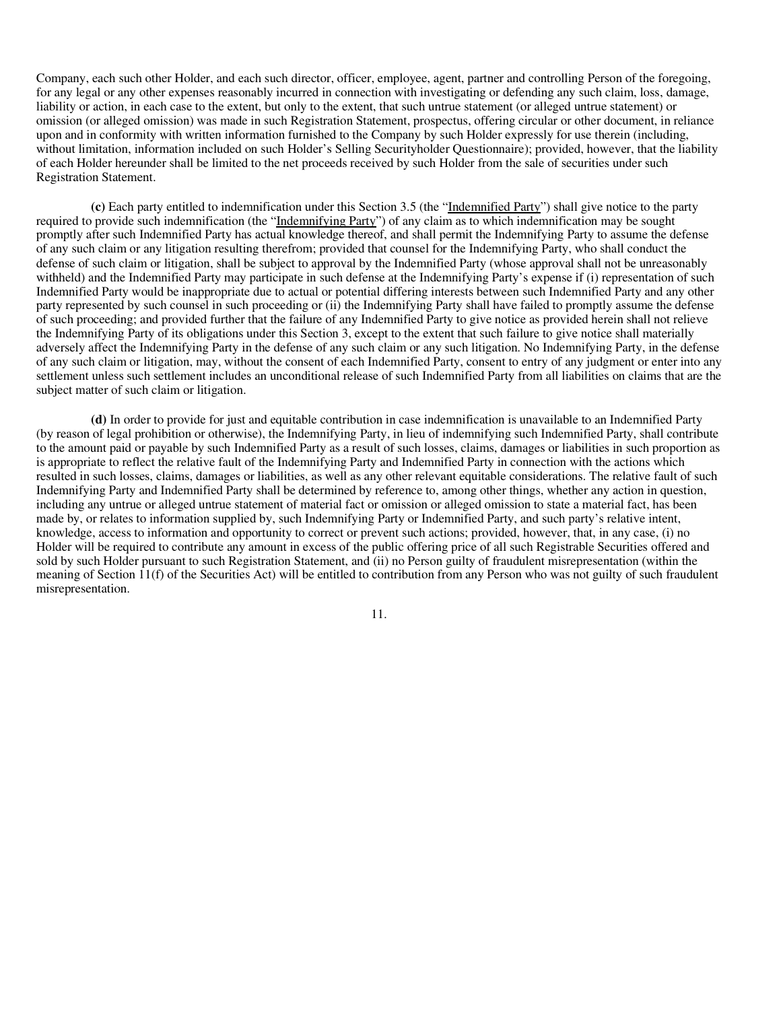Company, each such other Holder, and each such director, officer, employee, agent, partner and controlling Person of the foregoing, for any legal or any other expenses reasonably incurred in connection with investigating or defending any such claim, loss, damage, liability or action, in each case to the extent, but only to the extent, that such untrue statement (or alleged untrue statement) or omission (or alleged omission) was made in such Registration Statement, prospectus, offering circular or other document, in reliance upon and in conformity with written information furnished to the Company by such Holder expressly for use therein (including, without limitation, information included on such Holder's Selling Securityholder Questionnaire); provided, however, that the liability of each Holder hereunder shall be limited to the net proceeds received by such Holder from the sale of securities under such Registration Statement.

**(c)** Each party entitled to indemnification under this Section 3.5 (the "Indemnified Party") shall give notice to the party required to provide such indemnification (the "Indemnifying Party") of any claim as to which indemnification may be sought promptly after such Indemnified Party has actual knowledge thereof, and shall permit the Indemnifying Party to assume the defense of any such claim or any litigation resulting therefrom; provided that counsel for the Indemnifying Party, who shall conduct the defense of such claim or litigation, shall be subject to approval by the Indemnified Party (whose approval shall not be unreasonably withheld) and the Indemnified Party may participate in such defense at the Indemnifying Party's expense if (i) representation of such Indemnified Party would be inappropriate due to actual or potential differing interests between such Indemnified Party and any other party represented by such counsel in such proceeding or (ii) the Indemnifying Party shall have failed to promptly assume the defense of such proceeding; and provided further that the failure of any Indemnified Party to give notice as provided herein shall not relieve the Indemnifying Party of its obligations under this Section 3, except to the extent that such failure to give notice shall materially adversely affect the Indemnifying Party in the defense of any such claim or any such litigation. No Indemnifying Party, in the defense of any such claim or litigation, may, without the consent of each Indemnified Party, consent to entry of any judgment or enter into any settlement unless such settlement includes an unconditional release of such Indemnified Party from all liabilities on claims that are the subject matter of such claim or litigation.

**(d)** In order to provide for just and equitable contribution in case indemnification is unavailable to an Indemnified Party (by reason of legal prohibition or otherwise), the Indemnifying Party, in lieu of indemnifying such Indemnified Party, shall contribute to the amount paid or payable by such Indemnified Party as a result of such losses, claims, damages or liabilities in such proportion as is appropriate to reflect the relative fault of the Indemnifying Party and Indemnified Party in connection with the actions which resulted in such losses, claims, damages or liabilities, as well as any other relevant equitable considerations. The relative fault of such Indemnifying Party and Indemnified Party shall be determined by reference to, among other things, whether any action in question, including any untrue or alleged untrue statement of material fact or omission or alleged omission to state a material fact, has been made by, or relates to information supplied by, such Indemnifying Party or Indemnified Party, and such party's relative intent, knowledge, access to information and opportunity to correct or prevent such actions; provided, however, that, in any case, (i) no Holder will be required to contribute any amount in excess of the public offering price of all such Registrable Securities offered and sold by such Holder pursuant to such Registration Statement, and (ii) no Person guilty of fraudulent misrepresentation (within the meaning of Section 11(f) of the Securities Act) will be entitled to contribution from any Person who was not guilty of such fraudulent misrepresentation.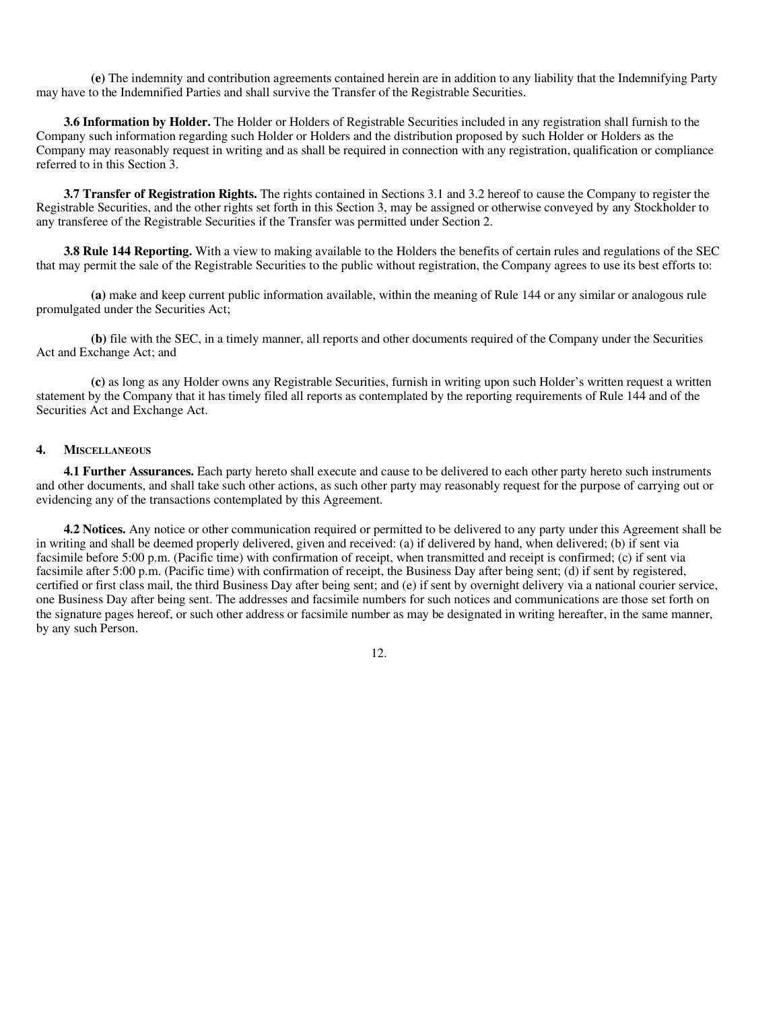**(e)** The indemnity and contribution agreements contained herein are in addition to any liability that the Indemnifying Party may have to the Indemnified Parties and shall survive the Transfer of the Registrable Securities.

**3.6 Information by Holder.** The Holder or Holders of Registrable Securities included in any registration shall furnish to the Company such information regarding such Holder or Holders and the distribution proposed by such Holder or Holders as the Company may reasonably request in writing and as shall be required in connection with any registration, qualification or compliance referred to in this Section 3.

**3.7 Transfer of Registration Rights.** The rights contained in Sections 3.1 and 3.2 hereof to cause the Company to register the Registrable Securities, and the other rights set forth in this Section 3, may be assigned or otherwise conveyed by any Stockholder to any transferee of the Registrable Securities if the Transfer was permitted under Section 2.

**3.8 Rule 144 Reporting.** With a view to making available to the Holders the benefits of certain rules and regulations of the SEC that may permit the sale of the Registrable Securities to the public without registration, the Company agrees to use its best efforts to:

**(a)** make and keep current public information available, within the meaning of Rule 144 or any similar or analogous rule promulgated under the Securities Act;

**(b)** file with the SEC, in a timely manner, all reports and other documents required of the Company under the Securities Act and Exchange Act; and

**(c)** as long as any Holder owns any Registrable Securities, furnish in writing upon such Holder's written request a written statement by the Company that it has timely filed all reports as contemplated by the reporting requirements of Rule 144 and of the Securities Act and Exchange Act.

## **4. MISCELLANEOUS**

**4.1 Further Assurances.** Each party hereto shall execute and cause to be delivered to each other party hereto such instruments and other documents, and shall take such other actions, as such other party may reasonably request for the purpose of carrying out or evidencing any of the transactions contemplated by this Agreement.

**4.2 Notices.** Any notice or other communication required or permitted to be delivered to any party under this Agreement shall be in writing and shall be deemed properly delivered, given and received: (a) if delivered by hand, when delivered; (b) if sent via facsimile before 5:00 p.m. (Pacific time) with confirmation of receipt, when transmitted and receipt is confirmed; (c) if sent via facsimile after 5:00 p.m. (Pacific time) with confirmation of receipt, the Business Day after being sent; (d) if sent by registered, certified or first class mail, the third Business Day after being sent; and (e) if sent by overnight delivery via a national courier service, one Business Day after being sent. The addresses and facsimile numbers for such notices and communications are those set forth on the signature pages hereof, or such other address or facsimile number as may be designated in writing hereafter, in the same manner, by any such Person.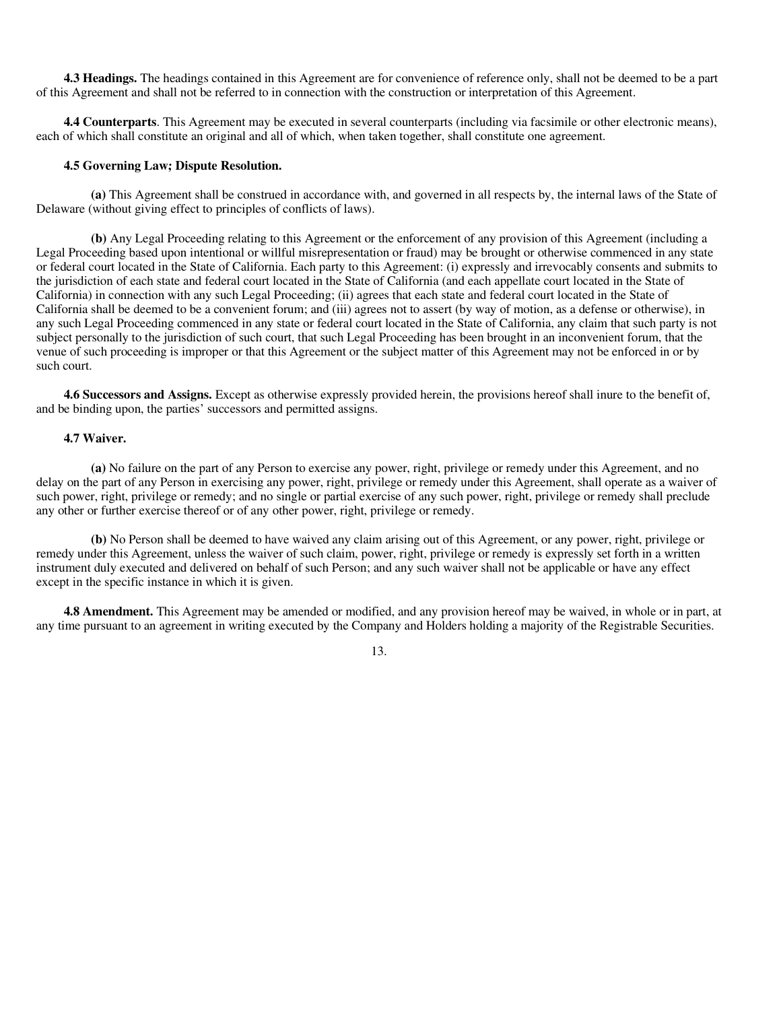**4.3 Headings.** The headings contained in this Agreement are for convenience of reference only, shall not be deemed to be a part of this Agreement and shall not be referred to in connection with the construction or interpretation of this Agreement.

**4.4 Counterparts**. This Agreement may be executed in several counterparts (including via facsimile or other electronic means), each of which shall constitute an original and all of which, when taken together, shall constitute one agreement.

### **4.5 Governing Law; Dispute Resolution.**

**(a)** This Agreement shall be construed in accordance with, and governed in all respects by, the internal laws of the State of Delaware (without giving effect to principles of conflicts of laws).

**(b)** Any Legal Proceeding relating to this Agreement or the enforcement of any provision of this Agreement (including a Legal Proceeding based upon intentional or willful misrepresentation or fraud) may be brought or otherwise commenced in any state or federal court located in the State of California. Each party to this Agreement: (i) expressly and irrevocably consents and submits to the jurisdiction of each state and federal court located in the State of California (and each appellate court located in the State of California) in connection with any such Legal Proceeding; (ii) agrees that each state and federal court located in the State of California shall be deemed to be a convenient forum; and (iii) agrees not to assert (by way of motion, as a defense or otherwise), in any such Legal Proceeding commenced in any state or federal court located in the State of California, any claim that such party is not subject personally to the jurisdiction of such court, that such Legal Proceeding has been brought in an inconvenient forum, that the venue of such proceeding is improper or that this Agreement or the subject matter of this Agreement may not be enforced in or by such court.

**4.6 Successors and Assigns.** Except as otherwise expressly provided herein, the provisions hereof shall inure to the benefit of, and be binding upon, the parties' successors and permitted assigns.

### **4.7 Waiver.**

**(a)** No failure on the part of any Person to exercise any power, right, privilege or remedy under this Agreement, and no delay on the part of any Person in exercising any power, right, privilege or remedy under this Agreement, shall operate as a waiver of such power, right, privilege or remedy; and no single or partial exercise of any such power, right, privilege or remedy shall preclude any other or further exercise thereof or of any other power, right, privilege or remedy.

**(b)** No Person shall be deemed to have waived any claim arising out of this Agreement, or any power, right, privilege or remedy under this Agreement, unless the waiver of such claim, power, right, privilege or remedy is expressly set forth in a written instrument duly executed and delivered on behalf of such Person; and any such waiver shall not be applicable or have any effect except in the specific instance in which it is given.

**4.8 Amendment.** This Agreement may be amended or modified, and any provision hereof may be waived, in whole or in part, at any time pursuant to an agreement in writing executed by the Company and Holders holding a majority of the Registrable Securities.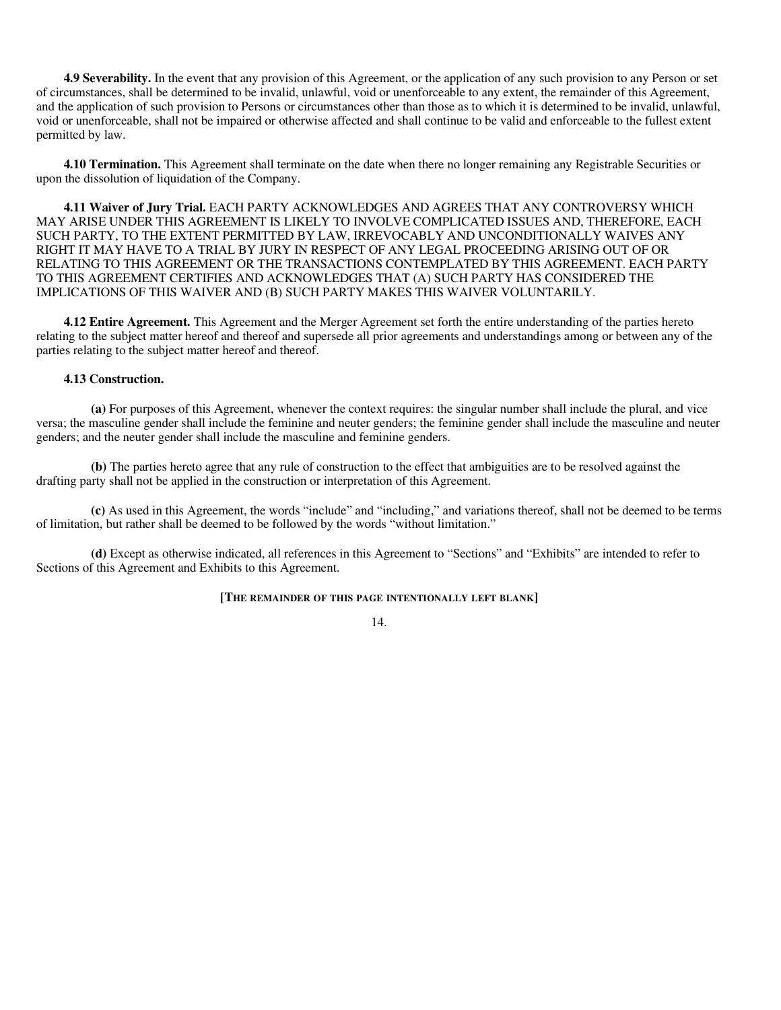**4.9 Severability.** In the event that any provision of this Agreement, or the application of any such provision to any Person or set of circumstances, shall be determined to be invalid, unlawful, void or unenforceable to any extent, the remainder of this Agreement, and the application of such provision to Persons or circumstances other than those as to which it is determined to be invalid, unlawful, void or unenforceable, shall not be impaired or otherwise affected and shall continue to be valid and enforceable to the fullest extent permitted by law.

**4.10 Termination.** This Agreement shall terminate on the date when there no longer remaining any Registrable Securities or upon the dissolution of liquidation of the Company.

**4.11 Waiver of Jury Trial.** EACH PARTY ACKNOWLEDGES AND AGREES THAT ANY CONTROVERSY WHICH MAY ARISE UNDER THIS AGREEMENT IS LIKELY TO INVOLVE COMPLICATED ISSUES AND, THEREFORE, EACH SUCH PARTY, TO THE EXTENT PERMITTED BY LAW, IRREVOCABLY AND UNCONDITIONALLY WAIVES ANY RIGHT IT MAY HAVE TO A TRIAL BY JURY IN RESPECT OF ANY LEGAL PROCEEDING ARISING OUT OF OR RELATING TO THIS AGREEMENT OR THE TRANSACTIONS CONTEMPLATED BY THIS AGREEMENT. EACH PARTY TO THIS AGREEMENT CERTIFIES AND ACKNOWLEDGES THAT (A) SUCH PARTY HAS CONSIDERED THE IMPLICATIONS OF THIS WAIVER AND (B) SUCH PARTY MAKES THIS WAIVER VOLUNTARILY.

**4.12 Entire Agreement.** This Agreement and the Merger Agreement set forth the entire understanding of the parties hereto relating to the subject matter hereof and thereof and supersede all prior agreements and understandings among or between any of the parties relating to the subject matter hereof and thereof.

### **4.13 Construction.**

**(a)** For purposes of this Agreement, whenever the context requires: the singular number shall include the plural, and vice versa; the masculine gender shall include the feminine and neuter genders; the feminine gender shall include the masculine and neuter genders; and the neuter gender shall include the masculine and feminine genders.

**(b)** The parties hereto agree that any rule of construction to the effect that ambiguities are to be resolved against the drafting party shall not be applied in the construction or interpretation of this Agreement.

**(c)** As used in this Agreement, the words "include" and "including," and variations thereof, shall not be deemed to be terms of limitation, but rather shall be deemed to be followed by the words "without limitation."

**(d)** Except as otherwise indicated, all references in this Agreement to "Sections" and "Exhibits" are intended to refer to Sections of this Agreement and Exhibits to this Agreement.

### **[THE REMAINDER OF THIS PAGE INTENTIONALLY LEFT BLANK]**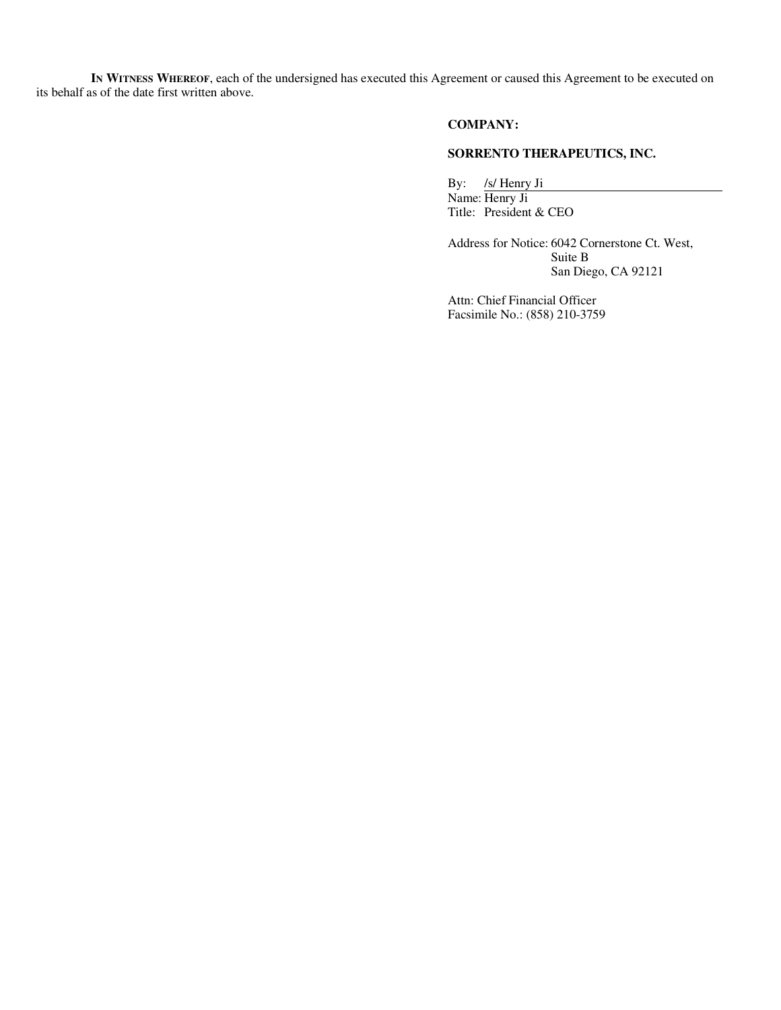**IN WITNESS WHEREOF**, each of the undersigned has executed this Agreement or caused this Agreement to be executed on its behalf as of the date first written above.

## **COMPANY:**

# **SORRENTO THERAPEUTICS, INC.**

By: /s/ Henry Ji

Name: Henry Ji Title: President & CEO

Address for Notice: 6042 Cornerstone Ct. West, Suite B San Diego, CA 92121

Attn: Chief Financial Officer Facsimile No.: (858) 210-3759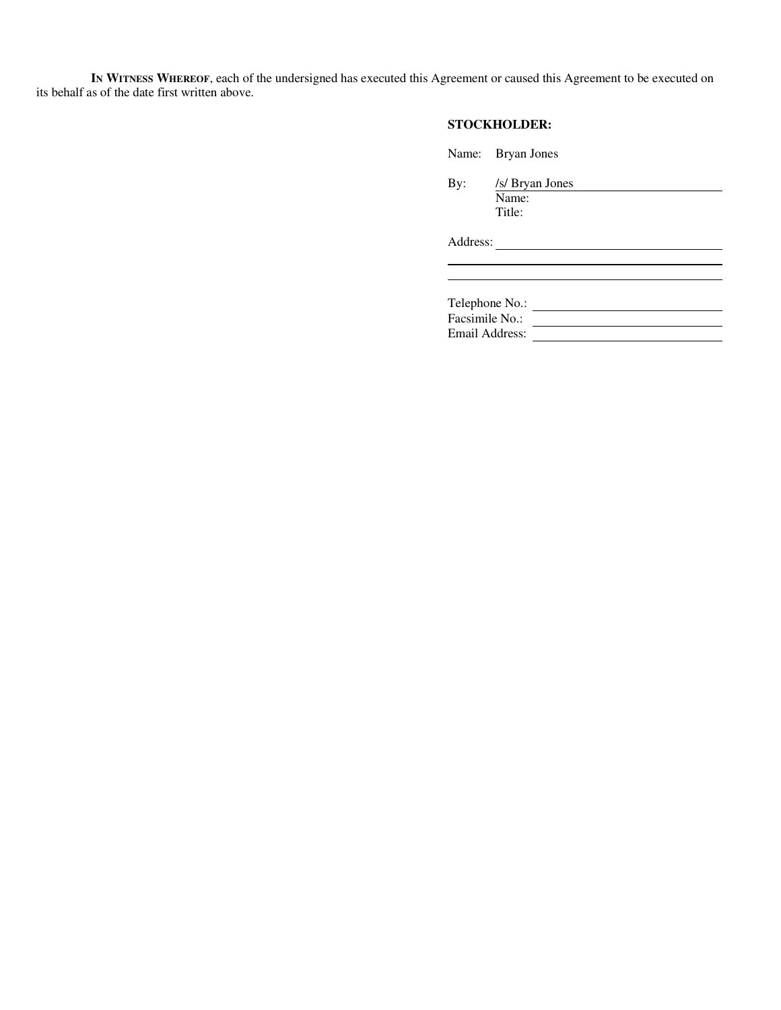**IN WITNESS WHEREOF**, each of the undersigned has executed this Agreement or caused this Agreement to be executed on its behalf as of the date first written above.

# **STOCKHOLDER:**

Name: Bryan Jones

By: /s/ Bryan Jones Name: Title:

Address:

Telephone No.: Facsimile No.: <u>In the set of the set of the set of the set of the set of the set of the set of the set of the set of the set of the set of the set of the set of the set of the set of the set of the set of the set of the s</u> Email Address: Universe Press, 2008.

<u> 1989 - Johann Barbara, martxa alemaniar a</u>